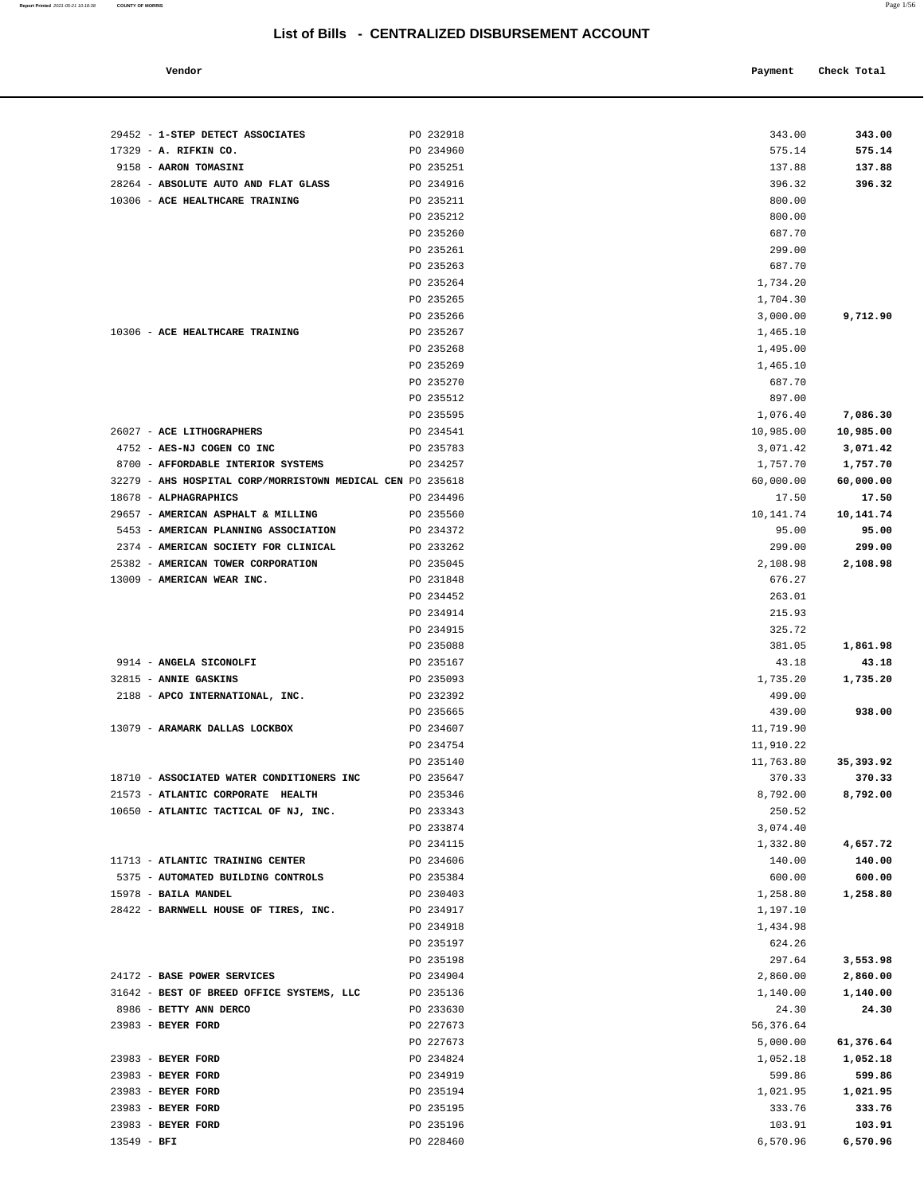| Vendor | Payment Check Total<br>. |
|--------|--------------------------|
|        |                          |

| 29452 - 1-STEP DETECT ASSOCIATES                                                    | PO 232918              | 343.00               | 343.00             |
|-------------------------------------------------------------------------------------|------------------------|----------------------|--------------------|
| 17329 - A. RIFKIN CO.                                                               | PO 234960              | 575.14               | 575.14             |
| 9158 - AARON TOMASINI                                                               | PO 235251              | 137.88               | 137.88             |
| 28264 - ABSOLUTE AUTO AND FLAT GLASS                                                | PO 234916              | 396.32               | 396.32             |
| 10306 - ACE HEALTHCARE TRAINING                                                     | PO 235211              | 800.00               |                    |
|                                                                                     | PO 235212              | 800.00               |                    |
|                                                                                     | PO 235260              | 687.70               |                    |
|                                                                                     | PO 235261              | 299.00               |                    |
|                                                                                     | PO 235263              | 687.70               |                    |
|                                                                                     | PO 235264              | 1,734.20             |                    |
|                                                                                     | PO 235265              | 1,704.30             |                    |
|                                                                                     | PO 235266              | 3,000.00             | 9,712.90           |
| 10306 - ACE HEALTHCARE TRAINING                                                     | PO 235267              | 1,465.10             |                    |
|                                                                                     | PO 235268              | 1,495.00             |                    |
|                                                                                     | PO 235269              | 1,465.10             |                    |
|                                                                                     | PO 235270              | 687.70               |                    |
|                                                                                     | PO 235512              | 897.00               |                    |
|                                                                                     | PO 235595              | 1,076.40             | 7,086.30           |
| 26027 - ACE LITHOGRAPHERS                                                           | PO 234541              | 10,985.00            | 10,985.00          |
| 4752 - AES-NJ COGEN CO INC                                                          | PO 235783              | 3,071.42             | 3,071.42           |
| 8700 - AFFORDABLE INTERIOR SYSTEMS                                                  | PO 234257              | 1,757.70             | 1,757.70           |
| 32279 - AHS HOSPITAL CORP/MORRISTOWN MEDICAL CEN PO 235618<br>18678 - ALPHAGRAPHICS | PO 234496              | 60,000.00<br>17.50   | 60,000.00<br>17.50 |
| 29657 - AMERICAN ASPHALT & MILLING                                                  | PO 235560              | 10,141.74            | 10,141.74          |
| 5453 - AMERICAN PLANNING ASSOCIATION                                                | PO 234372              | 95.00                | 95.00              |
| 2374 - AMERICAN SOCIETY FOR CLINICAL                                                | PO 233262              | 299.00               | 299.00             |
| 25382 - AMERICAN TOWER CORPORATION                                                  | PO 235045              | 2,108.98             | 2,108.98           |
| 13009 - AMERICAN WEAR INC.                                                          | PO 231848              | 676.27               |                    |
|                                                                                     | PO 234452              | 263.01               |                    |
|                                                                                     | PO 234914              | 215.93               |                    |
|                                                                                     | PO 234915              | 325.72               |                    |
|                                                                                     | PO 235088              | 381.05               | 1,861.98           |
| 9914 - ANGELA SICONOLFI                                                             | PO 235167              | 43.18                | 43.18              |
| 32815 - ANNIE GASKINS                                                               | PO 235093              | 1,735.20             | 1,735.20           |
| 2188 - APCO INTERNATIONAL, INC.                                                     | PO 232392              | 499.00               |                    |
|                                                                                     | PO 235665              | 439.00               | 938.00             |
| 13079 - ARAMARK DALLAS LOCKBOX                                                      | PO 234607              | 11,719.90            |                    |
|                                                                                     | PO 234754              | 11,910.22            |                    |
|                                                                                     | PO 235140              | 11,763.80            | 35,393.92          |
| 18710 - ASSOCIATED WATER CONDITIONERS INC                                           | PO 235647              | 370.33               | 370.33             |
| 21573 - ATLANTIC CORPORATE HEALTH                                                   | PO 235346              | 8,792.00             | 8,792.00           |
| 10650 - ATLANTIC TACTICAL OF NJ, INC.                                               | PO 233343              | 250.52               |                    |
|                                                                                     | PO 233874<br>PO 234115 | 3,074.40<br>1,332.80 | 4,657.72           |
| 11713 - ATLANTIC TRAINING CENTER                                                    | PO 234606              | 140.00               | 140.00             |
| 5375 - AUTOMATED BUILDING CONTROLS                                                  | PO 235384              | 600.00               | 600.00             |
| 15978 - BAILA MANDEL                                                                | PO 230403              | 1,258.80             | 1,258.80           |
| 28422 - BARNWELL HOUSE OF TIRES, INC.                                               | PO 234917              | 1,197.10             |                    |
|                                                                                     | PO 234918              | 1,434.98             |                    |
|                                                                                     | PO 235197              | 624.26               |                    |
|                                                                                     | PO 235198              | 297.64               | 3,553.98           |
| 24172 - BASE POWER SERVICES                                                         | PO 234904              | 2,860.00             | 2,860.00           |
| 31642 - BEST OF BREED OFFICE SYSTEMS, LLC                                           | PO 235136              | 1,140.00             | 1,140.00           |
| 8986 - BETTY ANN DERCO                                                              | PO 233630              | 24.30                | 24.30              |
| 23983 - BEYER FORD                                                                  | PO 227673              | 56,376.64            |                    |
|                                                                                     | PO 227673              | 5,000.00             | 61,376.64          |
| 23983 - BEYER FORD                                                                  | PO 234824              | 1,052.18             | 1,052.18           |
| 23983 - BEYER FORD                                                                  | PO 234919              | 599.86               | 599.86             |
| 23983 - BEYER FORD                                                                  | PO 235194              | 1,021.95             | 1,021.95           |
| 23983 - BEYER FORD                                                                  | PO 235195              | 333.76               | 333.76             |
| 23983 - BEYER FORD                                                                  | PO 235196              | 103.91               | 103.91             |
| $13549 - BFI$                                                                       | PO 228460              | 6,570.96             | 6,570.96           |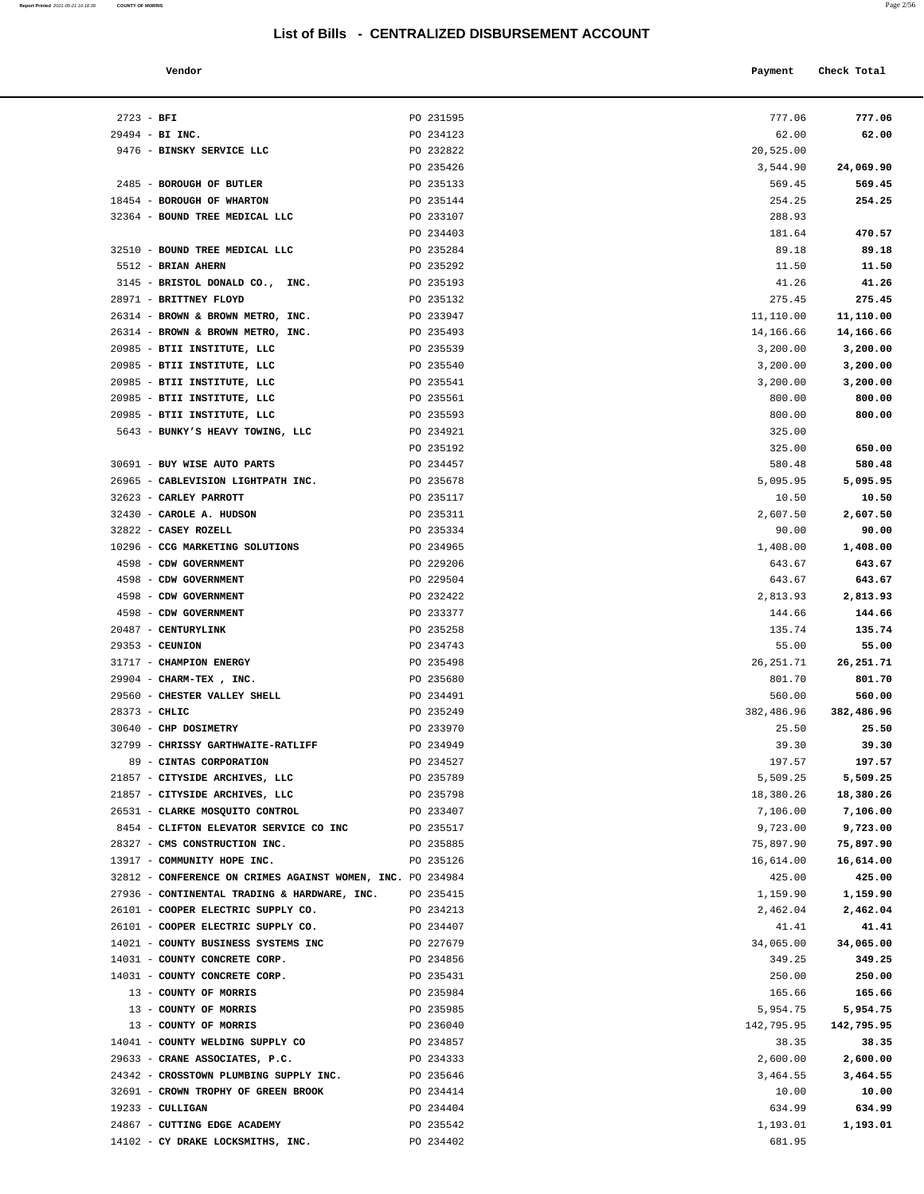| Report Printed 2021-05-21 10:18:38 | <b>COUNTY OF MORRIS</b> | Page 2/56 |
|------------------------------------|-------------------------|-----------|
|                                    |                         |           |

|                                   | LIST OF BINS - CLIVITALIZED DISBORSEMENT ACCOUNT |           |             |  |
|-----------------------------------|--------------------------------------------------|-----------|-------------|--|
| Vendor                            |                                                  | Payment   | Check Total |  |
| $2723 - BFI$                      | PO 231595                                        | 777.06    | 777.06      |  |
| 29494 - BI INC.                   | PO 234123                                        | 62.00     | 62.00       |  |
| 9476 - BINSKY SERVICE LLC         | PO 232822                                        | 20,525.00 |             |  |
|                                   | PO 235426                                        | 3,544.90  | 24,069.90   |  |
| 2485 - BOROUGH OF BUTLER          | PO 235133                                        | 569.45    | 569.45      |  |
| 18454 - BOROUGH OF WHARTON        | PO 235144                                        | 254.25    | 254.25      |  |
| 32364 - BOUND TREE MEDICAL LLC    | PO 233107                                        | 288.93    |             |  |
|                                   | PO 234403                                        | 181.64    | 470.57      |  |
| 32510 - BOUND TREE MEDICAL LLC    | PO 235284                                        | 89.18     | 89.18       |  |
| 5512 - BRIAN AHERN                | PO 235292                                        | 11.50     | 11.50       |  |
| 3145 - BRISTOL DONALD CO., INC.   | PO 235193                                        | 41.26     | 41.26       |  |
| 28971 - BRITTNEY FLOYD            | PO 235132                                        | 275.45    | 275.45      |  |
| 26314 - BROWN & BROWN METRO, INC. | PO 233947                                        | 11,110.00 | 11,110.00   |  |
| 26314 - BROWN & BROWN METRO, INC. | PO 235493                                        | 14,166.66 | 14,166.66   |  |
| 20985 - BTII INSTITUTE, LLC       | PO 235539                                        | 3,200.00  | 3,200.00    |  |

| 2485 - BOROUGH OF BUTLER                                   | PO 235133 | 569.45     | 569.45     |
|------------------------------------------------------------|-----------|------------|------------|
| 18454 - BOROUGH OF WHARTON                                 | PO 235144 | 254.25     | 254.25     |
| 32364 - BOUND TREE MEDICAL LLC                             | PO 233107 | 288.93     |            |
|                                                            | PO 234403 | 181.64     | 470.57     |
| 32510 - BOUND TREE MEDICAL LLC                             | PO 235284 | 89.18      | 89.18      |
| 5512 - BRIAN AHERN                                         | PO 235292 | 11.50      | 11.50      |
| 3145 - BRISTOL DONALD CO., INC.                            | PO 235193 | 41.26      | 41.26      |
| 28971 - BRITTNEY FLOYD                                     | PO 235132 | 275.45     | 275.45     |
| 26314 - BROWN & BROWN METRO, INC.                          | PO 233947 | 11,110.00  | 11,110.00  |
| 26314 - BROWN & BROWN METRO, INC.                          | PO 235493 | 14,166.66  | 14,166.66  |
| 20985 - BTII INSTITUTE, LLC                                | PO 235539 | 3,200.00   | 3,200.00   |
| 20985 - BTII INSTITUTE, LLC                                | PO 235540 | 3,200.00   | 3,200.00   |
| 20985 - BTII INSTITUTE, LLC                                | PO 235541 |            | 3,200.00   |
|                                                            |           | 3,200.00   | 800.00     |
| 20985 - BTII INSTITUTE, LLC                                | PO 235561 | 800.00     |            |
| 20985 - BTII INSTITUTE, LLC                                | PO 235593 | 800.00     | 800.00     |
| 5643 - BUNKY'S HEAVY TOWING, LLC                           | PO 234921 | 325.00     |            |
|                                                            | PO 235192 | 325.00     | 650.00     |
| 30691 - BUY WISE AUTO PARTS                                | PO 234457 | 580.48     | 580.48     |
| 26965 - CABLEVISION LIGHTPATH INC.                         | PO 235678 | 5,095.95   | 5,095.95   |
| 32623 - CARLEY PARROTT                                     | PO 235117 | 10.50      | 10.50      |
| 32430 - CAROLE A. HUDSON                                   | PO 235311 | 2,607.50   | 2,607.50   |
| 32822 - CASEY ROZELL                                       | PO 235334 | 90.00      | 90.00      |
| 10296 - CCG MARKETING SOLUTIONS                            | PO 234965 | 1,408.00   | 1,408.00   |
| 4598 - CDW GOVERNMENT                                      | PO 229206 | 643.67     | 643.67     |
| 4598 - CDW GOVERNMENT                                      | PO 229504 | 643.67     | 643.67     |
| 4598 - CDW GOVERNMENT                                      | PO 232422 | 2,813.93   | 2,813.93   |
| 4598 - CDW GOVERNMENT                                      | PO 233377 | 144.66     | 144.66     |
| 20487 - CENTURYLINK                                        | PO 235258 | 135.74     | 135.74     |
| $29353 -$ CEUNION                                          | PO 234743 | 55.00      | 55.00      |
| 31717 - CHAMPION ENERGY                                    | PO 235498 | 26, 251.71 | 26,251.71  |
| 29904 - CHARM-TEX, INC.                                    | PO 235680 | 801.70     | 801.70     |
| 29560 - CHESTER VALLEY SHELL                               | PO 234491 | 560.00     | 560.00     |
| $28373 - CHLIC$                                            | PO 235249 | 382,486.96 | 382,486.96 |
| 30640 - CHP DOSIMETRY                                      | PO 233970 | 25.50      | 25.50      |
| 32799 - CHRISSY GARTHWAITE-RATLIFF                         | PO 234949 | 39.30      | 39.30      |
| 89 - CINTAS CORPORATION                                    | PO 234527 | 197.57     | 197.57     |
| 21857 - CITYSIDE ARCHIVES, LLC                             | PO 235789 | 5,509.25   | 5,509.25   |
| 21857 - CITYSIDE ARCHIVES, LLC                             | PO 235798 | 18,380.26  | 18,380.26  |
| 26531 - CLARKE MOSQUITO CONTROL                            | PO 233407 | 7,106.00   | 7,106.00   |
| 8454 - CLIFTON ELEVATOR SERVICE CO INC                     | PO 235517 | 9,723.00   | 9,723.00   |
| 28327 - CMS CONSTRUCTION INC.                              | PO 235885 | 75,897.90  | 75,897.90  |
| 13917 - COMMUNITY HOPE INC.                                | PO 235126 | 16,614.00  | 16,614.00  |
| 32812 - CONFERENCE ON CRIMES AGAINST WOMEN, INC. PO 234984 |           | 425.00     | 425.00     |
| 27936 - CONTINENTAL TRADING & HARDWARE, INC.               | PO 235415 | 1,159.90   | 1,159.90   |
| 26101 - COOPER ELECTRIC SUPPLY CO.                         | PO 234213 | 2,462.04   | 2,462.04   |
| 26101 - COOPER ELECTRIC SUPPLY CO.                         | PO 234407 | 41.41      | 41.41      |
| 14021 - COUNTY BUSINESS SYSTEMS INC                        | PO 227679 | 34,065.00  | 34,065.00  |
| 14031 - COUNTY CONCRETE CORP.                              | PO 234856 | 349.25     | 349.25     |
| 14031 - COUNTY CONCRETE CORP.                              | PO 235431 | 250.00     | 250.00     |
|                                                            |           |            |            |
| 13 - COUNTY OF MORRIS                                      | PO 235984 | 165.66     | 165.66     |
| 13 - COUNTY OF MORRIS                                      | PO 235985 | 5,954.75   | 5,954.75   |
| 13 - COUNTY OF MORRIS                                      | PO 236040 | 142,795.95 | 142,795.95 |
| 14041 - COUNTY WELDING SUPPLY CO                           | PO 234857 | 38.35      | 38.35      |
| 29633 - CRANE ASSOCIATES, P.C.                             | PO 234333 | 2,600.00   | 2,600.00   |
| 24342 - CROSSTOWN PLUMBING SUPPLY INC.                     | PO 235646 | 3,464.55   | 3,464.55   |
| 32691 - CROWN TROPHY OF GREEN BROOK                        | PO 234414 | 10.00      | 10.00      |
| $19233 - \text{CULLIGAN}$                                  | PO 234404 | 634.99     | 634.99     |
| 24867 - CUTTING EDGE ACADEMY                               | PO 235542 | 1,193.01   | 1,193.01   |
| 14102 - CY DRAKE LOCKSMITHS, INC.                          | PO 234402 | 681.95     |            |
|                                                            |           |            |            |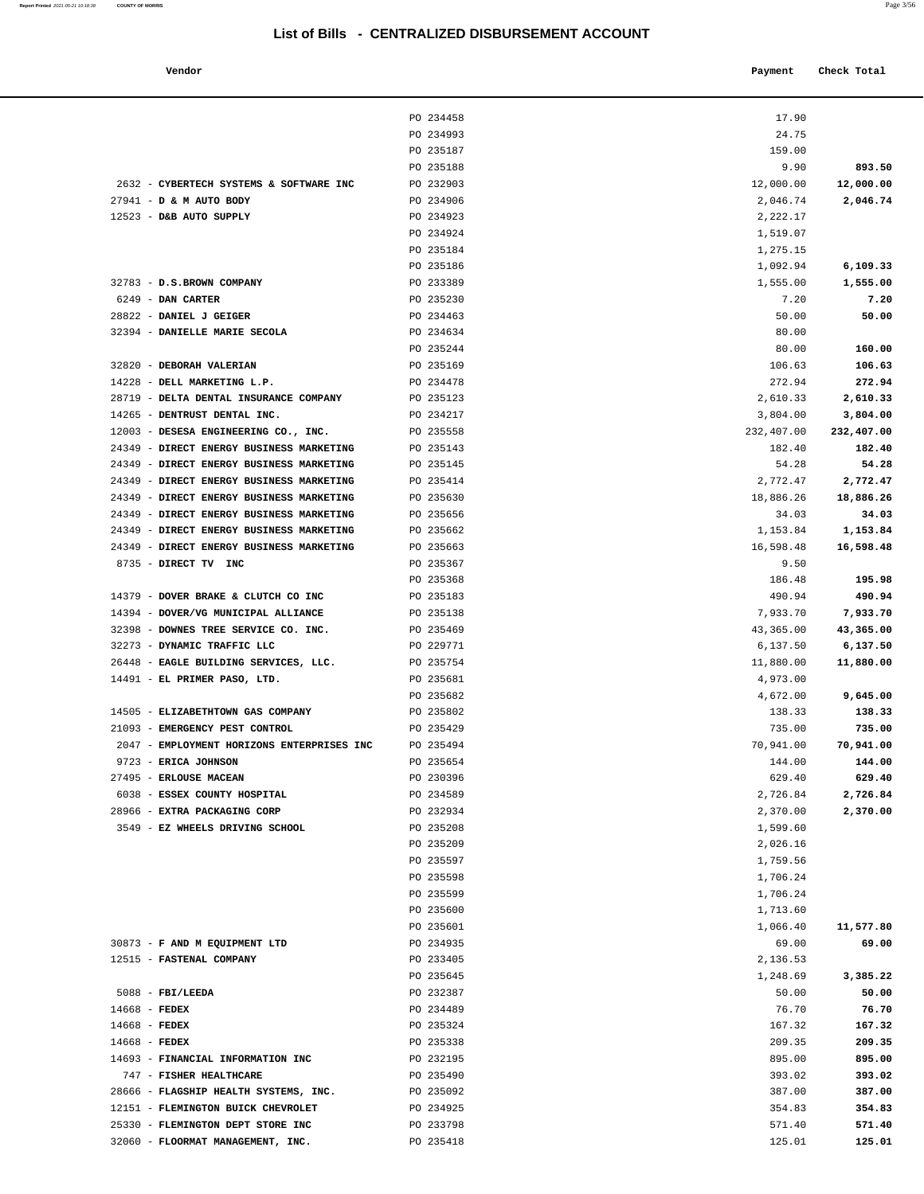| Report Printed 2021-05-21 10:18:38 COUNTY OF MORRIS |  | Page 3/56 |  |
|-----------------------------------------------------|--|-----------|--|
|-----------------------------------------------------|--|-----------|--|

| Vendor                                     |           | Payment    | Check Total |
|--------------------------------------------|-----------|------------|-------------|
|                                            | PO 234458 | 17.90      |             |
|                                            | PO 234993 | 24.75      |             |
|                                            | PO 235187 | 159.00     |             |
|                                            | PO 235188 | 9.90       | 893.50      |
| 2632 - CYBERTECH SYSTEMS & SOFTWARE INC    | PO 232903 | 12,000.00  | 12,000.00   |
| 27941 - D & M AUTO BODY                    | PO 234906 | 2,046.74   | 2,046.74    |
| 12523 - D&B AUTO SUPPLY                    | PO 234923 | 2,222.17   |             |
|                                            | PO 234924 | 1,519.07   |             |
|                                            | PO 235184 | 1,275.15   |             |
|                                            | PO 235186 | 1,092.94   | 6,109.33    |
| 32783 - D.S.BROWN COMPANY                  | PO 233389 | 1,555.00   | 1,555.00    |
| 6249 - DAN CARTER                          | PO 235230 | 7.20       | 7.20        |
| 28822 - DANIEL J GEIGER                    | PO 234463 | 50.00      | 50.00       |
| 32394 - DANIELLE MARIE SECOLA              | PO 234634 | 80.00      |             |
|                                            | PO 235244 | 80.00      | 160.00      |
| 32820 - DEBORAH VALERIAN                   | PO 235169 | 106.63     | 106.63      |
| 14228 - DELL MARKETING L.P.                | PO 234478 | 272.94     | 272.94      |
| 28719 - DELTA DENTAL INSURANCE COMPANY     | PO 235123 | 2,610.33   | 2,610.33    |
| 14265 - DENTRUST DENTAL INC.               | PO 234217 | 3,804.00   | 3,804.00    |
| 12003 - DESESA ENGINEERING CO., INC.       | PO 235558 | 232,407.00 | 232,407.00  |
| 24349 - DIRECT ENERGY BUSINESS MARKETING   | PO 235143 | 182.40     | 182.40      |
| 24349 - DIRECT ENERGY BUSINESS MARKETING   | PO 235145 | 54.28      | 54.28       |
| 24349 - DIRECT ENERGY BUSINESS MARKETING   | PO 235414 | 2,772.47   | 2,772.47    |
| 24349 - DIRECT ENERGY BUSINESS MARKETING   | PO 235630 | 18,886.26  | 18,886.26   |
| 24349 - DIRECT ENERGY BUSINESS MARKETING   | PO 235656 | 34.03      | 34.03       |
| 24349 - DIRECT ENERGY BUSINESS MARKETING   | PO 235662 | 1,153.84   | 1,153.84    |
| 24349 - DIRECT ENERGY BUSINESS MARKETING   | PO 235663 | 16,598.48  | 16,598.48   |
| 8735 - DIRECT TV INC                       | PO 235367 | 9.50       |             |
|                                            | PO 235368 | 186.48     | 195.98      |
| 14379 - DOVER BRAKE & CLUTCH CO INC        | PO 235183 | 490.94     | 490.94      |
| 14394 - DOVER/VG MUNICIPAL ALLIANCE        | PO 235138 | 7,933.70   | 7,933.70    |
| 32398 - DOWNES TREE SERVICE CO. INC.       | PO 235469 | 43,365.00  | 43,365.00   |
| 32273 - DYNAMIC TRAFFIC LLC                | PO 229771 | 6,137.50   | 6,137.50    |
| 26448 - EAGLE BUILDING SERVICES, LLC.      | PO 235754 | 11,880.00  | 11,880.00   |
| 14491 - EL PRIMER PASO, LTD.               | PO 235681 | 4,973.00   |             |
|                                            | PO 235682 | 4,672.00   | 9,645.00    |
| 14505 - ELIZABETHTOWN GAS COMPANY          | PO 235802 | 138.33     | 138.33      |
| 21093 - EMERGENCY PEST CONTROL             | PO 235429 | 735.00     | 735.00      |
| 2047 - EMPLOYMENT HORIZONS ENTERPRISES INC | PO 235494 | 70,941.00  | 70,941.00   |
| 9723 - ERICA JOHNSON                       | PO 235654 | 144.00     | 144.00      |
| 27495 - ERLOUSE MACEAN                     | PO 230396 | 629.40     | 629.40      |
| 6038 - ESSEX COUNTY HOSPITAL               | PO 234589 | 2.726.84   | 2.726.84    |

| 12523 - D&B AUTO SUPPLY                                                      | PO 234923              | 2,222.17            |                     |
|------------------------------------------------------------------------------|------------------------|---------------------|---------------------|
|                                                                              | PO 234924              | 1,519.07            |                     |
|                                                                              | PO 235184              | 1,275.15            |                     |
|                                                                              | PO 235186              | 1,092.94            | 6,109.33            |
| 32783 - D.S.BROWN COMPANY                                                    | PO 233389              | 1,555.00            | 1,555.00            |
| 6249 - DAN CARTER                                                            | PO 235230              | 7.20                | 7.20                |
| 28822 - DANIEL J GEIGER                                                      | PO 234463              | 50.00               | 50.00               |
| 32394 - DANIELLE MARIE SECOLA                                                | PO 234634              | 80.00               |                     |
|                                                                              | PO 235244              | 80.00               | 160.00              |
| 32820 - DEBORAH VALERIAN                                                     | PO 235169              | 106.63              | 106.63              |
| 14228 - DELL MARKETING L.P.                                                  | PO 234478              | 272.94              | 272.94              |
| 28719 - DELTA DENTAL INSURANCE COMPANY                                       | PO 235123              | 2,610.33            | 2,610.33            |
| 14265 - DENTRUST DENTAL INC.                                                 | PO 234217              | 3,804.00            | 3,804.00            |
| 12003 - DESESA ENGINEERING CO., INC.                                         | PO 235558              | 232,407.00          | 232,407.00          |
| 24349 - DIRECT ENERGY BUSINESS MARKETING                                     | PO 235143              | 182.40              | 182.40              |
| 24349 - DIRECT ENERGY BUSINESS MARKETING                                     | PO 235145              | 54.28               | 54.28               |
| 24349 - DIRECT ENERGY BUSINESS MARKETING                                     | PO 235414              | 2,772.47            | 2,772.47            |
| 24349 - DIRECT ENERGY BUSINESS MARKETING                                     | PO 235630              | 18,886.26           | 18,886.26           |
| 24349 - DIRECT ENERGY BUSINESS MARKETING                                     | PO 235656              | 34.03               | 34.03               |
| 24349 - DIRECT ENERGY BUSINESS MARKETING                                     | PO 235662              | 1,153.84            | 1,153.84            |
| 24349 - DIRECT ENERGY BUSINESS MARKETING                                     | PO 235663              | 16,598.48           | 16,598.48           |
| 8735 - DIRECT TV INC                                                         | PO 235367              | 9.50                |                     |
|                                                                              | PO 235368              | 186.48              | 195.98              |
| 14379 - DOVER BRAKE & CLUTCH CO INC                                          | PO 235183              | 490.94              | 490.94              |
| 14394 - DOVER/VG MUNICIPAL ALLIANCE                                          | PO 235138              | 7,933.70            | 7,933.70            |
| 32398 - DOWNES TREE SERVICE CO. INC.                                         | PO 235469              | 43,365.00           | 43,365.00           |
| 32273 - DYNAMIC TRAFFIC LLC                                                  | PO 229771              | 6,137.50            | 6,137.50            |
| 26448 - EAGLE BUILDING SERVICES, LLC.                                        | PO 235754              | 11,880.00           | 11,880.00           |
| 14491 - EL PRIMER PASO, LTD.                                                 | PO 235681<br>PO 235682 | 4,973.00            |                     |
|                                                                              |                        | 4,672.00            | 9,645.00            |
| 14505 - ELIZABETHTOWN GAS COMPANY                                            | PO 235802              | 138.33              | 138.33              |
| 21093 - EMERGENCY PEST CONTROL<br>2047 - EMPLOYMENT HORIZONS ENTERPRISES INC | PO 235429              | 735.00              | 735.00              |
| 9723 - ERICA JOHNSON                                                         | PO 235494<br>PO 235654 | 70,941.00<br>144.00 | 70,941.00<br>144.00 |
| 27495 - ERLOUSE MACEAN                                                       | PO 230396              | 629.40              | 629.40              |
| 6038 - ESSEX COUNTY HOSPITAL                                                 | PO 234589              | 2,726.84            | 2,726.84            |
| 28966 - EXTRA PACKAGING CORP                                                 | PO 232934              | 2,370.00            | 2,370.00            |
| 3549 - EZ WHEELS DRIVING SCHOOL                                              | PO 235208              | 1,599.60            |                     |
|                                                                              | PO 235209              | 2,026.16            |                     |
|                                                                              | PO 235597              | 1,759.56            |                     |
|                                                                              | PO 235598              | 1,706.24            |                     |
|                                                                              | PO 235599              | 1,706.24            |                     |
|                                                                              | PO 235600              | 1,713.60            |                     |
|                                                                              | PO 235601              | 1,066.40            | 11,577.80           |
| 30873 - F AND M EQUIPMENT LTD                                                | PO 234935              | 69.00               | 69.00               |
| 12515 - FASTENAL COMPANY                                                     | PO 233405              | 2,136.53            |                     |
|                                                                              | PO 235645              | 1,248.69            | 3,385.22            |
| $5088$ - FBI/LEEDA                                                           | PO 232387              | 50.00               | 50.00               |
| 14668 - FEDEX                                                                | PO 234489              | 76.70               | 76.70               |
| $14668$ - FEDEX                                                              | PO 235324              | 167.32              | 167.32              |
| $14668$ - FEDEX                                                              | PO 235338              | 209.35              | 209.35              |
| 14693 - FINANCIAL INFORMATION INC                                            | PO 232195              | 895.00              | 895.00              |
| 747 - FISHER HEALTHCARE                                                      | PO 235490              | 393.02              | 393.02              |
| 28666 - FLAGSHIP HEALTH SYSTEMS, INC.                                        | PO 235092              | 387.00              | 387.00              |
| 12151 - FLEMINGTON BUICK CHEVROLET                                           | PO 234925              | 354.83              | 354.83              |
| 25330 - FLEMINGTON DEPT STORE INC                                            | PO 233798              | 571.40              | 571.40              |
| 32060 - FLOORMAT MANAGEMENT, INC.                                            | PO 235418              | 125.01              | 125.01              |
|                                                                              |                        |                     |                     |
|                                                                              |                        |                     |                     |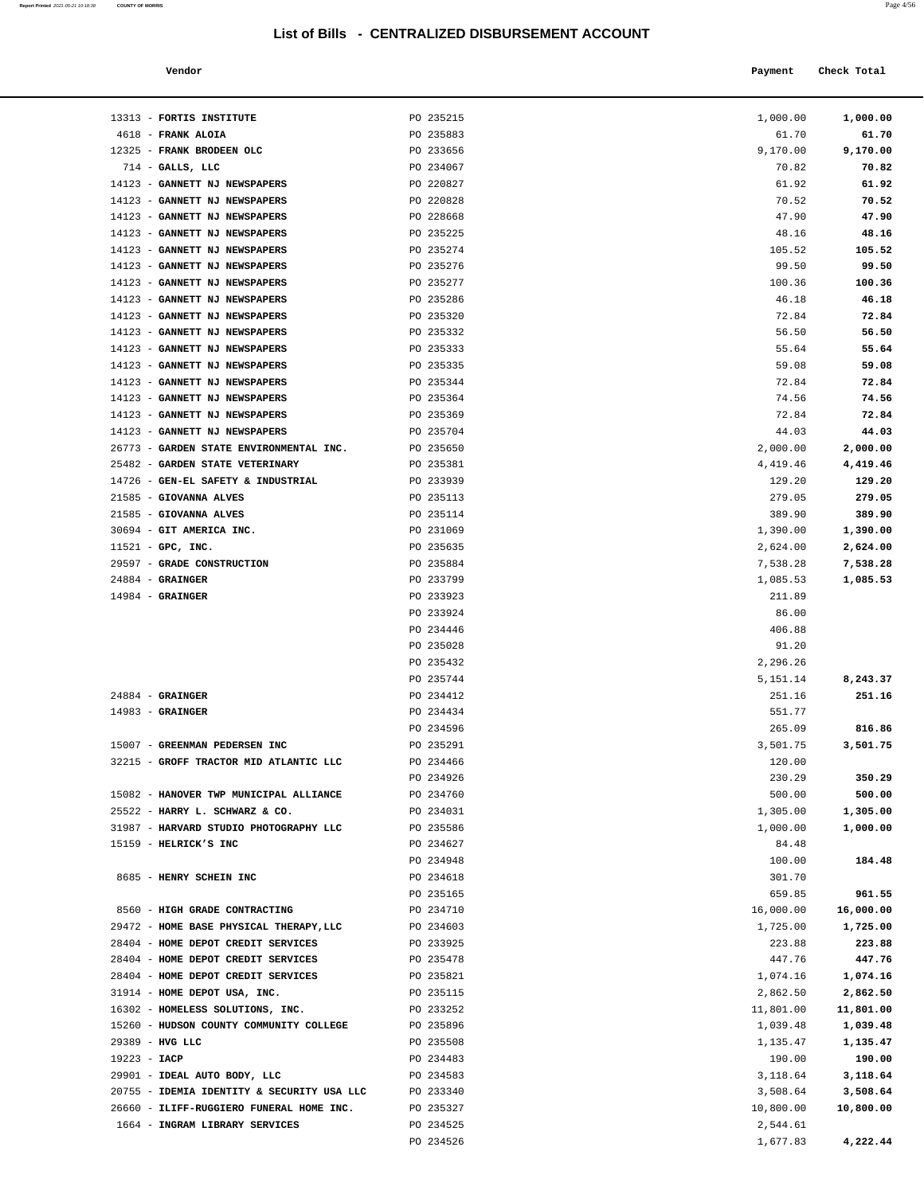| Report Printed 2021-05-21 10:18:38 COUNTY OF MORRIS | Page 4/56 |
|-----------------------------------------------------|-----------|
|                                                     |           |

| Vendor | Payment Check Total |
|--------|---------------------|
|        |                     |

| 13313 - FORTIS INSTITUTE                   | PO 235215              | 1,000.00        | 1,000.00  |
|--------------------------------------------|------------------------|-----------------|-----------|
| 4618 - FRANK ALOIA                         | PO 235883              | 61.70           | 61.70     |
| 12325 - FRANK BRODEEN OLC                  | PO 233656              | 9,170.00        | 9,170.00  |
| $714$ - GALLS, LLC                         | PO 234067              | 70.82           | 70.82     |
| 14123 - GANNETT NJ NEWSPAPERS              | PO 220827              | 61.92           | 61.92     |
| 14123 - GANNETT NJ NEWSPAPERS              | PO 220828              | 70.52           | 70.52     |
| 14123 - GANNETT NJ NEWSPAPERS              | PO 228668              | 47.90           | 47.90     |
| 14123 - GANNETT NJ NEWSPAPERS              | PO 235225              | 48.16           | 48.16     |
| 14123 - GANNETT NJ NEWSPAPERS              | PO 235274              | 105.52          | 105.52    |
| 14123 - GANNETT NJ NEWSPAPERS              | PO 235276              | 99.50           | 99.50     |
| 14123 - GANNETT NJ NEWSPAPERS              | PO 235277              | 100.36          | 100.36    |
| 14123 - GANNETT NJ NEWSPAPERS              | PO 235286              | 46.18           | 46.18     |
| 14123 - GANNETT NJ NEWSPAPERS              | PO 235320              | 72.84           | 72.84     |
| 14123 - GANNETT NJ NEWSPAPERS              | PO 235332              | 56.50           | 56.50     |
| 14123 - GANNETT NJ NEWSPAPERS              | PO 235333              | 55.64           | 55.64     |
| 14123 - GANNETT NJ NEWSPAPERS              | PO 235335              | 59.08           | 59.08     |
| 14123 - GANNETT NJ NEWSPAPERS              | PO 235344              | 72.84           | 72.84     |
| 14123 - GANNETT NJ NEWSPAPERS              | PO 235364              | 74.56           | 74.56     |
| 14123 - GANNETT NJ NEWSPAPERS              | PO 235369              | 72.84           | 72.84     |
| 14123 - GANNETT NJ NEWSPAPERS              | PO 235704              | 44.03           | 44.03     |
| 26773 - GARDEN STATE ENVIRONMENTAL INC.    | PO 235650              | 2,000.00        | 2,000.00  |
| 25482 - GARDEN STATE VETERINARY            | PO 235381              | 4,419.46        | 4,419.46  |
| 14726 - GEN-EL SAFETY & INDUSTRIAL         | PO 233939              | 129.20          | 129.20    |
| 21585 - GIOVANNA ALVES                     | PO 235113              | 279.05          | 279.05    |
| 21585 - GIOVANNA ALVES                     | PO 235114              | 389.90          | 389.90    |
| 30694 - GIT AMERICA INC.                   | PO 231069              | 1,390.00        | 1,390.00  |
| $11521$ - GPC, INC.                        | PO 235635              | 2,624.00        | 2,624.00  |
| 29597 - GRADE CONSTRUCTION                 | PO 235884              | 7,538.28        | 7,538.28  |
| $24884$ - GRAINGER                         | PO 233799              | 1,085.53        | 1,085.53  |
| $14984$ - GRAINGER                         | PO 233923<br>PO 233924 | 211.89<br>86.00 |           |
|                                            | PO 234446              | 406.88          |           |
|                                            | PO 235028              | 91.20           |           |
|                                            | PO 235432              | 2,296.26        |           |
|                                            | PO 235744              | 5,151.14        | 8,243.37  |
| $24884$ - GRAINGER                         | PO 234412              | 251.16          | 251.16    |
| $14983$ - GRAINGER                         | PO 234434              | 551.77          |           |
|                                            | PO 234596              | 265.09          | 816.86    |
| 15007 - GREENMAN PEDERSEN INC              | PO 235291              | 3,501.75        | 3,501.75  |
| 32215 - GROFF TRACTOR MID ATLANTIC LLC     | PO 234466              | 120.00          |           |
|                                            | PO 234926              | 230.29          | 350.29    |
| 15082 - HANOVER TWP MUNICIPAL ALLIANCE     | PO 234760              | 500.00          | 500.00    |
| 25522 - HARRY L. SCHWARZ & CO.             | PO 234031              | 1,305.00        | 1,305.00  |
| 31987 - HARVARD STUDIO PHOTOGRAPHY LLC     | PO 235586              | 1,000.00        | 1,000.00  |
| 15159 - HELRICK'S INC                      | PO 234627              | 84.48           |           |
|                                            | PO 234948              | 100.00          | 184.48    |
| 8685 - HENRY SCHEIN INC                    | PO 234618              | 301.70          |           |
|                                            | PO 235165              | 659.85          | 961.55    |
| 8560 - HIGH GRADE CONTRACTING              | PO 234710              | 16,000.00       | 16,000.00 |
| 29472 - HOME BASE PHYSICAL THERAPY, LLC    | PO 234603              | 1,725.00        | 1,725.00  |
| 28404 - HOME DEPOT CREDIT SERVICES         | PO 233925              | 223.88          | 223.88    |
| 28404 - HOME DEPOT CREDIT SERVICES         | PO 235478              | 447.76          | 447.76    |
| 28404 - HOME DEPOT CREDIT SERVICES         | PO 235821              | 1,074.16        | 1,074.16  |
| 31914 - HOME DEPOT USA, INC.               | PO 235115              | 2,862.50        | 2,862.50  |
| 16302 - HOMELESS SOLUTIONS, INC.           | PO 233252              | 11,801.00       | 11,801.00 |
| 15260 - HUDSON COUNTY COMMUNITY COLLEGE    | PO 235896              | 1,039.48        | 1,039.48  |
| 29389 - HVG LLC                            | PO 235508              | 1,135.47        | 1,135.47  |
| 19223 - IACP                               | PO 234483              | 190.00          | 190.00    |
| 29901 - IDEAL AUTO BODY, LLC               | PO 234583              | 3,118.64        | 3,118.64  |
| 20755 - IDEMIA IDENTITY & SECURITY USA LLC | PO 233340              | 3,508.64        | 3,508.64  |
| 26660 - ILIFF-RUGGIERO FUNERAL HOME INC.   | PO 235327              | 10,800.00       | 10,800.00 |
| 1664 - INGRAM LIBRARY SERVICES             | PO 234525              | 2,544.61        |           |
|                                            | PO 234526              | 1,677.83        | 4,222.44  |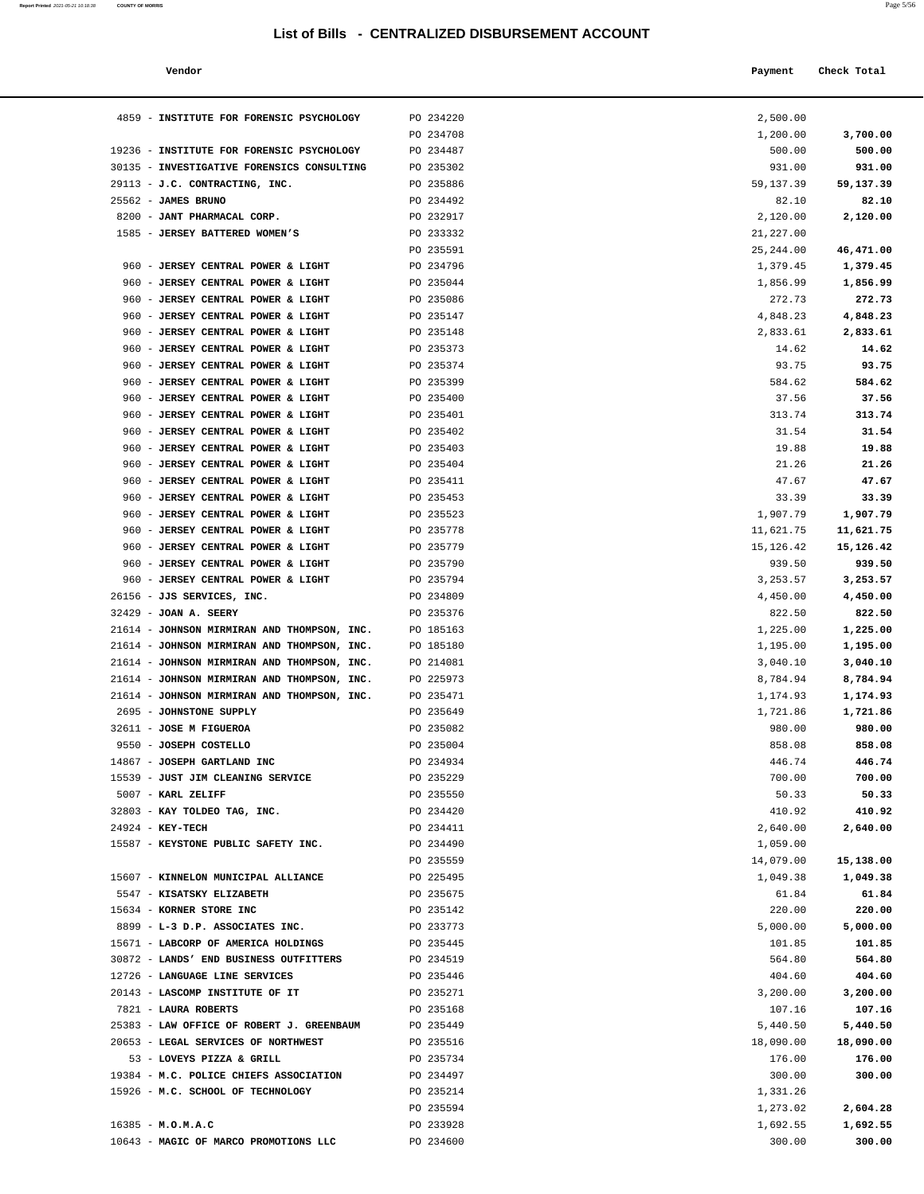| Report Printed 2021-05-21 10:18:38 | <b>COUNTY OF MORRIS</b> | Page 5/56 |
|------------------------------------|-------------------------|-----------|
|                                    |                         |           |

| Vendor                                                                           |                        | Payment               | Check Total           |
|----------------------------------------------------------------------------------|------------------------|-----------------------|-----------------------|
|                                                                                  |                        |                       |                       |
| 4859 - INSTITUTE FOR FORENSIC PSYCHOLOGY                                         |                        |                       |                       |
|                                                                                  | PO 234220<br>PO 234708 | 2,500.00<br>1,200.00  | 3,700.00              |
| 19236 - INSTITUTE FOR FORENSIC PSYCHOLOGY                                        | PO 234487              | 500.00                | 500.00                |
| 30135 - INVESTIGATIVE FORENSICS CONSULTING                                       | PO 235302              | 931.00                | 931.00                |
| 29113 - J.C. CONTRACTING, INC.                                                   | PO 235886              | 59, 137.39            | 59,137.39             |
| $25562$ - JAMES BRUNO                                                            | PO 234492              | 82.10                 | 82.10                 |
| 8200 - JANT PHARMACAL CORP.                                                      | PO 232917              | 2,120.00              | 2,120.00              |
| 1585 - JERSEY BATTERED WOMEN'S                                                   | PO 233332              | 21,227.00             |                       |
|                                                                                  | PO 235591              | 25, 244.00            | 46,471.00             |
| 960 - JERSEY CENTRAL POWER & LIGHT                                               | PO 234796              | 1,379.45              | 1,379.45              |
| 960 - JERSEY CENTRAL POWER & LIGHT                                               | PO 235044              | 1,856.99              | 1,856.99              |
| 960 - JERSEY CENTRAL POWER & LIGHT                                               | PO 235086              | 272.73                | 272.73                |
| 960 - JERSEY CENTRAL POWER & LIGHT                                               | PO 235147              | 4,848.23              | 4,848.23              |
| 960 - JERSEY CENTRAL POWER & LIGHT                                               | PO 235148              | 2,833.61              | 2,833.61              |
| 960 - JERSEY CENTRAL POWER & LIGHT                                               | PO 235373              | 14.62                 | 14.62                 |
| 960 - JERSEY CENTRAL POWER & LIGHT                                               | PO 235374              | 93.75                 | 93.75                 |
| 960 - JERSEY CENTRAL POWER & LIGHT                                               | PO 235399              | 584.62                | 584.62                |
| 960 - JERSEY CENTRAL POWER & LIGHT                                               | PO 235400              | 37.56                 | 37.56                 |
| 960 - JERSEY CENTRAL POWER & LIGHT                                               | PO 235401              | 313.74                | 313.74                |
| 960 - JERSEY CENTRAL POWER & LIGHT<br>960 - JERSEY CENTRAL POWER & LIGHT         | PO 235402<br>PO 235403 | 31.54<br>19.88        | 31.54<br>19.88        |
| 960 - JERSEY CENTRAL POWER & LIGHT                                               | PO 235404              | 21.26                 | 21.26                 |
| 960 - JERSEY CENTRAL POWER & LIGHT                                               | PO 235411              | 47.67                 | 47.67                 |
| 960 - JERSEY CENTRAL POWER & LIGHT                                               | PO 235453              | 33.39                 | 33.39                 |
| 960 - JERSEY CENTRAL POWER & LIGHT                                               | PO 235523              | 1,907.79              | 1,907.79              |
| 960 - JERSEY CENTRAL POWER & LIGHT                                               | PO 235778              | 11,621.75             | 11,621.75             |
| 960 - JERSEY CENTRAL POWER & LIGHT                                               | PO 235779              | 15,126.42             | 15,126.42             |
| 960 - JERSEY CENTRAL POWER & LIGHT                                               | PO 235790              | 939.50                | 939.50                |
| 960 - JERSEY CENTRAL POWER & LIGHT                                               | PO 235794              | 3,253.57              | 3,253.57              |
| 26156 - JJS SERVICES, INC.                                                       | PO 234809              | 4,450.00              | 4,450.00              |
| 32429 - JOAN A. SEERY                                                            | PO 235376              | 822.50                | 822.50                |
| 21614 - JOHNSON MIRMIRAN AND THOMPSON, INC.                                      | PO 185163              | 1,225.00              | 1,225.00              |
| 21614 - JOHNSON MIRMIRAN AND THOMPSON, INC.                                      | PO 185180              | 1,195.00              | 1,195.00              |
| 21614 - JOHNSON MIRMIRAN AND THOMPSON, INC.                                      | PO 214081              | 3,040.10              | 3,040.10              |
| 21614 - JOHNSON MIRMIRAN AND THOMPSON, INC.                                      | PO 225973              | 8,784.94              | 8,784.94              |
| 21614 - JOHNSON MIRMIRAN AND THOMPSON, INC.                                      | PO 235471              | 1,174.93              | 1,174.93              |
| 2695 - JOHNSTONE SUPPLY                                                          | PO 235649              | 1,721.86              | 1,721.86              |
| 32611 - JOSE M FIGUEROA<br>9550 - JOSEPH COSTELLO                                | PO 235082<br>PO 235004 | 980.00<br>858.08      | 980.00                |
| 14867 - JOSEPH GARTLAND INC                                                      | PO 234934              | 446.74                | 858.08<br>446.74      |
| 15539 - JUST JIM CLEANING SERVICE                                                | PO 235229              | 700.00                | 700.00                |
| 5007 - KARL ZELIFF                                                               | PO 235550              | 50.33                 | 50.33                 |
| 32803 - KAY TOLDEO TAG, INC.                                                     | PO 234420              | 410.92                | 410.92                |
| 24924 - KEY-TECH                                                                 | PO 234411              | 2,640.00              | 2,640.00              |
| 15587 - KEYSTONE PUBLIC SAFETY INC.                                              | PO 234490              | 1,059.00              |                       |
|                                                                                  | PO 235559              | 14,079.00             | 15,138.00             |
| 15607 - KINNELON MUNICIPAL ALLIANCE                                              | PO 225495              | 1,049.38              | 1,049.38              |
| 5547 - KISATSKY ELIZABETH                                                        | PO 235675              | 61.84                 | 61.84                 |
| 15634 - KORNER STORE INC                                                         | PO 235142              | 220.00                | 220.00                |
| 8899 - L-3 D.P. ASSOCIATES INC.                                                  | PO 233773              | 5,000.00              | 5,000.00              |
| 15671 - LABCORP OF AMERICA HOLDINGS                                              | PO 235445              | 101.85                | 101.85                |
| 30872 - LANDS' END BUSINESS OUTFITTERS                                           | PO 234519              | 564.80                | 564.80                |
| 12726 - LANGUAGE LINE SERVICES                                                   | PO 235446              | 404.60                | 404.60                |
| 20143 - LASCOMP INSTITUTE OF IT                                                  | PO 235271              | 3,200.00              | 3,200.00              |
| 7821 - LAURA ROBERTS                                                             | PO 235168              | 107.16                | 107.16                |
| 25383 - LAW OFFICE OF ROBERT J. GREENBAUM<br>20653 - LEGAL SERVICES OF NORTHWEST | PO 235449<br>PO 235516 | 5,440.50<br>18,090.00 | 5,440.50<br>18,090.00 |
| 53 - LOVEYS PIZZA & GRILL                                                        | PO 235734              | 176.00                | 176.00                |
| 19384 - M.C. POLICE CHIEFS ASSOCIATION                                           | PO 234497              | 300.00                | 300.00                |
| 15926 - M.C. SCHOOL OF TECHNOLOGY                                                | PO 235214              | 1,331.26              |                       |
|                                                                                  | PO 235594              | 1,273.02              | 2,604.28              |
| $16385 - M.0.M.A.C$                                                              | PO 233928              | 1,692.55              | 1,692.55              |
| 10643 - MAGIC OF MARCO PROMOTIONS LLC                                            | PO 234600              | 300.00                | 300.00                |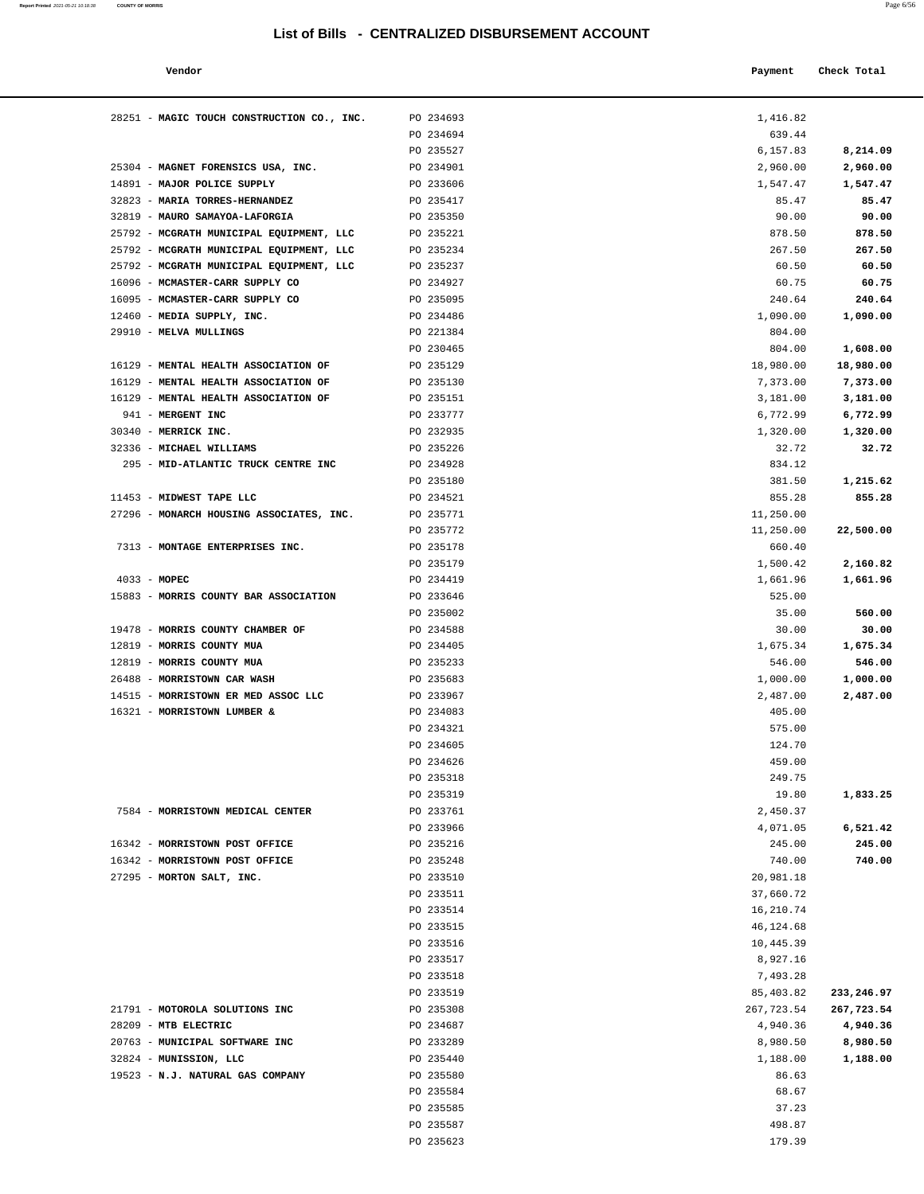| Vendor                                                             |                        | Payment                | Check Total        |
|--------------------------------------------------------------------|------------------------|------------------------|--------------------|
|                                                                    |                        |                        |                    |
| 28251 - MAGIC TOUCH CONSTRUCTION CO., INC.                         | PO 234693              | 1,416.82               |                    |
|                                                                    | PO 234694              | 639.44                 |                    |
|                                                                    | PO 235527              | 6,157.83               | 8,214.09           |
| 25304 - MAGNET FORENSICS USA, INC.                                 | PO 234901              | 2,960.00               | 2,960.00           |
| 14891 - MAJOR POLICE SUPPLY                                        | PO 233606              | 1,547.47               | 1,547.47           |
| 32823 - MARIA TORRES-HERNANDEZ                                     | PO 235417              | 85.47                  | 85.47              |
| 32819 - MAURO SAMAYOA-LAFORGIA                                     | PO 235350              | 90.00                  | 90.00              |
| 25792 - MCGRATH MUNICIPAL EQUIPMENT, LLC                           | PO 235221              | 878.50                 | 878.50             |
| 25792 - MCGRATH MUNICIPAL EQUIPMENT, LLC                           | PO 235234              | 267.50                 | 267.50             |
| 25792 - MCGRATH MUNICIPAL EQUIPMENT, LLC                           | PO 235237              | 60.50                  | 60.50              |
| 16096 - MCMASTER-CARR SUPPLY CO<br>16095 - MCMASTER-CARR SUPPLY CO | PO 234927              | 60.75                  | 60.75              |
| 12460 - MEDIA SUPPLY, INC.                                         | PO 235095<br>PO 234486 | 240.64<br>1,090.00     | 240.64<br>1,090.00 |
| 29910 - MELVA MULLINGS                                             | PO 221384              | 804.00                 |                    |
|                                                                    | PO 230465              | 804.00                 | 1,608.00           |
| 16129 - MENTAL HEALTH ASSOCIATION OF                               | PO 235129              | 18,980.00              | 18,980.00          |
| 16129 - MENTAL HEALTH ASSOCIATION OF                               | PO 235130              | 7,373.00               | 7,373.00           |
| 16129 - MENTAL HEALTH ASSOCIATION OF                               | PO 235151              | 3,181.00               | 3,181.00           |
| 941 - MERGENT INC                                                  | PO 233777              | 6,772.99               | 6,772.99           |
| 30340 - MERRICK INC.                                               | PO 232935              | 1,320.00               | 1,320.00           |
| 32336 - MICHAEL WILLIAMS                                           | PO 235226              | 32.72                  | 32.72              |
| 295 - MID-ATLANTIC TRUCK CENTRE INC                                | PO 234928              | 834.12                 |                    |
|                                                                    | PO 235180              | 381.50                 | 1,215.62           |
| 11453 - MIDWEST TAPE LLC                                           | PO 234521              | 855.28                 | 855.28             |
| 27296 - MONARCH HOUSING ASSOCIATES, INC.                           | PO 235771              | 11,250.00              |                    |
|                                                                    | PO 235772              | 11,250.00              | 22,500.00          |
| 7313 - MONTAGE ENTERPRISES INC.                                    | PO 235178              | 660.40                 |                    |
|                                                                    | PO 235179              | 1,500.42               | 2,160.82           |
| $4033 - MOPEC$                                                     | PO 234419              | 1,661.96               | 1,661.96           |
| 15883 - MORRIS COUNTY BAR ASSOCIATION                              | PO 233646              | 525.00                 |                    |
|                                                                    | PO 235002              | 35.00                  | 560.00             |
| 19478 - MORRIS COUNTY CHAMBER OF<br>12819 - MORRIS COUNTY MUA      | PO 234588<br>PO 234405 | 30.00<br>1,675.34      | 30.00<br>1,675.34  |
| 12819 - MORRIS COUNTY MUA                                          | PO 235233              | 546.00                 | 546.00             |
| 26488 - MORRISTOWN CAR WASH                                        | PO 235683              | 1,000.00               | 1,000.00           |
| 14515 - MORRISTOWN ER MED ASSOC LLC                                | PO 233967              | 2,487.00               | 2,487.00           |
| 16321 - MORRISTOWN LUMBER &                                        | PO 234083              | 405.00                 |                    |
|                                                                    | PO 234321              | 575.00                 |                    |
|                                                                    | PO 234605              | 124.70                 |                    |
|                                                                    | PO 234626              | 459.00                 |                    |
|                                                                    | PO 235318              | 249.75                 |                    |
|                                                                    | PO 235319              | 19.80                  | 1,833.25           |
| 7584 - MORRISTOWN MEDICAL CENTER                                   | PO 233761              | 2,450.37               |                    |
|                                                                    | PO 233966              | 4,071.05               | 6,521.42           |
| 16342 - MORRISTOWN POST OFFICE                                     | PO 235216              | 245.00                 | 245.00             |
| 16342 - MORRISTOWN POST OFFICE                                     | PO 235248              | 740.00                 | 740.00             |
| 27295 - MORTON SALT, INC.                                          | PO 233510              | 20,981.18              |                    |
|                                                                    | PO 233511<br>PO 233514 | 37,660.72<br>16,210.74 |                    |
|                                                                    | PO 233515              | 46,124.68              |                    |
|                                                                    | PO 233516              | 10,445.39              |                    |
|                                                                    | PO 233517              | 8,927.16               |                    |
|                                                                    | PO 233518              | 7,493.28               |                    |
|                                                                    | PO 233519              | 85,403.82              | 233,246.97         |
| 21791 - MOTOROLA SOLUTIONS INC                                     | PO 235308              | 267,723.54             | 267,723.54         |
| 28209 - MTB ELECTRIC                                               | PO 234687              | 4,940.36               | 4,940.36           |
| 20763 - MUNICIPAL SOFTWARE INC                                     | PO 233289              | 8,980.50               | 8,980.50           |
| 32824 - MUNISSION, LLC                                             | PO 235440              | 1,188.00               | 1,188.00           |
| 19523 - N.J. NATURAL GAS COMPANY                                   | PO 235580              | 86.63                  |                    |
|                                                                    | PO 235584              | 68.67                  |                    |
|                                                                    | PO 235585              | 37.23                  |                    |
|                                                                    | PO 235587              | 498.87                 |                    |
|                                                                    | PO 235623              | 179.39                 |                    |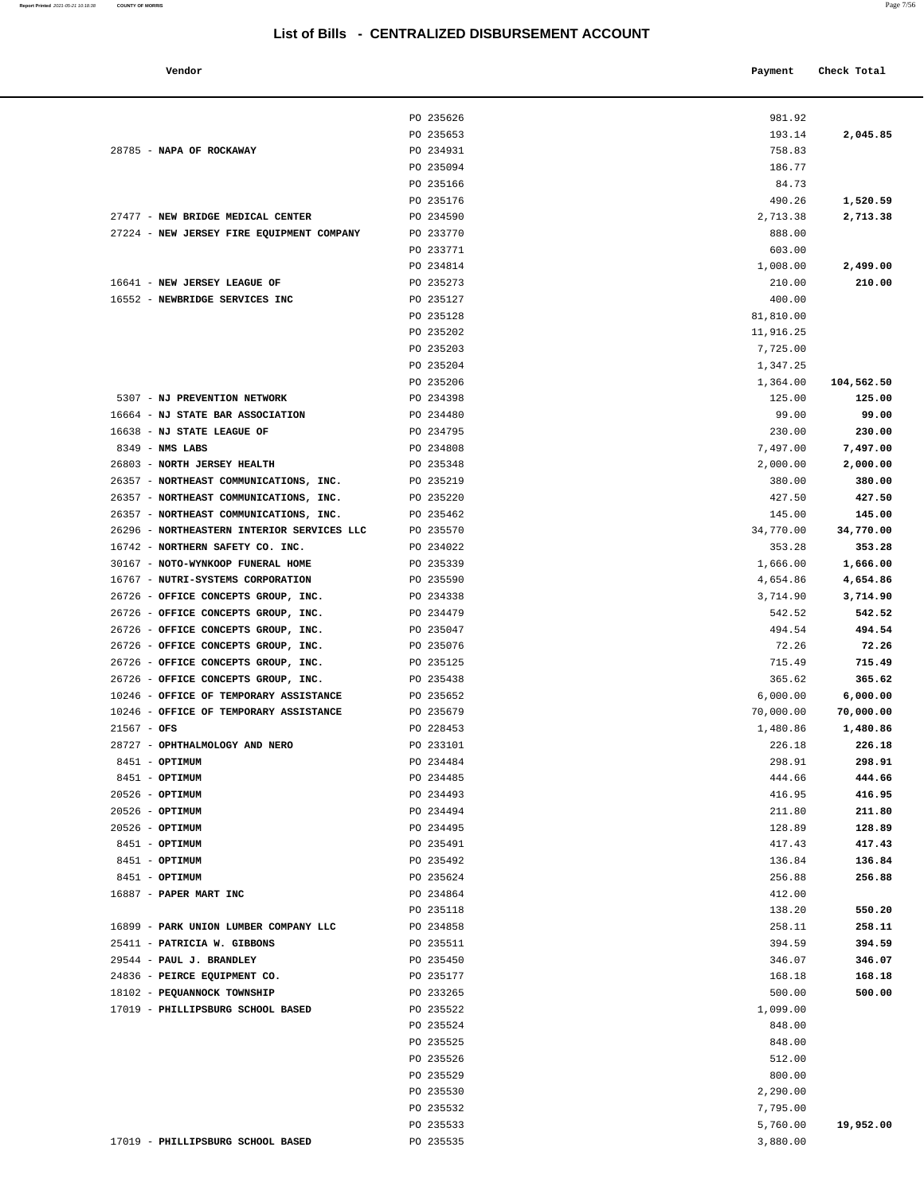| Vendor                    |           | Payment  | Check Total |
|---------------------------|-----------|----------|-------------|
|                           | PO 235626 | 981.92   |             |
|                           | PO 235653 | 193.14   | 2,045.85    |
| NAPA OF ROCKAWAY          | PO 234931 | 758.83   |             |
|                           | PO 235094 | 186.77   |             |
|                           | PO 235166 | 84.73    |             |
|                           | PO 235176 | 490.26   | 1,520.59    |
| NEW BRIDGE MEDICAL CENTER | PO 234590 | 2,713.38 | 2,713.38    |

|                                            | PO 235626 | 981.92    |            |
|--------------------------------------------|-----------|-----------|------------|
|                                            | PO 235653 | 193.14    | 2,045.85   |
| 28785 - NAPA OF ROCKAWAY                   | PO 234931 | 758.83    |            |
|                                            | PO 235094 | 186.77    |            |
|                                            | PO 235166 | 84.73     |            |
|                                            |           |           |            |
|                                            | PO 235176 | 490.26    | 1,520.59   |
| 27477 - NEW BRIDGE MEDICAL CENTER          | PO 234590 | 2,713.38  | 2,713.38   |
| 27224 - NEW JERSEY FIRE EQUIPMENT COMPANY  | PO 233770 | 888.00    |            |
|                                            | PO 233771 | 603.00    |            |
|                                            | PO 234814 | 1,008.00  | 2,499.00   |
| 16641 - NEW JERSEY LEAGUE OF               | PO 235273 | 210.00    | 210.00     |
| 16552 - NEWBRIDGE SERVICES INC             | PO 235127 | 400.00    |            |
|                                            | PO 235128 | 81,810.00 |            |
|                                            | PO 235202 | 11,916.25 |            |
|                                            | PO 235203 | 7,725.00  |            |
|                                            | PO 235204 | 1,347.25  |            |
|                                            | PO 235206 | 1,364.00  | 104,562.50 |
| 5307 - NJ PREVENTION NETWORK               | PO 234398 | 125.00    | 125.00     |
| 16664 - NJ STATE BAR ASSOCIATION           | PO 234480 | 99.00     | 99.00      |
| 16638 - NJ STATE LEAGUE OF                 | PO 234795 | 230.00    | 230.00     |
| $8349$ - NMS LABS                          | PO 234808 | 7,497.00  | 7,497.00   |
| 26803 - NORTH JERSEY HEALTH                | PO 235348 | 2,000.00  | 2,000.00   |
| 26357 - NORTHEAST COMMUNICATIONS, INC.     | PO 235219 | 380.00    | 380.00     |
| 26357 - NORTHEAST COMMUNICATIONS, INC.     | PO 235220 | 427.50    | 427.50     |
| 26357 - NORTHEAST COMMUNICATIONS, INC.     | PO 235462 | 145.00    | 145.00     |
| 26296 - NORTHEASTERN INTERIOR SERVICES LLC | PO 235570 | 34,770.00 | 34,770.00  |
|                                            |           |           |            |
| 16742 - NORTHERN SAFETY CO. INC.           | PO 234022 | 353.28    | 353.28     |
| 30167 - NOTO-WYNKOOP FUNERAL HOME          | PO 235339 | 1,666.00  | 1,666.00   |
| 16767 - NUTRI-SYSTEMS CORPORATION          | PO 235590 | 4,654.86  | 4,654.86   |
| 26726 - OFFICE CONCEPTS GROUP, INC.        | PO 234338 | 3,714.90  | 3,714.90   |
| 26726 - OFFICE CONCEPTS GROUP, INC.        | PO 234479 | 542.52    | 542.52     |
| 26726 - OFFICE CONCEPTS GROUP, INC.        | PO 235047 | 494.54    | 494.54     |
| 26726 - OFFICE CONCEPTS GROUP, INC.        | PO 235076 | 72.26     | 72.26      |
| 26726 - OFFICE CONCEPTS GROUP, INC.        | PO 235125 | 715.49    | 715.49     |
| 26726 - OFFICE CONCEPTS GROUP, INC.        | PO 235438 | 365.62    | 365.62     |
| 10246 - OFFICE OF TEMPORARY ASSISTANCE     | PO 235652 | 6,000.00  | 6,000.00   |
| 10246 - OFFICE OF TEMPORARY ASSISTANCE     | PO 235679 | 70,000.00 | 70,000.00  |
| $21567 - OFS$                              | PO 228453 | 1,480.86  | 1,480.86   |
| 28727 - OPHTHALMOLOGY AND NERO             | PO 233101 | 226.18    | 226.18     |
| 8451 - OPTIMUM                             | PO 234484 | 298.91    | 298.91     |
| 8451 - OPTIMUM                             | PO 234485 | 444.66    | 444.66     |
| 20526 - OPTIMUM                            | PO 234493 | 416.95    | 416.95     |
| $20526$ - OPTIMUM                          | PO 234494 | 211.80    | 211.80     |
| 20526 - OPTIMUM                            | PO 234495 | 128.89    | 128.89     |
| 8451 - OPTIMUM                             | PO 235491 | 417.43    | 417.43     |
| 8451 - OPTIMUM                             | PO 235492 | 136.84    | 136.84     |
| 8451 - OPTIMUM                             | PO 235624 | 256.88    | 256.88     |
| 16887 - PAPER MART INC                     | PO 234864 | 412.00    |            |
|                                            | PO 235118 | 138.20    | 550.20     |
| 16899 - PARK UNION LUMBER COMPANY LLC      | PO 234858 | 258.11    | 258.11     |
| 25411 - PATRICIA W. GIBBONS                | PO 235511 | 394.59    | 394.59     |
| 29544 - PAUL J. BRANDLEY                   | PO 235450 | 346.07    | 346.07     |
| 24836 - PEIRCE EQUIPMENT CO.               | PO 235177 | 168.18    | 168.18     |
| 18102 - PEQUANNOCK TOWNSHIP                |           | 500.00    | 500.00     |
| 17019 - PHILLIPSBURG SCHOOL BASED          | PO 233265 |           |            |
|                                            | PO 235522 | 1,099.00  |            |
|                                            | PO 235524 | 848.00    |            |
|                                            | PO 235525 | 848.00    |            |
|                                            | PO 235526 | 512.00    |            |
|                                            | PO 235529 | 800.00    |            |
|                                            | PO 235530 | 2,290.00  |            |
|                                            | PO 235532 | 7,795.00  |            |
|                                            | PO 235533 | 5,760.00  | 19,952.00  |
| 17019 - PHILLIPSBURG SCHOOL BASED          | PO 235535 | 3,880.00  |            |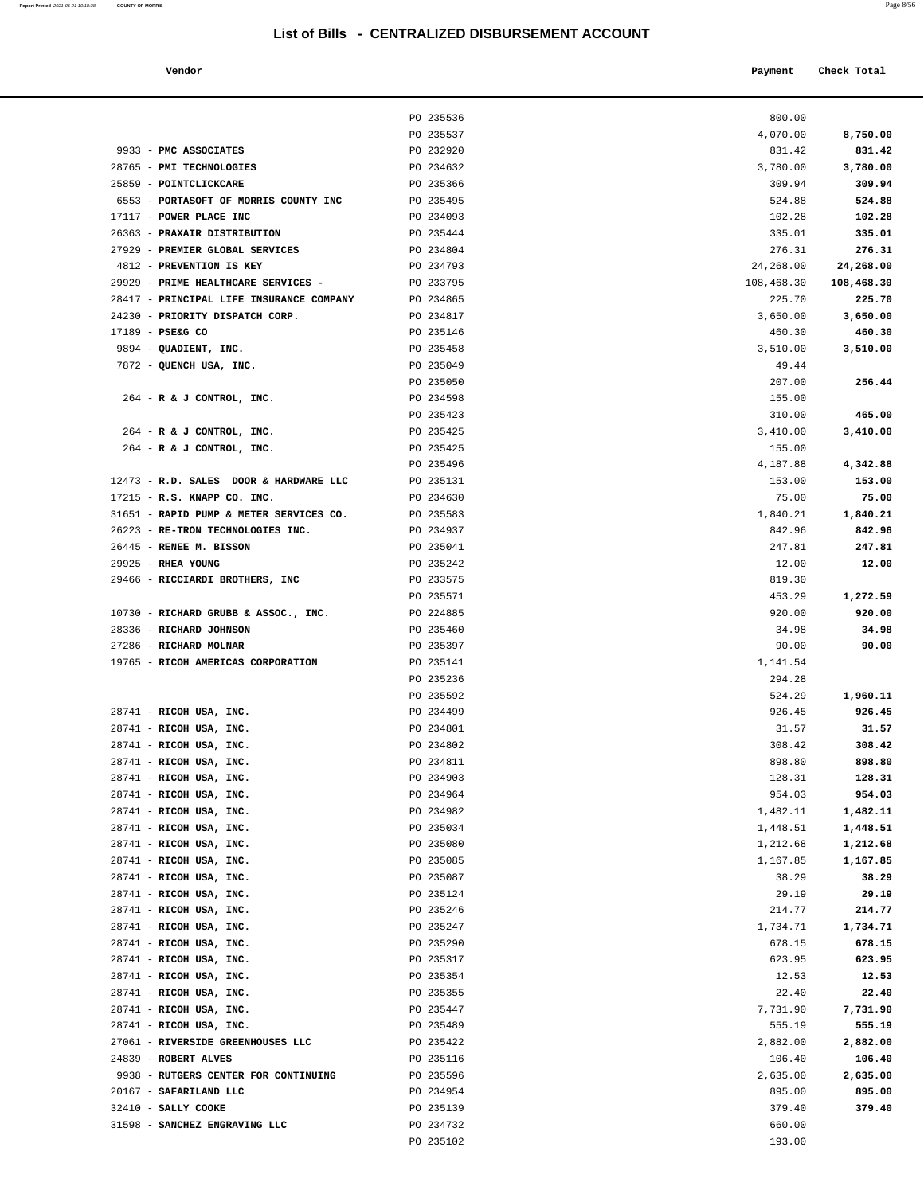### **Vendor Payment Check Total**

| Report Printed 2021-05-21 10:18:38 COUNTY OF MORRIS | Page 8/56 |  |
|-----------------------------------------------------|-----------|--|
|                                                     |           |  |

|                                                                 | PO 235536              | 800.00               |                      |
|-----------------------------------------------------------------|------------------------|----------------------|----------------------|
|                                                                 | PO 235537              | 4,070.00             | 8,750.00             |
| 9933 - PMC ASSOCIATES                                           | PO 232920              | 831.42               | 831.42               |
| 28765 - PMI TECHNOLOGIES                                        | PO 234632              | 3,780.00             | 3,780.00             |
| 25859 - POINTCLICKCARE                                          | PO 235366              | 309.94               | 309.94               |
| 6553 - PORTASOFT OF MORRIS COUNTY INC                           | PO 235495              | 524.88               | 524.88               |
| 17117 - POWER PLACE INC                                         | PO 234093              | 102.28               | 102.28               |
| 26363 - PRAXAIR DISTRIBUTION                                    | PO 235444              | 335.01               | 335.01               |
| 27929 - PREMIER GLOBAL SERVICES                                 | PO 234804              | 276.31               | 276.31               |
| 4812 - PREVENTION IS KEY                                        | PO 234793              | 24,268.00            | 24,268.00            |
| 29929 - PRIME HEALTHCARE SERVICES -                             | PO 233795              | 108,468.30           | 108,468.30           |
| 28417 - PRINCIPAL LIFE INSURANCE COMPANY                        | PO 234865              | 225.70               | 225.70               |
| 24230 - PRIORITY DISPATCH CORP.<br>17189 - PSE&G CO             | PO 234817              | 3,650.00             | 3,650.00             |
| 9894 - QUADIENT, INC.                                           | PO 235146<br>PO 235458 | 460.30<br>3,510.00   | 460.30<br>3,510.00   |
| 7872 - QUENCH USA, INC.                                         | PO 235049              | 49.44                |                      |
|                                                                 | PO 235050              | 207.00               | 256.44               |
| 264 - R & J CONTROL, INC.                                       | PO 234598              | 155.00               |                      |
|                                                                 | PO 235423              | 310.00               | 465.00               |
| 264 - R & J CONTROL, INC.                                       | PO 235425              | 3,410.00             | 3,410.00             |
| 264 - R & J CONTROL, INC.                                       | PO 235425              | 155.00               |                      |
|                                                                 | PO 235496              | 4,187.88             | 4,342.88             |
| 12473 - R.D. SALES DOOR & HARDWARE LLC                          | PO 235131              | 153.00               | 153.00               |
| 17215 - R.S. KNAPP CO. INC.                                     | PO 234630              | 75.00                | 75.00                |
| 31651 - RAPID PUMP & METER SERVICES CO.                         | PO 235583              | 1,840.21             | 1,840.21             |
| 26223 - RE-TRON TECHNOLOGIES INC.                               | PO 234937              | 842.96               | 842.96               |
| 26445 - RENEE M. BISSON                                         | PO 235041              | 247.81               | 247.81               |
| $29925$ - RHEA YOUNG                                            | PO 235242              | 12.00                | 12.00                |
| 29466 - RICCIARDI BROTHERS, INC                                 | PO 233575              | 819.30               |                      |
|                                                                 | PO 235571              | 453.29<br>920.00     | 1,272.59<br>920.00   |
| 10730 - RICHARD GRUBB & ASSOC., INC.<br>28336 - RICHARD JOHNSON | PO 224885<br>PO 235460 | 34.98                | 34.98                |
| 27286 - RICHARD MOLNAR                                          | PO 235397              | 90.00                | 90.00                |
| 19765 - RICOH AMERICAS CORPORATION                              | PO 235141              | 1,141.54             |                      |
|                                                                 | PO 235236              | 294.28               |                      |
|                                                                 | PO 235592              | 524.29               | 1,960.11             |
| 28741 - RICOH USA, INC.                                         | PO 234499              | 926.45               | 926.45               |
| 28741 - RICOH USA, INC.                                         | PO 234801              | 31.57                | 31.57                |
| 28741 - RICOH USA, INC.                                         | PO 234802              | 308.42               | 308.42               |
| 28741 - RICOH USA, INC.                                         | PO 234811              | 898.80               | 898.80               |
| 28741 - RICOH USA, INC.                                         | PO 234903              | 128.31               | 128.31               |
| 28741 - RICOH USA, INC.                                         | PO 234964              | 954.03               | 954.03               |
| 28741 - RICOH USA, INC.                                         | PO 234982              | 1,482.11             | 1,482.11             |
| 28741 - RICOH USA, INC.                                         | PO 235034              | 1,448.51             | 1,448.51             |
| 28741 - RICOH USA, INC.<br>28741 - RICOH USA, INC.              | PO 235080<br>PO 235085 | 1,212.68<br>1,167.85 | 1,212.68<br>1,167.85 |
| 28741 - RICOH USA, INC.                                         | PO 235087              | 38.29                | 38.29                |
| 28741 - RICOH USA, INC.                                         | PO 235124              | 29.19                | 29.19                |
| 28741 - RICOH USA, INC.                                         | PO 235246              | 214.77               | 214.77               |
| 28741 - RICOH USA, INC.                                         | PO 235247              | 1,734.71             | 1,734.71             |
| 28741 - RICOH USA, INC.                                         | PO 235290              | 678.15               | 678.15               |
| 28741 - RICOH USA, INC.                                         | PO 235317              | 623.95               | 623.95               |
| 28741 - RICOH USA, INC.                                         | PO 235354              | 12.53                | 12.53                |
| 28741 - RICOH USA, INC.                                         | PO 235355              | 22.40                | 22.40                |
| 28741 - RICOH USA, INC.                                         | PO 235447              | 7,731.90             | 7,731.90             |
| 28741 - RICOH USA, INC.                                         | PO 235489              | 555.19               | 555.19               |
| 27061 - RIVERSIDE GREENHOUSES LLC                               | PO 235422              | 2,882.00             | 2,882.00             |
| 24839 - ROBERT ALVES                                            | PO 235116              | 106.40               | 106.40               |
| 9938 - RUTGERS CENTER FOR CONTINUING                            | PO 235596              | 2,635.00             | 2,635.00             |
| 20167 - SAFARILAND LLC<br>32410 - SALLY COOKE                   | PO 234954<br>PO 235139 | 895.00<br>379.40     | 895.00<br>379.40     |
| 31598 - SANCHEZ ENGRAVING LLC                                   | PO 234732              | 660.00               |                      |
|                                                                 | PO 235102              | 193.00               |                      |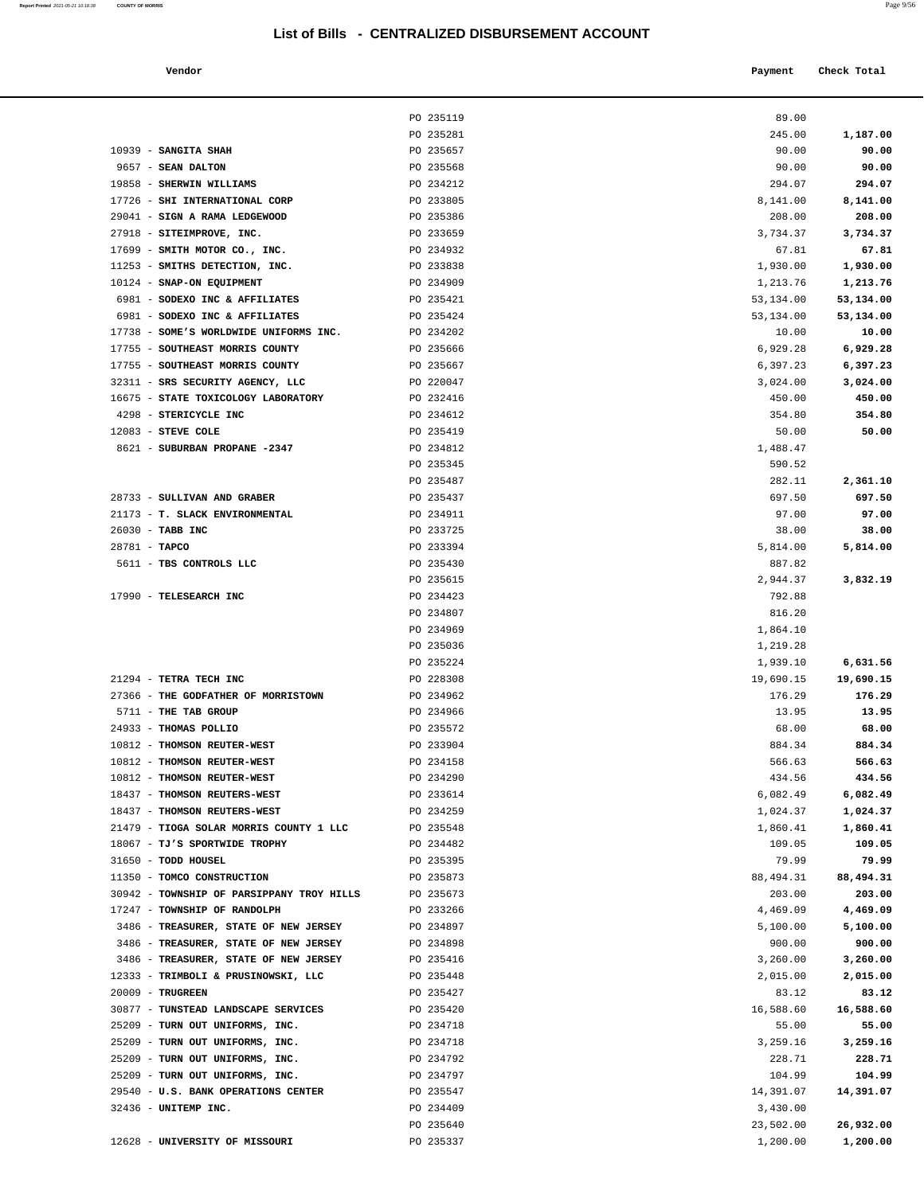| Report Printed 2021-05-21 10:18:38 COUNTY OF MORRIS | Page 9/56 |
|-----------------------------------------------------|-----------|
|                                                     |           |

| Vendor | Payment Check Total |
|--------|---------------------|
|        |                     |

|                                                                           | PO 235119              | 89.00              |                     |
|---------------------------------------------------------------------------|------------------------|--------------------|---------------------|
|                                                                           | PO 235281              | 245.00             | 1,187.00            |
| 10939 - SANGITA SHAH                                                      | PO 235657              | 90.00              | 90.00               |
| 9657 - SEAN DALTON                                                        | PO 235568              | 90.00              | 90.00               |
| 19858 - SHERWIN WILLIAMS                                                  | PO 234212              | 294.07             | 294.07              |
| 17726 - SHI INTERNATIONAL CORP                                            | PO 233805              | 8,141.00           | 8,141.00            |
| 29041 - SIGN A RAMA LEDGEWOOD                                             | PO 235386              | 208.00             | 208.00              |
| 27918 - SITEIMPROVE, INC.                                                 | PO 233659              | 3,734.37           | 3,734.37            |
| 17699 - SMITH MOTOR CO., INC.                                             | PO 234932              | 67.81              | 67.81               |
| 11253 - SMITHS DETECTION, INC.                                            | PO 233838              | 1,930.00           | 1,930.00            |
| 10124 - SNAP-ON EQUIPMENT                                                 | PO 234909              | 1,213.76           | 1,213.76            |
| 6981 - SODEXO INC & AFFILIATES                                            | PO 235421              | 53,134.00          | 53,134.00           |
| 6981 - SODEXO INC & AFFILIATES<br>17738 - SOME'S WORLDWIDE UNIFORMS INC.  | PO 235424<br>PO 234202 | 53,134.00<br>10.00 | 53,134.00<br>10.00  |
| 17755 - SOUTHEAST MORRIS COUNTY                                           | PO 235666              | 6,929.28           | 6,929.28            |
| 17755 - SOUTHEAST MORRIS COUNTY                                           | PO 235667              | 6,397.23           | 6,397.23            |
| 32311 - SRS SECURITY AGENCY, LLC                                          | PO 220047              | 3,024.00           | 3,024.00            |
| 16675 - STATE TOXICOLOGY LABORATORY                                       | PO 232416              | 450.00             | 450.00              |
| 4298 - STERICYCLE INC                                                     | PO 234612              | 354.80             | 354.80              |
| $12083$ - STEVE COLE                                                      | PO 235419              | 50.00              | 50.00               |
| 8621 - SUBURBAN PROPANE -2347                                             | PO 234812              | 1,488.47           |                     |
|                                                                           | PO 235345              | 590.52             |                     |
|                                                                           | PO 235487              | 282.11             | 2,361.10            |
| 28733 - SULLIVAN AND GRABER                                               | PO 235437              | 697.50             | 697.50              |
| 21173 - T. SLACK ENVIRONMENTAL                                            | PO 234911              | 97.00              | 97.00               |
| 26030 - TABB INC                                                          | PO 233725              | 38.00              | 38.00               |
| $28781 - TAPCO$                                                           | PO 233394              | 5,814.00           | 5,814.00            |
| 5611 - TBS CONTROLS LLC                                                   | PO 235430              | 887.82             |                     |
|                                                                           | PO 235615              | 2,944.37           | 3,832.19            |
| 17990 - TELESEARCH INC                                                    | PO 234423<br>PO 234807 | 792.88<br>816.20   |                     |
|                                                                           | PO 234969              | 1,864.10           |                     |
|                                                                           | PO 235036              | 1,219.28           |                     |
|                                                                           | PO 235224              | 1,939.10           | 6,631.56            |
| 21294 - TETRA TECH INC                                                    | PO 228308              | 19,690.15          | 19,690.15           |
| 27366 - THE GODFATHER OF MORRISTOWN                                       | PO 234962              | 176.29             | 176.29              |
| 5711 - THE TAB GROUP                                                      | PO 234966              | 13.95              | 13.95               |
| 24933 - THOMAS POLLIO                                                     | PO 235572              | 68.00              | 68.00               |
| 10812 - THOMSON REUTER-WEST                                               | PO 233904              | 884.34             | 884.34              |
| 10812 - THOMSON REUTER-WEST                                               | PO 234158              | 566.63             | 566.63              |
| 10812 - THOMSON REUTER-WEST                                               | PO 234290              | 434.56             | 434.56              |
| 18437 - THOMSON REUTERS-WEST                                              | PO 233614              | 6,082.49           | 6,082.49            |
| 18437 - THOMSON REUTERS-WEST                                              | PO 234259              | 1,024.37           | 1,024.37            |
| 21479 - TIOGA SOLAR MORRIS COUNTY 1 LLC                                   | PO 235548              | 1,860.41           | 1,860.41            |
| 18067 - TJ'S SPORTWIDE TROPHY                                             | PO 234482              | 109.05             | 109.05              |
| 31650 - TODD HOUSEL                                                       | PO 235395              | 79.99              | 79.99               |
| 11350 - TOMCO CONSTRUCTION                                                | PO 235873              | 88,494.31          | 88,494.31<br>203.00 |
| 30942 - TOWNSHIP OF PARSIPPANY TROY HILLS<br>17247 - TOWNSHIP OF RANDOLPH | PO 235673<br>PO 233266 | 203.00<br>4,469.09 | 4,469.09            |
| 3486 - TREASURER, STATE OF NEW JERSEY                                     | PO 234897              | 5,100.00           | 5,100.00            |
| 3486 - TREASURER, STATE OF NEW JERSEY                                     | PO 234898              | 900.00             | 900.00              |
| 3486 - TREASURER, STATE OF NEW JERSEY                                     | PO 235416              | 3,260.00           | 3,260.00            |
| 12333 - TRIMBOLI & PRUSINOWSKI, LLC                                       | PO 235448              | 2,015.00           | 2,015.00            |
| 20009 - TRUGREEN                                                          | PO 235427              | 83.12              | 83.12               |
| 30877 - TUNSTEAD LANDSCAPE SERVICES                                       | PO 235420              | 16,588.60          | 16,588.60           |
| 25209 - TURN OUT UNIFORMS, INC.                                           | PO 234718              | 55.00              | 55.00               |
| 25209 - TURN OUT UNIFORMS, INC.                                           | PO 234718              | 3,259.16           | 3,259.16            |
| 25209 - TURN OUT UNIFORMS, INC.                                           | PO 234792              | 228.71             | 228.71              |
| 25209 - TURN OUT UNIFORMS, INC.                                           | PO 234797              | 104.99             | 104.99              |
| 29540 - U.S. BANK OPERATIONS CENTER                                       | PO 235547              | 14,391.07          | 14,391.07           |
| 32436 - UNITEMP INC.                                                      | PO 234409              | 3,430.00           |                     |
|                                                                           | PO 235640              | 23,502.00          | 26,932.00           |
| 12628 - UNIVERSITY OF MISSOURI                                            | PO 235337              | 1,200.00           | 1,200.00            |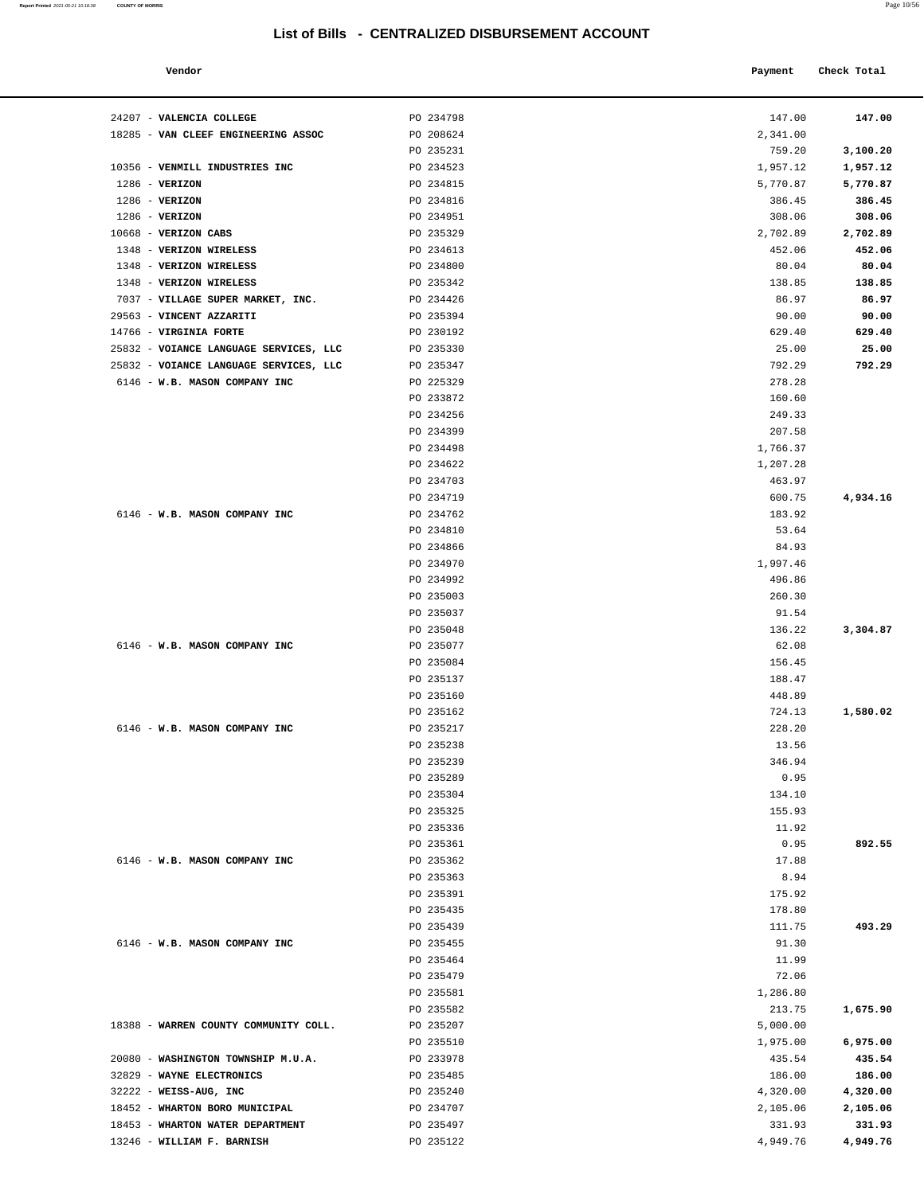### **Vendor Check Total**   $\blacksquare$  **Payment** Check Total  $\blacksquare$

24207 - **VALENCIA COLLEGE** PO 234798 147.00 **147.00**

1286 - **VERIZON** 1286 - **VERIZON** 1286 - **VERIZON**  10668 - **VERIZON CABS** PO 235329 2,702.89 **2,702.89** 1348 - **VERIZON WIRELESS** 1348 - **VERIZON WIRELESS** 1348 - **VERIZON WIRELESS** PO 235342 138.85 **138.85**

18285 - VAN CLEEF ENGINEERING ASSOC

7037 - **VILLAGE SUPER MARKET, INC.** 

6146 - **W.B. MASON COMPANY INC** 

6146 - **W.B. MASON COMPANY INC** 

6146 - **W.B. MASON COMPANY INC** 

6146 - **W.B. MASON COMPANY INC** 

6146 - **W.B. MASON COMPANY INC** 

18388 - WARREN COUNTY COMMUNITY COLL.

20080 - WASHINGTON TOWNSHIP M.U.A.

32829 - **WAYNE ELECTRONICS**  32222 - **WEISS-AUG, INC** PO 235240 4,320.00 **4,320.00** 18452 - **WHARTON BORO MUNICIPAL** 18453 - WHARTON WATER DEPARTMENT 13246 - **WILLIAM F. BARNISH** PO 235122 4,949.76 **4,949.76** 

 25832 - **VOIANCE LANGUAGE SERVICES, LLC** PO 235330 25.00 **25.00** 25832 - **VOIANCE LANGUAGE SERVICES, LLC** PO 235347 792.29 **792.29** 6146 - **W.B. MASON COMPANY INC** 

 29563 - **VINCENT AZZARITI** PO 235394 90.00 **90.00** 14766 - **VIRGINIA FORTE** 

10356 - **VENMILL INDUSTRIES INC** 

| Report Printed 2021-05-21 10:18:38 | <b>COUNTY OF MORRIS</b> | Page 10/56 |
|------------------------------------|-------------------------|------------|
|                                    |                         |            |

| PO 234798 | 147.00   | 147.00   |
|-----------|----------|----------|
| PO 208624 | 2,341.00 |          |
| PO 235231 | 759.20   | 3,100.20 |
| PO 234523 | 1,957.12 | 1,957.12 |
| PO 234815 | 5,770.87 | 5,770.87 |
| PO 234816 | 386.45   | 386.45   |
| PO 234951 | 308.06   | 308.06   |
|           |          |          |
| PO 235329 | 2,702.89 | 2,702.89 |
| PO 234613 | 452.06   | 452.06   |
| PO 234800 | 80.04    | 80.04    |
| PO 235342 | 138.85   | 138.85   |
| PO 234426 | 86.97    | 86.97    |
| PO 235394 | 90.00    | 90.00    |
| PO 230192 | 629.40   | 629.40   |
| PO 235330 | 25.00    | 25.00    |
| PO 235347 | 792.29   | 792.29   |
| PO 225329 | 278.28   |          |
| PO 233872 | 160.60   |          |
| PO 234256 | 249.33   |          |
| PO 234399 | 207.58   |          |
| PO 234498 | 1,766.37 |          |
| PO 234622 | 1,207.28 |          |
| PO 234703 | 463.97   |          |
| PO 234719 | 600.75   | 4,934.16 |
| PO 234762 | 183.92   |          |
| PO 234810 | 53.64    |          |
| PO 234866 | 84.93    |          |
| PO 234970 | 1,997.46 |          |
| PO 234992 | 496.86   |          |
| PO 235003 | 260.30   |          |
|           |          |          |
| PO 235037 | 91.54    |          |
| PO 235048 | 136.22   | 3,304.87 |
| PO 235077 | 62.08    |          |
| PO 235084 | 156.45   |          |
| PO 235137 | 188.47   |          |
| PO 235160 | 448.89   |          |
| PO 235162 | 724.13   | 1,580.02 |
| PO 235217 | 228.20   |          |
| PO 235238 | 13.56    |          |
| PO 235239 | 346.94   |          |
| PO 235289 | 0.95     |          |
| PO 235304 | 134.10   |          |
| PO 235325 | 155.93   |          |
| PO 235336 | 11.92    |          |
| PO 235361 | 0.95     | 892.55   |
| PO 235362 | 17.88    |          |
| PO 235363 | 8.94     |          |
| PO 235391 | 175.92   |          |
| PO 235435 | 178.80   |          |
| PO 235439 | 111.75   | 493.29   |
| PO 235455 | 91.30    |          |
| PO 235464 | 11.99    |          |
| PO 235479 | 72.06    |          |
| PO 235581 | 1,286.80 |          |
| PO 235582 | 213.75   | 1,675.90 |
|           |          |          |
| PO 235207 | 5,000.00 |          |
| PO 235510 | 1,975.00 | 6,975.00 |
| PO 233978 | 435.54   | 435.54   |
| PO 235485 | 186.00   | 186.00   |
| PO 235240 | 4,320.00 | 4,320.00 |
| PO 234707 | 2,105.06 | 2,105.06 |
| PO 235497 | 331.93   | 331.93   |
| PO 235122 | 4,949.76 | 4,949.76 |
|           |          |          |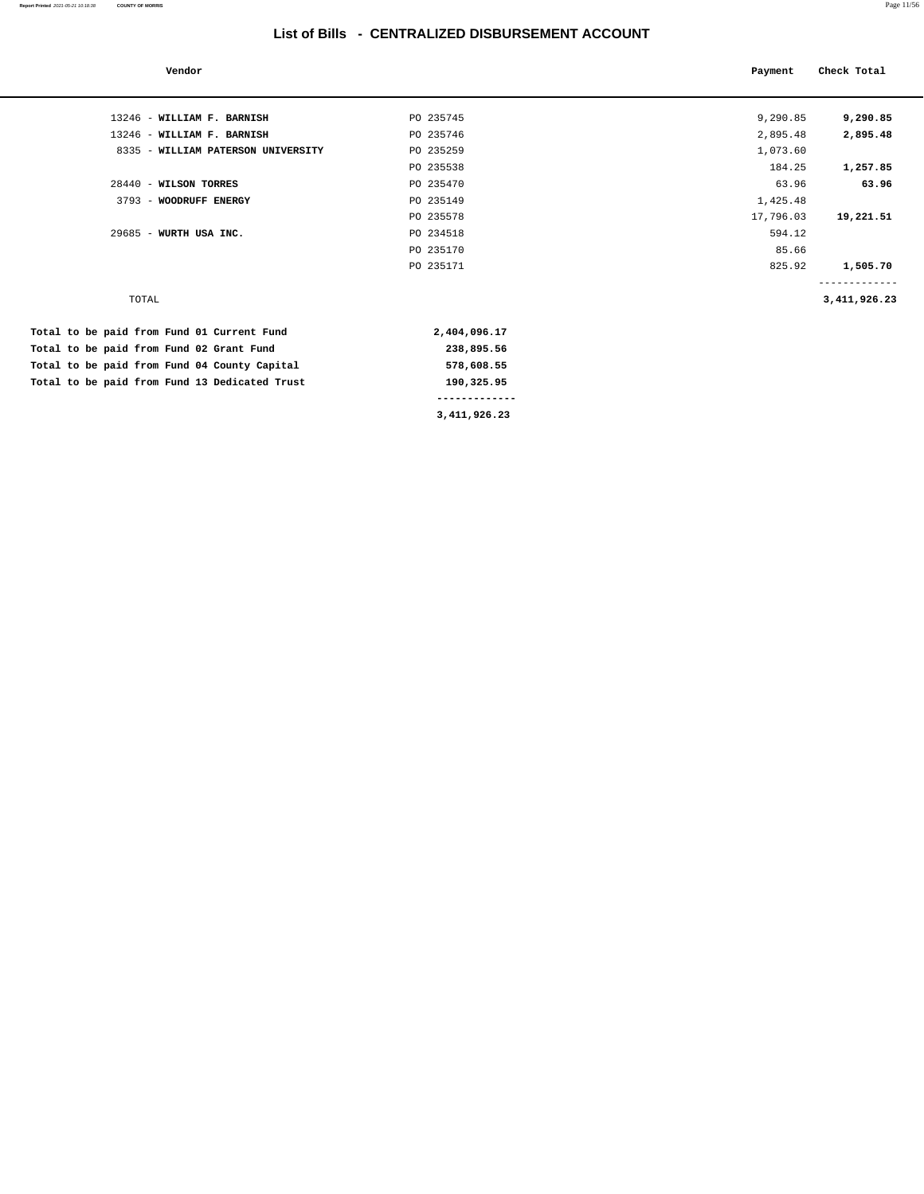| Vendor                                       |              | Payment   | Check Total     |
|----------------------------------------------|--------------|-----------|-----------------|
|                                              |              |           |                 |
| 13246 - WILLIAM F. BARNISH                   | PO 235745    | 9,290.85  | 9,290.85        |
| 13246 - WILLIAM F. BARNISH                   | PO 235746    | 2,895.48  | 2,895.48        |
| 8335 - WILLIAM PATERSON UNIVERSITY           | PO 235259    | 1,073.60  |                 |
|                                              | PO 235538    | 184.25    | 1,257.85        |
| 28440 - WILSON TORRES                        | PO 235470    | 63.96     | 63.96           |
| 3793 - WOODRUFF ENERGY                       | PO 235149    | 1,425.48  |                 |
|                                              | PO 235578    | 17,796.03 | 19,221.51       |
| $29685$ - WURTH USA INC.                     | PO 234518    | 594.12    |                 |
|                                              | PO 235170    | 85.66     |                 |
|                                              | PO 235171    | 825.92    | 1,505.70        |
|                                              |              |           |                 |
| TOTAL                                        |              |           | 3, 411, 926. 23 |
| Total to be paid from Fund 01 Current Fund   | 2,404,096.17 |           |                 |
| Total to be paid from Fund 02 Grant Fund     | 238,895.56   |           |                 |
| Total to be paid from Fund 04 County Capital | 578,608.55   |           |                 |

Total to be paid from Fund 13 Dedicated Trust 190,325.95  **------------- 3,411,926.23**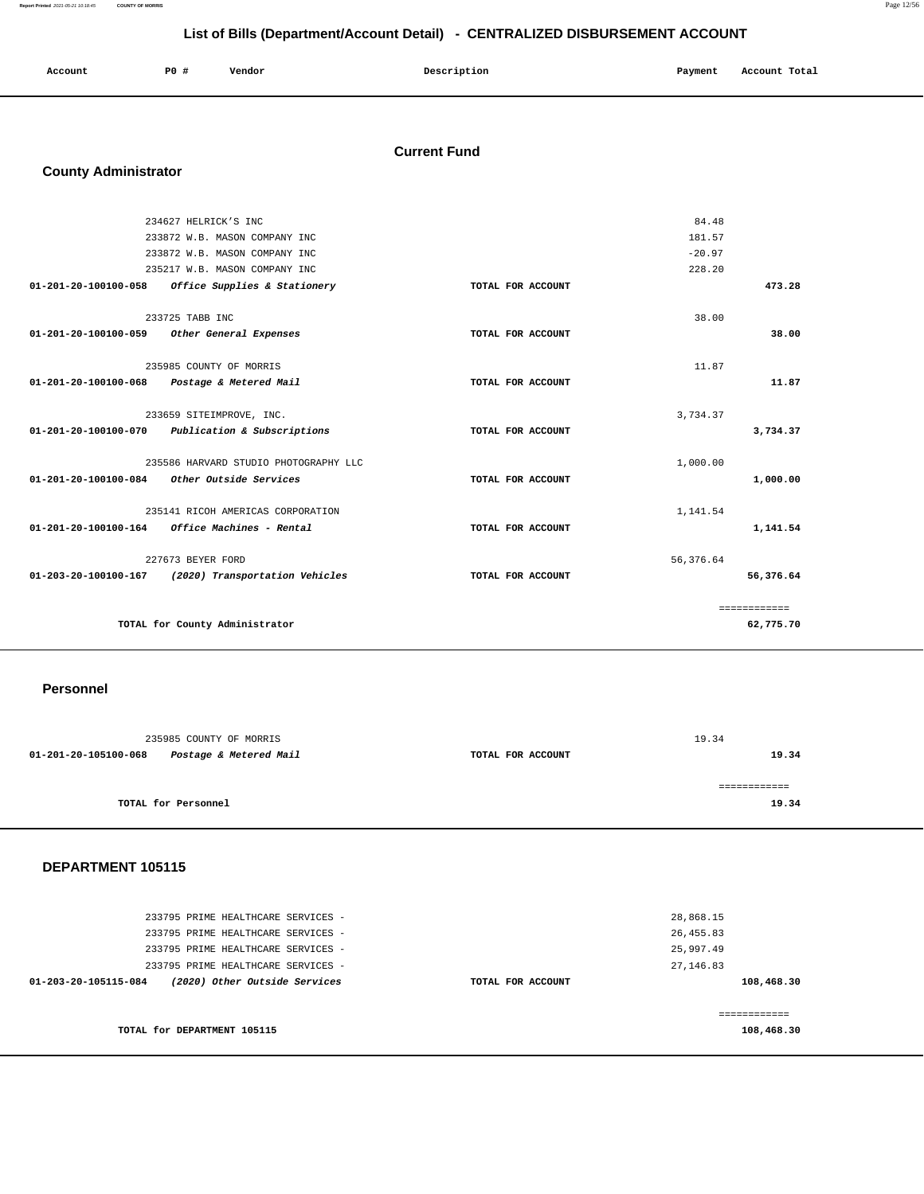**Report Printed** 2021-05-21 10:18:45 **COUNTY OF MORRIS** Page 12/56

# **List of Bills (Department/Account Detail) - CENTRALIZED DISBURSEMENT ACCOUNT**

| Account | P0# | Vendor | Description | Payment | Account Total |
|---------|-----|--------|-------------|---------|---------------|
|         |     |        |             |         |               |

### **Current Fund**

# **County Administrator**

| 234627 HELRICK'S INC                                    |                   | 84.48     |              |
|---------------------------------------------------------|-------------------|-----------|--------------|
| 233872 W.B. MASON COMPANY INC                           |                   | 181.57    |              |
| 233872 W.B. MASON COMPANY INC                           |                   | $-20.97$  |              |
| 235217 W.B. MASON COMPANY INC                           |                   | 228.20    |              |
| 01-201-20-100100-058 Office Supplies & Stationery       | TOTAL FOR ACCOUNT |           | 473.28       |
| 233725 TABB INC                                         |                   | 38.00     |              |
| 01-201-20-100100-059 Other General Expenses             | TOTAL FOR ACCOUNT |           | 38.00        |
| 235985 COUNTY OF MORRIS                                 |                   | 11.87     |              |
| 01-201-20-100100-068 Postage & Metered Mail             | TOTAL FOR ACCOUNT |           | 11.87        |
| 233659 SITEIMPROVE, INC.                                |                   | 3,734.37  |              |
| 01-201-20-100100-070 Publication & Subscriptions        | TOTAL FOR ACCOUNT |           | 3,734.37     |
| 235586 HARVARD STUDIO PHOTOGRAPHY LLC                   |                   | 1,000.00  |              |
| 01-201-20-100100-084 Other Outside Services             | TOTAL FOR ACCOUNT |           | 1,000.00     |
| 235141 RICOH AMERICAS CORPORATION                       |                   | 1,141.54  |              |
| $01 - 201 - 20 - 100100 - 164$ Office Machines - Rental | TOTAL FOR ACCOUNT |           | 1,141.54     |
| 227673 BEYER FORD                                       |                   | 56,376.64 |              |
| 01-203-20-100100-167 (2020) Transportation Vehicles     | TOTAL FOR ACCOUNT |           | 56,376.64    |
|                                                         |                   |           | ============ |
| TOTAL for County Administrator                          |                   |           | 62,775.70    |

### **Personnel**

|                      | 235985 COUNTY OF MORRIS |                   | 19.34 |
|----------------------|-------------------------|-------------------|-------|
| 01-201-20-105100-068 | Postage & Metered Mail  | TOTAL FOR ACCOUNT | 19.34 |
|                      |                         |                   |       |
|                      |                         |                   |       |
|                      | TOTAL for Personnel     |                   | 19.34 |
|                      |                         |                   |       |

### **DEPARTMENT 105115**

| 233795 PRIME HEALTHCARE SERVICES - | 28,868.15         |
|------------------------------------|-------------------|
| 233795 PRIME HEALTHCARE SERVICES - | 26, 455.83        |
| 233795 PRIME HEALTHCARE SERVICES - | 25,997.49         |
| 233795 PRIME HEALTHCARE SERVICES - | 27, 146.83        |
| (2020) Other Outside Services      | 108,468.30        |
| 01-203-20-105115-084               | TOTAL FOR ACCOUNT |
|                                    |                   |
| TOTAL for DEPARTMENT 105115        | 108,468.30        |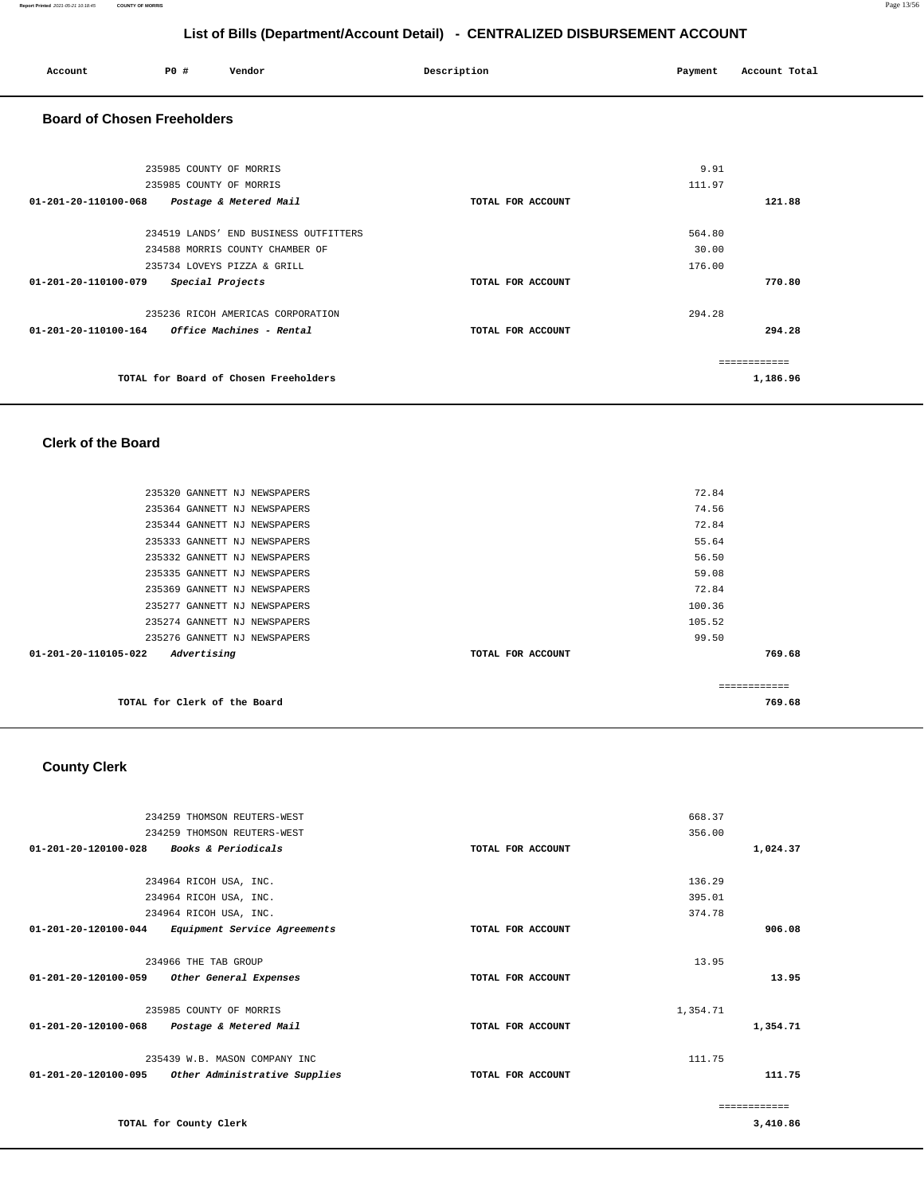| Account                                     | P0 #                                               | Vendor                                                                                                  | Description       | Payment                   | Account Total             |  |
|---------------------------------------------|----------------------------------------------------|---------------------------------------------------------------------------------------------------------|-------------------|---------------------------|---------------------------|--|
| <b>Board of Chosen Freeholders</b>          |                                                    |                                                                                                         |                   |                           |                           |  |
|                                             | 235985 COUNTY OF MORRIS<br>235985 COUNTY OF MORRIS |                                                                                                         |                   | 9.91<br>111.97            |                           |  |
| 01-201-20-110100-068 Postage & Metered Mail |                                                    |                                                                                                         | TOTAL FOR ACCOUNT |                           | 121.88                    |  |
|                                             |                                                    | 234519 LANDS' END BUSINESS OUTFITTERS<br>234588 MORRIS COUNTY CHAMBER OF<br>235734 LOVEYS PIZZA & GRILL |                   | 564.80<br>30.00<br>176.00 |                           |  |
| 01-201-20-110100-079 Special Projects       |                                                    |                                                                                                         | TOTAL FOR ACCOUNT |                           | 770.80                    |  |
|                                             |                                                    | 235236 RICOH AMERICAS CORPORATION                                                                       | TOTAL FOR ACCOUNT | 294.28                    | 294.28                    |  |
|                                             |                                                    | TOTAL for Board of Chosen Freeholders                                                                   |                   |                           | -------------<br>1,186.96 |  |

### **Clerk of the Board**

|                                |                              |                   | ------------- |        |
|--------------------------------|------------------------------|-------------------|---------------|--------|
| $01 - 201 - 20 - 110105 - 022$ | Advertising                  | TOTAL FOR ACCOUNT |               | 769.68 |
|                                | 235276 GANNETT NJ NEWSPAPERS |                   | 99.50         |        |
|                                | 235274 GANNETT NJ NEWSPAPERS |                   | 105.52        |        |
|                                | 235277 GANNETT NJ NEWSPAPERS |                   | 100.36        |        |
|                                | 235369 GANNETT NJ NEWSPAPERS |                   | 72.84         |        |
|                                | 235335 GANNETT NJ NEWSPAPERS |                   | 59.08         |        |
|                                | 235332 GANNETT NJ NEWSPAPERS |                   | 56.50         |        |
|                                | 235333 GANNETT NJ NEWSPAPERS |                   | 55.64         |        |
|                                | 235344 GANNETT NJ NEWSPAPERS |                   | 72.84         |        |
|                                | 235364 GANNETT NJ NEWSPAPERS |                   | 74.56         |        |
|                                | 235320 GANNETT NJ NEWSPAPERS |                   | 72.84         |        |
|                                |                              |                   |               |        |

## **County Clerk**

| 234259 THOMSON REUTERS-WEST                              |                   | 668.37       |
|----------------------------------------------------------|-------------------|--------------|
| 234259 THOMSON REUTERS-WEST                              |                   | 356.00       |
| Books & Periodicals<br>$01 - 201 - 20 - 120100 - 028$    | TOTAL FOR ACCOUNT | 1,024.37     |
|                                                          |                   |              |
| 234964 RICOH USA, INC.                                   |                   | 136.29       |
| 234964 RICOH USA, INC.                                   |                   | 395.01       |
| 234964 RICOH USA, INC.                                   |                   | 374.78       |
| 01-201-20-120100-044<br>Equipment Service Agreements     | TOTAL FOR ACCOUNT | 906.08       |
| 234966 THE TAB GROUP                                     |                   | 13.95        |
| $01 - 201 - 20 - 120100 - 059$<br>Other General Expenses | TOTAL FOR ACCOUNT | 13.95        |
|                                                          |                   |              |
| 235985 COUNTY OF MORRIS                                  |                   | 1,354.71     |
| 01-201-20-120100-068<br>Postage & Metered Mail           | TOTAL FOR ACCOUNT | 1,354.71     |
| 235439 W.B. MASON COMPANY INC                            |                   | 111.75       |
| 01-201-20-120100-095<br>Other Administrative Supplies    | TOTAL FOR ACCOUNT | 111.75       |
|                                                          |                   |              |
|                                                          |                   | ------------ |
| TOTAL for County Clerk                                   |                   | 3,410.86     |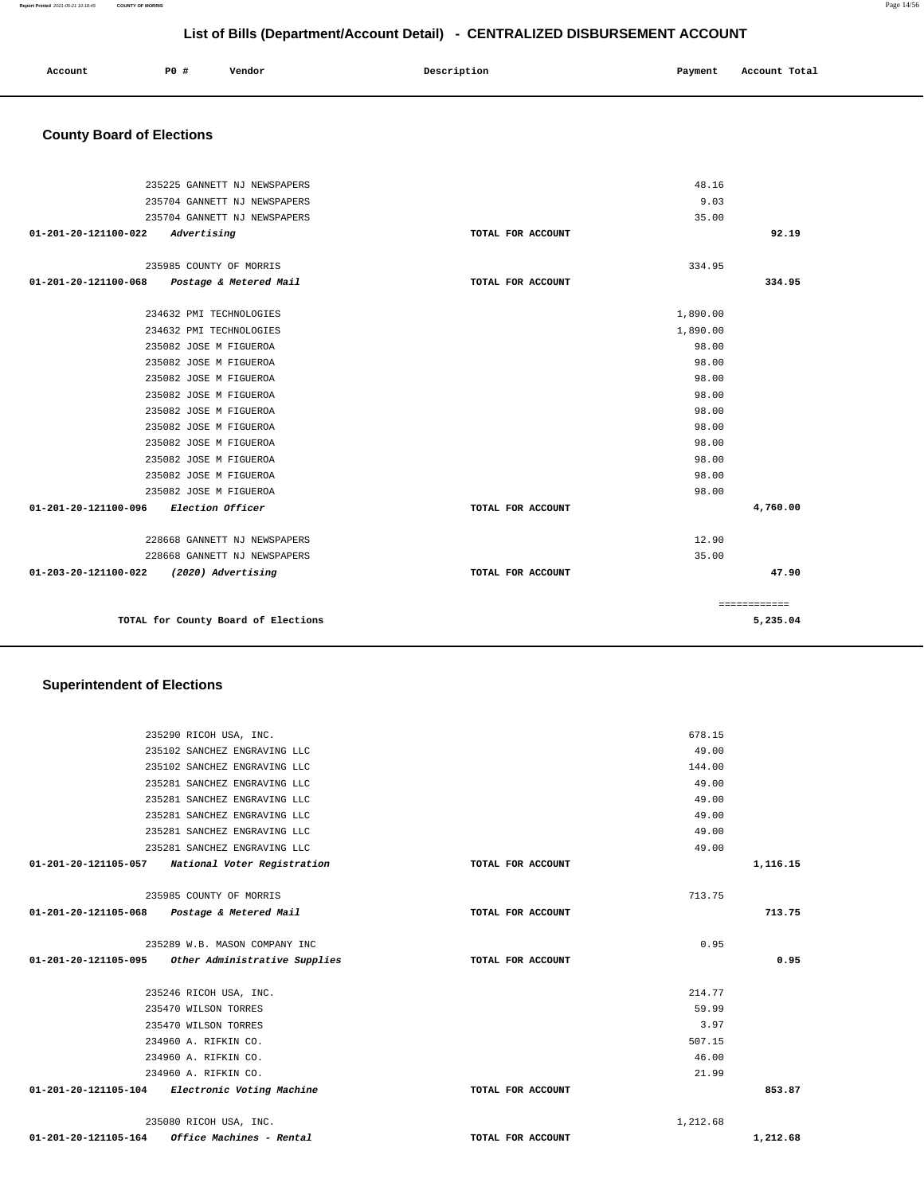| Account | <b>PO</b> # | Vendor | Description | Payment | Account Total |
|---------|-------------|--------|-------------|---------|---------------|
|         |             |        |             |         |               |

# **County Board of Elections**

| 235225 GANNETT NJ NEWSPAPERS                |                   | 48.16    |              |
|---------------------------------------------|-------------------|----------|--------------|
| 235704 GANNETT NJ NEWSPAPERS                |                   | 9.03     |              |
| 235704 GANNETT NJ NEWSPAPERS                |                   | 35.00    |              |
| 01-201-20-121100-022<br>Advertising         | TOTAL FOR ACCOUNT |          | 92.19        |
| 235985 COUNTY OF MORRIS                     |                   | 334.95   |              |
| 01-201-20-121100-068 Postage & Metered Mail | TOTAL FOR ACCOUNT |          | 334.95       |
|                                             |                   |          |              |
| 234632 PMI TECHNOLOGIES                     |                   | 1,890.00 |              |
| 234632 PMI TECHNOLOGIES                     |                   | 1,890.00 |              |
| 235082 JOSE M FIGUEROA                      |                   | 98.00    |              |
| 235082 JOSE M FIGUEROA                      |                   | 98.00    |              |
| 235082 JOSE M FIGUEROA                      |                   | 98.00    |              |
| 235082 JOSE M FIGUEROA                      |                   | 98.00    |              |
| 235082 JOSE M FIGUEROA                      |                   | 98.00    |              |
| 235082 JOSE M FIGUEROA                      |                   | 98.00    |              |
| 235082 JOSE M FIGUEROA                      |                   | 98.00    |              |
| 235082 JOSE M FIGUEROA                      |                   | 98.00    |              |
| 235082 JOSE M FIGUEROA                      |                   | 98.00    |              |
| 235082 JOSE M FIGUEROA                      |                   | 98.00    |              |
| 01-201-20-121100-096 Election Officer       | TOTAL FOR ACCOUNT |          | 4,760.00     |
| 228668 GANNETT NJ NEWSPAPERS                |                   | 12.90    |              |
| 228668 GANNETT NJ NEWSPAPERS                |                   | 35.00    |              |
| 01-203-20-121100-022 (2020) Advertising     | TOTAL FOR ACCOUNT |          | 47.90        |
|                                             |                   |          | ============ |
| TOTAL for County Board of Elections         |                   |          | 5,235.04     |

# **Superintendent of Elections**

|          | 678.15   |                   | 235290 RICOH USA, INC.                             |
|----------|----------|-------------------|----------------------------------------------------|
|          | 49.00    |                   | 235102 SANCHEZ ENGRAVING LLC                       |
|          | 144.00   |                   | 235102 SANCHEZ ENGRAVING LLC                       |
|          | 49.00    |                   | 235281 SANCHEZ ENGRAVING LLC                       |
|          | 49.00    |                   | 235281 SANCHEZ ENGRAVING LLC                       |
|          | 49.00    |                   | 235281 SANCHEZ ENGRAVING LLC                       |
|          | 49.00    |                   | 235281 SANCHEZ ENGRAVING LLC                       |
|          | 49.00    |                   | 235281 SANCHEZ ENGRAVING LLC                       |
| 1,116.15 |          | TOTAL FOR ACCOUNT | 01-201-20-121105-057 National Voter Registration   |
|          |          |                   |                                                    |
|          | 713.75   |                   | 235985 COUNTY OF MORRIS                            |
| 713.75   |          | TOTAL FOR ACCOUNT | 01-201-20-121105-068<br>Postage & Metered Mail     |
|          |          |                   |                                                    |
|          | 0.95     |                   | 235289 W.B. MASON COMPANY INC                      |
| 0.95     |          | TOTAL FOR ACCOUNT | 01-201-20-121105-095 Other Administrative Supplies |
|          |          |                   |                                                    |
|          | 214.77   |                   |                                                    |
|          |          |                   | 235246 RICOH USA, INC.                             |
|          | 59.99    |                   | 235470 WILSON TORRES                               |
|          | 3.97     |                   | 235470 WILSON TORRES                               |
|          | 507.15   |                   | 234960 A. RIFKIN CO.                               |
|          | 46.00    |                   | 234960 A. RIFKIN CO.                               |
|          | 21.99    |                   | 234960 A. RIFKIN CO.                               |
| 853.87   |          | TOTAL FOR ACCOUNT | 01-201-20-121105-104 Electronic Voting Machine     |
|          |          |                   |                                                    |
|          | 1,212.68 |                   | 235080 RICOH USA, INC.                             |
| 1,212.68 |          | TOTAL FOR ACCOUNT | Office Machines - Rental<br>01-201-20-121105-164   |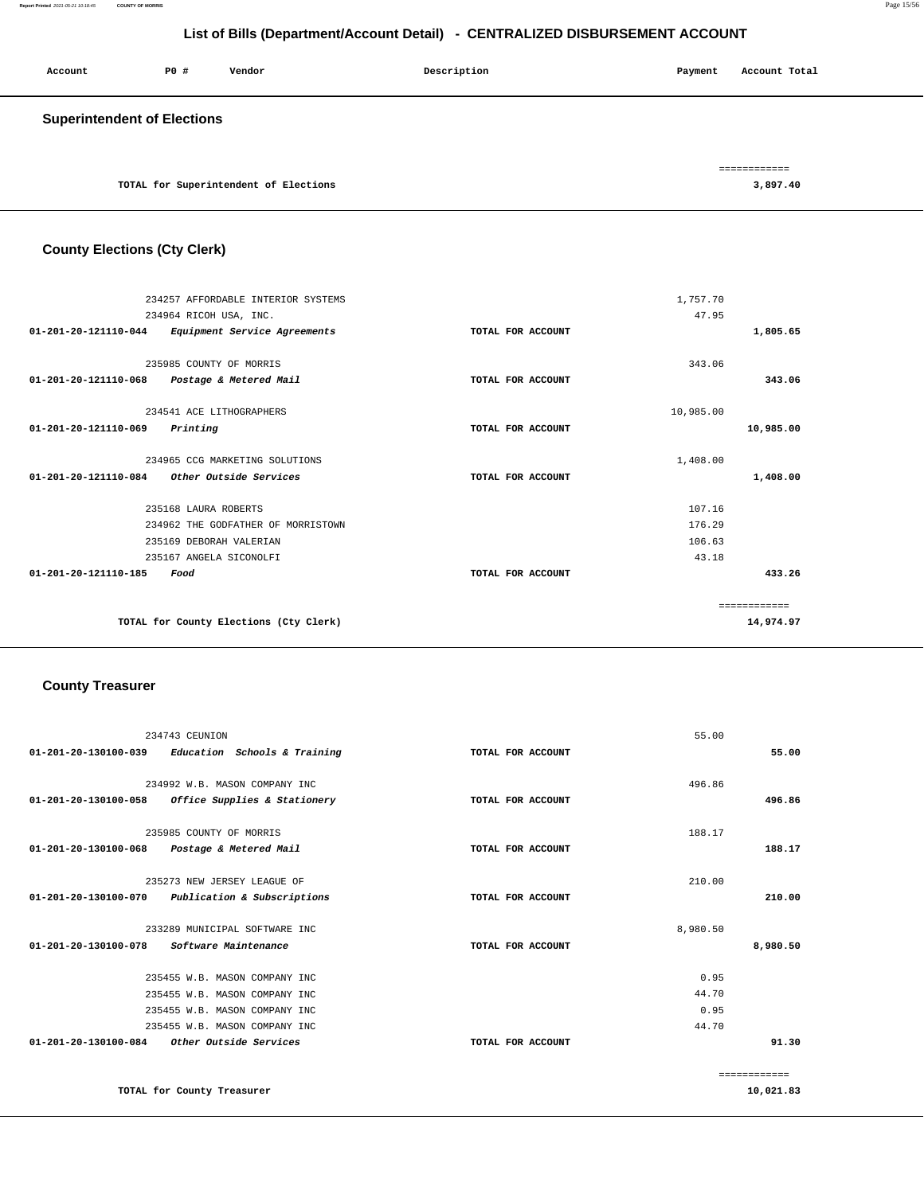| Account                            | P0 # | Vendor                                | Description | Payment | Account Total            |
|------------------------------------|------|---------------------------------------|-------------|---------|--------------------------|
| <b>Superintendent of Elections</b> |      |                                       |             |         |                          |
|                                    |      | TOTAL for Superintendent of Elections |             |         | ============<br>3,897.40 |

# **County Elections (Cty Clerk)**

|                                | 234257 AFFORDABLE INTERIOR SYSTEMS     |                   | 1,757.70  |              |
|--------------------------------|----------------------------------------|-------------------|-----------|--------------|
|                                | 234964 RICOH USA, INC.                 |                   | 47.95     |              |
| 01-201-20-121110-044           | Equipment Service Agreements           | TOTAL FOR ACCOUNT |           | 1,805.65     |
|                                |                                        |                   |           |              |
|                                | 235985 COUNTY OF MORRIS                |                   | 343.06    |              |
| 01-201-20-121110-068           | Postage & Metered Mail                 | TOTAL FOR ACCOUNT |           | 343.06       |
|                                | 234541 ACE LITHOGRAPHERS               |                   | 10,985.00 |              |
| 01-201-20-121110-069           | Printing                               | TOTAL FOR ACCOUNT |           | 10,985.00    |
|                                | 234965 CCG MARKETING SOLUTIONS         |                   | 1,408.00  |              |
|                                |                                        |                   |           |              |
| 01-201-20-121110-084           | Other Outside Services                 | TOTAL FOR ACCOUNT |           | 1,408.00     |
|                                | 235168 LAURA ROBERTS                   |                   | 107.16    |              |
|                                | 234962 THE GODFATHER OF MORRISTOWN     |                   | 176.29    |              |
|                                | 235169 DEBORAH VALERIAN                |                   | 106.63    |              |
|                                | 235167 ANGELA SICONOLFI                |                   | 43.18     |              |
| $01 - 201 - 20 - 121110 - 185$ | Food                                   | TOTAL FOR ACCOUNT |           | 433.26       |
|                                |                                        |                   |           | ============ |
|                                | TOTAL for County Elections (Cty Clerk) |                   |           | 14,974.97    |
|                                |                                        |                   |           |              |

## **County Treasurer**

| 234743 CEUNION                                                | 55.00             |              |
|---------------------------------------------------------------|-------------------|--------------|
| $01-201-20-130100-039$ Education Schools & Training           | TOTAL FOR ACCOUNT | 55.00        |
|                                                               |                   |              |
| 234992 W.B. MASON COMPANY INC                                 | 496.86            |              |
| 01-201-20-130100-058<br>Office Supplies & Stationery          | TOTAL FOR ACCOUNT | 496.86       |
| 235985 COUNTY OF MORRIS                                       | 188.17            |              |
| 01-201-20-130100-068<br>Postage & Metered Mail                | TOTAL FOR ACCOUNT | 188.17       |
|                                                               |                   |              |
| 235273 NEW JERSEY LEAGUE OF                                   | 210.00            |              |
| Publication & Subscriptions<br>$01 - 201 - 20 - 130100 - 070$ | TOTAL FOR ACCOUNT | 210.00       |
|                                                               |                   |              |
| 233289 MUNICIPAL SOFTWARE INC                                 | 8,980.50          |              |
| $01 - 201 - 20 - 130100 - 078$<br>Software Maintenance        | TOTAL FOR ACCOUNT | 8,980.50     |
| 235455 W.B. MASON COMPANY INC                                 | 0.95              |              |
| 235455 W.B. MASON COMPANY INC                                 | 44.70             |              |
| 235455 W.B. MASON COMPANY INC                                 | 0.95              |              |
| 235455 W.B. MASON COMPANY INC                                 | 44.70             |              |
| 01-201-20-130100-084<br>Other Outside Services                | TOTAL FOR ACCOUNT | 91.30        |
|                                                               |                   | ============ |
| TOTAL for County Treasurer                                    |                   | 10,021.83    |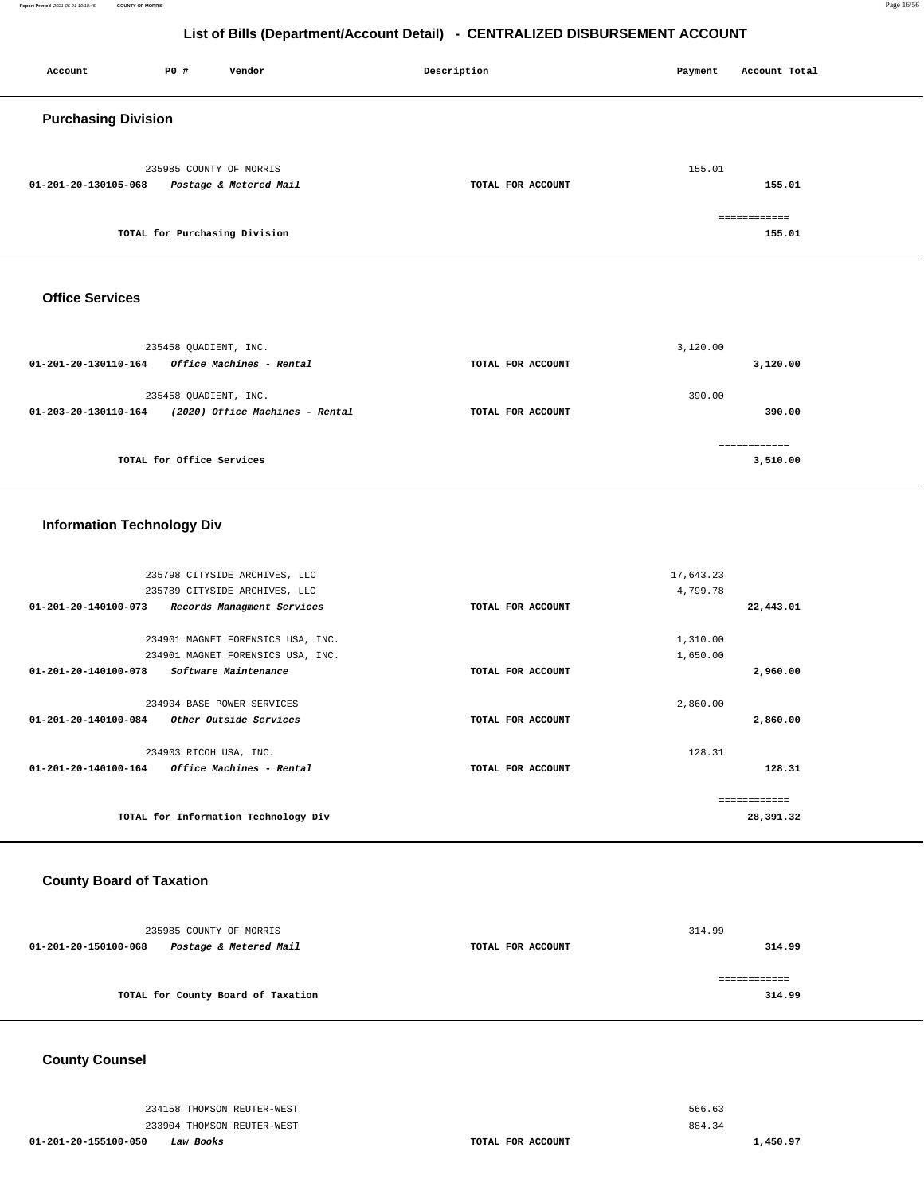**Report Printed** 2021-05-21 10:18:45 **COUNTY OF MORRIS** Page 16/56

# **List of Bills (Department/Account Detail) - CENTRALIZED DISBURSEMENT ACCOUNT**

| Account                    | P0 #                    | Vendor                        | Description       | Payment | Account Total          |
|----------------------------|-------------------------|-------------------------------|-------------------|---------|------------------------|
| <b>Purchasing Division</b> |                         |                               |                   |         |                        |
| 01-201-20-130105-068       | 235985 COUNTY OF MORRIS | Postage & Metered Mail        | TOTAL FOR ACCOUNT | 155.01  | 155.01                 |
|                            |                         | TOTAL for Purchasing Division |                   |         | ============<br>155.01 |

### **Office Services**

| $01 - 201 - 20 - 130110 - 164$ | 235458 OUADIENT, INC.<br><i><b>Office Machines - Rental</b></i> | TOTAL FOR ACCOUNT | 3,120.00<br>3,120.00 |
|--------------------------------|-----------------------------------------------------------------|-------------------|----------------------|
| 01-203-20-130110-164           | 235458 OUADIENT, INC.<br>(2020) Office Machines - Rental        | TOTAL FOR ACCOUNT | 390.00<br>390.00     |
|                                | TOTAL for Office Services                                       |                   | 3,510.00             |

## **Information Technology Div**

|                                | 235798 CITYSIDE ARCHIVES, LLC        | 17,643.23         |               |
|--------------------------------|--------------------------------------|-------------------|---------------|
|                                | 235789 CITYSIDE ARCHIVES, LLC        | 4,799.78          |               |
| 01-201-20-140100-073           | Records Managment Services           | TOTAL FOR ACCOUNT | 22,443.01     |
|                                |                                      |                   |               |
|                                | 234901 MAGNET FORENSICS USA, INC.    | 1,310.00          |               |
|                                | 234901 MAGNET FORENSICS USA, INC.    | 1,650.00          |               |
| $01 - 201 - 20 - 140100 - 078$ | Software Maintenance                 | TOTAL FOR ACCOUNT | 2,960.00      |
|                                |                                      |                   |               |
|                                | 234904 BASE POWER SERVICES           | 2,860.00          |               |
| 01-201-20-140100-084           | Other Outside Services               | TOTAL FOR ACCOUNT | 2,860.00      |
|                                |                                      |                   |               |
|                                | 234903 RICOH USA, INC.               | 128.31            |               |
| $01 - 201 - 20 - 140100 - 164$ | Office Machines - Rental             | TOTAL FOR ACCOUNT | 128.31        |
|                                |                                      |                   |               |
|                                |                                      |                   | ------------- |
|                                | TOTAL for Information Technology Div |                   | 28,391.32     |
|                                |                                      |                   |               |

## **County Board of Taxation**

| 235985 COUNTY OF MORRIS                        |                   | 314.99 |
|------------------------------------------------|-------------------|--------|
| 01-201-20-150100-068<br>Postage & Metered Mail | TOTAL FOR ACCOUNT | 314.99 |
|                                                |                   |        |
| TOTAL for County Board of Taxation             |                   | 314.99 |
|                                                |                   |        |

## **County Counsel**

234158 THOMSON REUTER-WEST 233904 THOMSON REUTER-WEST

**01-201-20-155100-050 Law Books TOTAL FOR ACCOUNT** 

566.63 884.34 **1,450.97**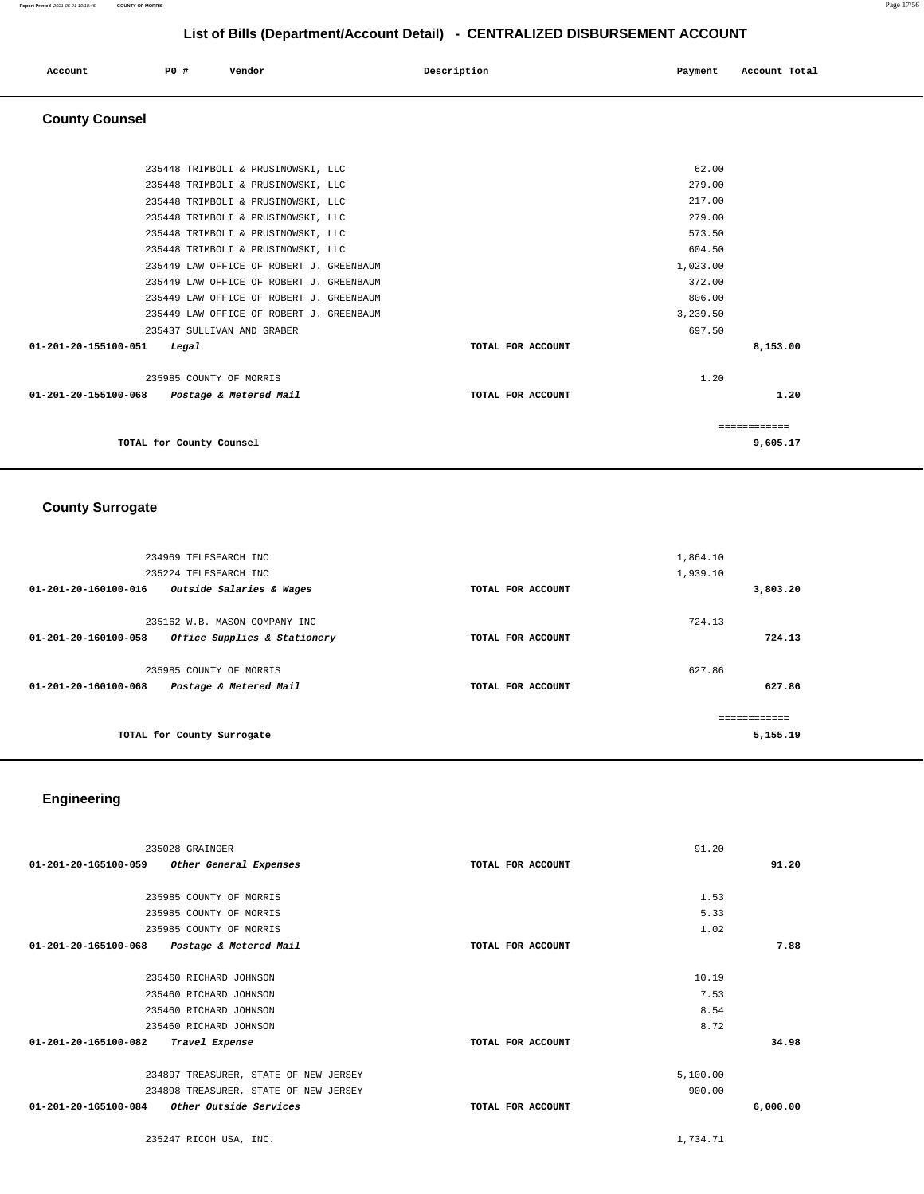### **Report Printed** 2021-05-21 10:18:45 **COUNTY OF MORRIS** Page 17/56

# **List of Bills (Department/Account Detail) - CENTRALIZED DISBURSEMENT ACCOUNT**

| Account | <b>PO #</b> | Vendor | Description | Payment | Account Total |
|---------|-------------|--------|-------------|---------|---------------|
| .       |             |        |             |         |               |
|         |             |        |             |         |               |

## **County Counsel**

| 235448 TRIMBOLI & PRUSINOWSKI, LLC             | 62.00             |          |
|------------------------------------------------|-------------------|----------|
| 235448 TRIMBOLI & PRUSINOWSKI, LLC             | 279.00            |          |
| 235448 TRIMBOLI & PRUSINOWSKI, LLC             | 217.00            |          |
| 235448 TRIMBOLI & PRUSINOWSKI, LLC             | 279.00            |          |
| 235448 TRIMBOLI & PRUSINOWSKI, LLC             | 573.50            |          |
| 235448 TRIMBOLI & PRUSINOWSKI, LLC             | 604.50            |          |
| 235449 LAW OFFICE OF ROBERT J. GREENBAUM       | 1,023.00          |          |
| 235449 LAW OFFICE OF ROBERT J. GREENBAUM       | 372.00            |          |
| 235449 LAW OFFICE OF ROBERT J. GREENBAUM       | 806.00            |          |
| 235449 LAW OFFICE OF ROBERT J. GREENBAUM       | 3,239.50          |          |
| 235437 SULLIVAN AND GRABER                     | 697.50            |          |
| $01 - 201 - 20 - 155100 - 051$<br>Legal        | TOTAL FOR ACCOUNT | 8,153.00 |
| 235985 COUNTY OF MORRIS                        | 1.20              |          |
| 01-201-20-155100-068<br>Postage & Metered Mail | TOTAL FOR ACCOUNT | 1.20     |
|                                                |                   |          |
| TOTAL for County Counsel                       |                   | 9,605.17 |

## **County Surrogate**

| 234969 TELESEARCH INC<br>235224 TELESEARCH INC<br>01-201-20-160100-016<br>Outside Salaries & Wages | TOTAL FOR ACCOUNT | 1,864.10<br>1,939.10<br>3,803.20 |
|----------------------------------------------------------------------------------------------------|-------------------|----------------------------------|
|                                                                                                    |                   |                                  |
| 235162 W.B. MASON COMPANY INC                                                                      |                   | 724.13                           |
| $01 - 201 - 20 - 160100 - 058$<br>Office Supplies & Stationery                                     | TOTAL FOR ACCOUNT | 724.13                           |
| 235985 COUNTY OF MORRIS                                                                            |                   | 627.86                           |
| $01 - 201 - 20 - 160100 - 068$<br>Postage & Metered Mail                                           | TOTAL FOR ACCOUNT | 627.86                           |
| TOTAL for County Surrogate                                                                         |                   | ===========<br>5,155.19          |

# **Engineering**

| 235028 GRAINGER                                          |                   | 91.20    |
|----------------------------------------------------------|-------------------|----------|
| 01-201-20-165100-059<br>Other General Expenses           | TOTAL FOR ACCOUNT | 91.20    |
|                                                          |                   |          |
| 235985 COUNTY OF MORRIS                                  |                   | 1.53     |
| 235985 COUNTY OF MORRIS                                  |                   | 5.33     |
| 235985 COUNTY OF MORRIS                                  |                   | 1.02     |
| $01 - 201 - 20 - 165100 - 068$<br>Postage & Metered Mail | TOTAL FOR ACCOUNT | 7.88     |
|                                                          |                   |          |
| 235460 RICHARD JOHNSON                                   |                   | 10.19    |
| 235460 RICHARD JOHNSON                                   |                   | 7.53     |
| 235460 RICHARD JOHNSON                                   |                   | 8.54     |
| 235460 RICHARD JOHNSON                                   |                   | 8.72     |
| 01-201-20-165100-082<br>Travel Expense                   | TOTAL FOR ACCOUNT | 34.98    |
|                                                          |                   |          |
| 234897 TREASURER, STATE OF NEW JERSEY                    |                   | 5,100.00 |
| 234898 TREASURER, STATE OF NEW JERSEY                    |                   | 900.00   |
| $01 - 201 - 20 - 165100 - 084$<br>Other Outside Services | TOTAL FOR ACCOUNT | 6,000.00 |
|                                                          |                   |          |

235247 RICOH USA, INC. [1,734.71](https://1,734.71)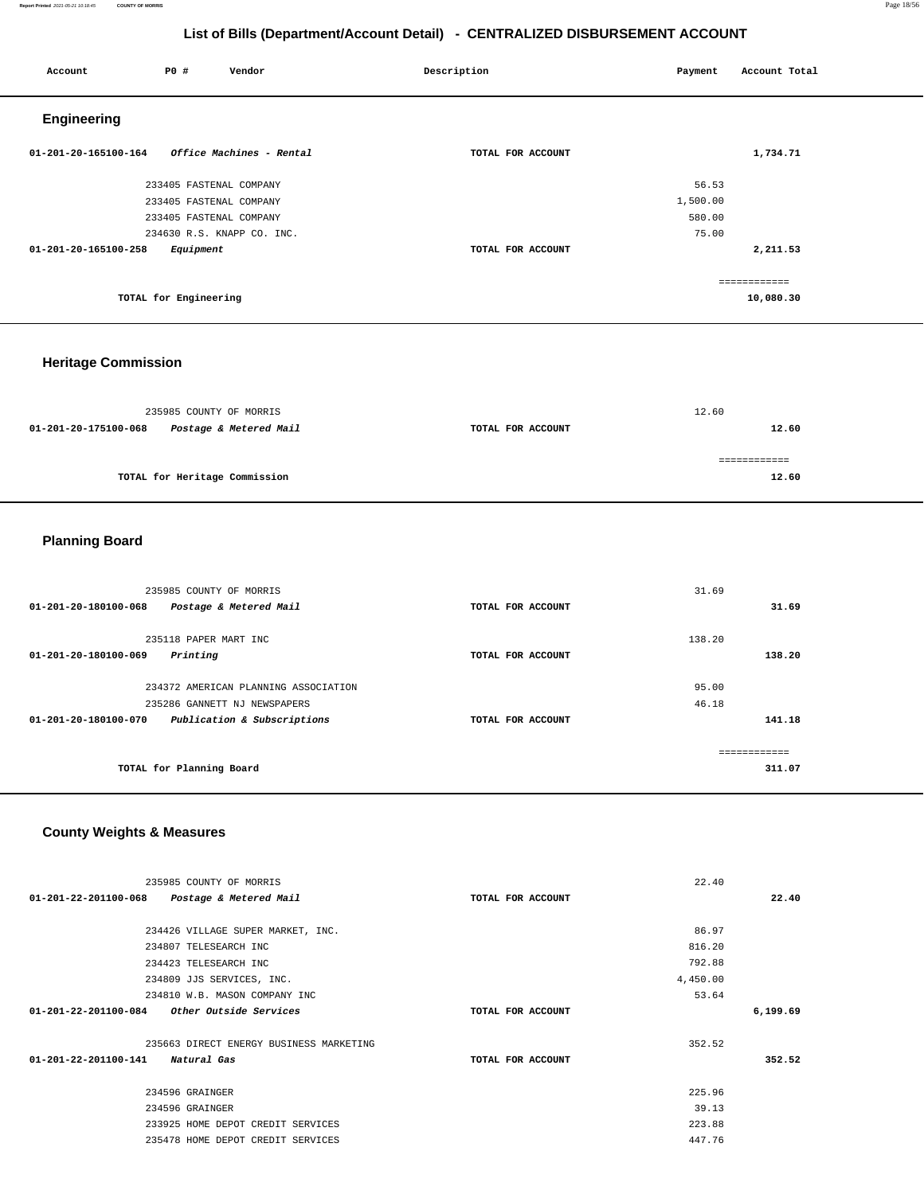### **Report Printed** 2021-05-21 10:18:45 **COUNTY OF MORRIS** Page 18/56

# **List of Bills (Department/Account Detail) - CENTRALIZED DISBURSEMENT ACCOUNT**

| Account              | P0 #                    | Vendor                     | Description       | Payment  | Account Total             |
|----------------------|-------------------------|----------------------------|-------------------|----------|---------------------------|
| Engineering          |                         |                            |                   |          |                           |
| 01-201-20-165100-164 |                         | Office Machines - Rental   | TOTAL FOR ACCOUNT |          | 1,734.71                  |
|                      | 233405 FASTENAL COMPANY |                            |                   | 56.53    |                           |
|                      | 233405 FASTENAL COMPANY |                            |                   | 1,500.00 |                           |
|                      | 233405 FASTENAL COMPANY |                            |                   | 580.00   |                           |
|                      |                         | 234630 R.S. KNAPP CO. INC. |                   | 75.00    |                           |
| 01-201-20-165100-258 | Equipment               |                            | TOTAL FOR ACCOUNT |          | 2,211.53                  |
|                      | TOTAL for Engineering   |                            |                   |          | ============<br>10,080.30 |
|                      |                         |                            |                   |          |                           |

# **Heritage Commission**

|                      | 235985 COUNTY OF MORRIS       |                   | 12.60 |
|----------------------|-------------------------------|-------------------|-------|
| 01-201-20-175100-068 | Postage & Metered Mail        | TOTAL FOR ACCOUNT | 12.60 |
|                      |                               |                   |       |
|                      | TOTAL for Heritage Commission |                   | 12.60 |
|                      |                               |                   |       |

# **Planning Board**

| 235985 COUNTY OF MORRIS                                       |                   | 31.69         |
|---------------------------------------------------------------|-------------------|---------------|
| Postage & Metered Mail<br>$01 - 201 - 20 - 180100 - 068$      | TOTAL FOR ACCOUNT | 31.69         |
| 235118 PAPER MART INC                                         |                   | 138.20        |
| 01-201-20-180100-069<br>Printing                              | TOTAL FOR ACCOUNT | 138.20        |
| 234372 AMERICAN PLANNING ASSOCIATION                          |                   | 95.00         |
| 235286 GANNETT NJ NEWSPAPERS                                  |                   | 46.18         |
| Publication & Subscriptions<br>$01 - 201 - 20 - 180100 - 070$ | TOTAL FOR ACCOUNT | 141.18        |
|                                                               |                   |               |
|                                                               |                   | ------------- |
| TOTAL for Planning Board                                      |                   | 311.07        |
|                                                               |                   |               |

# **County Weights & Measures**

| 235985 COUNTY OF MORRIS                               |                   | 22.40    |          |
|-------------------------------------------------------|-------------------|----------|----------|
| 01-201-22-201100-068<br>Postage & Metered Mail        | TOTAL FOR ACCOUNT |          | 22.40    |
|                                                       |                   |          |          |
| 234426 VILLAGE SUPER MARKET, INC.                     |                   | 86.97    |          |
| 234807 TELESEARCH INC                                 |                   | 816.20   |          |
| 234423 TELESEARCH INC                                 |                   | 792.88   |          |
| 234809 JJS SERVICES, INC.                             |                   | 4,450.00 |          |
| 234810 W.B. MASON COMPANY INC                         |                   | 53.64    |          |
| 01-201-22-201100-084<br><i>Other Outside Services</i> | TOTAL FOR ACCOUNT |          | 6,199.69 |
| 235663 DIRECT ENERGY BUSINESS MARKETING               |                   | 352.52   |          |
| 01-201-22-201100-141 Natural Gas                      | TOTAL FOR ACCOUNT |          | 352.52   |
| 234596 GRAINGER                                       |                   | 225.96   |          |
| 234596 GRAINGER                                       |                   | 39.13    |          |
| 233925 HOME DEPOT CREDIT SERVICES                     |                   | 223.88   |          |
| 235478 HOME DEPOT CREDIT SERVICES                     |                   | 447.76   |          |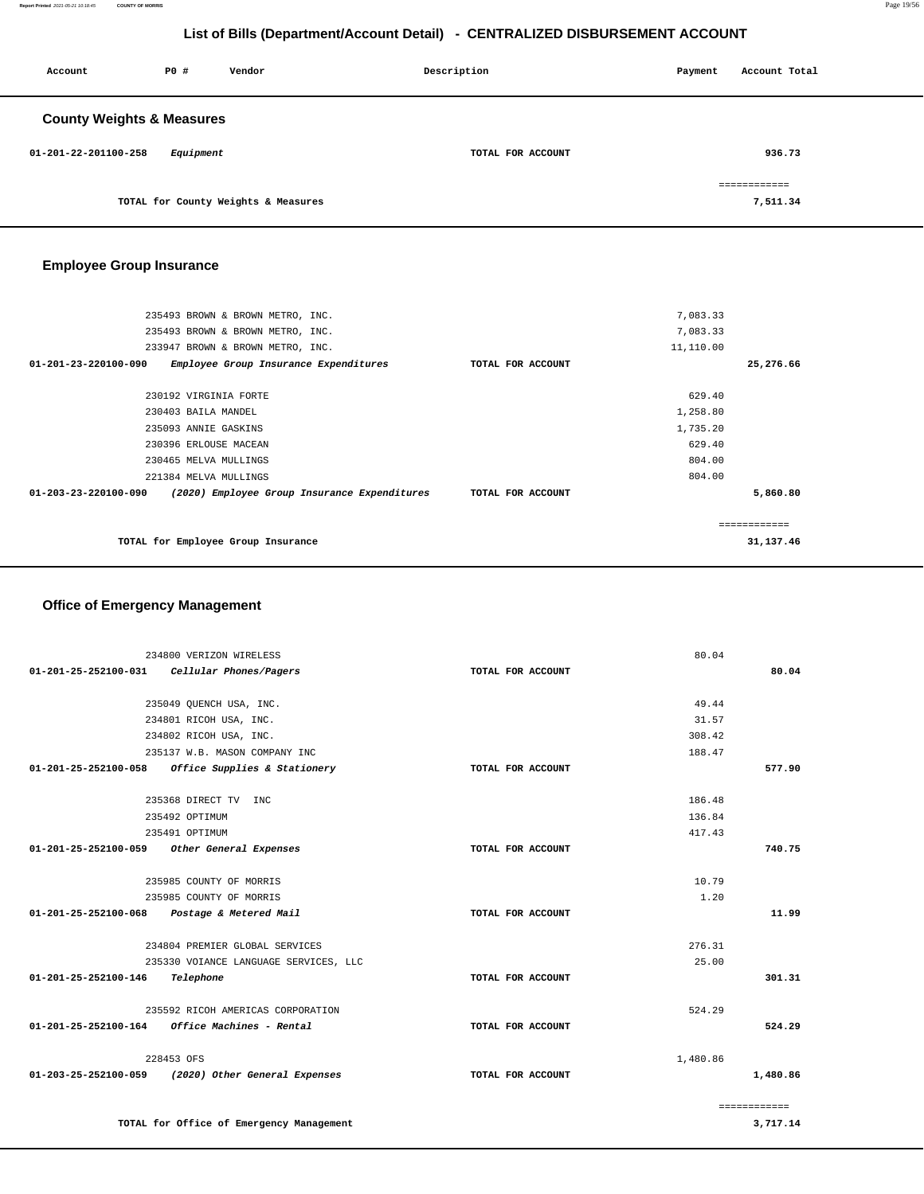**Report Printed** 2021-05-21 10:18:45 **COUNTY OF MORRIS** Page 19/56

# **List of Bills (Department/Account Detail) - CENTRALIZED DISBURSEMENT ACCOUNT**

| Account                              | P0#       | Vendor                              | Description       | Payment | Account Total |
|--------------------------------------|-----------|-------------------------------------|-------------------|---------|---------------|
| <b>County Weights &amp; Measures</b> |           |                                     |                   |         |               |
| 01-201-22-201100-258                 | Equipment |                                     | TOTAL FOR ACCOUNT |         | 936.73        |
|                                      |           |                                     |                   |         | ============  |
|                                      |           | TOTAL for County Weights & Measures |                   |         | 7,511.34      |

# **Employee Group Insurance**

| 235493 BROWN & BROWN METRO, INC.                                        |                   | 7,083.33     |           |
|-------------------------------------------------------------------------|-------------------|--------------|-----------|
| 235493 BROWN & BROWN METRO, INC.                                        |                   | 7,083.33     |           |
| 233947 BROWN & BROWN METRO, INC.                                        |                   | 11,110.00    |           |
| $01 - 201 - 23 - 220100 - 090$<br>Employee Group Insurance Expenditures | TOTAL FOR ACCOUNT |              | 25,276.66 |
|                                                                         |                   |              |           |
| 230192 VIRGINIA FORTE                                                   |                   | 629.40       |           |
| 230403 BAILA MANDEL                                                     |                   | 1,258.80     |           |
| 235093 ANNIE GASKINS                                                    |                   | 1,735.20     |           |
| 230396 ERLOUSE MACEAN                                                   |                   | 629.40       |           |
| 230465 MELVA MULLINGS                                                   |                   | 804.00       |           |
| 221384 MELVA MULLINGS                                                   |                   | 804.00       |           |
| 01-203-23-220100-090<br>(2020) Employee Group Insurance Expenditures    | TOTAL FOR ACCOUNT |              | 5,860.80  |
|                                                                         |                   |              |           |
|                                                                         |                   | ------------ |           |
| TOTAL for Employee Group Insurance                                      |                   |              | 31,137.46 |
|                                                                         |                   |              |           |

## **Office of Emergency Management**

| 234800 VERIZON WIRELESS                               |                   | 80.04        |          |
|-------------------------------------------------------|-------------------|--------------|----------|
| 01-201-25-252100-031<br>Cellular Phones/Pagers        | TOTAL FOR ACCOUNT |              | 80.04    |
| 235049 QUENCH USA, INC.                               |                   | 49.44        |          |
| 234801 RICOH USA, INC.                                |                   | 31.57        |          |
| 234802 RICOH USA, INC.                                |                   | 308.42       |          |
| 235137 W.B. MASON COMPANY INC                         |                   | 188.47       |          |
| Office Supplies & Stationery<br>01-201-25-252100-058  | TOTAL FOR ACCOUNT |              | 577.90   |
| 235368 DIRECT TV INC                                  |                   | 186.48       |          |
| 235492 OPTIMUM                                        |                   | 136.84       |          |
| 235491 OPTIMUM                                        |                   | 417.43       |          |
| 01-201-25-252100-059<br>Other General Expenses        | TOTAL FOR ACCOUNT |              | 740.75   |
| 235985 COUNTY OF MORRIS                               |                   | 10.79        |          |
| 235985 COUNTY OF MORRIS                               |                   | 1.20         |          |
| 01-201-25-252100-068 Postage & Metered Mail           | TOTAL FOR ACCOUNT |              | 11.99    |
| 234804 PREMIER GLOBAL SERVICES                        |                   | 276.31       |          |
| 235330 VOIANCE LANGUAGE SERVICES, LLC                 |                   | 25.00        |          |
| 01-201-25-252100-146<br>Telephone                     | TOTAL FOR ACCOUNT |              | 301.31   |
| 235592 RICOH AMERICAS CORPORATION                     |                   | 524.29       |          |
| 01-201-25-252100-164<br>Office Machines - Rental      | TOTAL FOR ACCOUNT |              | 524.29   |
| 228453 OFS                                            |                   | 1,480.86     |          |
| (2020) Other General Expenses<br>01-203-25-252100-059 | TOTAL FOR ACCOUNT |              | 1,480.86 |
|                                                       |                   | ============ |          |
| TOTAL for Office of Emergency Management              |                   |              | 3,717.14 |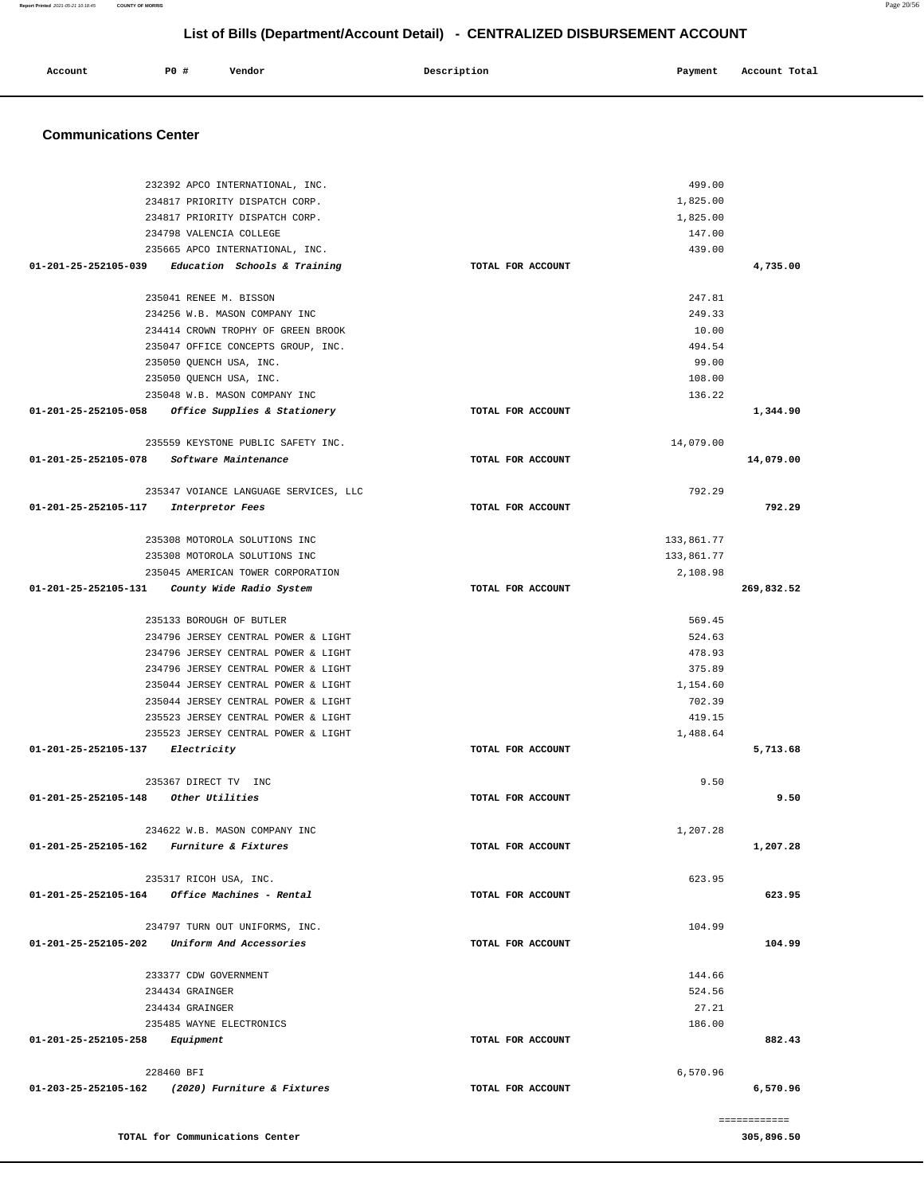|                                            | 234817 PRIORITY DISPATCH CORP.                      |                   | 1,825.00   |              |
|--------------------------------------------|-----------------------------------------------------|-------------------|------------|--------------|
|                                            | 234817 PRIORITY DISPATCH CORP.                      |                   | 1,825.00   |              |
|                                            | 234798 VALENCIA COLLEGE                             |                   | 147.00     |              |
|                                            | 235665 APCO INTERNATIONAL, INC.                     |                   | 439.00     |              |
|                                            | $01-201-25-252105-039$ Education Schools & Training | TOTAL FOR ACCOUNT |            | 4,735.00     |
|                                            | 235041 RENEE M. BISSON                              |                   | 247.81     |              |
|                                            | 234256 W.B. MASON COMPANY INC                       |                   | 249.33     |              |
|                                            | 234414 CROWN TROPHY OF GREEN BROOK                  |                   | 10.00      |              |
|                                            | 235047 OFFICE CONCEPTS GROUP, INC.                  |                   | 494.54     |              |
|                                            | 235050 QUENCH USA, INC.                             |                   | 99.00      |              |
|                                            | 235050 QUENCH USA, INC.                             |                   | 108.00     |              |
|                                            | 235048 W.B. MASON COMPANY INC                       |                   | 136.22     |              |
|                                            | 01-201-25-252105-058 Office Supplies & Stationery   | TOTAL FOR ACCOUNT |            | 1,344.90     |
|                                            | 235559 KEYSTONE PUBLIC SAFETY INC.                  |                   | 14,079.00  |              |
|                                            | 01-201-25-252105-078 Software Maintenance           | TOTAL FOR ACCOUNT |            | 14,079.00    |
|                                            |                                                     |                   |            |              |
|                                            | 235347 VOIANCE LANGUAGE SERVICES, LLC               |                   | 792.29     |              |
| 01-201-25-252105-117 Interpretor Fees      |                                                     | TOTAL FOR ACCOUNT |            | 792.29       |
|                                            | 235308 MOTOROLA SOLUTIONS INC                       |                   | 133,861.77 |              |
|                                            | 235308 MOTOROLA SOLUTIONS INC                       |                   | 133,861.77 |              |
|                                            | 235045 AMERICAN TOWER CORPORATION                   |                   | 2,108.98   |              |
| 01-201-25-252105-131                       | County Wide Radio System                            | TOTAL FOR ACCOUNT |            | 269,832.52   |
|                                            |                                                     |                   |            |              |
|                                            | 235133 BOROUGH OF BUTLER                            |                   | 569.45     |              |
|                                            | 234796 JERSEY CENTRAL POWER & LIGHT                 |                   | 524.63     |              |
|                                            | 234796 JERSEY CENTRAL POWER & LIGHT                 |                   | 478.93     |              |
|                                            | 234796 JERSEY CENTRAL POWER & LIGHT                 |                   | 375.89     |              |
|                                            | 235044 JERSEY CENTRAL POWER & LIGHT                 |                   | 1,154.60   |              |
|                                            | 235044 JERSEY CENTRAL POWER & LIGHT                 |                   | 702.39     |              |
|                                            | 235523 JERSEY CENTRAL POWER & LIGHT                 |                   | 419.15     |              |
|                                            | 235523 JERSEY CENTRAL POWER & LIGHT                 |                   | 1,488.64   |              |
| $01 - 201 - 25 - 252105 - 137$ Electricity |                                                     | TOTAL FOR ACCOUNT |            | 5,713.68     |
|                                            | 235367 DIRECT TV INC                                |                   | 9.50       |              |
| $01-201-25-252105-148$ Other Utilities     |                                                     | TOTAL FOR ACCOUNT |            | 9.50         |
|                                            |                                                     |                   |            |              |
|                                            | 234622 W.B. MASON COMPANY INC                       |                   | 1,207.28   |              |
|                                            | 01-201-25-252105-162 Furniture & Fixtures           | TOTAL FOR ACCOUNT |            | 1,207.28     |
|                                            | 235317 RICOH USA, INC.                              |                   | 623.95     |              |
|                                            | $01-201-25-252105-164$ Office Machines - Rental     | TOTAL FOR ACCOUNT |            | 623.95       |
|                                            |                                                     |                   |            |              |
|                                            | 234797 TURN OUT UNIFORMS, INC.                      |                   | 104.99     |              |
|                                            | 01-201-25-252105-202 Uniform And Accessories        | TOTAL FOR ACCOUNT |            | 104.99       |
|                                            | 233377 CDW GOVERNMENT                               |                   | 144.66     |              |
|                                            | 234434 GRAINGER                                     |                   | 524.56     |              |
|                                            | 234434 GRAINGER                                     |                   | 27.21      |              |
|                                            | 235485 WAYNE ELECTRONICS                            |                   | 186.00     |              |
| 01-201-25-252105-258                       | Equipment                                           | TOTAL FOR ACCOUNT |            | 882.43       |
|                                            |                                                     |                   |            |              |
|                                            | 228460 BFI                                          |                   | 6,570.96   |              |
|                                            | 01-203-25-252105-162 (2020) Furniture & Fixtures    | TOTAL FOR ACCOUNT |            | 6,570.96     |
|                                            |                                                     |                   |            | ------------ |
|                                            |                                                     |                   |            |              |

 **Account** 20 **P P**  $\uparrow$  **Payment** Payment Account Total

### **Communications Center**

232392 APCO INTERNATIONAL, INC.

499.00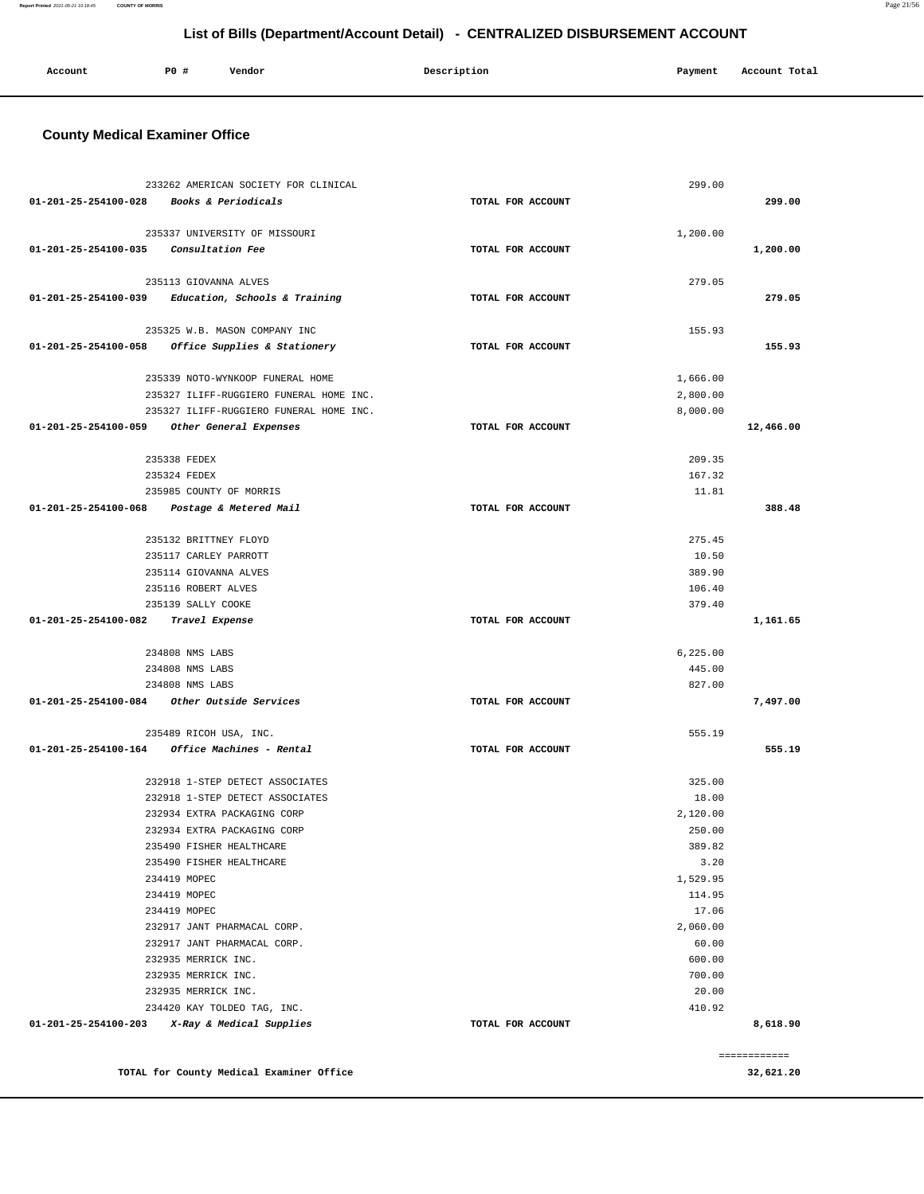### **TOTAL for County Medical Examiner Office**

============ **32,621.20** 

| 233262 AMERICAN SOCIETY FOR CLINICAL<br>299.00<br>01-201-25-254100-028 Books & Periodicals<br>TOTAL FOR ACCOUNT<br>299.00<br>235337 UNIVERSITY OF MISSOURI<br>1,200.00<br>01-201-25-254100-035<br>1,200.00<br>Consultation Fee<br>TOTAL FOR ACCOUNT<br>235113 GIOVANNA ALVES<br>279.05<br>279.05<br>$01-201-25-254100-039$ Education, Schools & Training<br>TOTAL FOR ACCOUNT<br>235325 W.B. MASON COMPANY INC<br>155.93<br>01-201-25-254100-058 Office Supplies & Stationery<br>155.93<br>TOTAL FOR ACCOUNT<br>235339 NOTO-WYNKOOP FUNERAL HOME<br>1,666.00<br>235327 ILIFF-RUGGIERO FUNERAL HOME INC.<br>2,800.00<br>235327 ILIFF-RUGGIERO FUNERAL HOME INC.<br>8,000.00<br>12,466.00<br>01-201-25-254100-059<br>Other General Expenses<br>TOTAL FOR ACCOUNT<br>235338 FEDEX<br>209.35<br>235324 FEDEX<br>167.32<br>235985 COUNTY OF MORRIS<br>11.81<br>01-201-25-254100-068 Postage & Metered Mail<br>388.48<br>TOTAL FOR ACCOUNT<br>235132 BRITTNEY FLOYD<br>275.45<br>235117 CARLEY PARROTT<br>10.50<br>235114 GIOVANNA ALVES<br>389.90<br>235116 ROBERT ALVES<br>106.40<br>235139 SALLY COOKE<br>379.40<br>01-201-25-254100-082<br>Travel Expense<br>TOTAL FOR ACCOUNT<br>1,161.65<br>234808 NMS LABS<br>6, 225.00<br>234808 NMS LABS<br>445.00<br>234808 NMS LABS<br>827.00<br>01-201-25-254100-084 Other Outside Services<br>TOTAL FOR ACCOUNT<br>7,497.00<br>235489 RICOH USA, INC.<br>555.19<br>$01 - 201 - 25 - 254100 - 164$ Office Machines - Rental<br>555.19<br>TOTAL FOR ACCOUNT<br>232918 1-STEP DETECT ASSOCIATES<br>325.00<br>232918 1-STEP DETECT ASSOCIATES<br>18.00<br>232934 EXTRA PACKAGING CORP<br>2,120.00<br>232934 EXTRA PACKAGING CORP<br>250.00<br>389.82<br>235490 FISHER HEALTHCARE<br>235490 FISHER HEALTHCARE<br>3.20<br>1,529.95<br>234419 MOPEC<br>234419 MOPEC<br>114.95<br>17.06<br>234419 MOPEC<br>2,060.00<br>232917 JANT PHARMACAL CORP.<br>60.00<br>232917 JANT PHARMACAL CORP.<br>600.00<br>232935 MERRICK INC.<br>700.00<br>232935 MERRICK INC.<br>232935 MERRICK INC.<br>20.00<br>234420 KAY TOLDEO TAG, INC.<br>410.92<br>$01-201-25-254100-203$ X-Ray & Medical Supplies<br>TOTAL FOR ACCOUNT<br>8,618.90 | <b>County Medical Examiner Office</b> |  |  |
|----------------------------------------------------------------------------------------------------------------------------------------------------------------------------------------------------------------------------------------------------------------------------------------------------------------------------------------------------------------------------------------------------------------------------------------------------------------------------------------------------------------------------------------------------------------------------------------------------------------------------------------------------------------------------------------------------------------------------------------------------------------------------------------------------------------------------------------------------------------------------------------------------------------------------------------------------------------------------------------------------------------------------------------------------------------------------------------------------------------------------------------------------------------------------------------------------------------------------------------------------------------------------------------------------------------------------------------------------------------------------------------------------------------------------------------------------------------------------------------------------------------------------------------------------------------------------------------------------------------------------------------------------------------------------------------------------------------------------------------------------------------------------------------------------------------------------------------------------------------------------------------------------------------------------------------------------------------------------------------------------------------------------------------------------------------------------------------------------------------------------------------------------------|---------------------------------------|--|--|
|                                                                                                                                                                                                                                                                                                                                                                                                                                                                                                                                                                                                                                                                                                                                                                                                                                                                                                                                                                                                                                                                                                                                                                                                                                                                                                                                                                                                                                                                                                                                                                                                                                                                                                                                                                                                                                                                                                                                                                                                                                                                                                                                                          |                                       |  |  |
|                                                                                                                                                                                                                                                                                                                                                                                                                                                                                                                                                                                                                                                                                                                                                                                                                                                                                                                                                                                                                                                                                                                                                                                                                                                                                                                                                                                                                                                                                                                                                                                                                                                                                                                                                                                                                                                                                                                                                                                                                                                                                                                                                          |                                       |  |  |
|                                                                                                                                                                                                                                                                                                                                                                                                                                                                                                                                                                                                                                                                                                                                                                                                                                                                                                                                                                                                                                                                                                                                                                                                                                                                                                                                                                                                                                                                                                                                                                                                                                                                                                                                                                                                                                                                                                                                                                                                                                                                                                                                                          |                                       |  |  |
|                                                                                                                                                                                                                                                                                                                                                                                                                                                                                                                                                                                                                                                                                                                                                                                                                                                                                                                                                                                                                                                                                                                                                                                                                                                                                                                                                                                                                                                                                                                                                                                                                                                                                                                                                                                                                                                                                                                                                                                                                                                                                                                                                          |                                       |  |  |
|                                                                                                                                                                                                                                                                                                                                                                                                                                                                                                                                                                                                                                                                                                                                                                                                                                                                                                                                                                                                                                                                                                                                                                                                                                                                                                                                                                                                                                                                                                                                                                                                                                                                                                                                                                                                                                                                                                                                                                                                                                                                                                                                                          |                                       |  |  |
|                                                                                                                                                                                                                                                                                                                                                                                                                                                                                                                                                                                                                                                                                                                                                                                                                                                                                                                                                                                                                                                                                                                                                                                                                                                                                                                                                                                                                                                                                                                                                                                                                                                                                                                                                                                                                                                                                                                                                                                                                                                                                                                                                          |                                       |  |  |
|                                                                                                                                                                                                                                                                                                                                                                                                                                                                                                                                                                                                                                                                                                                                                                                                                                                                                                                                                                                                                                                                                                                                                                                                                                                                                                                                                                                                                                                                                                                                                                                                                                                                                                                                                                                                                                                                                                                                                                                                                                                                                                                                                          |                                       |  |  |
|                                                                                                                                                                                                                                                                                                                                                                                                                                                                                                                                                                                                                                                                                                                                                                                                                                                                                                                                                                                                                                                                                                                                                                                                                                                                                                                                                                                                                                                                                                                                                                                                                                                                                                                                                                                                                                                                                                                                                                                                                                                                                                                                                          |                                       |  |  |
|                                                                                                                                                                                                                                                                                                                                                                                                                                                                                                                                                                                                                                                                                                                                                                                                                                                                                                                                                                                                                                                                                                                                                                                                                                                                                                                                                                                                                                                                                                                                                                                                                                                                                                                                                                                                                                                                                                                                                                                                                                                                                                                                                          |                                       |  |  |
|                                                                                                                                                                                                                                                                                                                                                                                                                                                                                                                                                                                                                                                                                                                                                                                                                                                                                                                                                                                                                                                                                                                                                                                                                                                                                                                                                                                                                                                                                                                                                                                                                                                                                                                                                                                                                                                                                                                                                                                                                                                                                                                                                          |                                       |  |  |
|                                                                                                                                                                                                                                                                                                                                                                                                                                                                                                                                                                                                                                                                                                                                                                                                                                                                                                                                                                                                                                                                                                                                                                                                                                                                                                                                                                                                                                                                                                                                                                                                                                                                                                                                                                                                                                                                                                                                                                                                                                                                                                                                                          |                                       |  |  |
|                                                                                                                                                                                                                                                                                                                                                                                                                                                                                                                                                                                                                                                                                                                                                                                                                                                                                                                                                                                                                                                                                                                                                                                                                                                                                                                                                                                                                                                                                                                                                                                                                                                                                                                                                                                                                                                                                                                                                                                                                                                                                                                                                          |                                       |  |  |
|                                                                                                                                                                                                                                                                                                                                                                                                                                                                                                                                                                                                                                                                                                                                                                                                                                                                                                                                                                                                                                                                                                                                                                                                                                                                                                                                                                                                                                                                                                                                                                                                                                                                                                                                                                                                                                                                                                                                                                                                                                                                                                                                                          |                                       |  |  |
|                                                                                                                                                                                                                                                                                                                                                                                                                                                                                                                                                                                                                                                                                                                                                                                                                                                                                                                                                                                                                                                                                                                                                                                                                                                                                                                                                                                                                                                                                                                                                                                                                                                                                                                                                                                                                                                                                                                                                                                                                                                                                                                                                          |                                       |  |  |
|                                                                                                                                                                                                                                                                                                                                                                                                                                                                                                                                                                                                                                                                                                                                                                                                                                                                                                                                                                                                                                                                                                                                                                                                                                                                                                                                                                                                                                                                                                                                                                                                                                                                                                                                                                                                                                                                                                                                                                                                                                                                                                                                                          |                                       |  |  |
|                                                                                                                                                                                                                                                                                                                                                                                                                                                                                                                                                                                                                                                                                                                                                                                                                                                                                                                                                                                                                                                                                                                                                                                                                                                                                                                                                                                                                                                                                                                                                                                                                                                                                                                                                                                                                                                                                                                                                                                                                                                                                                                                                          |                                       |  |  |
|                                                                                                                                                                                                                                                                                                                                                                                                                                                                                                                                                                                                                                                                                                                                                                                                                                                                                                                                                                                                                                                                                                                                                                                                                                                                                                                                                                                                                                                                                                                                                                                                                                                                                                                                                                                                                                                                                                                                                                                                                                                                                                                                                          |                                       |  |  |
|                                                                                                                                                                                                                                                                                                                                                                                                                                                                                                                                                                                                                                                                                                                                                                                                                                                                                                                                                                                                                                                                                                                                                                                                                                                                                                                                                                                                                                                                                                                                                                                                                                                                                                                                                                                                                                                                                                                                                                                                                                                                                                                                                          |                                       |  |  |
|                                                                                                                                                                                                                                                                                                                                                                                                                                                                                                                                                                                                                                                                                                                                                                                                                                                                                                                                                                                                                                                                                                                                                                                                                                                                                                                                                                                                                                                                                                                                                                                                                                                                                                                                                                                                                                                                                                                                                                                                                                                                                                                                                          |                                       |  |  |
|                                                                                                                                                                                                                                                                                                                                                                                                                                                                                                                                                                                                                                                                                                                                                                                                                                                                                                                                                                                                                                                                                                                                                                                                                                                                                                                                                                                                                                                                                                                                                                                                                                                                                                                                                                                                                                                                                                                                                                                                                                                                                                                                                          |                                       |  |  |
|                                                                                                                                                                                                                                                                                                                                                                                                                                                                                                                                                                                                                                                                                                                                                                                                                                                                                                                                                                                                                                                                                                                                                                                                                                                                                                                                                                                                                                                                                                                                                                                                                                                                                                                                                                                                                                                                                                                                                                                                                                                                                                                                                          |                                       |  |  |
|                                                                                                                                                                                                                                                                                                                                                                                                                                                                                                                                                                                                                                                                                                                                                                                                                                                                                                                                                                                                                                                                                                                                                                                                                                                                                                                                                                                                                                                                                                                                                                                                                                                                                                                                                                                                                                                                                                                                                                                                                                                                                                                                                          |                                       |  |  |
|                                                                                                                                                                                                                                                                                                                                                                                                                                                                                                                                                                                                                                                                                                                                                                                                                                                                                                                                                                                                                                                                                                                                                                                                                                                                                                                                                                                                                                                                                                                                                                                                                                                                                                                                                                                                                                                                                                                                                                                                                                                                                                                                                          |                                       |  |  |
|                                                                                                                                                                                                                                                                                                                                                                                                                                                                                                                                                                                                                                                                                                                                                                                                                                                                                                                                                                                                                                                                                                                                                                                                                                                                                                                                                                                                                                                                                                                                                                                                                                                                                                                                                                                                                                                                                                                                                                                                                                                                                                                                                          |                                       |  |  |
|                                                                                                                                                                                                                                                                                                                                                                                                                                                                                                                                                                                                                                                                                                                                                                                                                                                                                                                                                                                                                                                                                                                                                                                                                                                                                                                                                                                                                                                                                                                                                                                                                                                                                                                                                                                                                                                                                                                                                                                                                                                                                                                                                          |                                       |  |  |
|                                                                                                                                                                                                                                                                                                                                                                                                                                                                                                                                                                                                                                                                                                                                                                                                                                                                                                                                                                                                                                                                                                                                                                                                                                                                                                                                                                                                                                                                                                                                                                                                                                                                                                                                                                                                                                                                                                                                                                                                                                                                                                                                                          |                                       |  |  |
|                                                                                                                                                                                                                                                                                                                                                                                                                                                                                                                                                                                                                                                                                                                                                                                                                                                                                                                                                                                                                                                                                                                                                                                                                                                                                                                                                                                                                                                                                                                                                                                                                                                                                                                                                                                                                                                                                                                                                                                                                                                                                                                                                          |                                       |  |  |
|                                                                                                                                                                                                                                                                                                                                                                                                                                                                                                                                                                                                                                                                                                                                                                                                                                                                                                                                                                                                                                                                                                                                                                                                                                                                                                                                                                                                                                                                                                                                                                                                                                                                                                                                                                                                                                                                                                                                                                                                                                                                                                                                                          |                                       |  |  |
|                                                                                                                                                                                                                                                                                                                                                                                                                                                                                                                                                                                                                                                                                                                                                                                                                                                                                                                                                                                                                                                                                                                                                                                                                                                                                                                                                                                                                                                                                                                                                                                                                                                                                                                                                                                                                                                                                                                                                                                                                                                                                                                                                          |                                       |  |  |
|                                                                                                                                                                                                                                                                                                                                                                                                                                                                                                                                                                                                                                                                                                                                                                                                                                                                                                                                                                                                                                                                                                                                                                                                                                                                                                                                                                                                                                                                                                                                                                                                                                                                                                                                                                                                                                                                                                                                                                                                                                                                                                                                                          |                                       |  |  |
|                                                                                                                                                                                                                                                                                                                                                                                                                                                                                                                                                                                                                                                                                                                                                                                                                                                                                                                                                                                                                                                                                                                                                                                                                                                                                                                                                                                                                                                                                                                                                                                                                                                                                                                                                                                                                                                                                                                                                                                                                                                                                                                                                          |                                       |  |  |
|                                                                                                                                                                                                                                                                                                                                                                                                                                                                                                                                                                                                                                                                                                                                                                                                                                                                                                                                                                                                                                                                                                                                                                                                                                                                                                                                                                                                                                                                                                                                                                                                                                                                                                                                                                                                                                                                                                                                                                                                                                                                                                                                                          |                                       |  |  |
|                                                                                                                                                                                                                                                                                                                                                                                                                                                                                                                                                                                                                                                                                                                                                                                                                                                                                                                                                                                                                                                                                                                                                                                                                                                                                                                                                                                                                                                                                                                                                                                                                                                                                                                                                                                                                                                                                                                                                                                                                                                                                                                                                          |                                       |  |  |
|                                                                                                                                                                                                                                                                                                                                                                                                                                                                                                                                                                                                                                                                                                                                                                                                                                                                                                                                                                                                                                                                                                                                                                                                                                                                                                                                                                                                                                                                                                                                                                                                                                                                                                                                                                                                                                                                                                                                                                                                                                                                                                                                                          |                                       |  |  |
|                                                                                                                                                                                                                                                                                                                                                                                                                                                                                                                                                                                                                                                                                                                                                                                                                                                                                                                                                                                                                                                                                                                                                                                                                                                                                                                                                                                                                                                                                                                                                                                                                                                                                                                                                                                                                                                                                                                                                                                                                                                                                                                                                          |                                       |  |  |
|                                                                                                                                                                                                                                                                                                                                                                                                                                                                                                                                                                                                                                                                                                                                                                                                                                                                                                                                                                                                                                                                                                                                                                                                                                                                                                                                                                                                                                                                                                                                                                                                                                                                                                                                                                                                                                                                                                                                                                                                                                                                                                                                                          |                                       |  |  |
|                                                                                                                                                                                                                                                                                                                                                                                                                                                                                                                                                                                                                                                                                                                                                                                                                                                                                                                                                                                                                                                                                                                                                                                                                                                                                                                                                                                                                                                                                                                                                                                                                                                                                                                                                                                                                                                                                                                                                                                                                                                                                                                                                          |                                       |  |  |
|                                                                                                                                                                                                                                                                                                                                                                                                                                                                                                                                                                                                                                                                                                                                                                                                                                                                                                                                                                                                                                                                                                                                                                                                                                                                                                                                                                                                                                                                                                                                                                                                                                                                                                                                                                                                                                                                                                                                                                                                                                                                                                                                                          |                                       |  |  |
|                                                                                                                                                                                                                                                                                                                                                                                                                                                                                                                                                                                                                                                                                                                                                                                                                                                                                                                                                                                                                                                                                                                                                                                                                                                                                                                                                                                                                                                                                                                                                                                                                                                                                                                                                                                                                                                                                                                                                                                                                                                                                                                                                          |                                       |  |  |
|                                                                                                                                                                                                                                                                                                                                                                                                                                                                                                                                                                                                                                                                                                                                                                                                                                                                                                                                                                                                                                                                                                                                                                                                                                                                                                                                                                                                                                                                                                                                                                                                                                                                                                                                                                                                                                                                                                                                                                                                                                                                                                                                                          |                                       |  |  |
|                                                                                                                                                                                                                                                                                                                                                                                                                                                                                                                                                                                                                                                                                                                                                                                                                                                                                                                                                                                                                                                                                                                                                                                                                                                                                                                                                                                                                                                                                                                                                                                                                                                                                                                                                                                                                                                                                                                                                                                                                                                                                                                                                          |                                       |  |  |
|                                                                                                                                                                                                                                                                                                                                                                                                                                                                                                                                                                                                                                                                                                                                                                                                                                                                                                                                                                                                                                                                                                                                                                                                                                                                                                                                                                                                                                                                                                                                                                                                                                                                                                                                                                                                                                                                                                                                                                                                                                                                                                                                                          |                                       |  |  |
|                                                                                                                                                                                                                                                                                                                                                                                                                                                                                                                                                                                                                                                                                                                                                                                                                                                                                                                                                                                                                                                                                                                                                                                                                                                                                                                                                                                                                                                                                                                                                                                                                                                                                                                                                                                                                                                                                                                                                                                                                                                                                                                                                          |                                       |  |  |
|                                                                                                                                                                                                                                                                                                                                                                                                                                                                                                                                                                                                                                                                                                                                                                                                                                                                                                                                                                                                                                                                                                                                                                                                                                                                                                                                                                                                                                                                                                                                                                                                                                                                                                                                                                                                                                                                                                                                                                                                                                                                                                                                                          |                                       |  |  |
|                                                                                                                                                                                                                                                                                                                                                                                                                                                                                                                                                                                                                                                                                                                                                                                                                                                                                                                                                                                                                                                                                                                                                                                                                                                                                                                                                                                                                                                                                                                                                                                                                                                                                                                                                                                                                                                                                                                                                                                                                                                                                                                                                          |                                       |  |  |
|                                                                                                                                                                                                                                                                                                                                                                                                                                                                                                                                                                                                                                                                                                                                                                                                                                                                                                                                                                                                                                                                                                                                                                                                                                                                                                                                                                                                                                                                                                                                                                                                                                                                                                                                                                                                                                                                                                                                                                                                                                                                                                                                                          |                                       |  |  |
|                                                                                                                                                                                                                                                                                                                                                                                                                                                                                                                                                                                                                                                                                                                                                                                                                                                                                                                                                                                                                                                                                                                                                                                                                                                                                                                                                                                                                                                                                                                                                                                                                                                                                                                                                                                                                                                                                                                                                                                                                                                                                                                                                          |                                       |  |  |
|                                                                                                                                                                                                                                                                                                                                                                                                                                                                                                                                                                                                                                                                                                                                                                                                                                                                                                                                                                                                                                                                                                                                                                                                                                                                                                                                                                                                                                                                                                                                                                                                                                                                                                                                                                                                                                                                                                                                                                                                                                                                                                                                                          |                                       |  |  |
|                                                                                                                                                                                                                                                                                                                                                                                                                                                                                                                                                                                                                                                                                                                                                                                                                                                                                                                                                                                                                                                                                                                                                                                                                                                                                                                                                                                                                                                                                                                                                                                                                                                                                                                                                                                                                                                                                                                                                                                                                                                                                                                                                          |                                       |  |  |
|                                                                                                                                                                                                                                                                                                                                                                                                                                                                                                                                                                                                                                                                                                                                                                                                                                                                                                                                                                                                                                                                                                                                                                                                                                                                                                                                                                                                                                                                                                                                                                                                                                                                                                                                                                                                                                                                                                                                                                                                                                                                                                                                                          |                                       |  |  |

 **Account P0 # Vendor Description Payment Account Total**

**List of Bills (Department/Account Detail) - CENTRALIZED DISBURSEMENT ACCOUNT**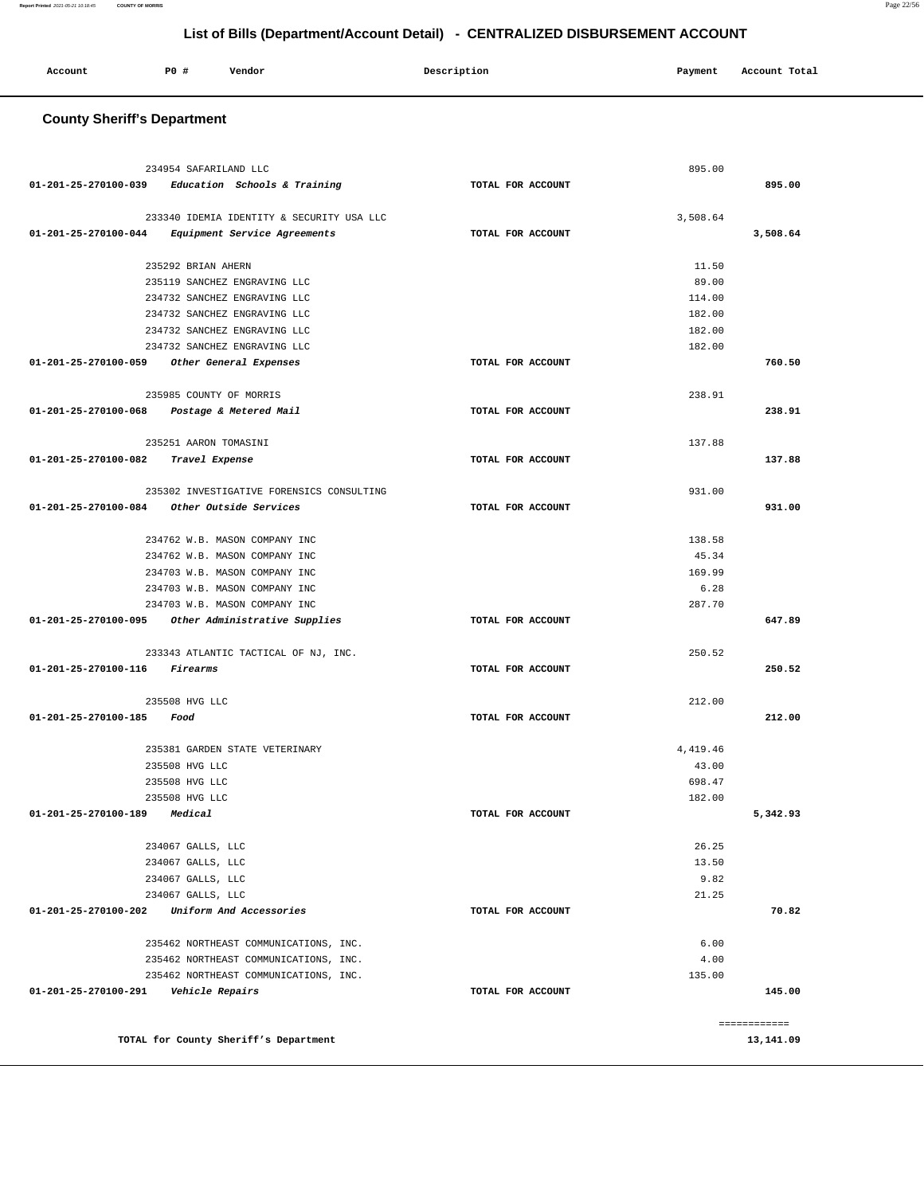| Account | P0 | Vendor | Description<br>$\sim$ $\sim$ $\sim$ | Payment | Account Total |
|---------|----|--------|-------------------------------------|---------|---------------|
|         |    |        |                                     |         |               |

# **County Sheriff's Department**

| 234954 SAFARILAND LLC                                                |                   | 895.00         |                           |
|----------------------------------------------------------------------|-------------------|----------------|---------------------------|
| $01-201-25-270100-039$ Education Schools & Training                  | TOTAL FOR ACCOUNT |                | 895.00                    |
|                                                                      |                   |                |                           |
| 233340 IDEMIA IDENTITY & SECURITY USA LLC                            |                   | 3,508.64       |                           |
| Equipment Service Agreements<br>01-201-25-270100-044                 | TOTAL FOR ACCOUNT |                | 3,508.64                  |
|                                                                      |                   |                |                           |
| 235292 BRIAN AHERN                                                   |                   | 11.50          |                           |
| 235119 SANCHEZ ENGRAVING LLC                                         |                   | 89.00          |                           |
| 234732 SANCHEZ ENGRAVING LLC                                         |                   | 114.00         |                           |
| 234732 SANCHEZ ENGRAVING LLC                                         |                   | 182.00         |                           |
| 234732 SANCHEZ ENGRAVING LLC                                         |                   | 182.00         |                           |
| 234732 SANCHEZ ENGRAVING LLC                                         |                   | 182.00         |                           |
| 01-201-25-270100-059 Other General Expenses                          | TOTAL FOR ACCOUNT |                | 760.50                    |
| 235985 COUNTY OF MORRIS                                              |                   | 238.91         |                           |
| 01-201-25-270100-068 Postage & Metered Mail                          | TOTAL FOR ACCOUNT |                | 238.91                    |
|                                                                      |                   |                |                           |
| 235251 AARON TOMASINI                                                |                   | 137.88         |                           |
| 01-201-25-270100-082<br>Travel Expense                               | TOTAL FOR ACCOUNT |                | 137.88                    |
|                                                                      |                   |                |                           |
| 235302 INVESTIGATIVE FORENSICS CONSULTING                            |                   | 931.00         |                           |
| $01-201-25-270100-084$ Other Outside Services                        | TOTAL FOR ACCOUNT |                | 931.00                    |
|                                                                      |                   | 138.58         |                           |
| 234762 W.B. MASON COMPANY INC<br>234762 W.B. MASON COMPANY INC       |                   |                |                           |
|                                                                      |                   | 45.34          |                           |
| 234703 W.B. MASON COMPANY INC<br>234703 W.B. MASON COMPANY INC       |                   | 169.99         |                           |
|                                                                      |                   | 6.28<br>287.70 |                           |
| 234703 W.B. MASON COMPANY INC                                        | TOTAL FOR ACCOUNT |                | 647.89                    |
| 01-201-25-270100-095 Other Administrative Supplies                   |                   |                |                           |
| 233343 ATLANTIC TACTICAL OF NJ, INC.                                 |                   | 250.52         |                           |
| 01-201-25-270100-116<br>Firearms                                     | TOTAL FOR ACCOUNT |                | 250.52                    |
|                                                                      |                   |                |                           |
| 235508 HVG LLC                                                       |                   | 212.00         |                           |
| 01-201-25-270100-185<br>Food                                         | TOTAL FOR ACCOUNT |                | 212.00                    |
|                                                                      |                   |                |                           |
| 235381 GARDEN STATE VETERINARY                                       |                   | 4, 419.46      |                           |
| 235508 HVG LLC                                                       |                   | 43.00          |                           |
| 235508 HVG LLC                                                       |                   | 698.47         |                           |
| 235508 HVG LLC                                                       |                   | 182.00         |                           |
| 01-201-25-270100-189<br>Medical                                      | TOTAL FOR ACCOUNT |                | 5,342.93                  |
| 234067 GALLS, LLC                                                    |                   | 26.25          |                           |
| 234067 GALLS, LLC                                                    |                   | 13.50          |                           |
|                                                                      |                   |                |                           |
|                                                                      |                   |                |                           |
| 234067 GALLS, LLC                                                    |                   | 9.82           |                           |
| 234067 GALLS, LLC<br>01-201-25-270100-202<br>Uniform And Accessories | TOTAL FOR ACCOUNT | 21.25          | 70.82                     |
|                                                                      |                   |                |                           |
| 235462 NORTHEAST COMMUNICATIONS, INC.                                |                   | 6.00           |                           |
| 235462 NORTHEAST COMMUNICATIONS, INC.                                |                   | 4.00           |                           |
| 235462 NORTHEAST COMMUNICATIONS, INC.                                |                   | 135.00         |                           |
| 01-201-25-270100-291    Vehicle Repairs                              | TOTAL FOR ACCOUNT |                | 145.00                    |
|                                                                      |                   |                |                           |
| TOTAL for County Sheriff's Department                                |                   |                | ============<br>13,141.09 |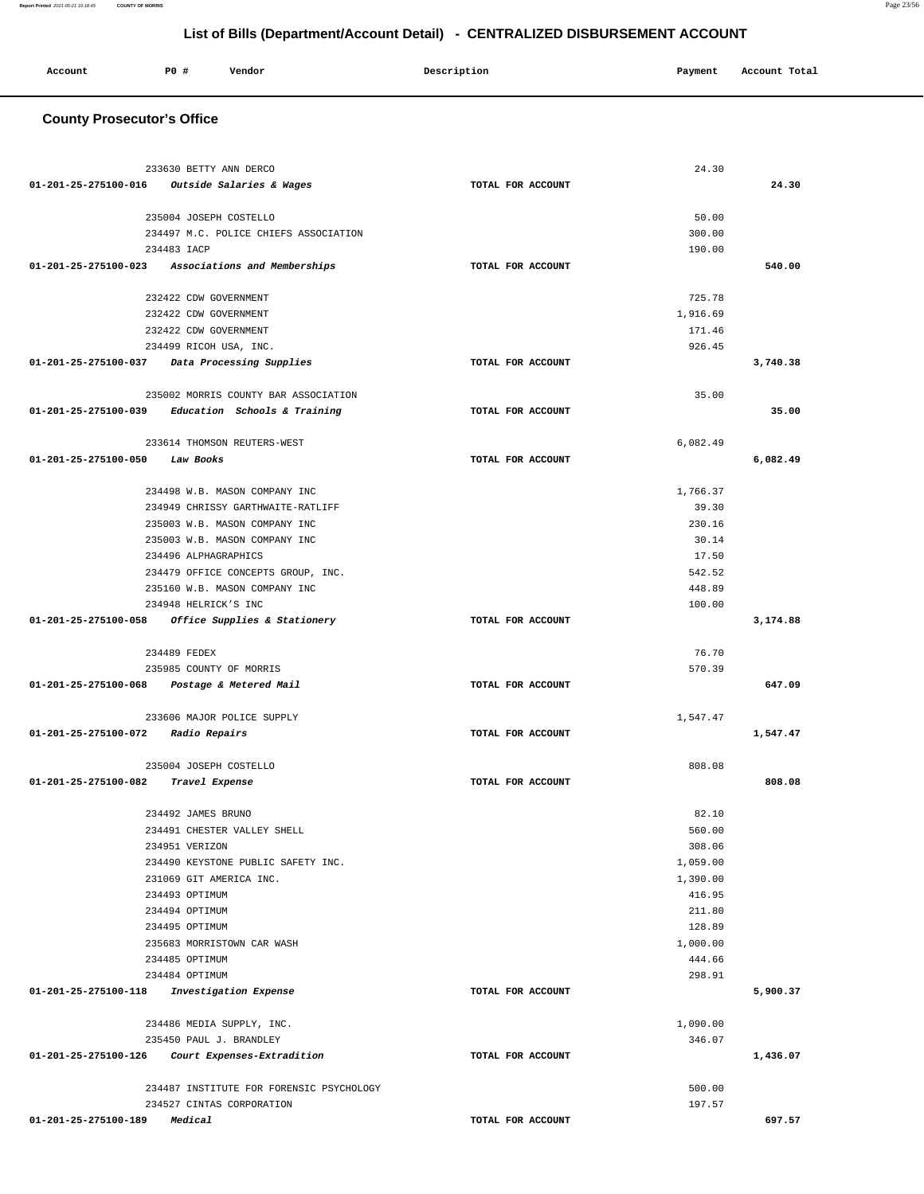### **County Prosecutor's Office** 233630 BETTY ANN DERCO **01-201-25-275100-016 Outside Salaries & Wages TOTAL FOR ACCOUNT**  24.30 **24.30** 235004 JOSEPH COSTELLO 234497 M.C. POLICE CHIEFS ASSOCIATION 234483 IACP **01-201-25-275100-023 Associations and Memberships TOTAL FOR ACCOUNT**  50.00 300.00 190.00 **540.00** 232422 CDW GOVERNMENT 232422 CDW GOVERNMENT 232422 CDW GOVERNMENT 234499 RICOH USA, INC. **01-201-25-275100-037 Data Processing Supplies TOTAL FOR ACCOUNT**  725.78 1,916.69 171.46 926.45 **3,740.38** 235002 MORRIS COUNTY BAR ASSOCIATION **01-201-25-275100-039 Education Schools & Training TOTAL FOR ACCOUNT**  35.00 **35.00** 233614 THOMSON REUTERS-WEST **01-201-25-275100-050 Law Books TOTAL FOR ACCOUNT**  6,082.49 **6,082.49** 234498 W.B. MASON COMPANY INC 234949 CHRISSY GARTHWAITE-RATLIFF 235003 W.B. MASON COMPANY INC 235003 W.B. MASON COMPANY INC 234496 ALPHAGRAPHICS 234479 OFFICE CONCEPTS GROUP, INC. 235160 W.B. MASON COMPANY INC 234948 HELRICK'S INC **01-201-25-275100-058 Office Supplies & Stationery TOTAL FOR ACCOUNT**  1,766.37 39.30 230.16 30.14 17.50 542.52 448.89 100.00 **3,174.88** 234489 FEDEX 235985 COUNTY OF MORRIS **01-201-25-275100-068 Postage & Metered Mail TOTAL FOR ACCOUNT**  76.70 570.39 **647.09** 233606 MAJOR POLICE SUPPLY **01-201-25-275100-072 Radio Repairs TOTAL FOR ACCOUNT**  1,547.47 **1,547.47** 235004 JOSEPH COSTELLO **01-201-25-275100-082 Travel Expense TOTAL FOR ACCOUNT**  808.08 **808.08** 234492 JAMES BRUNO 234491 CHESTER VALLEY SHELL 234951 VERIZON 234490 KEYSTONE PUBLIC SAFETY INC. 231069 GIT AMERICA INC. 234493 OPTIMUM 234494 OPTIMUM 234495 OPTIMUM 235683 MORRISTOWN CAR WASH 234485 OPTIMUM 234484 OPTIMUM **01-201-25-275100-118 Investigation Expense TOTAL FOR ACCOUNT**  82.10 560.00 308.06 1,059.00 1,390.00 416.95 211.80 128.89 1,000.00 444.66 298.91 **5,900.37** 234486 MEDIA SUPPLY, INC. 235450 PAUL J. BRANDLEY **01-201-25-275100-126 Court Expenses-Extradition TOTAL FOR ACCOUNT**  1,090.00 346.07 **1,436.07** 234487 INSTITUTE FOR FORENSIC PSYCHOLOGY 234527 CINTAS CORPORATION **01-201-25-275100-189 Medical TOTAL FOR ACCOUNT**  500.00 197.57 **697.57**

**List of Bills (Department/Account Detail) - CENTRALIZED DISBURSEMENT ACCOUNT**

 **Account P0 # Vendor Description Payment Account Total**

**Report Printed** 2021-05-21 10:18:45 **COUNTY OF MORRIS** Page 23/56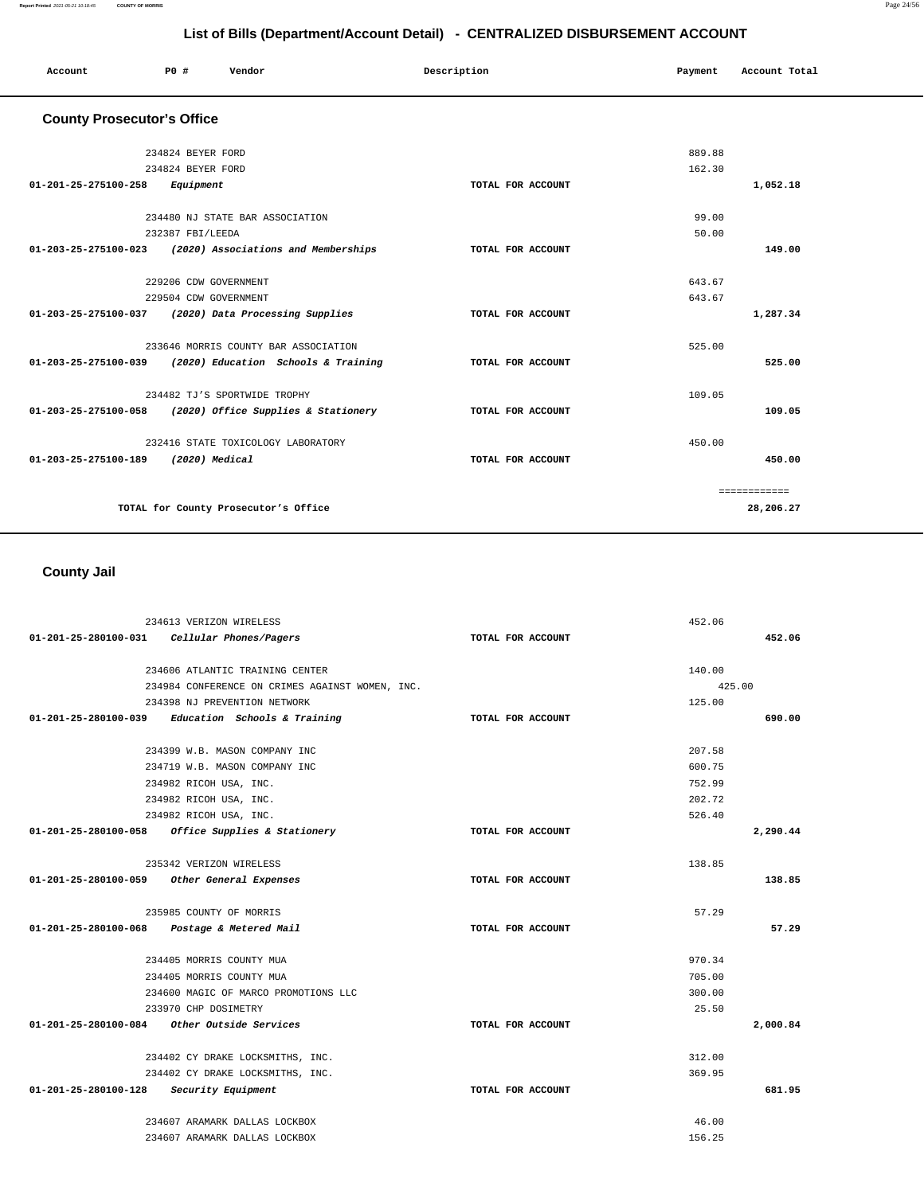**450.00**

============ **28,206.27**

|                                   | List of Bills (Department/Account Detail) - CENTRALIZED DISBURSEMENT ACCOUNT |                                      |             |                   |         |               |  |
|-----------------------------------|------------------------------------------------------------------------------|--------------------------------------|-------------|-------------------|---------|---------------|--|
| Account                           | <b>PO #</b>                                                                  | Vendor                               | Description |                   | Payment | Account Total |  |
| <b>County Prosecutor's Office</b> |                                                                              |                                      |             |                   |         |               |  |
|                                   | 234824 BEYER FORD                                                            |                                      |             |                   | 889.88  |               |  |
|                                   | 234824 BEYER FORD                                                            |                                      |             |                   | 162.30  |               |  |
| 01-201-25-275100-258              | Equipment                                                                    |                                      |             | TOTAL FOR ACCOUNT |         | 1,052.18      |  |
|                                   |                                                                              | 234480 NJ STATE BAR ASSOCIATION      |             |                   | 99.00   |               |  |
|                                   | 232387 FBI/LEEDA                                                             |                                      |             |                   | 50.00   |               |  |
| 01-203-25-275100-023              |                                                                              | (2020) Associations and Memberships  |             | TOTAL FOR ACCOUNT |         | 149.00        |  |
|                                   |                                                                              | 229206 CDW GOVERNMENT                |             |                   | 643.67  |               |  |
|                                   |                                                                              | 229504 CDW GOVERNMENT                |             |                   | 643.67  |               |  |
| 01-203-25-275100-037              |                                                                              | (2020) Data Processing Supplies      |             | TOTAL FOR ACCOUNT |         | 1,287.34      |  |
|                                   |                                                                              | 233646 MORRIS COUNTY BAR ASSOCIATION |             |                   | 525.00  |               |  |
| 01-203-25-275100-039              |                                                                              | (2020) Education Schools & Training  |             | TOTAL FOR ACCOUNT |         | 525.00        |  |
|                                   |                                                                              | 234482 TJ'S SPORTWIDE TROPHY         |             |                   | 109.05  |               |  |
| 01-203-25-275100-058              |                                                                              | (2020) Office Supplies & Stationery  |             | TOTAL FOR ACCOUNT |         | 109.05        |  |

| 01-203-25-275100-058 | Z3448Z IJ'S SPORIWIDE IROPHY<br>(2020) Office Supplies & Stationery | TOTAL FOR ACCOUNT | 109.05 |
|----------------------|---------------------------------------------------------------------|-------------------|--------|
|                      | 232416 STATE TOXICOLOGY LABORATORY                                  |                   | 450.00 |
| 01-203-25-275100-189 | (2020) Medical                                                      | TOTAL FOR ACCOUNT |        |
|                      |                                                                     |                   | $=$    |

**TOTAL for County Prosecutor's Office** 

 **County Jail** 

|                                         | 234613 VERIZON WIRELESS                             |                   | 452.06   |
|-----------------------------------------|-----------------------------------------------------|-------------------|----------|
|                                         | 01-201-25-280100-031 Cellular Phones/Pagers         | TOTAL FOR ACCOUNT | 452.06   |
|                                         | 234606 ATLANTIC TRAINING CENTER                     |                   | 140.00   |
|                                         | 234984 CONFERENCE ON CRIMES AGAINST WOMEN, INC.     |                   | 425.00   |
|                                         | 234398 NJ PREVENTION NETWORK                        |                   | 125.00   |
|                                         | 01-201-25-280100-039 Education Schools & Training   | TOTAL FOR ACCOUNT | 690.00   |
|                                         | 234399 W.B. MASON COMPANY INC                       |                   | 207.58   |
|                                         | 234719 W.B. MASON COMPANY INC                       |                   | 600.75   |
|                                         | 234982 RICOH USA, INC.                              |                   | 752.99   |
|                                         | 234982 RICOH USA, INC.                              |                   | 202.72   |
|                                         | 234982 RICOH USA, INC.                              |                   | 526.40   |
|                                         | $01-201-25-280100-058$ Office Supplies & Stationery | TOTAL FOR ACCOUNT | 2,290.44 |
|                                         | 235342 VERIZON WIRELESS                             |                   | 138.85   |
|                                         | 01-201-25-280100-059 Other General Expenses         | TOTAL FOR ACCOUNT | 138.85   |
|                                         | 235985 COUNTY OF MORRIS                             |                   | 57.29    |
| 01-201-25-280100-068                    | Postage & Metered Mail                              | TOTAL FOR ACCOUNT | 57.29    |
|                                         | 234405 MORRIS COUNTY MUA                            |                   | 970.34   |
|                                         | 234405 MORRIS COUNTY MUA                            |                   | 705.00   |
|                                         | 234600 MAGIC OF MARCO PROMOTIONS LLC                |                   | 300.00   |
|                                         | 233970 CHP DOSIMETRY                                |                   | 25.50    |
| 01-201-25-280100-084                    | Other Outside Services                              | TOTAL FOR ACCOUNT | 2,000.84 |
|                                         | 234402 CY DRAKE LOCKSMITHS, INC.                    |                   | 312.00   |
|                                         | 234402 CY DRAKE LOCKSMITHS, INC.                    |                   | 369.95   |
| 01-201-25-280100-128 Security Equipment |                                                     | TOTAL FOR ACCOUNT | 681.95   |
|                                         | 234607 ARAMARK DALLAS LOCKBOX                       |                   | 46.00    |
|                                         | 234607 ARAMARK DALLAS LOCKBOX                       |                   | 156.25   |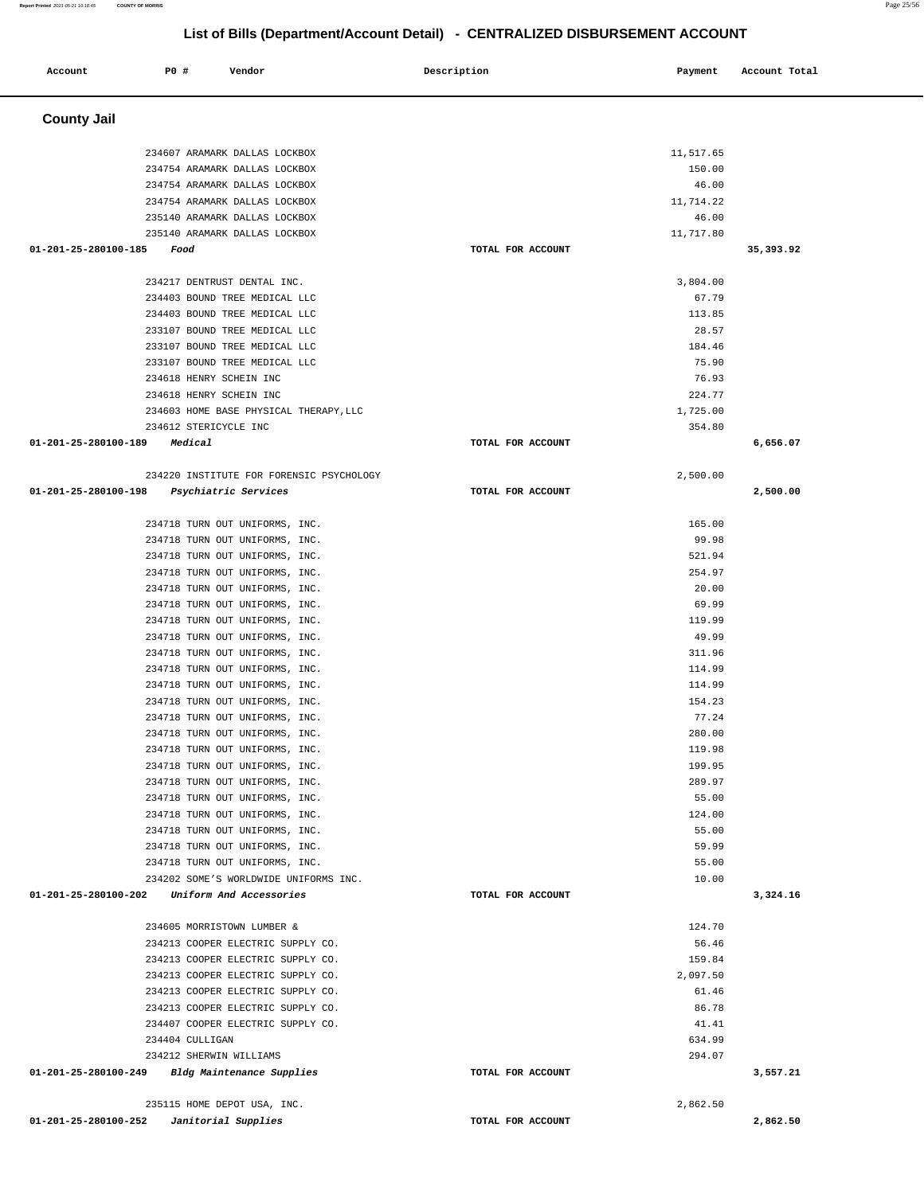| <b>PO #</b><br>Account<br>Vendor                                                         | Description       | Payment             | Account Total |
|------------------------------------------------------------------------------------------|-------------------|---------------------|---------------|
|                                                                                          |                   |                     |               |
| <b>County Jail</b>                                                                       |                   |                     |               |
|                                                                                          |                   |                     |               |
| 234607 ARAMARK DALLAS LOCKBOX<br>234754 ARAMARK DALLAS LOCKBOX                           |                   | 11,517.65<br>150.00 |               |
| 234754 ARAMARK DALLAS LOCKBOX                                                            |                   | 46.00               |               |
| 234754 ARAMARK DALLAS LOCKBOX                                                            |                   | 11,714.22           |               |
| 235140 ARAMARK DALLAS LOCKBOX                                                            |                   | 46.00               |               |
| 235140 ARAMARK DALLAS LOCKBOX                                                            |                   | 11,717.80           |               |
| 01-201-25-280100-185<br>Food                                                             | TOTAL FOR ACCOUNT |                     | 35,393.92     |
| 234217 DENTRUST DENTAL INC.                                                              |                   | 3,804.00            |               |
| 234403 BOUND TREE MEDICAL LLC                                                            |                   | 67.79               |               |
| 234403 BOUND TREE MEDICAL LLC                                                            |                   | 113.85              |               |
| 233107 BOUND TREE MEDICAL LLC                                                            |                   | 28.57               |               |
| 233107 BOUND TREE MEDICAL LLC                                                            |                   | 184.46              |               |
| 233107 BOUND TREE MEDICAL LLC                                                            |                   | 75.90               |               |
| 234618 HENRY SCHEIN INC                                                                  |                   | 76.93               |               |
| 234618 HENRY SCHEIN INC                                                                  |                   | 224.77              |               |
| 234603 HOME BASE PHYSICAL THERAPY, LLC                                                   |                   | 1,725.00            |               |
| 234612 STERICYCLE INC                                                                    |                   | 354.80              |               |
| 01-201-25-280100-189<br>Medical                                                          | TOTAL FOR ACCOUNT |                     | 6,656.07      |
| 234220 INSTITUTE FOR FORENSIC PSYCHOLOGY                                                 |                   | 2,500.00            |               |
| 01-201-25-280100-198<br>Psychiatric Services                                             | TOTAL FOR ACCOUNT |                     | 2,500.00      |
|                                                                                          |                   |                     |               |
| 234718 TURN OUT UNIFORMS, INC.                                                           |                   | 165.00              |               |
| 234718 TURN OUT UNIFORMS, INC.                                                           |                   | 99.98               |               |
| 234718 TURN OUT UNIFORMS, INC.                                                           |                   | 521.94              |               |
| 234718 TURN OUT UNIFORMS, INC.                                                           |                   | 254.97<br>20.00     |               |
| 234718 TURN OUT UNIFORMS, INC.<br>234718 TURN OUT UNIFORMS, INC.                         |                   | 69.99               |               |
| 234718 TURN OUT UNIFORMS, INC.                                                           |                   | 119.99              |               |
| 234718 TURN OUT UNIFORMS, INC.                                                           |                   | 49.99               |               |
| 234718 TURN OUT UNIFORMS, INC.                                                           |                   | 311.96              |               |
| 234718 TURN OUT UNIFORMS, INC.                                                           |                   | 114.99              |               |
| 234718 TURN OUT UNIFORMS, INC.                                                           |                   | 114.99              |               |
| 234718 TURN OUT UNIFORMS, INC.                                                           |                   | 154.23              |               |
| 234718 TURN OUT UNIFORMS, INC.                                                           |                   | 77.24               |               |
| 234718 TURN OUT UNIFORMS, INC.                                                           |                   | 280.00              |               |
| 234718 TURN OUT UNIFORMS, INC.                                                           |                   | 119.98              |               |
| 234718 TURN OUT UNIFORMS, INC.                                                           |                   | 199.95              |               |
| 234718 TURN OUT UNIFORMS, INC.                                                           |                   | 289.97              |               |
| 234718 TURN OUT UNIFORMS, INC.                                                           |                   | 55.00               |               |
| 234718 TURN OUT UNIFORMS, INC.                                                           |                   | 124.00              |               |
| 234718 TURN OUT UNIFORMS, INC.                                                           |                   | 55.00               |               |
| 234718 TURN OUT UNIFORMS, INC.                                                           |                   | 59.99               |               |
| 234718 TURN OUT UNIFORMS, INC.                                                           |                   | 55.00               |               |
| 234202 SOME'S WORLDWIDE UNIFORMS INC.<br>01-201-25-280100-202<br>Uniform And Accessories | TOTAL FOR ACCOUNT | 10.00               | 3,324.16      |
|                                                                                          |                   |                     |               |
| 234605 MORRISTOWN LUMBER &                                                               |                   | 124.70              |               |
| 234213 COOPER ELECTRIC SUPPLY CO.                                                        |                   | 56.46               |               |
| 234213 COOPER ELECTRIC SUPPLY CO.<br>234213 COOPER ELECTRIC SUPPLY CO.                   |                   | 159.84<br>2,097.50  |               |
| 234213 COOPER ELECTRIC SUPPLY CO.                                                        |                   | 61.46               |               |
| 234213 COOPER ELECTRIC SUPPLY CO.                                                        |                   | 86.78               |               |
| 234407 COOPER ELECTRIC SUPPLY CO.                                                        |                   | 41.41               |               |
| 234404 CULLIGAN                                                                          |                   | 634.99              |               |
| 234212 SHERWIN WILLIAMS                                                                  |                   | 294.07              |               |
| 01-201-25-280100-249<br>Bldg Maintenance Supplies                                        | TOTAL FOR ACCOUNT |                     | 3,557.21      |
|                                                                                          |                   |                     |               |
| 235115 HOME DEPOT USA, INC.<br>01-201-25-280100-252<br>Janitorial Supplies               | TOTAL FOR ACCOUNT | 2,862.50            | 2,862.50      |
|                                                                                          |                   |                     |               |

**Report Printed** 2021-05-21 10:18:45 **COUNTY OF MORRIS** Page 25/56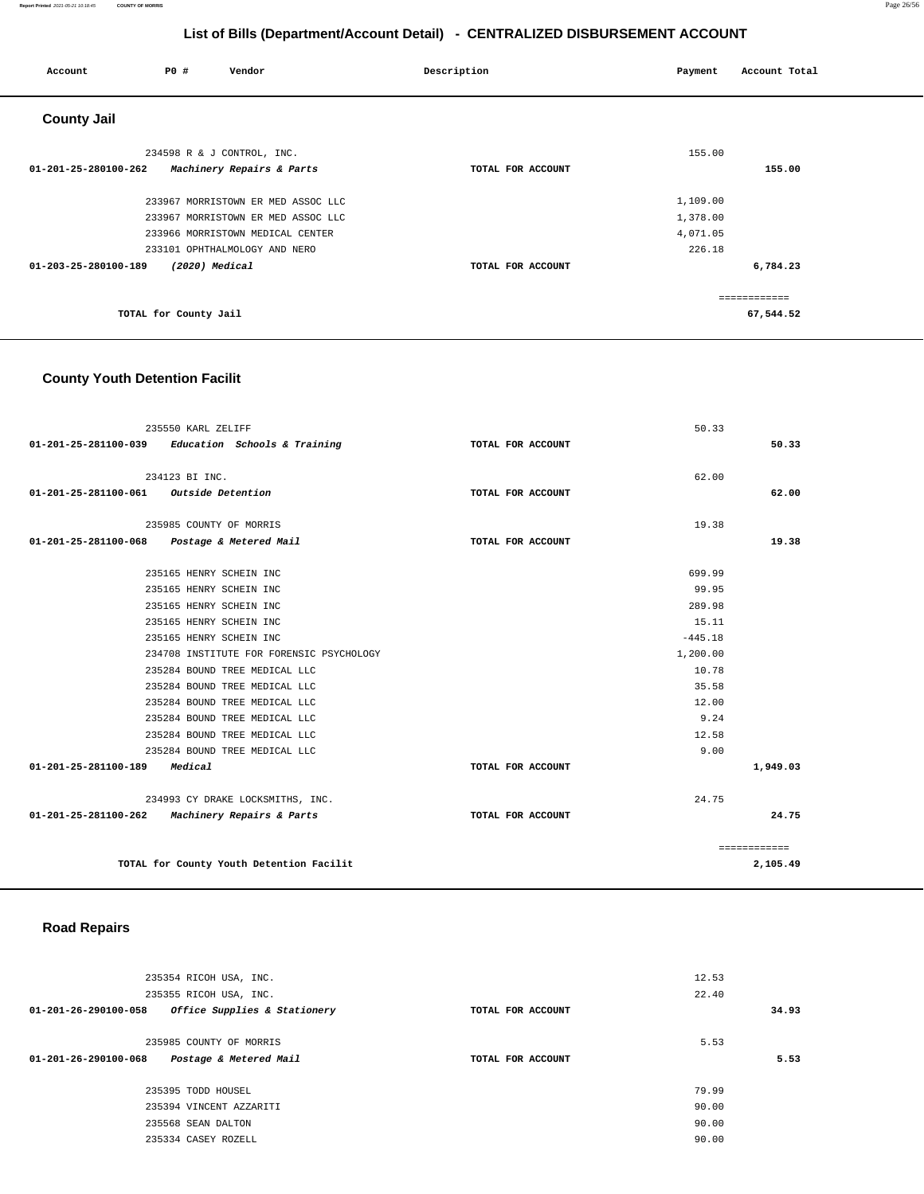### **Report Printed** 2021-05-21 10:18:45 **COUNTY OF MORRIS** Page 26/56

# **List of Bills (Department/Account Detail) - CENTRALIZED DISBURSEMENT ACCOUNT**

| Account              | <b>PO #</b>           | Vendor                             | Description       | Payment  | Account Total |
|----------------------|-----------------------|------------------------------------|-------------------|----------|---------------|
| <b>County Jail</b>   |                       |                                    |                   |          |               |
|                      |                       | 234598 R & J CONTROL, INC.         |                   | 155.00   |               |
| 01-201-25-280100-262 |                       | Machinery Repairs & Parts          | TOTAL FOR ACCOUNT |          | 155.00        |
|                      |                       | 233967 MORRISTOWN ER MED ASSOC LLC |                   | 1,109.00 |               |
|                      |                       | 233967 MORRISTOWN ER MED ASSOC LLC |                   | 1,378.00 |               |
|                      |                       | 233966 MORRISTOWN MEDICAL CENTER   |                   | 4,071.05 |               |
|                      |                       | 233101 OPHTHALMOLOGY AND NERO      |                   | 226.18   |               |
| 01-203-25-280100-189 | $(2020)$ Medical      |                                    | TOTAL FOR ACCOUNT |          | 6,784.23      |
|                      |                       |                                    |                   |          | ============  |
|                      | TOTAL for County Jail |                                    |                   |          | 67,544.52     |

# **County Youth Detention Facilit**

|                                        | 235550 KARL ZELIFF                                  |                   | 50.33     |              |
|----------------------------------------|-----------------------------------------------------|-------------------|-----------|--------------|
|                                        | $01-201-25-281100-039$ Education Schools & Training | TOTAL FOR ACCOUNT |           | 50.33        |
|                                        |                                                     |                   |           |              |
|                                        | 234123 BI INC.                                      |                   | 62.00     |              |
| 01-201-25-281100-061 Outside Detention |                                                     | TOTAL FOR ACCOUNT |           | 62.00        |
|                                        | 235985 COUNTY OF MORRIS                             |                   | 19.38     |              |
|                                        | 01-201-25-281100-068 Postage & Metered Mail         | TOTAL FOR ACCOUNT |           | 19.38        |
|                                        | 235165 HENRY SCHEIN INC                             |                   | 699.99    |              |
|                                        | 235165 HENRY SCHEIN INC                             |                   | 99.95     |              |
|                                        | 235165 HENRY SCHEIN INC                             |                   | 289.98    |              |
|                                        | 235165 HENRY SCHEIN INC                             |                   | 15.11     |              |
|                                        | 235165 HENRY SCHEIN INC                             |                   | $-445.18$ |              |
|                                        | 234708 INSTITUTE FOR FORENSIC PSYCHOLOGY            |                   | 1,200.00  |              |
|                                        | 235284 BOUND TREE MEDICAL LLC                       |                   | 10.78     |              |
|                                        | 235284 BOUND TREE MEDICAL LLC                       |                   | 35.58     |              |
|                                        | 235284 BOUND TREE MEDICAL LLC                       |                   | 12.00     |              |
|                                        | 235284 BOUND TREE MEDICAL LLC                       |                   | 9.24      |              |
|                                        | 235284 BOUND TREE MEDICAL LLC                       |                   | 12.58     |              |
|                                        | 235284 BOUND TREE MEDICAL LLC                       |                   | 9.00      |              |
| 01-201-25-281100-189 Medical           |                                                     | TOTAL FOR ACCOUNT |           | 1,949.03     |
|                                        | 234993 CY DRAKE LOCKSMITHS, INC.                    |                   | 24.75     |              |
|                                        | 01-201-25-281100-262 Machinery Repairs & Parts      | TOTAL FOR ACCOUNT |           | 24.75        |
|                                        |                                                     |                   |           | ============ |
|                                        | TOTAL for County Youth Detention Facilit            |                   |           | 2,105.49     |

### **Road Repairs**

| 235354 RICOH USA, INC.                                   |                   | 12.53 |       |
|----------------------------------------------------------|-------------------|-------|-------|
| 235355 RICOH USA, INC.                                   |                   | 22.40 |       |
| Office Supplies & Stationery<br>01-201-26-290100-058     | TOTAL FOR ACCOUNT |       | 34.93 |
|                                                          |                   |       |       |
| 235985 COUNTY OF MORRIS                                  |                   | 5.53  |       |
| $01 - 201 - 26 - 290100 - 068$<br>Postage & Metered Mail | TOTAL FOR ACCOUNT |       | 5.53  |
|                                                          |                   |       |       |
| 235395 TODD HOUSEL                                       |                   | 79.99 |       |
| 235394 VINCENT AZZARITI                                  |                   | 90.00 |       |
| 235568 SEAN DALTON                                       |                   | 90.00 |       |
| 235334 CASEY ROZELL                                      |                   | 90.00 |       |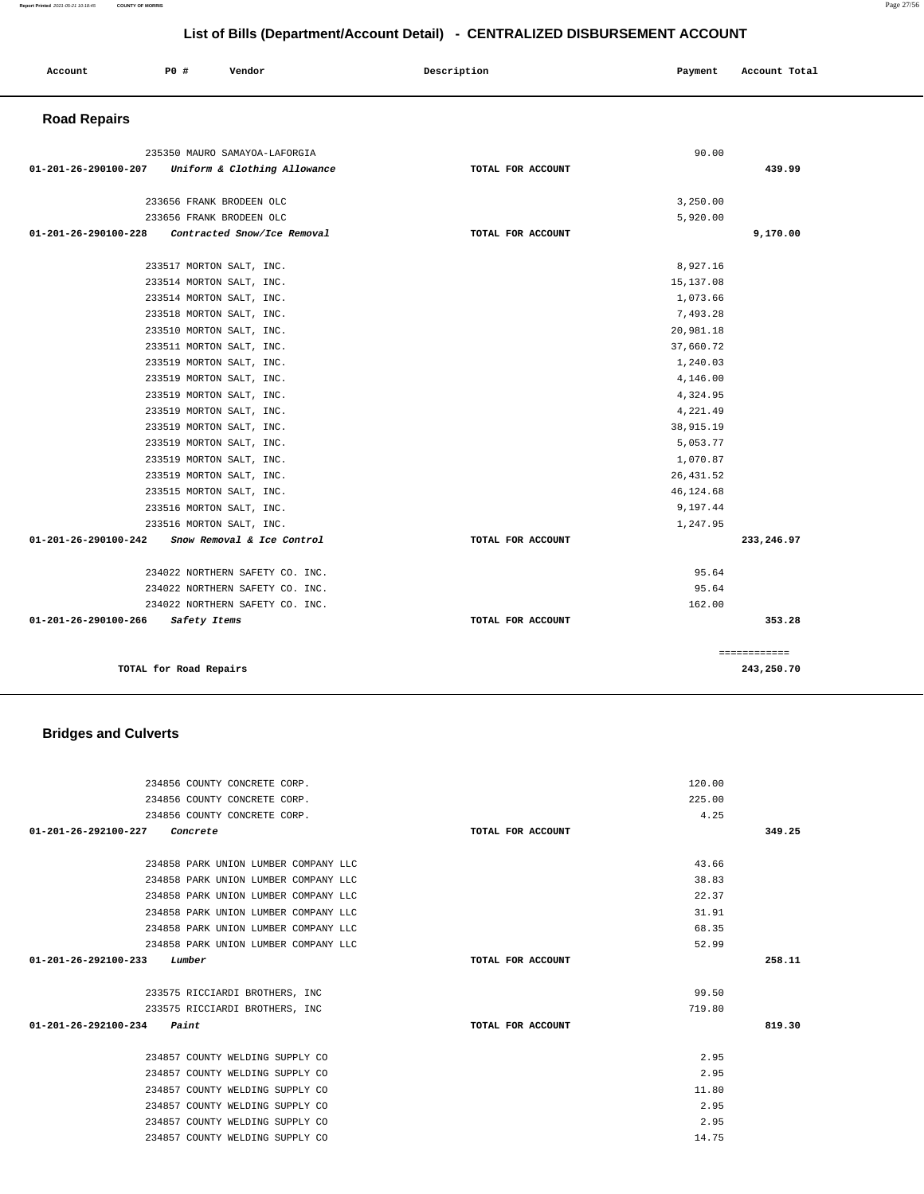| List of Dills (DepartmentAccount Detail) - CENTINALIZED DISDONSEMENT ACCOUNT |                          |                                 |                   |            |               |
|------------------------------------------------------------------------------|--------------------------|---------------------------------|-------------------|------------|---------------|
| Account                                                                      | <b>PO #</b>              | Vendor                          | Description       | Payment    | Account Total |
| <b>Road Repairs</b>                                                          |                          |                                 |                   |            |               |
|                                                                              |                          | 235350 MAURO SAMAYOA-LAFORGIA   |                   | 90.00      |               |
| 01-201-26-290100-207                                                         |                          | Uniform & Clothing Allowance    | TOTAL FOR ACCOUNT |            | 439.99        |
|                                                                              |                          |                                 |                   |            |               |
|                                                                              | 233656 FRANK BRODEEN OLC |                                 |                   | 3,250.00   |               |
|                                                                              | 233656 FRANK BRODEEN OLC |                                 |                   | 5,920.00   |               |
| 01-201-26-290100-228                                                         |                          | Contracted Snow/Ice Removal     | TOTAL FOR ACCOUNT |            | 9,170.00      |
|                                                                              | 233517 MORTON SALT, INC. |                                 |                   | 8,927.16   |               |
|                                                                              | 233514 MORTON SALT, INC. |                                 |                   | 15, 137.08 |               |
|                                                                              | 233514 MORTON SALT, INC. |                                 |                   | 1,073.66   |               |
|                                                                              | 233518 MORTON SALT, INC. |                                 |                   | 7,493.28   |               |
|                                                                              | 233510 MORTON SALT, INC. |                                 |                   | 20,981.18  |               |
|                                                                              | 233511 MORTON SALT, INC. |                                 |                   | 37,660.72  |               |
|                                                                              | 233519 MORTON SALT, INC. |                                 |                   | 1,240.03   |               |
|                                                                              | 233519 MORTON SALT, INC. |                                 |                   | 4,146.00   |               |
|                                                                              | 233519 MORTON SALT, INC. |                                 |                   | 4,324.95   |               |
|                                                                              | 233519 MORTON SALT, INC. |                                 |                   | 4,221.49   |               |
|                                                                              | 233519 MORTON SALT, INC. |                                 |                   | 38, 915.19 |               |
|                                                                              | 233519 MORTON SALT, INC. |                                 |                   | 5,053.77   |               |
|                                                                              | 233519 MORTON SALT, INC. |                                 |                   | 1,070.87   |               |
|                                                                              | 233519 MORTON SALT, INC. |                                 |                   | 26, 431.52 |               |
|                                                                              | 233515 MORTON SALT, INC. |                                 |                   | 46,124.68  |               |
|                                                                              | 233516 MORTON SALT, INC. |                                 |                   | 9,197.44   |               |
|                                                                              | 233516 MORTON SALT, INC. |                                 |                   | 1,247.95   |               |
| $01 - 201 - 26 - 290100 - 242$                                               |                          | Snow Removal & Ice Control      | TOTAL FOR ACCOUNT |            | 233,246.97    |
|                                                                              |                          | 234022 NORTHERN SAFETY CO. INC. |                   | 95.64      |               |
|                                                                              |                          | 234022 NORTHERN SAFETY CO. INC. |                   | 95.64      |               |
|                                                                              |                          | 234022 NORTHERN SAFETY CO. INC. |                   | 162.00     |               |
| 01-201-26-290100-266                                                         | Safety Items             |                                 | TOTAL FOR ACCOUNT |            | 353.28        |
|                                                                              |                          |                                 |                   |            | ============  |
|                                                                              | TOTAL for Road Repairs   |                                 |                   |            | 243,250.70    |

## **Bridges and Culverts**

| 234856 COUNTY CONCRETE CORP.               |                   | 120.00 |        |
|--------------------------------------------|-------------------|--------|--------|
| 234856 COUNTY CONCRETE CORP.               |                   | 225.00 |        |
| 234856 COUNTY CONCRETE CORP.               |                   | 4.25   |        |
| $01 - 201 - 26 - 292100 - 227$<br>Concrete | TOTAL FOR ACCOUNT |        | 349.25 |
|                                            |                   |        |        |
| 234858 PARK UNION LUMBER COMPANY LLC       |                   | 43.66  |        |
| 234858 PARK UNION LUMBER COMPANY LLC       |                   | 38.83  |        |
| 234858 PARK UNION LUMBER COMPANY LLC       |                   | 22.37  |        |
| 234858 PARK UNION LUMBER COMPANY LLC       |                   | 31.91  |        |
| 234858 PARK UNION LUMBER COMPANY LLC       |                   | 68.35  |        |
| 234858 PARK UNION LUMBER COMPANY LLC       |                   | 52.99  |        |
| $01 - 201 - 26 - 292100 - 233$<br>Lumber   | TOTAL FOR ACCOUNT |        | 258.11 |
|                                            |                   |        |        |
| 233575 RICCIARDI BROTHERS, INC             |                   | 99.50  |        |
| 233575 RICCIARDI BROTHERS, INC             |                   | 719.80 |        |
| $01 - 201 - 26 - 292100 - 234$<br>Paint    | TOTAL FOR ACCOUNT |        | 819.30 |
| 234857 COUNTY WELDING SUPPLY CO            |                   | 2.95   |        |
| 234857 COUNTY WELDING SUPPLY CO            |                   | 2.95   |        |
| 234857 COUNTY WELDING SUPPLY CO            |                   | 11.80  |        |
| 234857 COUNTY WELDING SUPPLY CO            |                   | 2.95   |        |
|                                            |                   |        |        |
| 234857 COUNTY WELDING SUPPLY CO            |                   | 2.95   |        |
| 234857 COUNTY WELDING SUPPLY CO            |                   | 14.75  |        |

**Report Printed** 2021-05-21 10:18:45 **COUNTY OF MORRIS** Page 27/56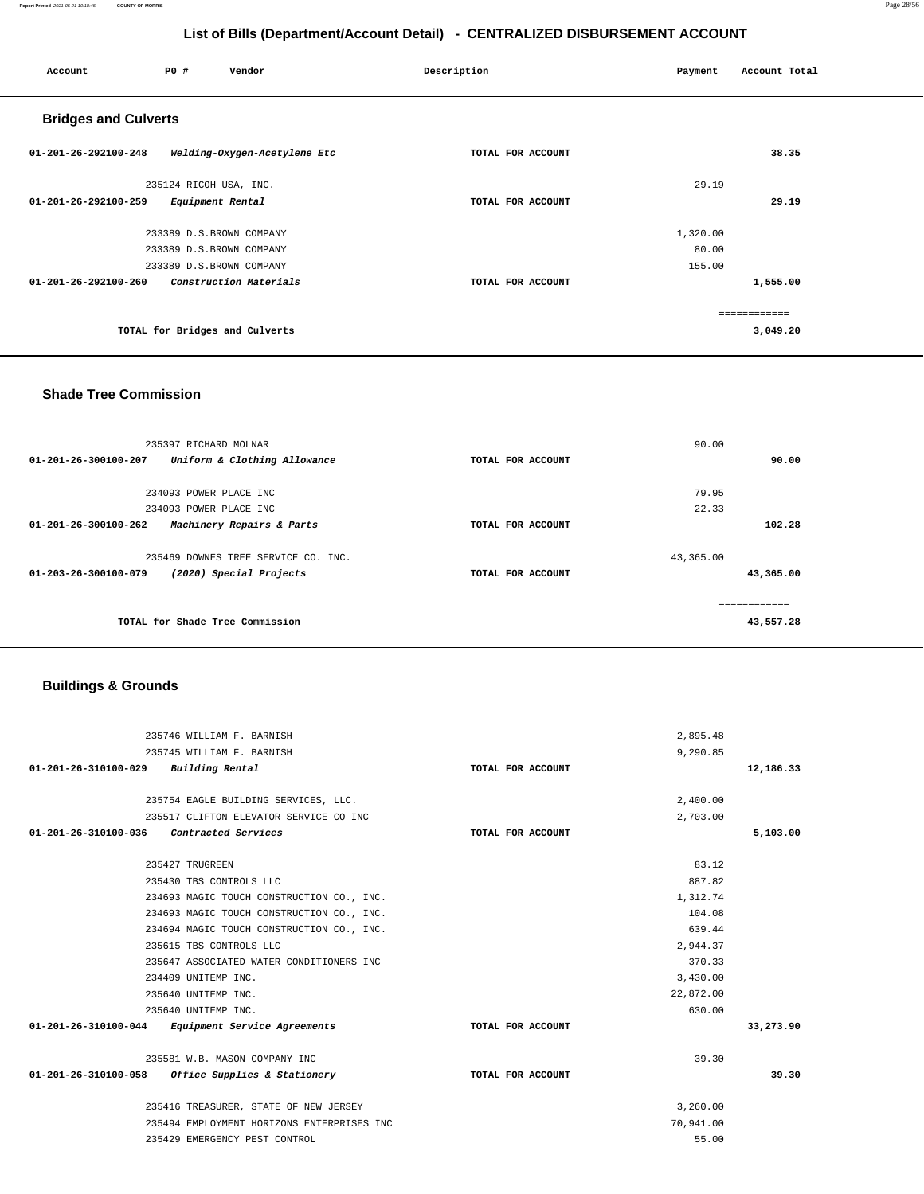### **Report Printed** 2021-05-21 10:18:45 **COUNTY OF MORRIS** Page 28/56

# **List of Bills (Department/Account Detail) - CENTRALIZED DISBURSEMENT ACCOUNT**

| Account                        | P0 #<br>Vendor                 | Description       | Payment  | Account Total |
|--------------------------------|--------------------------------|-------------------|----------|---------------|
| <b>Bridges and Culverts</b>    |                                |                   |          |               |
| 01-201-26-292100-248           | Welding-Oxygen-Acetylene Etc   | TOTAL FOR ACCOUNT |          | 38.35         |
|                                | 235124 RICOH USA, INC.         |                   | 29.19    |               |
| 01-201-26-292100-259           | Equipment Rental               | TOTAL FOR ACCOUNT |          | 29.19         |
|                                | 233389 D.S.BROWN COMPANY       |                   | 1,320.00 |               |
|                                | 233389 D.S.BROWN COMPANY       |                   | 80.00    |               |
|                                | 233389 D.S.BROWN COMPANY       |                   | 155.00   |               |
| $01 - 201 - 26 - 292100 - 260$ | Construction Materials         | TOTAL FOR ACCOUNT |          | 1,555.00      |
|                                |                                |                   |          | ------------  |
|                                | TOTAL for Bridges and Culverts |                   |          | 3,049.20      |
|                                |                                |                   |          |               |

### **Shade Tree Commission**

| 235397 RICHARD MOLNAR                                     | 90.00             |           |
|-----------------------------------------------------------|-------------------|-----------|
| 01-201-26-300100-207<br>Uniform & Clothing Allowance      | TOTAL FOR ACCOUNT | 90.00     |
|                                                           |                   |           |
| 234093 POWER PLACE INC                                    | 79.95             |           |
| 234093 POWER PLACE INC                                    | 22.33             |           |
| Machinery Repairs & Parts<br>01-201-26-300100-262         | TOTAL FOR ACCOUNT | 102.28    |
| 235469 DOWNES TREE SERVICE CO. INC.                       | 43,365.00         |           |
| $01 - 203 - 26 - 300100 - 079$<br>(2020) Special Projects | TOTAL FOR ACCOUNT | 43,365.00 |
|                                                           |                   |           |
| TOTAL for Shade Tree Commission                           |                   | 43,557.28 |

# **Buildings & Grounds**

| 235746 WILLIAM F. BARNISH                         |                   | 2,895.48  |           |
|---------------------------------------------------|-------------------|-----------|-----------|
| 235745 WILLIAM F. BARNISH                         |                   | 9,290.85  |           |
| 01-201-26-310100-029 Building Rental              | TOTAL FOR ACCOUNT |           | 12,186.33 |
|                                                   |                   |           |           |
| 235754 EAGLE BUILDING SERVICES, LLC.              |                   | 2,400.00  |           |
| 235517 CLIFTON ELEVATOR SERVICE CO INC            |                   | 2,703.00  |           |
| 01-201-26-310100-036 Contracted Services          | TOTAL FOR ACCOUNT |           | 5,103.00  |
| 235427 TRUGREEN                                   |                   | 83.12     |           |
| 235430 TBS CONTROLS LLC                           |                   | 887.82    |           |
| 234693 MAGIC TOUCH CONSTRUCTION CO., INC.         |                   | 1,312.74  |           |
| 234693 MAGIC TOUCH CONSTRUCTION CO., INC.         |                   | 104.08    |           |
| 234694 MAGIC TOUCH CONSTRUCTION CO., INC.         |                   | 639.44    |           |
| 235615 TBS CONTROLS LLC                           |                   | 2,944.37  |           |
| 235647 ASSOCIATED WATER CONDITIONERS INC          |                   | 370.33    |           |
| 234409 UNITEMP INC.                               |                   | 3,430.00  |           |
| 235640 UNITEMP INC.                               |                   | 22,872.00 |           |
| 235640 UNITEMP INC.                               |                   | 630.00    |           |
| 01-201-26-310100-044 Equipment Service Agreements | TOTAL FOR ACCOUNT |           | 33,273.90 |
| 235581 W.B. MASON COMPANY INC                     |                   | 39.30     |           |
| 01-201-26-310100-058 Office Supplies & Stationery | TOTAL FOR ACCOUNT |           | 39.30     |
| 235416 TREASURER, STATE OF NEW JERSEY             |                   | 3,260.00  |           |
| 235494 EMPLOYMENT HORIZONS ENTERPRISES INC        |                   | 70,941.00 |           |
| 235429 EMERGENCY PEST CONTROL                     |                   | 55.00     |           |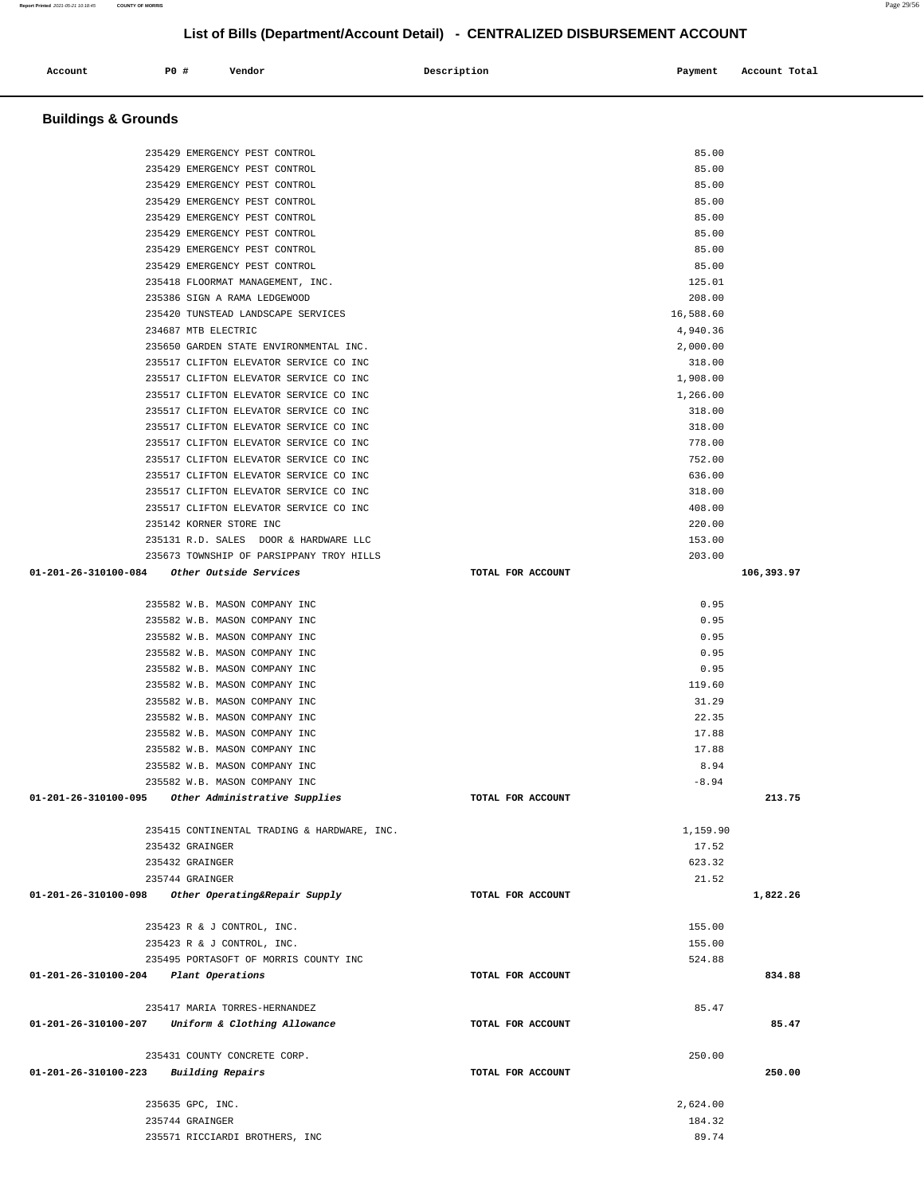| 235429 EMERGENCY PEST CONTROL                      | 85.00             |            |
|----------------------------------------------------|-------------------|------------|
| 235429 EMERGENCY PEST CONTROL                      | 85.00             |            |
| 235429 EMERGENCY PEST CONTROL                      | 85.00             |            |
| 235429 EMERGENCY PEST CONTROL                      | 85.00             |            |
| 235429 EMERGENCY PEST CONTROL                      | 85.00             |            |
| 235429 EMERGENCY PEST CONTROL                      | 85.00             |            |
| 235429 EMERGENCY PEST CONTROL                      | 85.00             |            |
| 235418 FLOORMAT MANAGEMENT, INC.                   | 125.01            |            |
| 235386 SIGN A RAMA LEDGEWOOD                       | 208.00            |            |
| 235420 TUNSTEAD LANDSCAPE SERVICES                 |                   |            |
|                                                    | 16,588.60         |            |
| 234687 MTB ELECTRIC                                | 4,940.36          |            |
| 235650 GARDEN STATE ENVIRONMENTAL INC.             | 2,000.00          |            |
| 235517 CLIFTON ELEVATOR SERVICE CO INC             | 318.00            |            |
| 235517 CLIFTON ELEVATOR SERVICE CO INC             | 1,908.00          |            |
| 235517 CLIFTON ELEVATOR SERVICE CO INC             | 1,266.00          |            |
| 235517 CLIFTON ELEVATOR SERVICE CO INC             | 318.00            |            |
| 235517 CLIFTON ELEVATOR SERVICE CO INC             | 318.00            |            |
| 235517 CLIFTON ELEVATOR SERVICE CO INC             | 778.00            |            |
| 235517 CLIFTON ELEVATOR SERVICE CO INC             | 752.00            |            |
| 235517 CLIFTON ELEVATOR SERVICE CO INC             | 636.00            |            |
| 235517 CLIFTON ELEVATOR SERVICE CO INC             | 318.00            |            |
| 235517 CLIFTON ELEVATOR SERVICE CO INC             | 408.00            |            |
| 235142 KORNER STORE INC                            | 220.00            |            |
| 235131 R.D. SALES DOOR & HARDWARE LLC              | 153.00            |            |
| 235673 TOWNSHIP OF PARSIPPANY TROY HILLS           | 203.00            |            |
| 01-201-26-310100-084 Other Outside Services        | TOTAL FOR ACCOUNT | 106,393.97 |
|                                                    |                   |            |
| 235582 W.B. MASON COMPANY INC                      | 0.95              |            |
| 235582 W.B. MASON COMPANY INC                      | 0.95              |            |
| 235582 W.B. MASON COMPANY INC                      | 0.95              |            |
|                                                    |                   |            |
| 235582 W.B. MASON COMPANY INC                      | 0.95              |            |
| 235582 W.B. MASON COMPANY INC                      | 0.95              |            |
| 235582 W.B. MASON COMPANY INC                      | 119.60            |            |
| 235582 W.B. MASON COMPANY INC                      | 31.29             |            |
| 235582 W.B. MASON COMPANY INC                      | 22.35             |            |
| 235582 W.B. MASON COMPANY INC                      | 17.88             |            |
| 235582 W.B. MASON COMPANY INC                      | 17.88             |            |
| 235582 W.B. MASON COMPANY INC                      | 8.94              |            |
| 235582 W.B. MASON COMPANY INC                      | $-8.94$           |            |
| 01-201-26-310100-095 Other Administrative Supplies | TOTAL FOR ACCOUNT | 213.75     |
|                                                    |                   |            |
| 235415 CONTINENTAL TRADING & HARDWARE, INC.        | 1,159.90          |            |
| 235432 GRAINGER                                    | 17.52             |            |
| 235432 GRAINGER                                    | 623.32            |            |
| 235744 GRAINGER                                    | 21.52             |            |
| 01-201-26-310100-098 Other Operating&Repair Supply | TOTAL FOR ACCOUNT | 1,822.26   |
|                                                    |                   |            |
| 235423 R & J CONTROL, INC.                         | 155.00            |            |
| 235423 R & J CONTROL, INC.                         | 155.00            |            |
| 235495 PORTASOFT OF MORRIS COUNTY INC              | 524.88            |            |
| 01-201-26-310100-204 Plant Operations              | TOTAL FOR ACCOUNT | 834.88     |
|                                                    |                   |            |
| 235417 MARIA TORRES-HERNANDEZ                      | 85.47             |            |
|                                                    |                   |            |
| 01-201-26-310100-207 Uniform & Clothing Allowance  | TOTAL FOR ACCOUNT | 85.47      |
|                                                    |                   |            |
| 235431 COUNTY CONCRETE CORP.                       | 250.00            |            |
| 01-201-26-310100-223 Building Repairs              | TOTAL FOR ACCOUNT | 250.00     |
|                                                    |                   |            |
| 235635 GPC, INC.                                   | 2,624.00          |            |
| 235744 GRAINGER                                    | 184.32            |            |
| 235571 RICCIARDI BROTHERS, INC                     | 89.74             |            |

 **Buildings & Grounds** 

**Account** P0 # Vendor Payment Account Total

235429 EMERGENCY PEST CONTROL 85.00

**List of Bills (Department/Account Detail) - CENTRALIZED DISBURSEMENT ACCOUNT**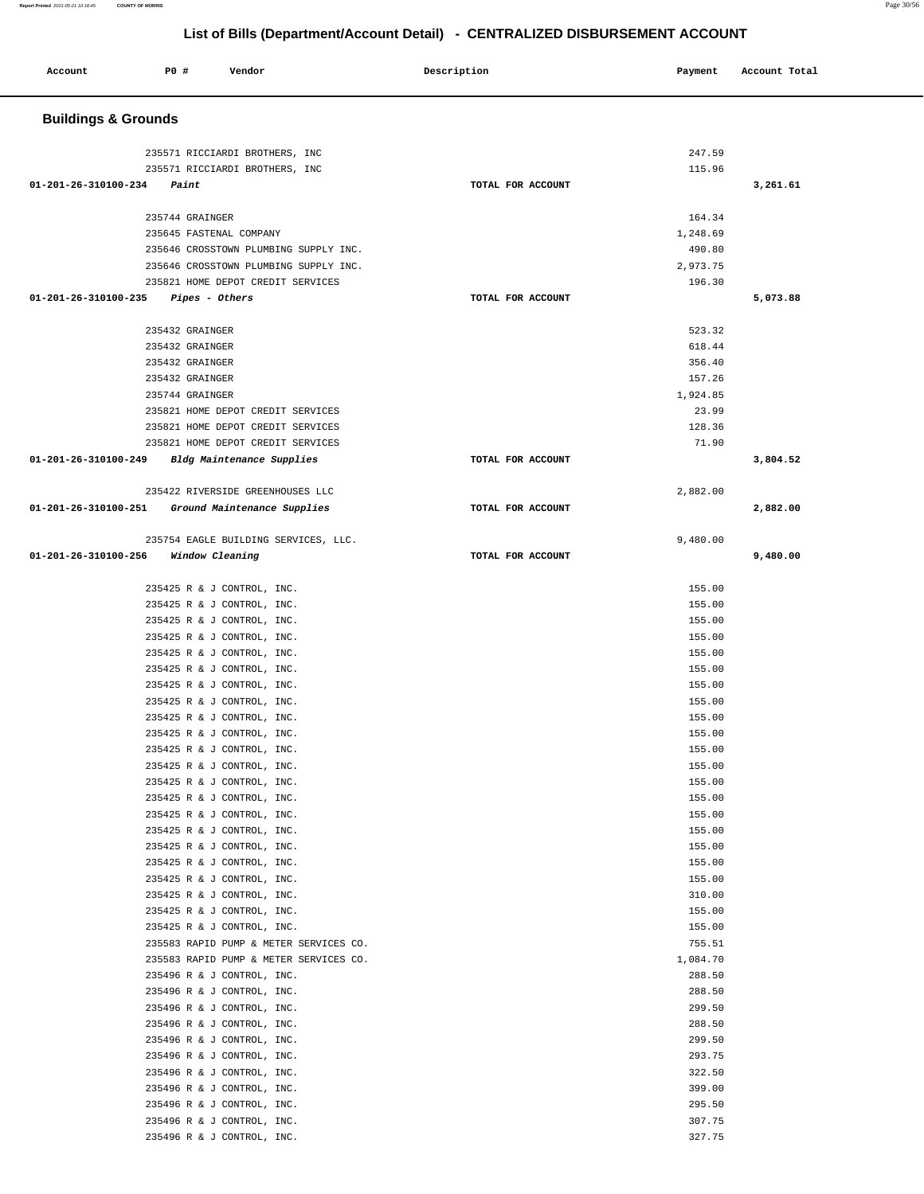| Account                        | <b>PO #</b><br>Vendor                                                | Description       | Payment          | Account Total |
|--------------------------------|----------------------------------------------------------------------|-------------------|------------------|---------------|
| <b>Buildings &amp; Grounds</b> |                                                                      |                   |                  |               |
|                                | 235571 RICCIARDI BROTHERS, INC                                       |                   | 247.59           |               |
|                                | 235571 RICCIARDI BROTHERS, INC                                       |                   | 115.96           |               |
| 01-201-26-310100-234           | Paint                                                                | TOTAL FOR ACCOUNT |                  | 3,261.61      |
|                                |                                                                      |                   |                  |               |
|                                | 235744 GRAINGER                                                      |                   | 164.34           |               |
|                                | 235645 FASTENAL COMPANY                                              |                   | 1,248.69         |               |
|                                | 235646 CROSSTOWN PLUMBING SUPPLY INC.                                |                   | 490.80           |               |
|                                | 235646 CROSSTOWN PLUMBING SUPPLY INC.                                |                   | 2,973.75         |               |
| 01-201-26-310100-235           | 235821 HOME DEPOT CREDIT SERVICES<br>Pipes - Others                  | TOTAL FOR ACCOUNT | 196.30           | 5,073.88      |
|                                |                                                                      |                   |                  |               |
|                                | 235432 GRAINGER                                                      |                   | 523.32           |               |
|                                | 235432 GRAINGER                                                      |                   | 618.44           |               |
|                                | 235432 GRAINGER                                                      |                   | 356.40           |               |
|                                | 235432 GRAINGER                                                      |                   | 157.26           |               |
|                                | 235744 GRAINGER                                                      |                   | 1,924.85         |               |
|                                | 235821 HOME DEPOT CREDIT SERVICES                                    |                   | 23.99            |               |
|                                | 235821 HOME DEPOT CREDIT SERVICES                                    |                   | 128.36           |               |
|                                | 235821 HOME DEPOT CREDIT SERVICES                                    |                   | 71.90            |               |
| 01-201-26-310100-249           | Bldg Maintenance Supplies                                            | TOTAL FOR ACCOUNT |                  | 3,804.52      |
|                                | 235422 RIVERSIDE GREENHOUSES LLC                                     |                   | 2,882.00         |               |
| 01-201-26-310100-251           | Ground Maintenance Supplies                                          | TOTAL FOR ACCOUNT |                  | 2,882.00      |
|                                |                                                                      |                   |                  |               |
|                                | 235754 EAGLE BUILDING SERVICES, LLC.                                 |                   | 9,480.00         |               |
| 01-201-26-310100-256           | Window Cleaning                                                      | TOTAL FOR ACCOUNT |                  | 9,480.00      |
|                                |                                                                      |                   |                  |               |
|                                | 235425 R & J CONTROL, INC.                                           |                   | 155.00           |               |
|                                | 235425 R & J CONTROL, INC.                                           |                   | 155.00           |               |
|                                | 235425 R & J CONTROL, INC.                                           |                   | 155.00           |               |
|                                | 235425 R & J CONTROL, INC.                                           |                   | 155.00           |               |
|                                | 235425 R & J CONTROL, INC.                                           |                   | 155.00           |               |
|                                | 235425 R & J CONTROL, INC.                                           |                   | 155.00<br>155.00 |               |
|                                | 235425 R & J CONTROL, INC.<br>235425 R & J CONTROL, INC.             |                   | 155.00           |               |
|                                | 235425 R & J CONTROL, INC.                                           |                   | 155.00           |               |
|                                | 235425 R & J CONTROL, INC.                                           |                   | 155.00           |               |
|                                | 235425 R & J CONTROL, INC.                                           |                   | 155.00           |               |
|                                | 235425 R & J CONTROL, INC.                                           |                   | 155.00           |               |
|                                | 235425 R & J CONTROL, INC.                                           |                   | 155.00           |               |
|                                | 235425 R & J CONTROL, INC.                                           |                   | 155.00           |               |
|                                | 235425 R & J CONTROL, INC.                                           |                   | 155.00           |               |
|                                | 235425 R & J CONTROL, INC.                                           |                   | 155.00           |               |
|                                | 235425 R & J CONTROL, INC.                                           |                   | 155.00           |               |
|                                | 235425 R & J CONTROL, INC.                                           |                   | 155.00           |               |
|                                | 235425 R & J CONTROL, INC.                                           |                   | 155.00           |               |
|                                | 235425 R & J CONTROL, INC.                                           |                   | 310.00           |               |
|                                | 235425 R & J CONTROL, INC.                                           |                   | 155.00           |               |
|                                | 235425 R & J CONTROL, INC.<br>235583 RAPID PUMP & METER SERVICES CO. |                   | 155.00<br>755.51 |               |
|                                | 235583 RAPID PUMP & METER SERVICES CO.                               |                   | 1,084.70         |               |
|                                | 235496 R & J CONTROL, INC.                                           |                   | 288.50           |               |
|                                | 235496 R & J CONTROL, INC.                                           |                   | 288.50           |               |
|                                | 235496 R & J CONTROL, INC.                                           |                   | 299.50           |               |
|                                | 235496 R & J CONTROL, INC.                                           |                   | 288.50           |               |
|                                | 235496 R & J CONTROL, INC.                                           |                   | 299.50           |               |
|                                | 235496 R & J CONTROL, INC.                                           |                   | 293.75           |               |
|                                | 235496 R & J CONTROL, INC.                                           |                   | 322.50           |               |
|                                | 235496 R & J CONTROL, INC.                                           |                   | 399.00           |               |
|                                | 235496 R & J CONTROL, INC.                                           |                   | 295.50           |               |

235496 R & J CONTROL, INC.<br>235496 R & J CONTROL, INC. 327.75

235496 R & J CONTROL, INC.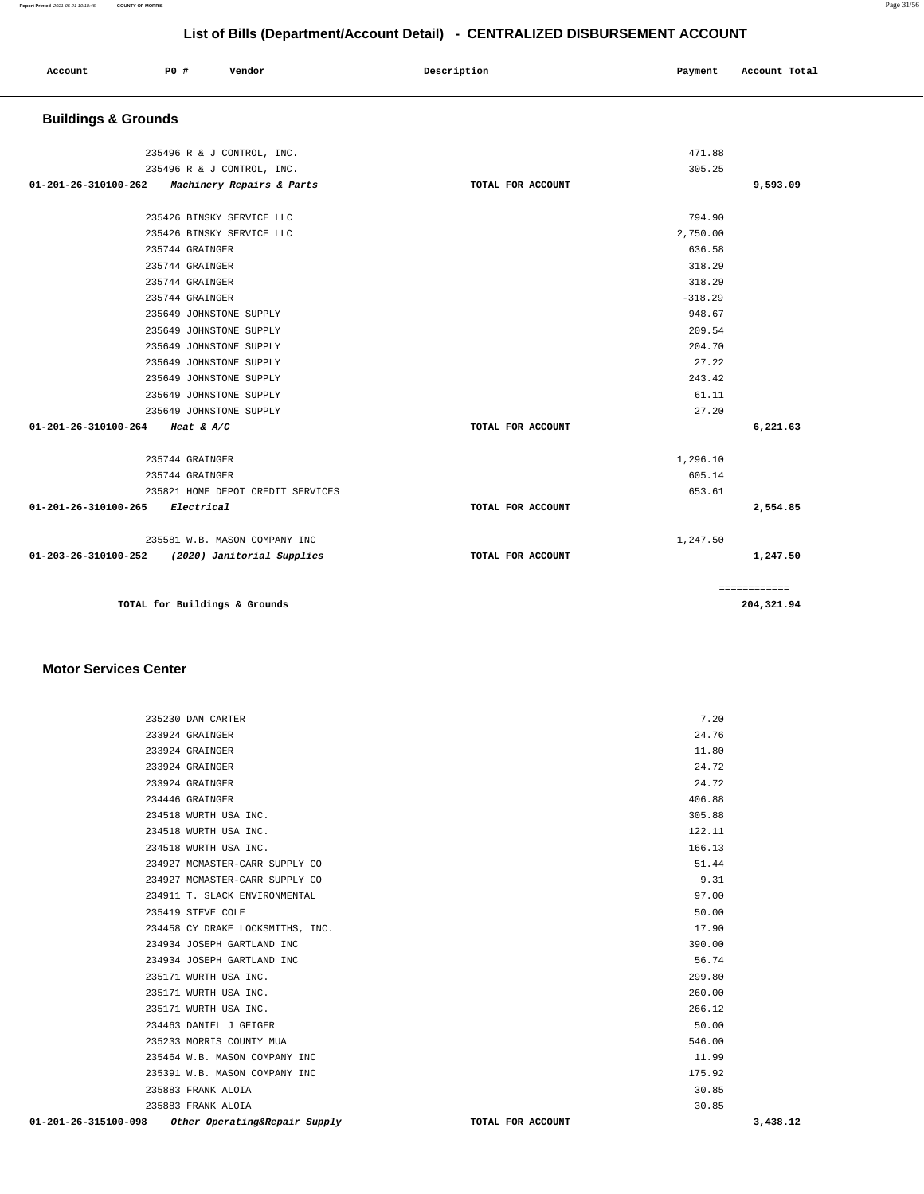|  | Account<br>. | P0 # | Vendor | Description | Payment | Account Total |
|--|--------------|------|--------|-------------|---------|---------------|
|--|--------------|------|--------|-------------|---------|---------------|

# **Buildings & Grounds**

| 235496 R & J CONTROL, INC.                      |                   | 471.88     |              |
|-------------------------------------------------|-------------------|------------|--------------|
| 235496 R & J CONTROL, INC.                      |                   | 305.25     |              |
| 01-201-26-310100-262 Machinery Repairs & Parts  | TOTAL FOR ACCOUNT |            | 9,593.09     |
|                                                 |                   |            |              |
| 235426 BINSKY SERVICE LLC                       |                   | 794.90     |              |
| 235426 BINSKY SERVICE LLC                       |                   | 2,750.00   |              |
| 235744 GRAINGER                                 |                   | 636.58     |              |
| 235744 GRAINGER                                 |                   | 318.29     |              |
| 235744 GRAINGER                                 |                   | 318.29     |              |
| 235744 GRAINGER                                 |                   | $-318.29$  |              |
| 235649 JOHNSTONE SUPPLY                         |                   | 948.67     |              |
| 235649 JOHNSTONE SUPPLY                         |                   | 209.54     |              |
| 235649 JOHNSTONE SUPPLY                         |                   | 204.70     |              |
| 235649 JOHNSTONE SUPPLY                         |                   | 27.22      |              |
| 235649 JOHNSTONE SUPPLY                         |                   | 243.42     |              |
| 235649 JOHNSTONE SUPPLY                         |                   | 61.11      |              |
| 235649 JOHNSTONE SUPPLY                         |                   | 27.20      |              |
| 01-201-26-310100-264 Heat & A/C                 | TOTAL FOR ACCOUNT |            | 6,221.63     |
| 235744 GRAINGER                                 |                   | 1,296.10   |              |
| 235744 GRAINGER                                 |                   | 605.14     |              |
| 235821 HOME DEPOT CREDIT SERVICES               |                   | 653.61     |              |
| 01-201-26-310100-265 Electrical                 | TOTAL FOR ACCOUNT |            | 2,554.85     |
| 235581 W.B. MASON COMPANY INC                   |                   | 1,247.50   |              |
| 01-203-26-310100-252 (2020) Janitorial Supplies | TOTAL FOR ACCOUNT |            | 1,247.50     |
|                                                 |                   |            | ============ |
| TOTAL for Buildings & Grounds                   |                   | 204,321.94 |              |

### **Motor Services Center**

| 01-201-26-315100-098 | Other Operating&Repair Supply    | TOTAL FOR ACCOUNT | 3,438.12 |
|----------------------|----------------------------------|-------------------|----------|
|                      | 235883 FRANK ALOIA               | 30.85             |          |
|                      | 235883 FRANK ALOIA               | 30.85             |          |
|                      | 235391 W.B. MASON COMPANY INC    | 175.92            |          |
|                      | 235464 W.B. MASON COMPANY INC    | 11.99             |          |
|                      | 235233 MORRIS COUNTY MUA         | 546.00            |          |
|                      | 234463 DANIEL J GEIGER           | 50.00             |          |
|                      | 235171 WURTH USA INC.            | 266.12            |          |
|                      | 235171 WURTH USA INC.            | 260.00            |          |
|                      | 235171 WURTH USA INC.            | 299.80            |          |
|                      | 234934 JOSEPH GARTLAND INC       | 56.74             |          |
|                      | 234934 JOSEPH GARTLAND INC       | 390.00            |          |
|                      | 234458 CY DRAKE LOCKSMITHS, INC. | 17.90             |          |
|                      | 235419 STEVE COLE                | 50.00             |          |
|                      | 234911 T. SLACK ENVIRONMENTAL    | 97.00             |          |
|                      | 234927 MCMASTER-CARR SUPPLY CO   | 9.31              |          |
|                      | 234927 MCMASTER-CARR SUPPLY CO   | 51.44             |          |
|                      | 234518 WURTH USA INC.            | 166.13            |          |
|                      | 234518 WURTH USA INC.            | 122.11            |          |
|                      | 234518 WURTH USA INC.            | 305.88            |          |
|                      | 234446 GRAINGER                  | 406.88            |          |
|                      | 233924 GRAINGER                  | 24.72             |          |
|                      | 233924 GRAINGER                  | 24.72             |          |
|                      | 233924 GRAINGER                  | 11.80             |          |
|                      | 233924 GRAINGER                  | 24.76             |          |
|                      | 235230 DAN CARTER                | 7.20              |          |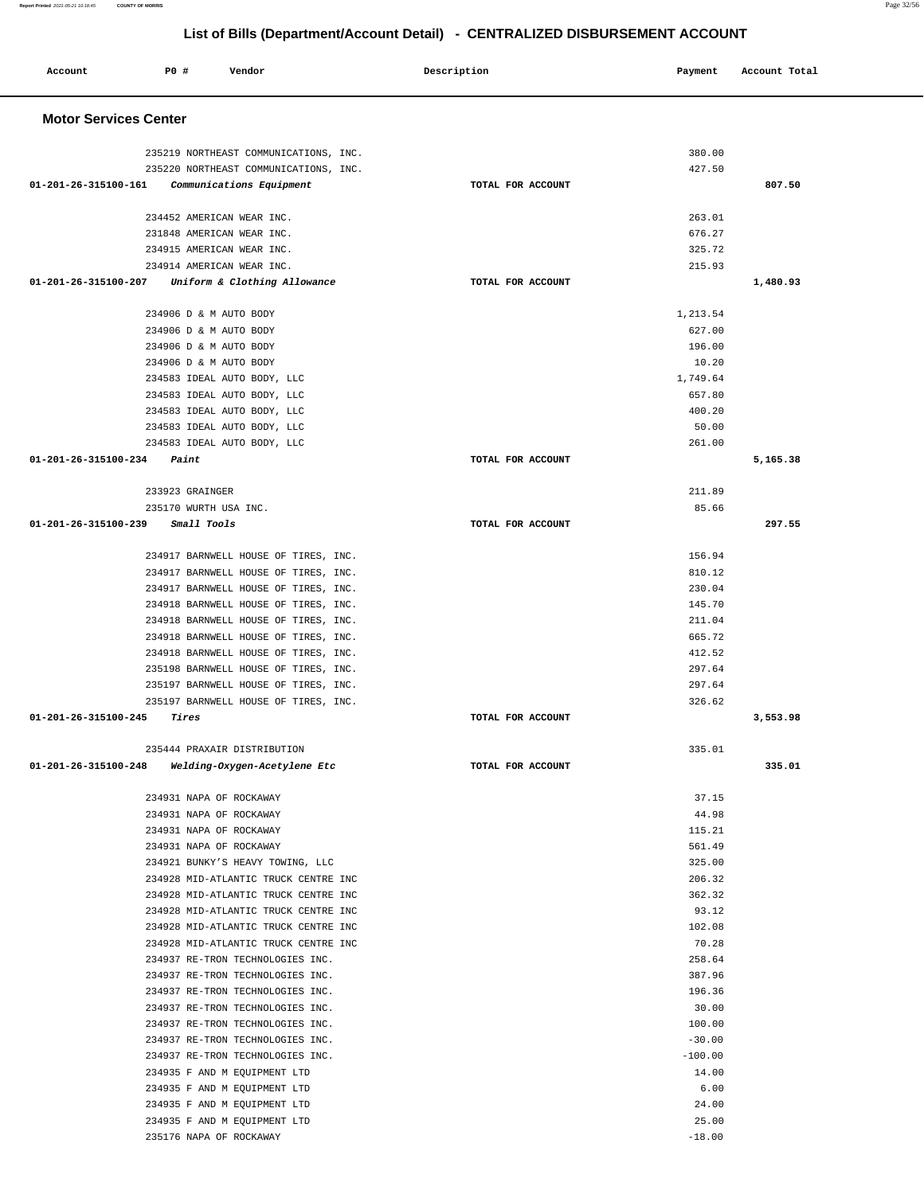| Account                        | P0 # | Vendor                                                                       | Description       | Payment          | Account Total |
|--------------------------------|------|------------------------------------------------------------------------------|-------------------|------------------|---------------|
|                                |      |                                                                              |                   |                  |               |
| <b>Motor Services Center</b>   |      |                                                                              |                   |                  |               |
|                                |      |                                                                              |                   |                  |               |
|                                |      | 235219 NORTHEAST COMMUNICATIONS, INC.                                        |                   | 380.00           |               |
|                                |      | 235220 NORTHEAST COMMUNICATIONS, INC.                                        |                   | 427.50           |               |
| 01-201-26-315100-161           |      | Communications Equipment                                                     | TOTAL FOR ACCOUNT |                  | 807.50        |
|                                |      |                                                                              |                   |                  |               |
|                                |      | 234452 AMERICAN WEAR INC.                                                    |                   | 263.01           |               |
|                                |      | 231848 AMERICAN WEAR INC.                                                    |                   | 676.27           |               |
|                                |      | 234915 AMERICAN WEAR INC.                                                    |                   | 325.72<br>215.93 |               |
| 01-201-26-315100-207           |      | 234914 AMERICAN WEAR INC.<br>Uniform & Clothing Allowance                    | TOTAL FOR ACCOUNT |                  | 1,480.93      |
|                                |      |                                                                              |                   |                  |               |
|                                |      | 234906 D & M AUTO BODY                                                       |                   | 1,213.54         |               |
|                                |      | 234906 D & M AUTO BODY                                                       |                   | 627.00           |               |
|                                |      | 234906 D & M AUTO BODY                                                       |                   | 196.00           |               |
|                                |      | 234906 D & M AUTO BODY                                                       |                   | 10.20            |               |
|                                |      | 234583 IDEAL AUTO BODY, LLC                                                  |                   | 1,749.64         |               |
|                                |      | 234583 IDEAL AUTO BODY, LLC                                                  |                   | 657.80           |               |
|                                |      | 234583 IDEAL AUTO BODY, LLC                                                  |                   | 400.20           |               |
|                                |      | 234583 IDEAL AUTO BODY, LLC<br>234583 IDEAL AUTO BODY, LLC                   |                   | 50.00<br>261.00  |               |
| 01-201-26-315100-234           |      | Paint                                                                        | TOTAL FOR ACCOUNT |                  | 5,165.38      |
|                                |      |                                                                              |                   |                  |               |
|                                |      | 233923 GRAINGER                                                              |                   | 211.89           |               |
|                                |      | 235170 WURTH USA INC.                                                        |                   | 85.66            |               |
| 01-201-26-315100-239           |      | Small Tools                                                                  | TOTAL FOR ACCOUNT |                  | 297.55        |
|                                |      |                                                                              |                   |                  |               |
|                                |      | 234917 BARNWELL HOUSE OF TIRES, INC.                                         |                   | 156.94           |               |
|                                |      | 234917 BARNWELL HOUSE OF TIRES, INC.                                         |                   | 810.12           |               |
|                                |      | 234917 BARNWELL HOUSE OF TIRES, INC.                                         |                   | 230.04           |               |
|                                |      | 234918 BARNWELL HOUSE OF TIRES, INC.<br>234918 BARNWELL HOUSE OF TIRES, INC. |                   | 145.70<br>211.04 |               |
|                                |      | 234918 BARNWELL HOUSE OF TIRES, INC.                                         |                   | 665.72           |               |
|                                |      | 234918 BARNWELL HOUSE OF TIRES, INC.                                         |                   | 412.52           |               |
|                                |      | 235198 BARNWELL HOUSE OF TIRES, INC.                                         |                   | 297.64           |               |
|                                |      | 235197 BARNWELL HOUSE OF TIRES, INC.                                         |                   | 297.64           |               |
|                                |      | 235197 BARNWELL HOUSE OF TIRES, INC.                                         |                   | 326.62           |               |
| $01 - 201 - 26 - 315100 - 245$ |      | Tires                                                                        | TOTAL FOR ACCOUNT |                  | 3,553.98      |
|                                |      |                                                                              |                   |                  |               |
|                                |      | 235444 PRAXAIR DISTRIBUTION                                                  |                   | 335.01           |               |
| 01-201-26-315100-248           |      | Welding-Oxygen-Acetylene Etc                                                 | TOTAL FOR ACCOUNT |                  | 335.01        |
|                                |      | 234931 NAPA OF ROCKAWAY                                                      |                   | 37.15            |               |
|                                |      | 234931 NAPA OF ROCKAWAY                                                      |                   | 44.98            |               |
|                                |      | 234931 NAPA OF ROCKAWAY                                                      |                   | 115.21           |               |
|                                |      | 234931 NAPA OF ROCKAWAY                                                      |                   | 561.49           |               |
|                                |      | 234921 BUNKY'S HEAVY TOWING, LLC                                             |                   | 325.00           |               |
|                                |      | 234928 MID-ATLANTIC TRUCK CENTRE INC                                         |                   | 206.32           |               |
|                                |      | 234928 MID-ATLANTIC TRUCK CENTRE INC                                         |                   | 362.32           |               |
|                                |      | 234928 MID-ATLANTIC TRUCK CENTRE INC                                         |                   | 93.12            |               |
|                                |      | 234928 MID-ATLANTIC TRUCK CENTRE INC                                         |                   | 102.08           |               |
|                                |      | 234928 MID-ATLANTIC TRUCK CENTRE INC                                         |                   | 70.28            |               |
|                                |      | 234937 RE-TRON TECHNOLOGIES INC.<br>234937 RE-TRON TECHNOLOGIES INC.         |                   | 258.64<br>387.96 |               |
|                                |      | 234937 RE-TRON TECHNOLOGIES INC.                                             |                   | 196.36           |               |
|                                |      | 234937 RE-TRON TECHNOLOGIES INC.                                             |                   | 30.00            |               |
|                                |      | 234937 RE-TRON TECHNOLOGIES INC.                                             |                   | 100.00           |               |
|                                |      | 234937 RE-TRON TECHNOLOGIES INC.                                             |                   | $-30.00$         |               |
|                                |      | 234937 RE-TRON TECHNOLOGIES INC.                                             |                   | $-100.00$        |               |
|                                |      | 234935 F AND M EQUIPMENT LTD                                                 |                   | 14.00            |               |
|                                |      | 234935 F AND M EQUIPMENT LTD                                                 |                   | 6.00             |               |
|                                |      | 234935 F AND M EQUIPMENT LTD                                                 |                   | 24.00            |               |
|                                |      | 234935 F AND M EQUIPMENT LTD                                                 |                   | 25.00            |               |
|                                |      | 235176 NAPA OF ROCKAWAY                                                      |                   | $-18.00$         |               |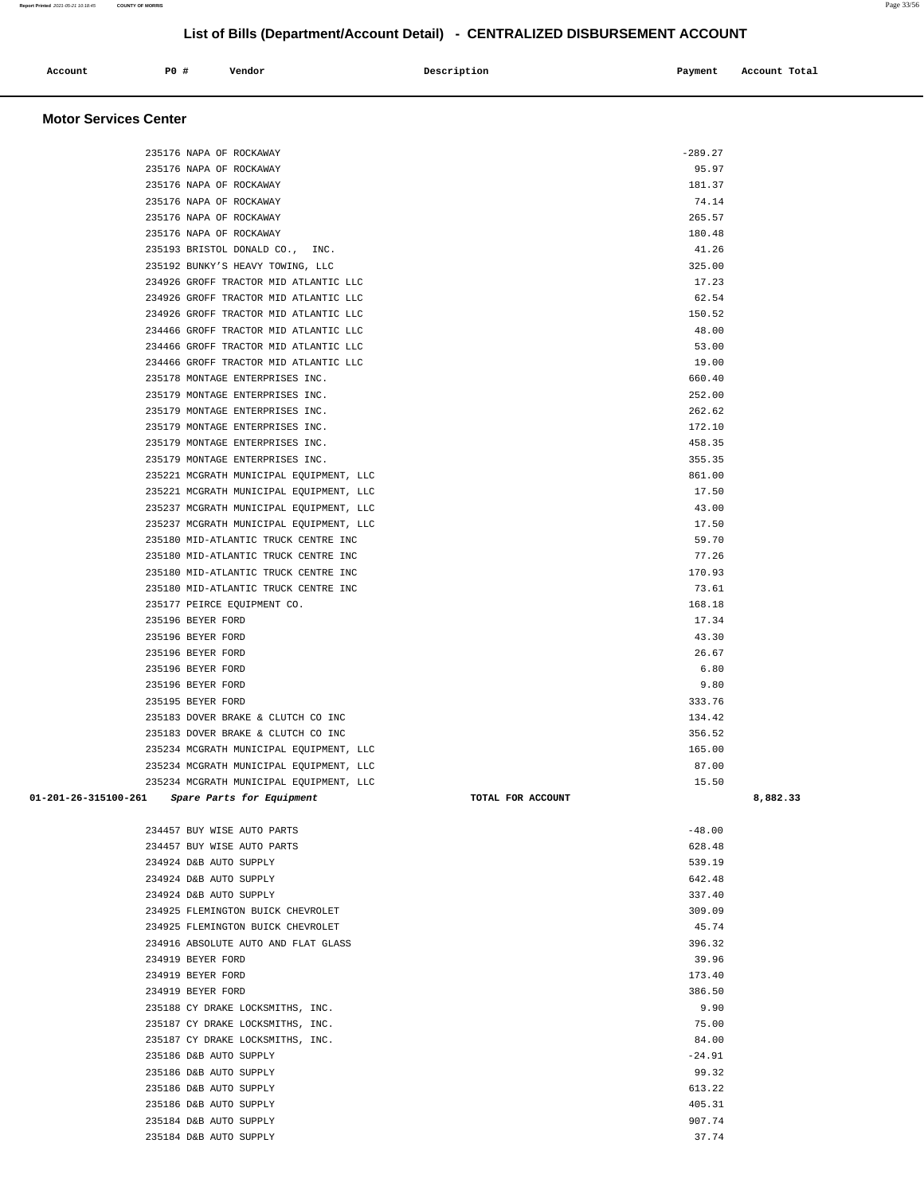235237 MCGRATH MUNICIPAL EQUIPMENT, LLC 43.00 235237 MCGRATH MUNICIPAL EQUIPMENT, LLC 17.50 235180 MID-ATLANTIC TRUCK CENTRE INC 59.70 235180 MID-ATLANTIC TRUCK CENTRE INC 77.26 235180 MID-ATLANTIC TRUCK CENTRE INC 170.93 235180 MID-ATLANTIC TRUCK CENTRE INC 73.61 235177 PEIRCE EQUIPMENT CO. 168.18 235196 BEYER FORD 17.34 235196 BEYER FORD 43.30 235196 BEYER FORD 26.67 235196 BEYER FORD 6.80 235196 BEYER FORD 9.80 235195 BEYER FORD 333.76 235183 DOVER BRAKE & CLUTCH CO INC 134.42 235183 DOVER BRAKE & CLUTCH CO INC 356.52 235234 MCGRATH MUNICIPAL EQUIPMENT, LLC 165.00 235234 MCGRATH MUNICIPAL EQUIPMENT, LLC 87.00 235234 MCGRATH MUNICIPAL EQUIPMENT, LLC 15.50  **01-201-26-315100-261 Spare Parts for Equipment TOTAL FOR ACCOUNT 8,882.33** 234457 BUY WISE AUTO PARTS -48.00 234457 BUY WISE AUTO PARTS 628.48 234924 D&B AUTO SUPPLY 539.19 234924 D&B AUTO SUPPLY 642.48 234924 D&B AUTO SUPPLY 337.40 234925 FLEMINGTON BUICK CHEVROLET 309.09 234925 FLEMINGTON BUICK CHEVROLET 45.74 234916 ABSOLUTE AUTO AND FLAT GLASS 396.32 234919 BEYER FORD 39.96 234919 BEYER FORD 173.40 234919 BEYER FORD 386.50 235188 CY DRAKE LOCKSMITHS, INC. 235188 CY DRAKE LOCKSMITHS, INC. 235187 CY DRAKE LOCKSMITHS, INC. 75.00 235187 CY DRAKE LOCKSMITHS, INC. 84.00 235186 D&B AUTO SUPPLY **-24.91**  235186 D&B AUTO SUPPLY 99.32 235186 D&B AUTO SUPPLY 613.22 235186 D&B AUTO SUPPLY 405.31 235184 D&B AUTO SUPPLY 907.74 235184 D&B AUTO SUPPLY 37.74

235176 NAPA OF ROCKAWAY -289.27 235176 NAPA OF ROCKAWAY 95.97 235176 NAPA OF ROCKAWAY 181.37 235176 NAPA OF ROCKAWAY 74.14 235176 NAPA OF ROCKAWAY 265.57 235176 NAPA OF ROCKAWAY 180.48 235193 BRISTOL DONALD CO., INC. 41.26 235192 BUNKY'S HEAVY TOWING, LLC 325.00 234926 GROFF TRACTOR MID ATLANTIC LLC 17.23 234926 GROFF TRACTOR MID ATLANTIC LLC 62.54 234926 GROFF TRACTOR MID ATLANTIC LLC 150.52 234466 GROFF TRACTOR MID ATLANTIC LLC 48.00 234466 GROFF TRACTOR MID ATLANTIC LLC 53.00 234466 GROFF TRACTOR MID ATLANTIC LLC 19.00 235178 MONTAGE ENTERPRISES INC. 660.40 235179 MONTAGE ENTERPRISES INC. 252.00 235179 MONTAGE ENTERPRISES INC. 262.62 235179 MONTAGE ENTERPRISES INC. 235179 MONTAGE ENTERPRISES INC. 235179 MONTAGE ENTERPRISES INC. 458.35 235179 MONTAGE ENTERPRISES INC. 355.35 235221 MCGRATH MUNICIPAL EQUIPMENT, LLC 861.00

235221 MCGRATH MUNICIPAL EQUIPMENT, LLC 17.50

### **Motor Services Center**

 **Account P0 # Vendor Description Payment Account Total**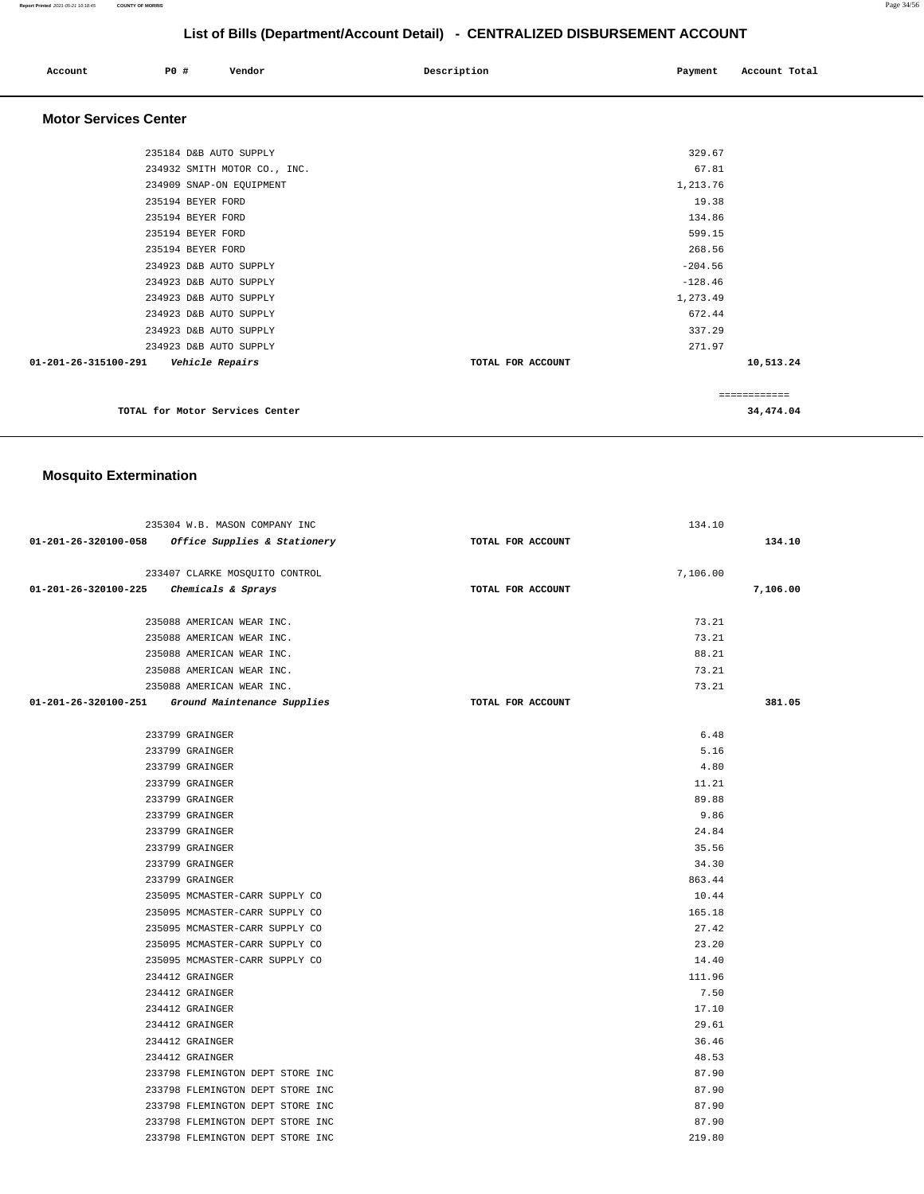| List of Bills (Department/Account Detail) - CENTRALIZED DISBURSEMENT ACCOUNT |                          |                              |                   |           |               |
|------------------------------------------------------------------------------|--------------------------|------------------------------|-------------------|-----------|---------------|
| Account                                                                      | P0 #                     | Vendor                       | Description       | Payment   | Account Total |
| <b>Motor Services Center</b>                                                 |                          |                              |                   |           |               |
|                                                                              | 235184 D&B AUTO SUPPLY   |                              |                   | 329.67    |               |
|                                                                              |                          | 234932 SMITH MOTOR CO., INC. |                   | 67.81     |               |
|                                                                              | 234909 SNAP-ON EQUIPMENT |                              |                   | 1,213.76  |               |
|                                                                              | 235194 BEYER FORD        |                              |                   | 19.38     |               |
|                                                                              | 235194 BEYER FORD        |                              |                   | 134.86    |               |
|                                                                              | 235194 BEYER FORD        |                              |                   | 599.15    |               |
|                                                                              | 235194 BEYER FORD        |                              |                   | 268.56    |               |
|                                                                              | 234923 D&B AUTO SUPPLY   |                              |                   | $-204.56$ |               |
|                                                                              | 234923 D&B AUTO SUPPLY   |                              |                   | $-128.46$ |               |
|                                                                              | 234923 D&B AUTO SUPPLY   |                              |                   | 1,273.49  |               |
|                                                                              | 234923 D&B AUTO SUPPLY   |                              |                   | 672.44    |               |
|                                                                              | 234923 D&B AUTO SUPPLY   |                              |                   | 337.29    |               |
|                                                                              | 234923 D&B AUTO SUPPLY   |                              |                   | 271.97    |               |
| 01-201-26-315100-291                                                         | Vehicle Repairs          |                              | TOTAL FOR ACCOUNT |           | 10,513.24     |

**TOTAL for Motor Services Center 34,474.04**

# **Mosquito Extermination**

|                                                  | 235304 W.B. MASON COMPANY INC                       |                   | 134.10   |          |
|--------------------------------------------------|-----------------------------------------------------|-------------------|----------|----------|
|                                                  | $01-201-26-320100-058$ Office Supplies & Stationery | TOTAL FOR ACCOUNT |          | 134.10   |
|                                                  |                                                     |                   |          |          |
|                                                  | 233407 CLARKE MOSQUITO CONTROL                      |                   | 7,106.00 |          |
| 01-201-26-320100-225 Chemicals & Sprays          |                                                     | TOTAL FOR ACCOUNT |          | 7,106.00 |
|                                                  |                                                     |                   |          |          |
|                                                  | 235088 AMERICAN WEAR INC.                           |                   | 73.21    |          |
|                                                  | 235088 AMERICAN WEAR INC.                           |                   | 73.21    |          |
|                                                  | 235088 AMERICAN WEAR INC.                           |                   | 88.21    |          |
|                                                  | 235088 AMERICAN WEAR INC.                           |                   | 73.21    |          |
|                                                  | 235088 AMERICAN WEAR INC.                           |                   | 73.21    |          |
| 01-201-26-320100-251 Ground Maintenance Supplies |                                                     | TOTAL FOR ACCOUNT |          | 381.05   |
|                                                  |                                                     |                   |          |          |
|                                                  | 233799 GRAINGER                                     |                   | 6.48     |          |
|                                                  | 233799 GRAINGER                                     |                   | 5.16     |          |
|                                                  | 233799 GRAINGER                                     |                   | 4.80     |          |
|                                                  | 233799 GRAINGER                                     |                   | 11.21    |          |
|                                                  | 233799 GRAINGER                                     |                   | 89.88    |          |
|                                                  | 233799 GRAINGER                                     |                   | 9.86     |          |
|                                                  | 233799 GRAINGER                                     |                   | 24.84    |          |
|                                                  | 233799 GRAINGER                                     |                   | 35.56    |          |
|                                                  | 233799 GRAINGER                                     |                   | 34.30    |          |
|                                                  | 233799 GRAINGER                                     |                   | 863.44   |          |
|                                                  | 235095 MCMASTER-CARR SUPPLY CO                      |                   | 10.44    |          |
|                                                  | 235095 MCMASTER-CARR SUPPLY CO                      |                   | 165.18   |          |
|                                                  | 235095 MCMASTER-CARR SUPPLY CO                      |                   | 27.42    |          |
|                                                  | 235095 MCMASTER-CARR SUPPLY CO                      |                   | 23.20    |          |
|                                                  | 235095 MCMASTER-CARR SUPPLY CO                      |                   | 14.40    |          |
|                                                  | 234412 GRAINGER                                     |                   | 111.96   |          |
|                                                  | 234412 GRAINGER                                     |                   | 7.50     |          |
|                                                  | 234412 GRAINGER                                     |                   | 17.10    |          |
|                                                  | 234412 GRAINGER                                     |                   | 29.61    |          |
|                                                  | 234412 GRAINGER                                     |                   | 36.46    |          |
|                                                  | 234412 GRAINGER                                     |                   | 48.53    |          |
|                                                  | 233798 FLEMINGTON DEPT STORE INC                    |                   | 87.90    |          |
|                                                  | 233798 FLEMINGTON DEPT STORE INC                    |                   | 87.90    |          |
|                                                  | 233798 FLEMINGTON DEPT STORE INC                    |                   | 87.90    |          |
|                                                  | 233798 FLEMINGTON DEPT STORE INC                    |                   | 87.90    |          |
|                                                  | 233798 FLEMINGTON DEPT STORE INC                    |                   | 219.80   |          |

**Report Printed** 2021-05-21 10:18:45 **COUNTY OF MORRIS** Page 34/56

============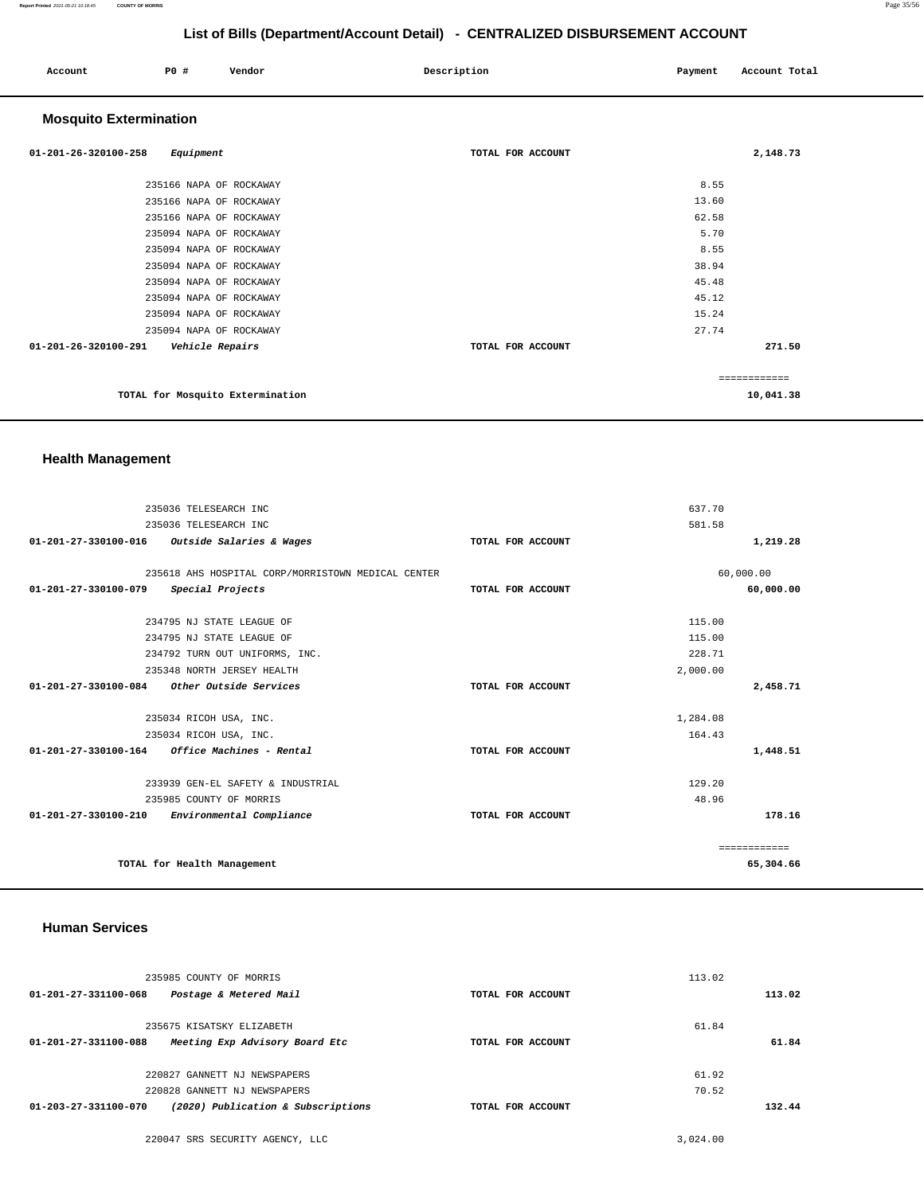| Account                        | P0 #                    | Vendor                           | Description       | Payment | Account Total |
|--------------------------------|-------------------------|----------------------------------|-------------------|---------|---------------|
| <b>Mosquito Extermination</b>  |                         |                                  |                   |         |               |
| $01 - 201 - 26 - 320100 - 258$ | Equipment               |                                  | TOTAL FOR ACCOUNT |         | 2,148.73      |
|                                | 235166 NAPA OF ROCKAWAY |                                  |                   | 8.55    |               |
|                                | 235166 NAPA OF ROCKAWAY |                                  |                   | 13.60   |               |
|                                | 235166 NAPA OF ROCKAWAY |                                  |                   | 62.58   |               |
|                                | 235094 NAPA OF ROCKAWAY |                                  |                   | 5.70    |               |
|                                | 235094 NAPA OF ROCKAWAY |                                  |                   | 8.55    |               |
|                                | 235094 NAPA OF ROCKAWAY |                                  |                   | 38.94   |               |
|                                | 235094 NAPA OF ROCKAWAY |                                  |                   | 45.48   |               |
|                                | 235094 NAPA OF ROCKAWAY |                                  |                   | 45.12   |               |
|                                | 235094 NAPA OF ROCKAWAY |                                  |                   | 15.24   |               |
|                                | 235094 NAPA OF ROCKAWAY |                                  |                   | 27.74   |               |
| 01-201-26-320100-291           | Vehicle Repairs         |                                  | TOTAL FOR ACCOUNT |         | 271.50        |
|                                |                         |                                  |                   |         | ============  |
|                                |                         | TOTAL for Mosquito Extermination |                   |         | 10,041.38     |

## **Health Management**

| 235036 TELESEARCH INC                                      |                   | 637.70       |
|------------------------------------------------------------|-------------------|--------------|
| 235036 TELESEARCH INC                                      | 581.58            |              |
| Outside Salaries & Wages<br>01-201-27-330100-016           | TOTAL FOR ACCOUNT | 1,219.28     |
|                                                            |                   |              |
| 235618 AHS HOSPITAL CORP/MORRISTOWN MEDICAL CENTER         |                   | 60,000.00    |
| 01-201-27-330100-079<br>Special Projects                   | TOTAL FOR ACCOUNT | 60,000.00    |
| 234795 NJ STATE LEAGUE OF                                  |                   | 115.00       |
| 234795 NJ STATE LEAGUE OF                                  |                   | 115.00       |
|                                                            |                   |              |
| 234792 TURN OUT UNIFORMS, INC.                             |                   | 228.71       |
| 235348 NORTH JERSEY HEALTH                                 |                   | 2,000.00     |
| 01-201-27-330100-084<br>Other Outside Services             | TOTAL FOR ACCOUNT | 2,458.71     |
|                                                            |                   |              |
| 235034 RICOH USA, INC.                                     |                   | 1,284.08     |
| 235034 RICOH USA, INC.                                     |                   | 164.43       |
| $01 - 201 - 27 - 330100 - 164$ Office Machines - Rental    | TOTAL FOR ACCOUNT | 1,448.51     |
| 233939 GEN-EL SAFETY & INDUSTRIAL                          |                   | 129.20       |
| 235985 COUNTY OF MORRIS                                    |                   | 48.96        |
| Environmental Compliance<br>$01 - 201 - 27 - 330100 - 210$ | TOTAL FOR ACCOUNT | 178.16       |
|                                                            |                   |              |
|                                                            |                   | ============ |
| TOTAL for Health Management                                |                   | 65,304.66    |

### **Human Services**

| 235985 COUNTY OF MORRIS<br>01-201-27-331100-068<br>Postage & Metered Mail                     | TOTAL FOR ACCOUNT | 113.02<br>113.02 |
|-----------------------------------------------------------------------------------------------|-------------------|------------------|
| 235675 KISATSKY ELIZABETH<br>Meeting Exp Advisory Board Etc<br>$01 - 201 - 27 - 331100 - 088$ | TOTAL FOR ACCOUNT | 61.84<br>61.84   |
| 220827 GANNETT NJ NEWSPAPERS<br>220828 GANNETT NJ NEWSPAPERS                                  |                   | 61.92<br>70.52   |
| (2020) Publication & Subscriptions<br>01-203-27-331100-070                                    | TOTAL FOR ACCOUNT | 132.44           |

220047 SRS SECURITY AGENCY, LLC [3,024.00](https://3,024.00)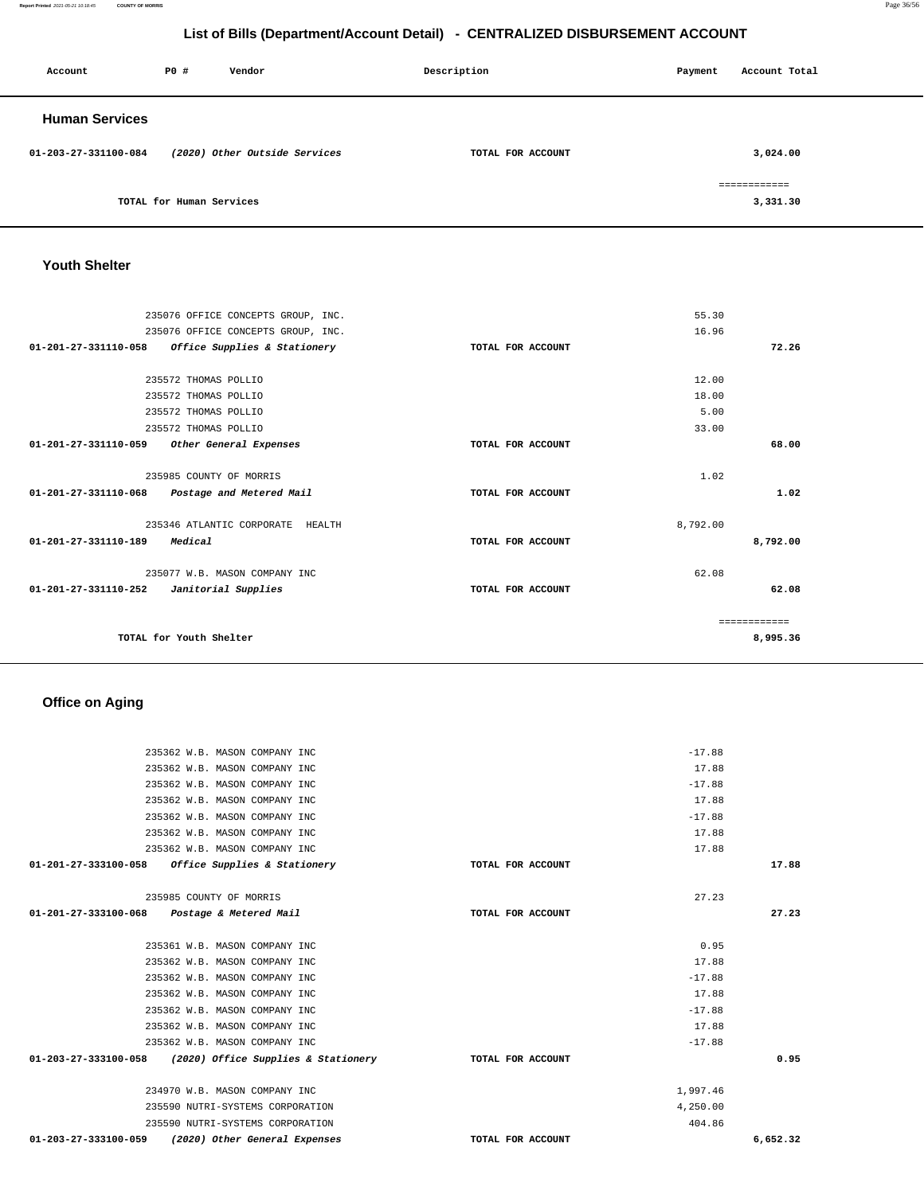**Report Printed** 2021-05-21 10:18:45 **COUNTY OF MORRIS** Page 36/56

# **List of Bills (Department/Account Detail) - CENTRALIZED DISBURSEMENT ACCOUNT**

| Account               | P0 #                     | Vendor                        | Description       | Payment | Account Total            |
|-----------------------|--------------------------|-------------------------------|-------------------|---------|--------------------------|
| <b>Human Services</b> |                          |                               |                   |         |                          |
| 01-203-27-331100-084  |                          | (2020) Other Outside Services | TOTAL FOR ACCOUNT |         | 3,024.00                 |
|                       | TOTAL for Human Services |                               |                   |         | ============<br>3,331.30 |

## **Youth Shelter**

|                   | 55.30    |              |
|-------------------|----------|--------------|
|                   | 16.96    |              |
| TOTAL FOR ACCOUNT |          | 72.26        |
|                   |          |              |
|                   | 12.00    |              |
|                   | 18.00    |              |
|                   | 5.00     |              |
|                   | 33.00    |              |
| TOTAL FOR ACCOUNT |          | 68.00        |
|                   |          |              |
|                   | 1.02     |              |
| TOTAL FOR ACCOUNT |          | 1.02         |
|                   |          |              |
|                   | 8,792.00 |              |
| TOTAL FOR ACCOUNT |          | 8,792.00     |
|                   |          |              |
|                   | 62.08    |              |
| TOTAL FOR ACCOUNT |          | 62.08        |
|                   |          |              |
|                   |          | ============ |
|                   |          | 8,995.36     |
|                   |          |              |

# **Office on Aging**

| 235362 W.B. MASON COMPANY INC                               |                   | $-17.88$ |          |
|-------------------------------------------------------------|-------------------|----------|----------|
| 235362 W.B. MASON COMPANY INC                               |                   | 17.88    |          |
| 235362 W.B. MASON COMPANY INC                               |                   | $-17.88$ |          |
| 235362 W.B. MASON COMPANY INC                               |                   | 17.88    |          |
| 235362 W.B. MASON COMPANY INC                               |                   | $-17.88$ |          |
| 235362 W.B. MASON COMPANY INC                               |                   | 17.88    |          |
| 235362 W.B. MASON COMPANY INC                               |                   | 17.88    |          |
| 01-201-27-333100-058<br>Office Supplies & Stationery        | TOTAL FOR ACCOUNT |          | 17.88    |
|                                                             |                   |          |          |
| 235985 COUNTY OF MORRIS                                     |                   | 27.23    |          |
| 01-201-27-333100-068 Postage & Metered Mail                 | TOTAL FOR ACCOUNT |          | 27.23    |
|                                                             |                   |          |          |
| 235361 W.B. MASON COMPANY INC                               |                   | 0.95     |          |
| 235362 W.B. MASON COMPANY INC                               |                   | 17.88    |          |
| 235362 W.B. MASON COMPANY INC                               |                   | $-17.88$ |          |
| 235362 W.B. MASON COMPANY INC                               |                   | 17.88    |          |
| 235362 W.B. MASON COMPANY INC                               |                   | $-17.88$ |          |
| 235362 W.B. MASON COMPANY INC                               |                   | 17.88    |          |
| 235362 W.B. MASON COMPANY INC                               |                   | $-17.88$ |          |
| 01-203-27-333100-058<br>(2020) Office Supplies & Stationery | TOTAL FOR ACCOUNT |          | 0.95     |
|                                                             |                   |          |          |
| 234970 W.B. MASON COMPANY INC                               |                   | 1,997.46 |          |
| 235590 NUTRI-SYSTEMS CORPORATION                            |                   | 4,250.00 |          |
| 235590 NUTRI-SYSTEMS CORPORATION                            |                   | 404.86   |          |
| 01-203-27-333100-059<br>(2020) Other General Expenses       | TOTAL FOR ACCOUNT |          | 6,652.32 |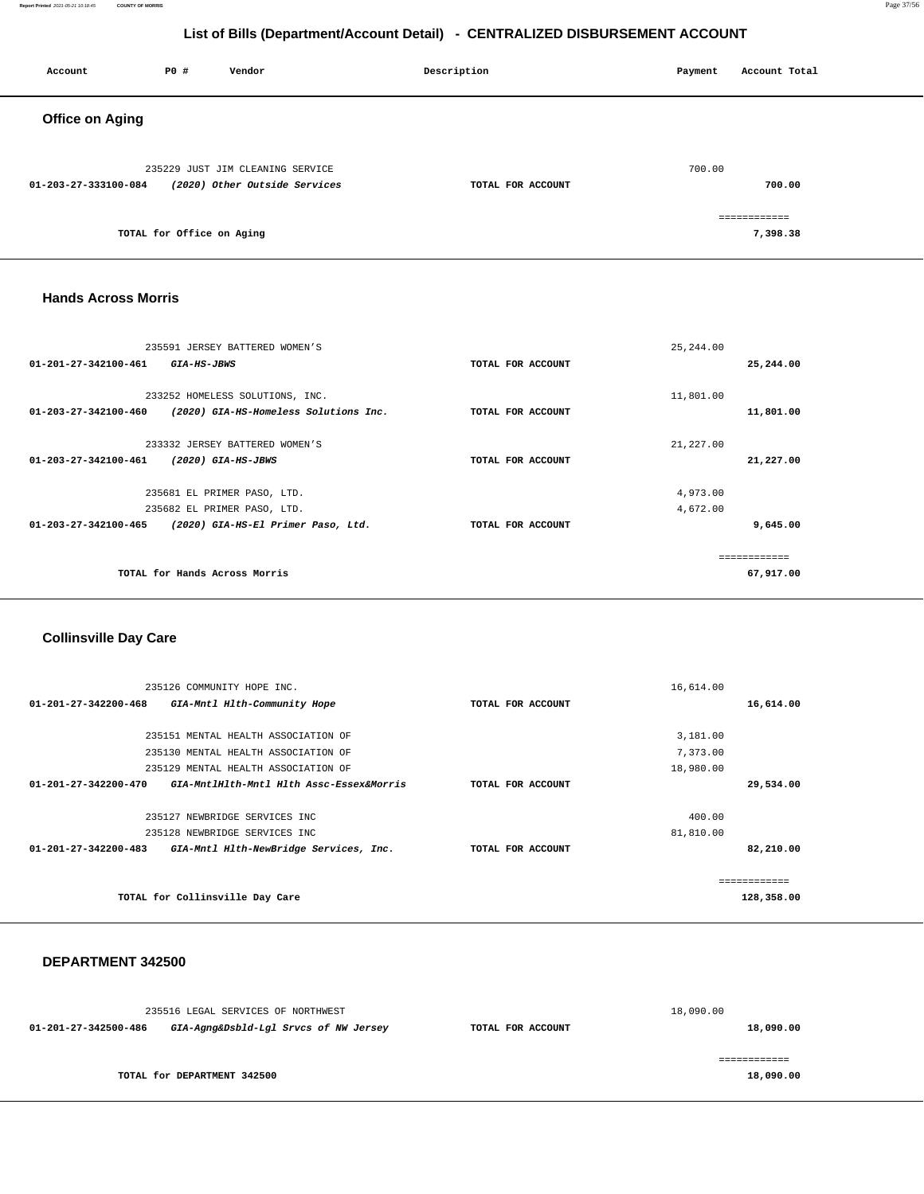### **Report Printed** 2021-05-21 10:18:45 **COUNTY OF MORRIS** Page 37/56

# **List of Bills (Department/Account Detail) - CENTRALIZED DISBURSEMENT ACCOUNT**

| Account                | <b>PO #</b>               | Vendor                                                            | Description       | Payment | Account Total            |
|------------------------|---------------------------|-------------------------------------------------------------------|-------------------|---------|--------------------------|
| <b>Office on Aging</b> |                           |                                                                   |                   |         |                          |
| 01-203-27-333100-084   |                           | 235229 JUST JIM CLEANING SERVICE<br>(2020) Other Outside Services | TOTAL FOR ACCOUNT | 700.00  | 700.00                   |
|                        | TOTAL for Office on Aging |                                                                   |                   |         | ============<br>7,398.38 |

### **Hands Across Morris**

|                                | 235591 JERSEY BATTERED WOMEN'S        |                   | 25, 244.00   |
|--------------------------------|---------------------------------------|-------------------|--------------|
| $01 - 201 - 27 - 342100 - 461$ | <i>GIA-HS-JBWS</i>                    | TOTAL FOR ACCOUNT | 25,244.00    |
|                                | 233252 HOMELESS SOLUTIONS, INC.       |                   | 11,801.00    |
| $01 - 203 - 27 - 342100 - 460$ | (2020) GIA-HS-Homeless Solutions Inc. | TOTAL FOR ACCOUNT | 11,801.00    |
|                                | 233332 JERSEY BATTERED WOMEN'S        |                   | 21,227.00    |
| $01 - 203 - 27 - 342100 - 461$ | (2020) GIA-HS-JBWS                    | TOTAL FOR ACCOUNT | 21,227.00    |
|                                | 235681 EL PRIMER PASO, LTD.           |                   | 4,973.00     |
|                                | 235682 EL PRIMER PASO, LTD.           |                   | 4,672.00     |
| 01-203-27-342100-465           | (2020) GIA-HS-El Primer Paso, Ltd.    | TOTAL FOR ACCOUNT | 9,645.00     |
|                                |                                       |                   | ------------ |
|                                | TOTAL for Hands Across Morris         |                   | 67,917.00    |

## **Collinsville Day Care**

|                                | 235126 COMMUNITY HOPE INC.               |                   | 16,614.00    |
|--------------------------------|------------------------------------------|-------------------|--------------|
| 01-201-27-342200-468           | GIA-Mntl Hlth-Community Hope             | TOTAL FOR ACCOUNT | 16,614.00    |
|                                |                                          |                   |              |
|                                | 235151 MENTAL HEALTH ASSOCIATION OF      |                   | 3,181.00     |
|                                | 235130 MENTAL HEALTH ASSOCIATION OF      |                   | 7,373.00     |
|                                | 235129 MENTAL HEALTH ASSOCIATION OF      |                   | 18,980.00    |
| $01 - 201 - 27 - 342200 - 470$ | GIA-MntlHlth-Mntl Hlth Assc-Essex&Morris | TOTAL FOR ACCOUNT | 29,534.00    |
|                                |                                          |                   |              |
|                                | 235127 NEWBRIDGE SERVICES INC            |                   | 400.00       |
|                                | 235128 NEWBRIDGE SERVICES INC            |                   | 81,810.00    |
| $01 - 201 - 27 - 342200 - 483$ | GIA-Mntl Hlth-NewBridge Services, Inc.   | TOTAL FOR ACCOUNT | 82,210.00    |
|                                |                                          |                   |              |
|                                |                                          |                   | ============ |
|                                | TOTAL for Collinsville Day Care          |                   | 128,358.00   |
|                                |                                          |                   |              |

## **DEPARTMENT 342500**

|                      | 235516 LEGAL SERVICES OF NORTHWEST    |                   | 18,090.00 |
|----------------------|---------------------------------------|-------------------|-----------|
| 01-201-27-342500-486 | GIA-Agng&Dsbld-Lgl Srvcs of NW Jersey | TOTAL FOR ACCOUNT | 18,090.00 |
|                      |                                       |                   |           |
|                      | TOTAL for DEPARTMENT 342500           |                   | 18,090.00 |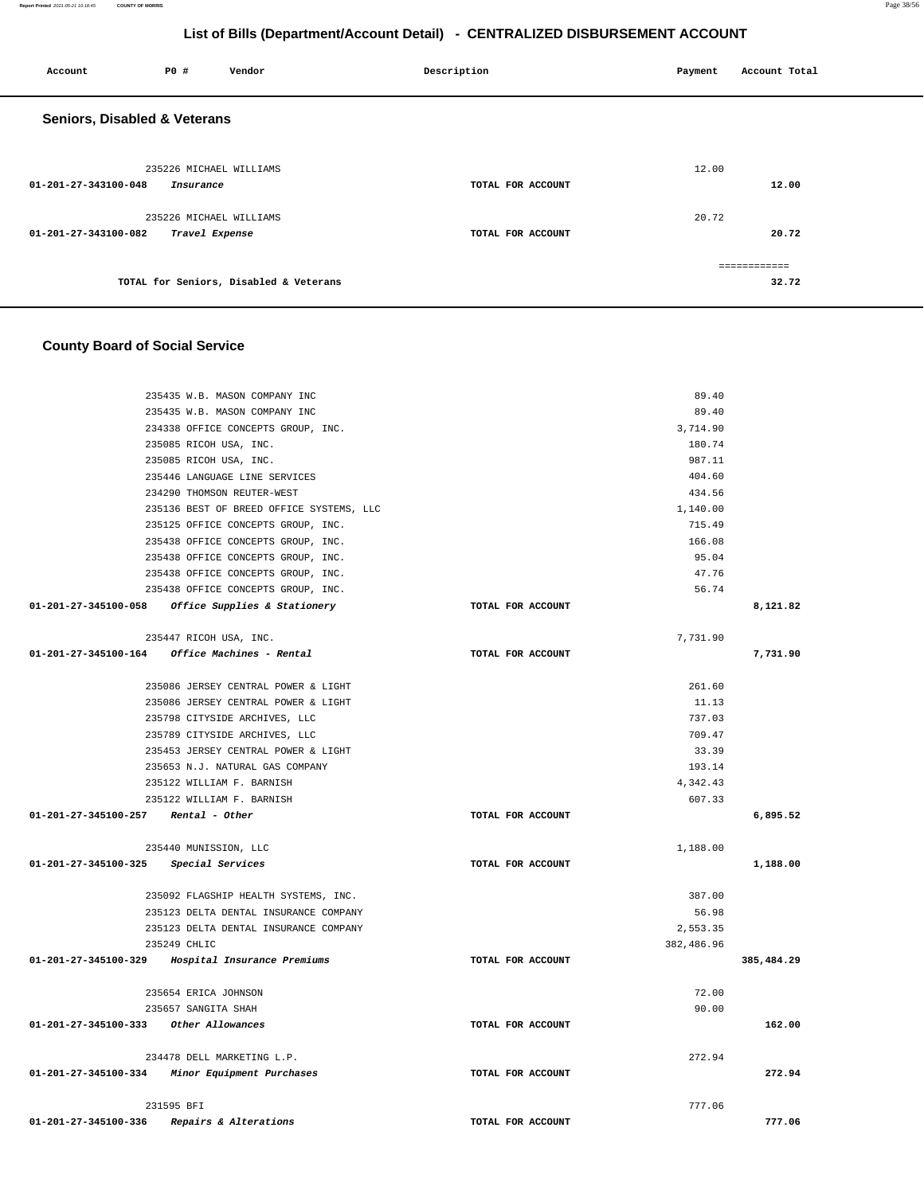**Report Printed** 2021-05-21 10:18:45 **COUNTY OF MORRIS** Page 38/56

# **List of Bills (Department/Account Detail) - CENTRALIZED DISBURSEMENT ACCOUNT**

| Account                                 | P0 #                    | Vendor                                 | Description       | Payment | Account Total         |
|-----------------------------------------|-------------------------|----------------------------------------|-------------------|---------|-----------------------|
| <b>Seniors, Disabled &amp; Veterans</b> |                         |                                        |                   |         |                       |
|                                         | 235226 MICHAEL WILLIAMS |                                        |                   | 12.00   |                       |
| 01-201-27-343100-048                    | Insurance               |                                        | TOTAL FOR ACCOUNT |         | 12.00                 |
|                                         | 235226 MICHAEL WILLIAMS |                                        |                   | 20.72   |                       |
| 01-201-27-343100-082                    | Travel Expense          |                                        | TOTAL FOR ACCOUNT |         | 20.72                 |
|                                         |                         | TOTAL for Seniors, Disabled & Veterans |                   |         | ============<br>32.72 |

# **County Board of Social Service**

| 235435 W.B. MASON COMPANY INC                     |                   | 89.40      |            |
|---------------------------------------------------|-------------------|------------|------------|
| 235435 W.B. MASON COMPANY INC                     |                   | 89.40      |            |
| 234338 OFFICE CONCEPTS GROUP, INC.                |                   | 3,714.90   |            |
| 235085 RICOH USA, INC.                            |                   | 180.74     |            |
| 235085 RICOH USA, INC.                            |                   | 987.11     |            |
| 235446 LANGUAGE LINE SERVICES                     |                   | 404.60     |            |
| 234290 THOMSON REUTER-WEST                        |                   | 434.56     |            |
| 235136 BEST OF BREED OFFICE SYSTEMS, LLC          |                   | 1,140.00   |            |
| 235125 OFFICE CONCEPTS GROUP, INC.                |                   | 715.49     |            |
| 235438 OFFICE CONCEPTS GROUP, INC.                |                   | 166.08     |            |
| 235438 OFFICE CONCEPTS GROUP, INC.                |                   | 95.04      |            |
| 235438 OFFICE CONCEPTS GROUP, INC.                |                   | 47.76      |            |
| 235438 OFFICE CONCEPTS GROUP, INC.                |                   | 56.74      |            |
| 01-201-27-345100-058 Office Supplies & Stationery | TOTAL FOR ACCOUNT |            | 8,121.82   |
|                                                   |                   |            |            |
| 235447 RICOH USA, INC.                            |                   | 7,731.90   |            |
| 01-201-27-345100-164 Office Machines - Rental     | TOTAL FOR ACCOUNT |            | 7,731.90   |
|                                                   |                   |            |            |
| 235086 JERSEY CENTRAL POWER & LIGHT               |                   | 261.60     |            |
| 235086 JERSEY CENTRAL POWER & LIGHT               |                   | 11.13      |            |
| 235798 CITYSIDE ARCHIVES, LLC                     |                   | 737.03     |            |
| 235789 CITYSIDE ARCHIVES, LLC                     |                   | 709.47     |            |
| 235453 JERSEY CENTRAL POWER & LIGHT               |                   | 33.39      |            |
| 235653 N.J. NATURAL GAS COMPANY                   |                   | 193.14     |            |
| 235122 WILLIAM F. BARNISH                         |                   | 4,342.43   |            |
| 235122 WILLIAM F. BARNISH                         |                   | 607.33     |            |
| $01-201-27-345100-257$ Rental - Other             | TOTAL FOR ACCOUNT |            | 6,895.52   |
|                                                   |                   |            |            |
| 235440 MUNISSION, LLC                             |                   | 1,188.00   |            |
| 01-201-27-345100-325 Special Services             | TOTAL FOR ACCOUNT |            | 1,188.00   |
|                                                   |                   |            |            |
| 235092 FLAGSHIP HEALTH SYSTEMS, INC.              |                   | 387.00     |            |
| 235123 DELTA DENTAL INSURANCE COMPANY             |                   | 56.98      |            |
| 235123 DELTA DENTAL INSURANCE COMPANY             |                   | 2,553.35   |            |
| 235249 CHLIC                                      |                   | 382,486.96 |            |
| 01-201-27-345100-329 Hospital Insurance Premiums  | TOTAL FOR ACCOUNT |            | 385,484.29 |
|                                                   |                   |            |            |
| 235654 ERICA JOHNSON                              |                   | 72.00      |            |
| 235657 SANGITA SHAH                               |                   | 90.00      |            |
| 01-201-27-345100-333 Other Allowances             | TOTAL FOR ACCOUNT |            | 162.00     |
|                                                   |                   |            |            |
| 234478 DELL MARKETING L.P.                        |                   | 272.94     |            |
| 01-201-27-345100-334 Minor Equipment Purchases    | TOTAL FOR ACCOUNT |            | 272.94     |
|                                                   |                   |            |            |
| 231595 BFI                                        |                   | 777.06     |            |
| 01-201-27-345100-336<br>Repairs & Alterations     | TOTAL FOR ACCOUNT |            | 777.06     |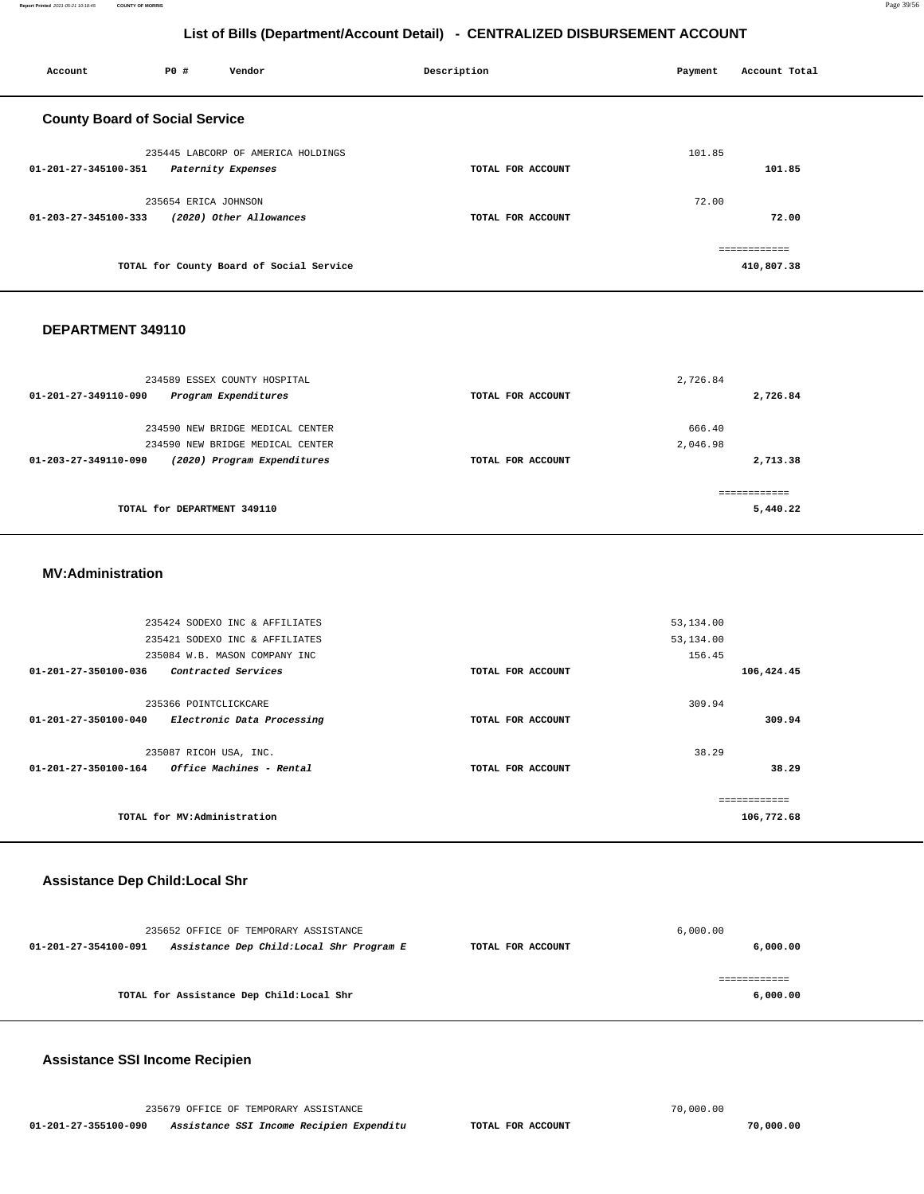**Report Printed** 2021-05-21 10:18:45 **COUNTY OF MORRIS** Page 39/56

# **List of Bills (Department/Account Detail) - CENTRALIZED DISBURSEMENT ACCOUNT**

| Account                               | P0 #                 | Vendor                                   | Description       | Payment | Account Total |
|---------------------------------------|----------------------|------------------------------------------|-------------------|---------|---------------|
| <b>County Board of Social Service</b> |                      |                                          |                   |         |               |
|                                       |                      | 235445 LABCORP OF AMERICA HOLDINGS       |                   | 101.85  |               |
| 01-201-27-345100-351                  |                      | Paternity Expenses                       | TOTAL FOR ACCOUNT |         | 101.85        |
|                                       | 235654 ERICA JOHNSON |                                          |                   | 72.00   |               |
| 01-203-27-345100-333                  |                      | (2020) Other Allowances                  | TOTAL FOR ACCOUNT |         | 72.00         |
|                                       |                      |                                          |                   |         | ------------- |
|                                       |                      | TOTAL for County Board of Social Service |                   |         | 410,807.38    |
|                                       |                      |                                          |                   |         |               |

### **DEPARTMENT 349110**

| 234589 ESSEX COUNTY HOSPITAL                                  |                   | 2,726.84 |
|---------------------------------------------------------------|-------------------|----------|
| 01-201-27-349110-090<br>Program Expenditures                  | TOTAL FOR ACCOUNT | 2,726.84 |
|                                                               |                   |          |
| 234590 NEW BRIDGE MEDICAL CENTER                              |                   | 666.40   |
| 234590 NEW BRIDGE MEDICAL CENTER                              |                   | 2,046.98 |
| (2020) Program Expenditures<br>$01 - 203 - 27 - 349110 - 090$ | TOTAL FOR ACCOUNT | 2,713.38 |
|                                                               |                   |          |
| TOTAL for DEPARTMENT 349110                                   |                   | 5,440.22 |

### **MV:Administration**

|                                | 235424 SODEXO INC & AFFILIATES         |                   | 53, 134.00 |               |
|--------------------------------|----------------------------------------|-------------------|------------|---------------|
|                                | 235421 SODEXO INC & AFFILIATES         |                   | 53,134.00  |               |
|                                | 235084 W.B. MASON COMPANY INC          |                   | 156.45     |               |
| 01-201-27-350100-036           | <i>Contracted Services</i>             | TOTAL FOR ACCOUNT |            | 106,424.45    |
|                                |                                        |                   |            |               |
|                                | 235366 POINTCLICKCARE                  |                   | 309.94     |               |
| 01-201-27-350100-040           | Electronic Data Processing             | TOTAL FOR ACCOUNT |            | 309.94        |
|                                |                                        |                   |            |               |
|                                | 235087 RICOH USA, INC.                 |                   | 38.29      |               |
| $01 - 201 - 27 - 350100 - 164$ | <i><b>Office Machines - Rental</b></i> | TOTAL FOR ACCOUNT |            | 38.29         |
|                                |                                        |                   |            |               |
|                                |                                        |                   |            | ------------- |
|                                | TOTAL for MV:Administration            |                   |            | 106,772.68    |
|                                |                                        |                   |            |               |

## **Assistance Dep Child:Local Shr**

|                      | 235652 OFFICE OF TEMPORARY ASSISTANCE     |                   | 6,000.00 |
|----------------------|-------------------------------------------|-------------------|----------|
| 01-201-27-354100-091 | Assistance Dep Child: Local Shr Program E | TOTAL FOR ACCOUNT | 6,000.00 |
|                      |                                           |                   |          |
|                      |                                           |                   |          |
|                      | TOTAL for Assistance Dep Child: Local Shr |                   | 6,000.00 |
|                      |                                           |                   |          |

## **Assistance SSI Income Recipien**

|                      | 235679 OFFICE OF TEMPORARY ASSISTANCE    |                   | 70,000.00 |
|----------------------|------------------------------------------|-------------------|-----------|
| 01-201-27-355100-090 | Assistance SSI Income Recipien Expenditu | TOTAL FOR ACCOUNT |           |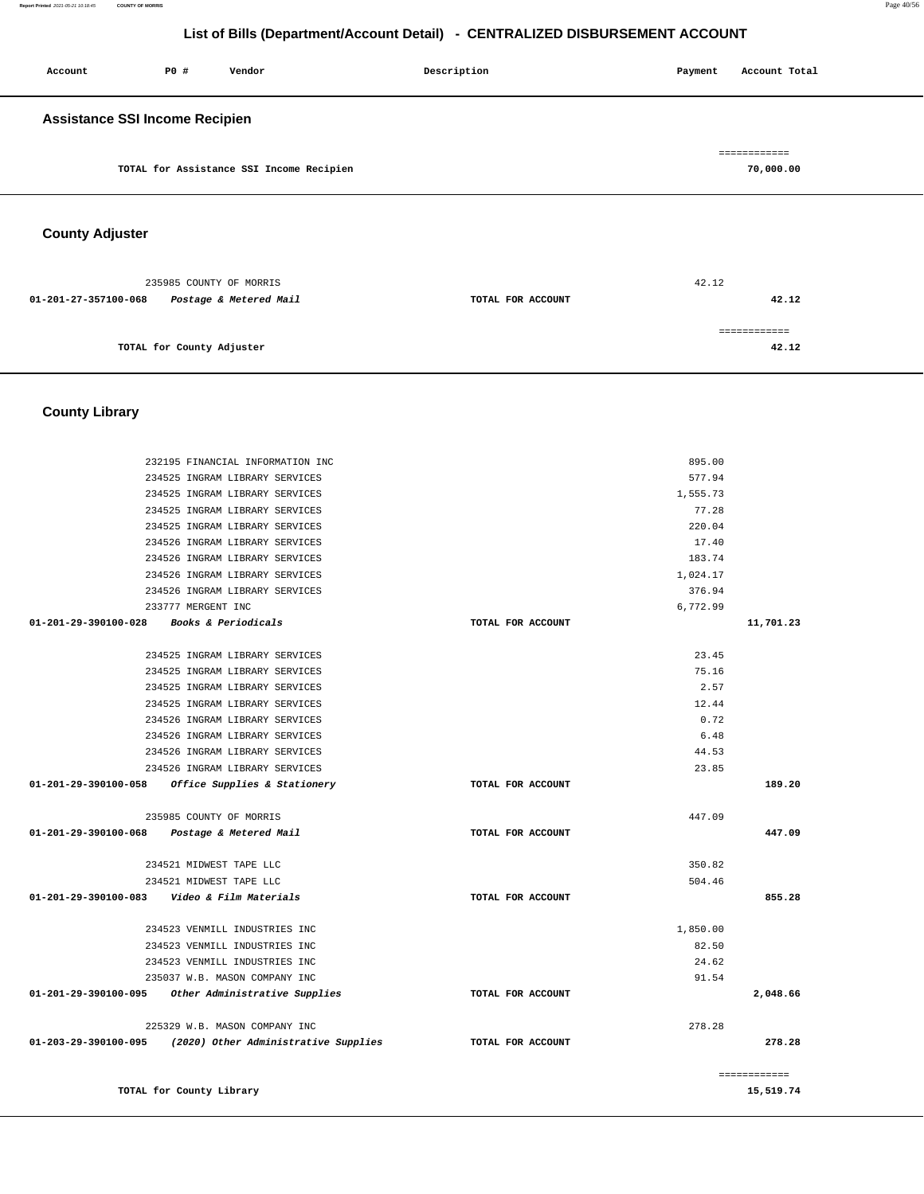**Report Printed** 2021-05-21 10:18:45 **COUNTY OF MORRIS** Page 40/56

# **List of Bills (Department/Account Detail) - CENTRALIZED DISBURSEMENT ACCOUNT**

| Account                                   | P0 # | Vendor                                   | Description | Payment | Account Total             |
|-------------------------------------------|------|------------------------------------------|-------------|---------|---------------------------|
| <b>Assistance SSI Income Recipien</b>     |      |                                          |             |         |                           |
|                                           |      | TOTAL for Assistance SSI Income Recipien |             |         | ============<br>70,000.00 |
| $\sim$ $\sim$ $\sim$ $\sim$ $\sim$ $\sim$ |      |                                          |             |         |                           |

# **County Adjuster**

|                      | 235985 COUNTY OF MORRIS   |                   | 42.12 |
|----------------------|---------------------------|-------------------|-------|
| 01-201-27-357100-068 | Postage & Metered Mail    | TOTAL FOR ACCOUNT | 42.12 |
|                      |                           |                   |       |
|                      | TOTAL for County Adjuster |                   | 42.12 |

# **County Library**

|                                          | 232195 FINANCIAL INFORMATION INC                                                    |                   | 895.00         |              |
|------------------------------------------|-------------------------------------------------------------------------------------|-------------------|----------------|--------------|
|                                          | 234525 INGRAM LIBRARY SERVICES                                                      |                   | 577.94         |              |
|                                          | 234525 INGRAM LIBRARY SERVICES                                                      |                   | 1,555.73       |              |
|                                          | 234525 INGRAM LIBRARY SERVICES                                                      |                   | 77.28          |              |
|                                          | 234525 INGRAM LIBRARY SERVICES                                                      |                   | 220.04         |              |
|                                          | 234526 INGRAM LIBRARY SERVICES                                                      |                   | 17.40          |              |
|                                          | 234526 INGRAM LIBRARY SERVICES                                                      |                   | 183.74         |              |
|                                          | 234526 INGRAM LIBRARY SERVICES                                                      |                   | 1,024.17       |              |
|                                          | 234526 INGRAM LIBRARY SERVICES                                                      |                   | 376.94         |              |
|                                          | 233777 MERGENT INC                                                                  |                   | 6,772.99       |              |
| 01-201-29-390100-028 Books & Periodicals |                                                                                     | TOTAL FOR ACCOUNT |                | 11,701.23    |
|                                          | 234525 INGRAM LIBRARY SERVICES                                                      |                   | 23.45          |              |
|                                          | 234525 INGRAM LIBRARY SERVICES                                                      |                   | 75.16          |              |
|                                          | 234525 INGRAM LIBRARY SERVICES                                                      |                   | 2.57           |              |
|                                          | 234525 INGRAM LIBRARY SERVICES                                                      |                   | 12.44          |              |
|                                          | 234526 INGRAM LIBRARY SERVICES                                                      |                   | 0.72           |              |
|                                          | 234526 INGRAM LIBRARY SERVICES                                                      |                   | 6.48           |              |
|                                          | 234526 INGRAM LIBRARY SERVICES                                                      |                   | 44.53          |              |
|                                          | 234526 INGRAM LIBRARY SERVICES                                                      |                   | 23.85          |              |
|                                          |                                                                                     |                   |                |              |
|                                          | 01-201-29-390100-058 Office Supplies & Stationery                                   | TOTAL FOR ACCOUNT |                | 189.20       |
|                                          |                                                                                     |                   |                |              |
|                                          | 235985 COUNTY OF MORRIS                                                             |                   | 447.09         |              |
|                                          | 01-201-29-390100-068 Postage & Metered Mail                                         | TOTAL FOR ACCOUNT |                | 447.09       |
|                                          | 234521 MIDWEST TAPE LLC                                                             |                   | 350.82         |              |
|                                          | 234521 MIDWEST TAPE LLC                                                             |                   | 504.46         |              |
|                                          | 01-201-29-390100-083    Video & Film Materials                                      | TOTAL FOR ACCOUNT |                | 855.28       |
|                                          |                                                                                     |                   |                |              |
|                                          | 234523 VENMILL INDUSTRIES INC                                                       |                   | 1,850.00       |              |
|                                          | 234523 VENMILL INDUSTRIES INC                                                       |                   | 82.50          |              |
|                                          | 234523 VENMILL INDUSTRIES INC                                                       |                   | 24.62<br>91.54 |              |
|                                          | 235037 W.B. MASON COMPANY INC<br>01-201-29-390100-095 Other Administrative Supplies | TOTAL FOR ACCOUNT |                | 2,048.66     |
|                                          |                                                                                     |                   |                |              |
|                                          | 225329 W.B. MASON COMPANY INC                                                       |                   | 278.28         |              |
|                                          | 01-203-29-390100-095 (2020) Other Administrative Supplies                           | TOTAL FOR ACCOUNT |                | 278.28       |
|                                          |                                                                                     |                   |                | ============ |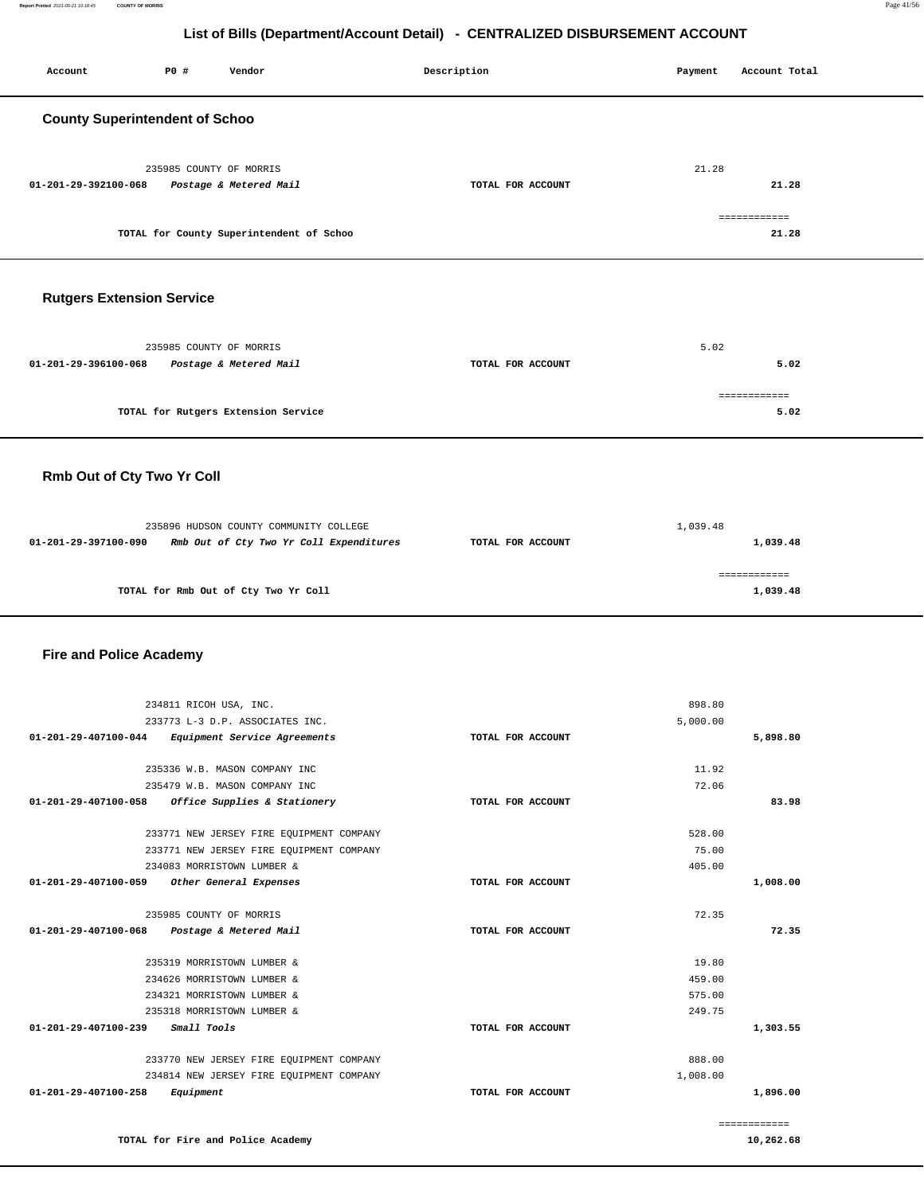| Account                               | P0 #                    | Vendor                                                                            | Description       | Payment  | Account Total            |
|---------------------------------------|-------------------------|-----------------------------------------------------------------------------------|-------------------|----------|--------------------------|
| <b>County Superintendent of Schoo</b> |                         |                                                                                   |                   |          |                          |
| 01-201-29-392100-068                  | 235985 COUNTY OF MORRIS | Postage & Metered Mail                                                            | TOTAL FOR ACCOUNT | 21.28    | 21.28                    |
|                                       |                         | TOTAL for County Superintendent of Schoo                                          |                   |          | ============<br>21.28    |
|                                       |                         |                                                                                   |                   |          |                          |
| <b>Rutgers Extension Service</b>      |                         |                                                                                   |                   |          |                          |
| 01-201-29-396100-068                  | 235985 COUNTY OF MORRIS | Postage & Metered Mail                                                            | TOTAL FOR ACCOUNT | 5.02     | 5.02                     |
|                                       |                         | TOTAL for Rutgers Extension Service                                               |                   |          | ============<br>5.02     |
| Rmb Out of Cty Two Yr Coll            |                         |                                                                                   |                   |          |                          |
| 01-201-29-397100-090                  |                         | 235896 HUDSON COUNTY COMMUNITY COLLEGE<br>Rmb Out of Cty Two Yr Coll Expenditures | TOTAL FOR ACCOUNT | 1,039.48 | 1,039.48                 |
|                                       |                         | TOTAL for Rmb Out of Cty Two Yr Coll                                              |                   |          | ============<br>1,039.48 |
| <b>Fire and Police Academy</b>        |                         |                                                                                   |                   |          |                          |

| 234811 RICOH USA, INC.                                   |                   | 898.80   |              |
|----------------------------------------------------------|-------------------|----------|--------------|
| 233773 L-3 D.P. ASSOCIATES INC.                          |                   | 5,000.00 |              |
| 01-201-29-407100-044 Equipment Service Agreements        | TOTAL FOR ACCOUNT |          | 5,898.80     |
| 235336 W.B. MASON COMPANY INC                            |                   | 11.92    |              |
| 235479 W.B. MASON COMPANY INC                            |                   | 72.06    |              |
| Office Supplies & Stationery<br>01-201-29-407100-058     | TOTAL FOR ACCOUNT |          | 83.98        |
| 233771 NEW JERSEY FIRE EQUIPMENT COMPANY                 |                   | 528.00   |              |
| 233771 NEW JERSEY FIRE EQUIPMENT COMPANY                 |                   | 75.00    |              |
| 234083 MORRISTOWN LUMBER &                               |                   | 405.00   |              |
| $01 - 201 - 29 - 407100 - 059$<br>Other General Expenses | TOTAL FOR ACCOUNT |          | 1,008.00     |
| 235985 COUNTY OF MORRIS                                  |                   | 72.35    |              |
| 01-201-29-407100-068 Postage & Metered Mail              | TOTAL FOR ACCOUNT |          | 72.35        |
| 235319 MORRISTOWN LUMBER &                               |                   | 19.80    |              |
| 234626 MORRISTOWN LUMBER &                               |                   | 459.00   |              |
| 234321 MORRISTOWN LUMBER &                               |                   | 575.00   |              |
| 235318 MORRISTOWN LUMBER &                               |                   | 249.75   |              |
| 01-201-29-407100-239<br>Small Tools                      | TOTAL FOR ACCOUNT |          | 1,303.55     |
| 233770 NEW JERSEY FIRE EQUIPMENT COMPANY                 |                   | 888.00   |              |
| 234814 NEW JERSEY FIRE EQUIPMENT COMPANY                 |                   | 1,008.00 |              |
| 01-201-29-407100-258<br>Equipment                        | TOTAL FOR ACCOUNT |          | 1,896.00     |
|                                                          |                   |          | ============ |

**10,262.68** 

**TOTAL for Fire and Police Academy**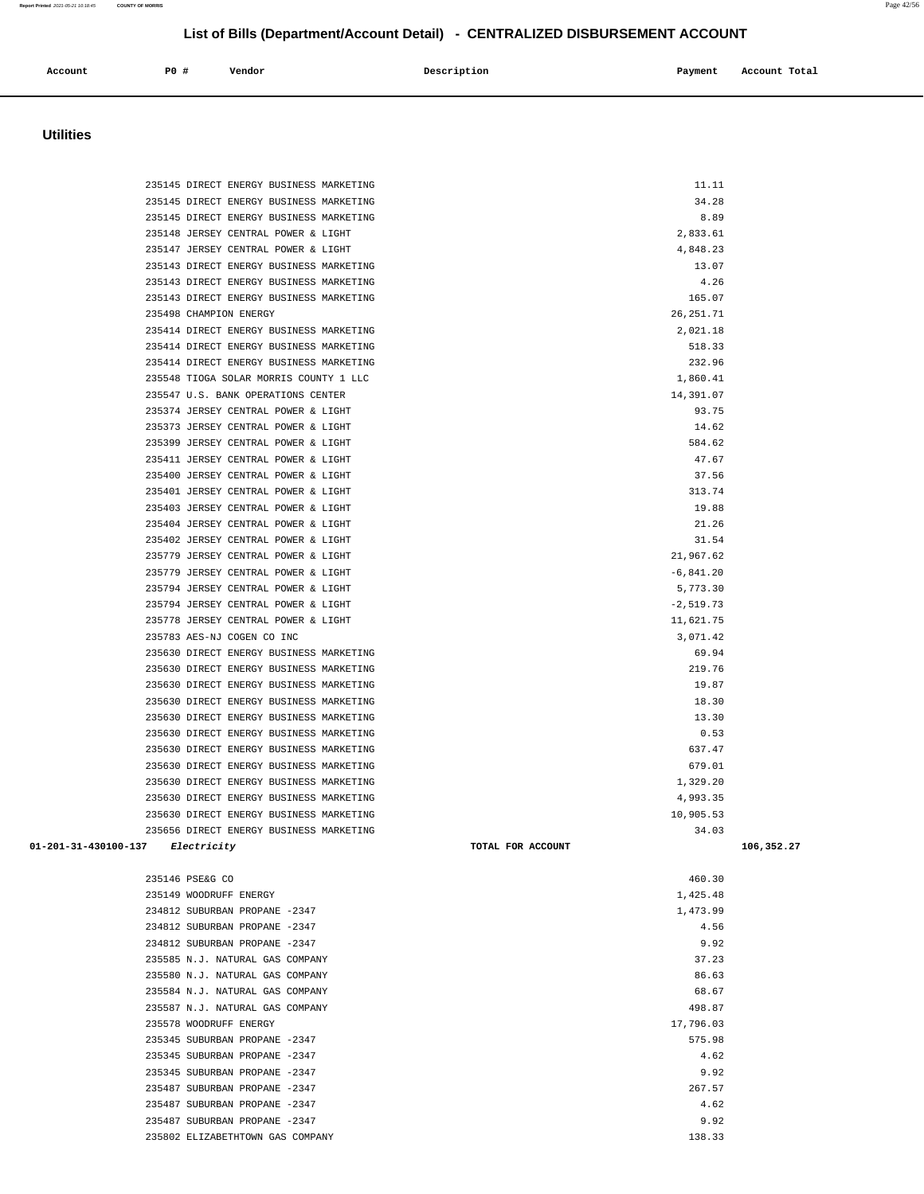### 235399 JERSEY CENTRAL POWER & LIGHT 584.62 235411 JERSEY CENTRAL POWER & LIGHT 47.67 235400 JERSEY CENTRAL POWER & LIGHT 37.56 235401 JERSEY CENTRAL POWER & LIGHT 313.74 235403 JERSEY CENTRAL POWER & LIGHT 19.88 235404 JERSEY CENTRAL POWER & LIGHT 21.26 235402 JERSEY CENTRAL POWER & LIGHT 31.54 235779 JERSEY CENTRAL POWER & LIGHT 21,967.62  $235779$  JERSEY CENTRAL POWER & LIGHT  $-6,841.20$ 235794 JERSEY CENTRAL POWER & LIGHT 5,773.30  $235794$  JERSEY CENTRAL POWER & LIGHT  $-2,519.73$ 235778 JERSEY CENTRAL POWER & LIGHT 11,621.75 235783 AES-NJ COGEN CO INC 3,071.42 235630 DIRECT ENERGY BUSINESS MARKETING 69.94 235630 DIRECT ENERGY BUSINESS MARKETING 219.76 235630 DIRECT ENERGY BUSINESS MARKETING 19.87 235630 DIRECT ENERGY BUSINESS MARKETING 18.30 235630 DIRECT ENERGY BUSINESS MARKETING 13.30 235630 DIRECT ENERGY BUSINESS MARKETING 0.53 235630 DIRECT ENERGY BUSINESS MARKETING 637.47 235630 DIRECT ENERGY BUSINESS MARKETING 679.01 235630 DIRECT ENERGY BUSINESS MARKETING 1,329.20 235630 DIRECT ENERGY BUSINESS MARKETING 4,993.35 235630 DIRECT ENERGY BUSINESS MARKETING 10,905.53 235656 DIRECT ENERGY BUSINESS MARKETING 34.03  **01-201-31-430100-137 Electricity TOTAL FOR ACCOUNT 106,352.27** 235146 PSE&G CO 460.30 235149 WOODRUFF ENERGY 1,425.48 234812 SUBURBAN PROPANE -2347 1,473.99 234812 SUBURBAN PROPANE -2347 4.56 234812 SUBURBAN PROPANE -2347 9.92 235585 N.J. NATURAL GAS COMPANY 37.23 235580 N.J. NATURAL GAS COMPANY 86.63 235584 N.J. NATURAL GAS COMPANY 68.67 235587 N.J. NATURAL GAS COMPANY 498.87 235578 WOODRUFF ENERGY 17,796.03 235345 SUBURBAN PROPANE -2347 575.98 235345 SUBURBAN PROPANE -2347 4.62 235345 SUBURBAN PROPANE -2347 9.92 235487 SUBURBAN PROPANE -2347 267.57 235487 SUBURBAN PROPANE -2347 4.62 235487 SUBURBAN PROPANE -2347 9.92 235802 ELIZABETHTOWN GAS COMPANY 138.33

## **List of Bills (Department/Account Detail) - CENTRALIZED DISBURSEMENT ACCOUNT**

| Account<br>. | PO#<br>$\sim$ | Vendor | Description | Payment<br>. | Account Total<br>. |
|--------------|---------------|--------|-------------|--------------|--------------------|
|              |               |        |             |              |                    |

### **Utilities**

235145 DIRECT ENERGY BUSINESS MARKETING 11.11 and 235145 DIRECT ENERGY BUSINESS MARKETING 235145 DIRECT ENERGY BUSINESS MARKETING 34.28 235145 DIRECT ENERGY BUSINESS MARKETING 8.89 235148 JERSEY CENTRAL POWER & LIGHT 2,833.61 235147 JERSEY CENTRAL POWER & LIGHT 4,848.23 235143 DIRECT ENERGY BUSINESS MARKETING 13.07 235143 DIRECT ENERGY BUSINESS MARKETING 4.26 235143 DIRECT ENERGY BUSINESS MARKETING 165.07 235498 CHAMPION ENERGY 26,251.71 235414 DIRECT ENERGY BUSINESS MARKETING 2,021.18 235414 DIRECT ENERGY BUSINESS MARKETING 518.33 235414 DIRECT ENERGY BUSINESS MARKETING 232.96 235548 TIOGA SOLAR MORRIS COUNTY 1 LLC 1,860.41 235547 U.S. BANK OPERATIONS CENTER 14,391.07 235374 JERSEY CENTRAL POWER & LIGHT 93.75 235373 JERSEY CENTRAL POWER & LIGHT 14.62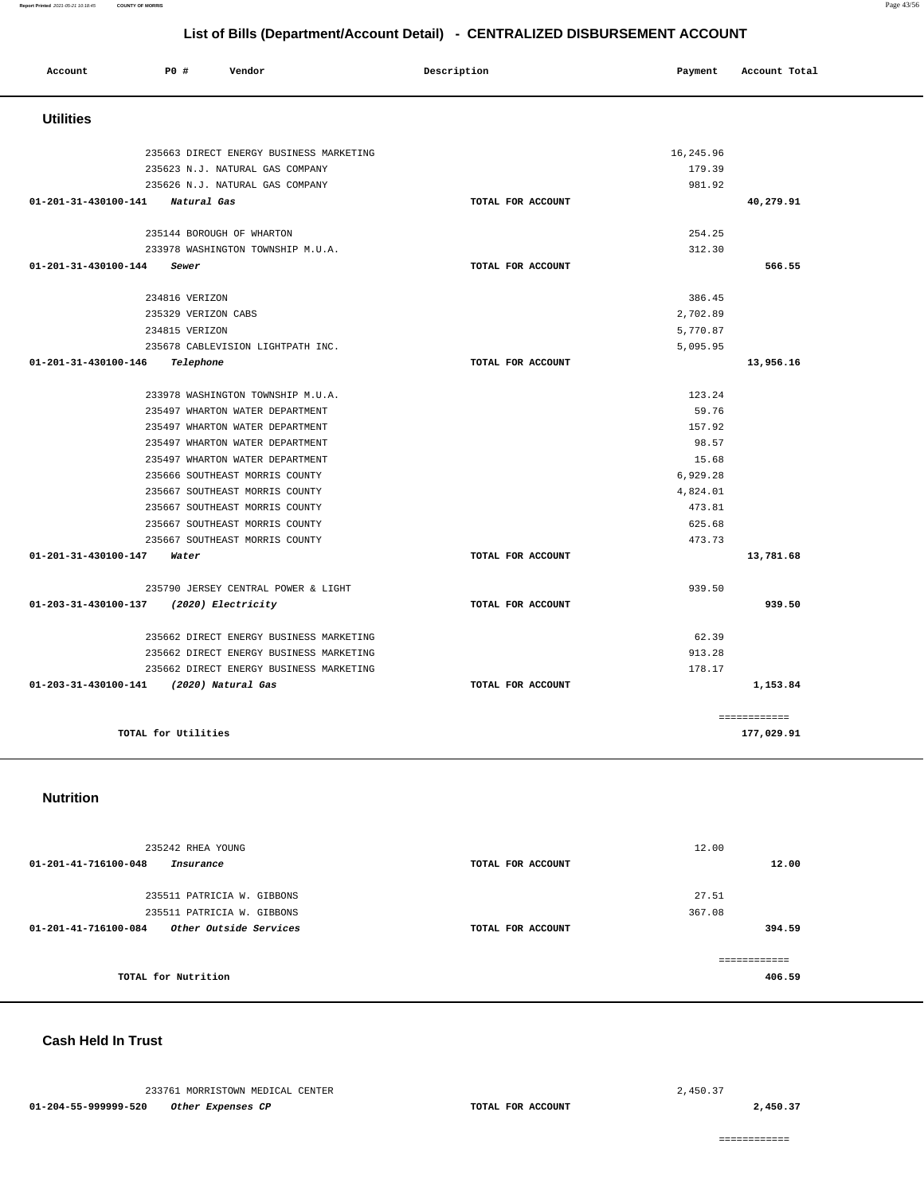### **Report Printed** 2021-05-21 10:18:45 **COUNTY OF MORRIS** Page 43/56

# **List of Bills (Department/Account Detail) - CENTRALIZED DISBURSEMENT ACCOUNT**

| Account              | PO#                 | Vendor                                  | Description |                   | Payment   | Account Total |
|----------------------|---------------------|-----------------------------------------|-------------|-------------------|-----------|---------------|
| <b>Utilities</b>     |                     |                                         |             |                   |           |               |
|                      |                     |                                         |             |                   |           |               |
|                      |                     | 235663 DIRECT ENERGY BUSINESS MARKETING |             |                   | 16,245.96 |               |
|                      |                     | 235623 N.J. NATURAL GAS COMPANY         |             |                   | 179.39    |               |
|                      |                     | 235626 N.J. NATURAL GAS COMPANY         |             |                   | 981.92    |               |
| 01-201-31-430100-141 | Natural Gas         |                                         |             | TOTAL FOR ACCOUNT |           | 40,279.91     |
|                      |                     | 235144 BOROUGH OF WHARTON               |             |                   | 254.25    |               |
|                      |                     | 233978 WASHINGTON TOWNSHIP M.U.A.       |             |                   | 312.30    |               |
| 01-201-31-430100-144 | Sewer               |                                         |             | TOTAL FOR ACCOUNT |           | 566.55        |
|                      | 234816 VERIZON      |                                         |             |                   | 386.45    |               |
|                      | 235329 VERIZON CABS |                                         |             |                   | 2,702.89  |               |
|                      | 234815 VERIZON      |                                         |             |                   | 5,770.87  |               |
|                      |                     | 235678 CABLEVISION LIGHTPATH INC.       |             |                   | 5,095.95  |               |
| 01-201-31-430100-146 | Telephone           |                                         |             | TOTAL FOR ACCOUNT |           | 13,956.16     |
|                      |                     |                                         |             |                   |           |               |
|                      |                     | 233978 WASHINGTON TOWNSHIP M.U.A.       |             |                   | 123.24    |               |
|                      |                     | 235497 WHARTON WATER DEPARTMENT         |             |                   | 59.76     |               |
|                      |                     | 235497 WHARTON WATER DEPARTMENT         |             |                   | 157.92    |               |
|                      |                     | 235497 WHARTON WATER DEPARTMENT         |             |                   | 98.57     |               |
|                      |                     | 235497 WHARTON WATER DEPARTMENT         |             |                   | 15.68     |               |
|                      |                     | 235666 SOUTHEAST MORRIS COUNTY          |             |                   | 6,929.28  |               |
|                      |                     | 235667 SOUTHEAST MORRIS COUNTY          |             |                   | 4,824.01  |               |
|                      |                     | 235667 SOUTHEAST MORRIS COUNTY          |             |                   | 473.81    |               |
|                      |                     | 235667 SOUTHEAST MORRIS COUNTY          |             |                   | 625.68    |               |
|                      |                     | 235667 SOUTHEAST MORRIS COUNTY          |             |                   | 473.73    |               |
| 01-201-31-430100-147 | Water               |                                         |             | TOTAL FOR ACCOUNT |           | 13,781.68     |
|                      |                     | 235790 JERSEY CENTRAL POWER & LIGHT     |             |                   | 939.50    |               |
| 01-203-31-430100-137 |                     | (2020) Electricity                      |             | TOTAL FOR ACCOUNT |           | 939.50        |
|                      |                     | 235662 DIRECT ENERGY BUSINESS MARKETING |             |                   | 62.39     |               |
|                      |                     | 235662 DIRECT ENERGY BUSINESS MARKETING |             |                   | 913.28    |               |
|                      |                     | 235662 DIRECT ENERGY BUSINESS MARKETING |             |                   | 178.17    |               |
| 01-203-31-430100-141 |                     | (2020) Natural Gas                      |             | TOTAL FOR ACCOUNT |           | 1,153.84      |
|                      |                     |                                         |             |                   |           | ------------  |
|                      | TOTAL for Utilities |                                         |             |                   |           | 177,029.91    |

### **Nutrition**

| 235242 RHEA YOUNG                              |                   | 12.00  |
|------------------------------------------------|-------------------|--------|
| 01-201-41-716100-048<br>Insurance              | TOTAL FOR ACCOUNT | 12.00  |
|                                                |                   |        |
| 235511 PATRICIA W. GIBBONS                     |                   | 27.51  |
| 235511 PATRICIA W. GIBBONS                     |                   | 367.08 |
| Other Outside Services<br>01-201-41-716100-084 | TOTAL FOR ACCOUNT | 394.59 |
|                                                |                   |        |
| TOTAL for Nutrition                            |                   | 406.59 |

### **Cash Held In Trust**

233761 MORRISTOWN MEDICAL CENTER **01-204-55-999999-520 Other Expenses CP TOTAL FOR ACCOUNT** 

**2,450.37**

============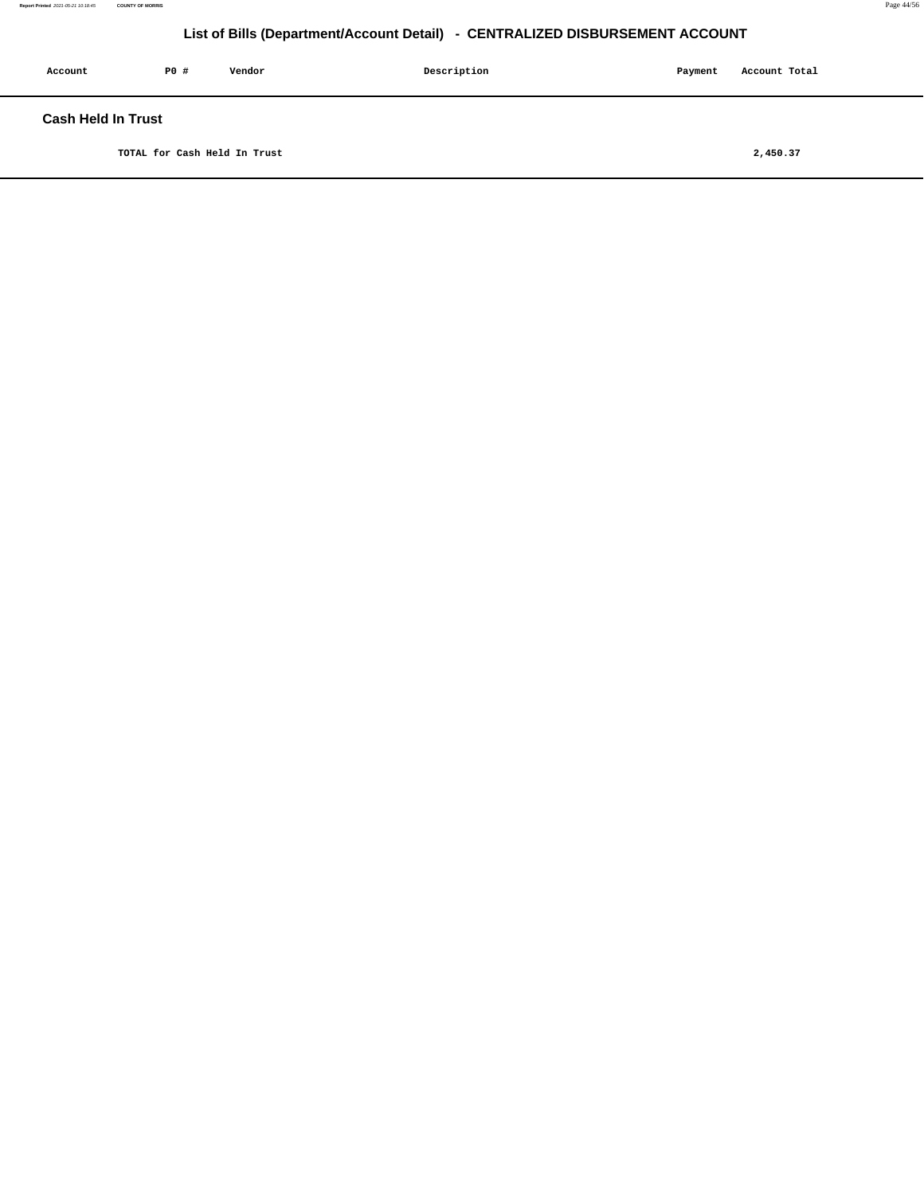| Account            | PO# | Vendor | Description | Payment | Account Total |
|--------------------|-----|--------|-------------|---------|---------------|
| Cash Held In Trust |     |        |             |         |               |

**TOTAL for Cash Held In Trust [2,450.37](https://2,450.37)**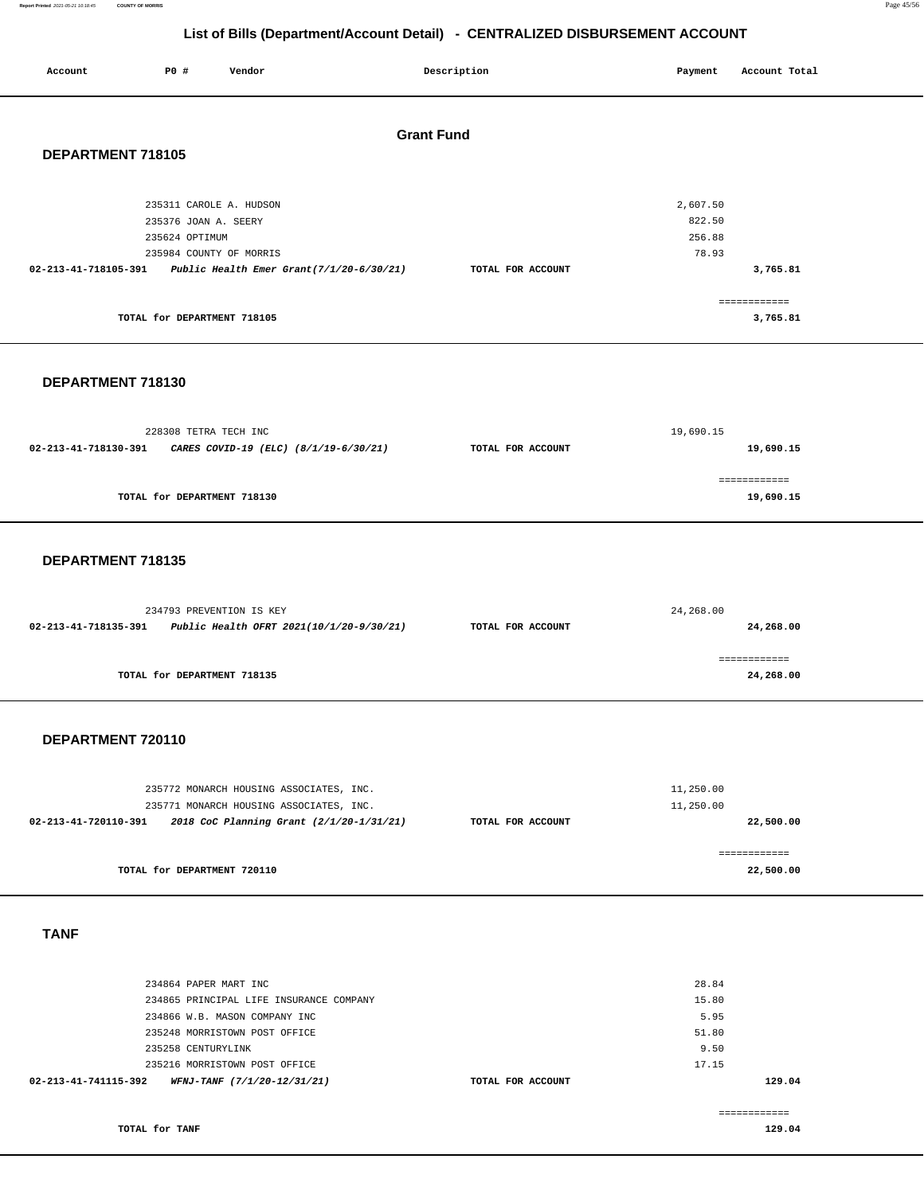**Report Printed** 2021-05-21 10:18:45 **COUNTY OF MORRIS** Page 45/56

# **List of Bills (Department/Account Detail) - CENTRALIZED DISBURSEMENT ACCOUNT**

| Account              | PO#                                                                                          | Vendor |                                          | Description       | Payment                               | Account Total             |
|----------------------|----------------------------------------------------------------------------------------------|--------|------------------------------------------|-------------------|---------------------------------------|---------------------------|
| DEPARTMENT 718105    |                                                                                              |        | <b>Grant Fund</b>                        |                   |                                       |                           |
| 02-213-41-718105-391 | 235311 CAROLE A. HUDSON<br>235376 JOAN A. SEERY<br>235624 OPTIMUM<br>235984 COUNTY OF MORRIS |        | Public Health Emer Grant(7/1/20-6/30/21) | TOTAL FOR ACCOUNT | 2,607.50<br>822.50<br>256.88<br>78.93 | 3,765.81                  |
|                      | TOTAL for DEPARTMENT 718105                                                                  |        |                                          |                   |                                       | ============<br>3,765.81  |
| DEPARTMENT 718130    |                                                                                              |        |                                          |                   |                                       |                           |
| 02-213-41-718130-391 | 228308 TETRA TECH INC                                                                        |        | CARES COVID-19 (ELC) (8/1/19-6/30/21)    | TOTAL FOR ACCOUNT | 19,690.15                             | 19,690.15                 |
|                      | TOTAL for DEPARTMENT 718130                                                                  |        |                                          |                   |                                       | ============<br>19,690.15 |

### **DEPARTMENT 718135**

|                      | 234793 PREVENTION IS KEY                 | 24,268.00         |           |  |
|----------------------|------------------------------------------|-------------------|-----------|--|
| 02-213-41-718135-391 | Public Health OFRT 2021(10/1/20-9/30/21) | TOTAL FOR ACCOUNT | 24,268.00 |  |
|                      | TOTAL for DEPARTMENT 718135              |                   | 24,268.00 |  |

## **DEPARTMENT 720110**

|                   | 11,250.00 |
|-------------------|-----------|
|                   | 11,250.00 |
| TOTAL FOR ACCOUNT | 22,500.00 |
|                   |           |
|                   |           |
|                   | 22,500.00 |
|                   |           |

### **TANF**

| 234864 PAPER MART INC                               |                   | 28.84  |
|-----------------------------------------------------|-------------------|--------|
| 234865 PRINCIPAL LIFE INSURANCE COMPANY             |                   | 15.80  |
| 234866 W.B. MASON COMPANY INC                       |                   | 5.95   |
| 235248 MORRISTOWN POST OFFICE                       |                   | 51.80  |
| 235258 CENTURYLINK                                  |                   | 9.50   |
| 235216 MORRISTOWN POST OFFICE                       |                   | 17.15  |
| WFNJ-TANF (7/1/20-12/31/21)<br>02-213-41-741115-392 | TOTAL FOR ACCOUNT | 129.04 |
|                                                     |                   |        |

============

**TOTAL for TANF** 

**129.04**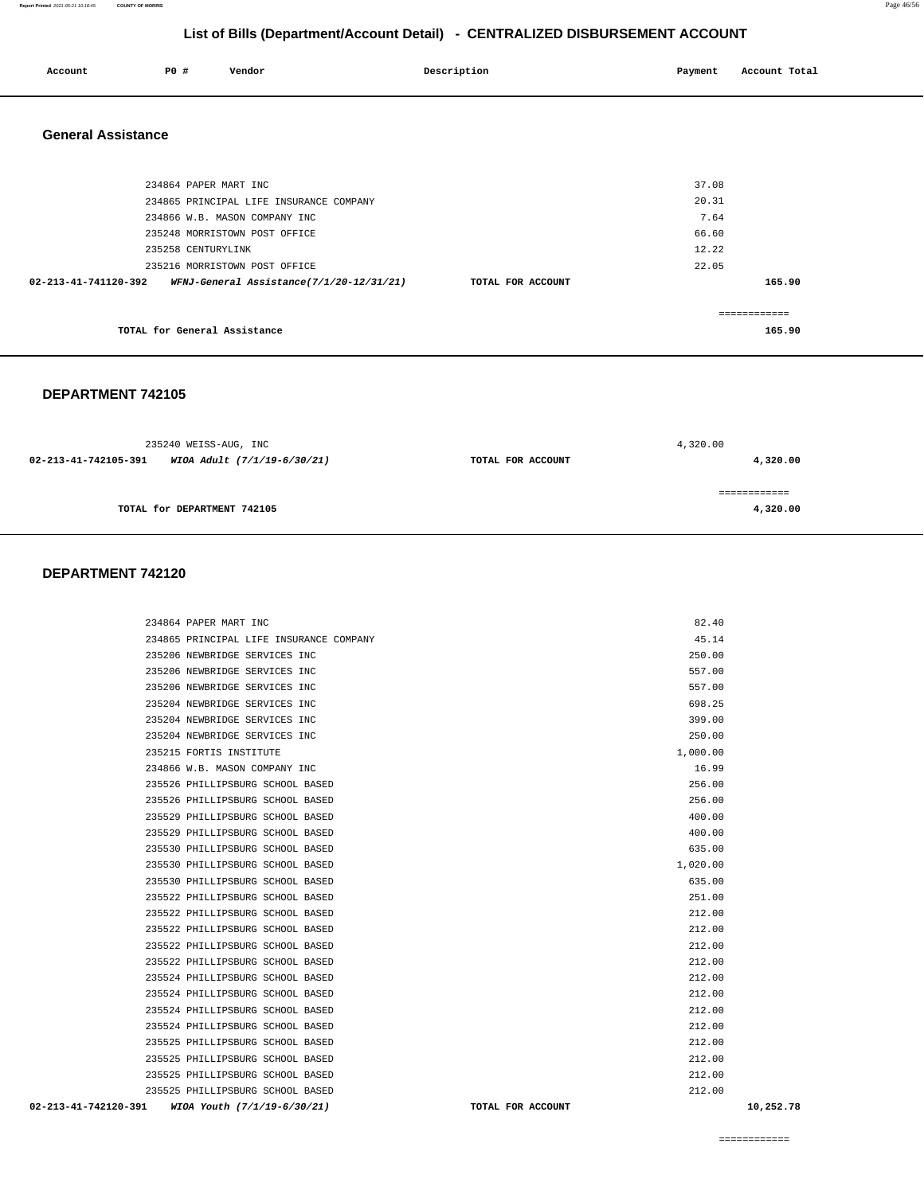### **Report Printed** 2021-05-21 10:18:45 **COUNTY OF MORRIS** Page 46/56

# **List of Bills (Department/Account Detail) - CENTRALIZED DISBURSEMENT ACCOUNT**

| Account | P0 # | Vendor | Description | Payment | Account Total |
|---------|------|--------|-------------|---------|---------------|
| .       |      |        |             |         |               |
|         |      |        |             |         |               |

### **General Assistance**

| 234864 PAPER MART INC                                            |                   | 37.08  |
|------------------------------------------------------------------|-------------------|--------|
| 234865 PRINCIPAL LIFE INSURANCE COMPANY                          |                   | 20.31  |
| 234866 W.B. MASON COMPANY INC                                    |                   | 7.64   |
| 235248 MORRISTOWN POST OFFICE                                    |                   | 66.60  |
| 235258 CENTURYLINK                                               |                   | 12.22  |
| 235216 MORRISTOWN POST OFFICE                                    |                   | 22.05  |
| WFNJ-General Assistance(7/1/20-12/31/21)<br>02-213-41-741120-392 | TOTAL FOR ACCOUNT | 165.90 |
| TOTAL for General Assistance                                     |                   | 165.90 |
|                                                                  |                   |        |

### **DEPARTMENT 742105**

|                      | 235240 WEISS-AUG, INC       | 4,320.00          |               |  |
|----------------------|-----------------------------|-------------------|---------------|--|
| 02-213-41-742105-391 | WIOA Adult (7/1/19-6/30/21) | TOTAL FOR ACCOUNT | 4,320.00      |  |
|                      |                             |                   | ------------- |  |
|                      | TOTAL for DEPARTMENT 742105 |                   | 4,320.00      |  |
|                      |                             |                   |               |  |

### **DEPARTMENT 742120**

| 02-213-41-742120-391 | WIOA Youth (7/1/19-6/30/21)             | TOTAL FOR ACCOUNT | 10,252.78 |
|----------------------|-----------------------------------------|-------------------|-----------|
|                      | 235525 PHILLIPSBURG SCHOOL BASED        | 212.00            |           |
|                      | 235525 PHILLIPSBURG SCHOOL BASED        | 212.00            |           |
|                      | 235525 PHILLIPSBURG SCHOOL BASED        | 212.00            |           |
|                      | 235525 PHILLIPSBURG SCHOOL BASED        | 212.00            |           |
|                      | 235524 PHILLIPSBURG SCHOOL BASED        | 212.00            |           |
|                      | 235524 PHILLIPSBURG SCHOOL BASED        | 212.00            |           |
|                      | 235524 PHILLIPSBURG SCHOOL BASED        | 212.00            |           |
|                      | 235524 PHILLIPSBURG SCHOOL BASED        | 212.00            |           |
|                      | 235522 PHILLIPSBURG SCHOOL BASED        | 212.00            |           |
|                      | 235522 PHILLIPSBURG SCHOOL BASED        | 212.00            |           |
|                      | 235522 PHILLIPSBURG SCHOOL BASED        | 212.00            |           |
|                      | 235522 PHILLIPSBURG SCHOOL BASED        | 212.00            |           |
|                      | 235522 PHILLIPSBURG SCHOOL BASED        | 251.00            |           |
|                      | 235530 PHILLIPSBURG SCHOOL BASED        | 635.00            |           |
|                      | 235530 PHILLIPSBURG SCHOOL BASED        | 1,020.00          |           |
|                      | 235530 PHILLIPSBURG SCHOOL BASED        | 635.00            |           |
|                      | 235529 PHILLIPSBURG SCHOOL BASED        | 400.00            |           |
|                      | 235529 PHILLIPSBURG SCHOOL BASED        | 400.00            |           |
|                      | 235526 PHILLIPSBURG SCHOOL BASED        | 256.00            |           |
|                      | 235526 PHILLIPSBURG SCHOOL BASED        | 256.00            |           |
|                      | 234866 W.B. MASON COMPANY INC           | 16.99             |           |
|                      | 235215 FORTIS INSTITUTE                 | 1,000.00          |           |
|                      | 235204 NEWBRIDGE SERVICES INC           | 250.00            |           |
|                      | 235204 NEWBRIDGE SERVICES INC           | 399.00            |           |
|                      | 235204 NEWBRIDGE SERVICES INC           | 698.25            |           |
|                      | 235206 NEWBRIDGE SERVICES INC           | 557.00            |           |
|                      | 235206 NEWBRIDGE SERVICES INC           | 557.00            |           |
|                      | 235206 NEWBRIDGE SERVICES INC           | 250.00            |           |
|                      | 234865 PRINCIPAL LIFE INSURANCE COMPANY | 45.14             |           |
|                      | 234864 PAPER MART INC                   | 82.40             |           |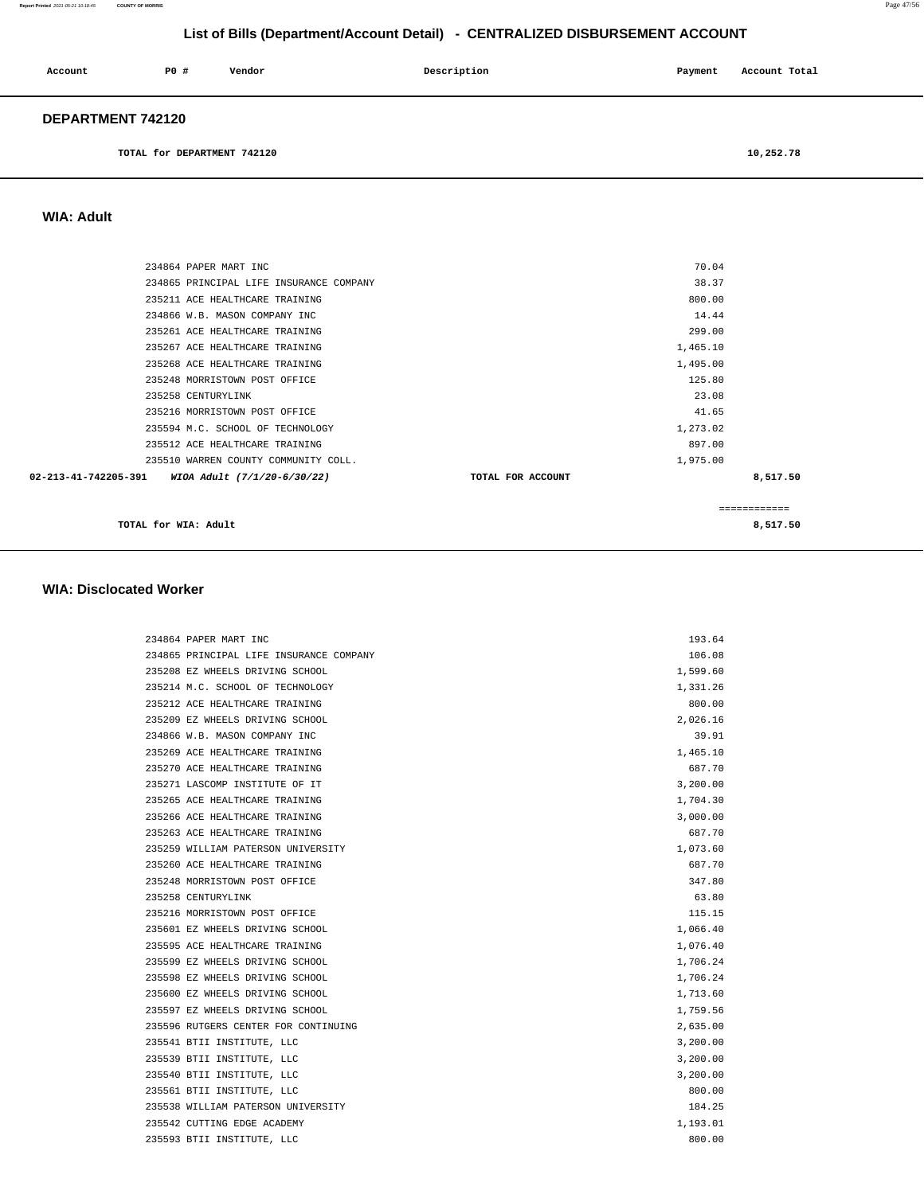| Account                  | PO# | Vendor | Description | Payment | Account Total |
|--------------------------|-----|--------|-------------|---------|---------------|
| <b>DEPARTMENT 742120</b> |     |        |             |         |               |

**TOTAL for DEPARTMENT 742120 [10,252.78](https://10,252.78)** 

### **WIA: Adult**

| 234864 PAPER MART INC                            | 70.04             |              |
|--------------------------------------------------|-------------------|--------------|
| 234865 PRINCIPAL LIFE INSURANCE COMPANY          | 38.37             |              |
| 235211 ACE HEALTHCARE TRAINING                   | 800.00            |              |
| 234866 W.B. MASON COMPANY INC                    | 14.44             |              |
| 235261 ACE HEALTHCARE TRAINING                   | 299.00            |              |
| 235267 ACE HEALTHCARE TRAINING                   | 1,465.10          |              |
| 235268 ACE HEALTHCARE TRAINING                   | 1,495.00          |              |
| 235248 MORRISTOWN POST OFFICE                    | 125.80            |              |
| 235258 CENTURYLINK                               | 23.08             |              |
| 235216 MORRISTOWN POST OFFICE                    | 41.65             |              |
| 235594 M.C. SCHOOL OF TECHNOLOGY                 | 1,273.02          |              |
| 235512 ACE HEALTHCARE TRAINING                   | 897.00            |              |
| 235510 WARREN COUNTY COMMUNITY COLL.             | 1,975.00          |              |
| 02-213-41-742205-391 WIOA Adult (7/1/20-6/30/22) | TOTAL FOR ACCOUNT | 8,517.50     |
|                                                  |                   | ------------ |

**TOTAL for WIA:** Adult 8,517.50

### **WIA: Disclocated Worker**

| 234864 PAPER MART INC                   | 193.64   |
|-----------------------------------------|----------|
| 234865 PRINCIPAL LIFE INSURANCE COMPANY | 106.08   |
| 235208 EZ WHEELS DRIVING SCHOOL         | 1,599.60 |
| 235214 M.C. SCHOOL OF TECHNOLOGY        | 1,331.26 |
| 235212 ACE HEALTHCARE TRAINING          | 800.00   |
| 235209 EZ WHEELS DRIVING SCHOOL         | 2,026.16 |
| 234866 W.B. MASON COMPANY INC           | 39.91    |
| 235269 ACE HEALTHCARE TRAINING          | 1,465.10 |
| 235270 ACE HEALTHCARE TRAINING          | 687.70   |
| 235271 LASCOMP INSTITUTE OF IT          | 3,200.00 |
| 235265 ACE HEALTHCARE TRAINING          | 1,704.30 |
| 235266 ACE HEALTHCARE TRAINING          | 3,000.00 |
| 235263 ACE HEALTHCARE TRAINING          | 687.70   |
| 235259 WILLIAM PATERSON UNIVERSITY      | 1,073.60 |
| 235260 ACE HEALTHCARE TRAINING          | 687.70   |
| 235248 MORRISTOWN POST OFFICE           | 347.80   |
| 235258 CENTURYLINK                      | 63.80    |
| 235216 MORRISTOWN POST OFFICE           | 115.15   |
| 235601 EZ WHEELS DRIVING SCHOOL         | 1,066.40 |
| 235595 ACE HEALTHCARE TRAINING          | 1,076.40 |
| 235599 EZ WHEELS DRIVING SCHOOL         | 1,706.24 |
| 235598 EZ WHEELS DRIVING SCHOOL         | 1,706.24 |
| 235600 EZ WHEELS DRIVING SCHOOL         | 1,713.60 |
| 235597 EZ WHEELS DRIVING SCHOOL         | 1,759.56 |
| 235596 RUTGERS CENTER FOR CONTINUING    | 2,635.00 |
| 235541 BTII INSTITUTE, LLC              | 3,200.00 |
| 235539 BTII INSTITUTE, LLC              | 3,200.00 |
| 235540 BTII INSTITUTE, LLC              | 3,200.00 |
| 235561 BTII INSTITUTE, LLC              | 800.00   |
| 235538 WILLIAM PATERSON UNIVERSITY      | 184.25   |
| 235542 CUTTING EDGE ACADEMY             | 1,193.01 |
| 235593 BTII INSTITUTE, LLC              | 800.00   |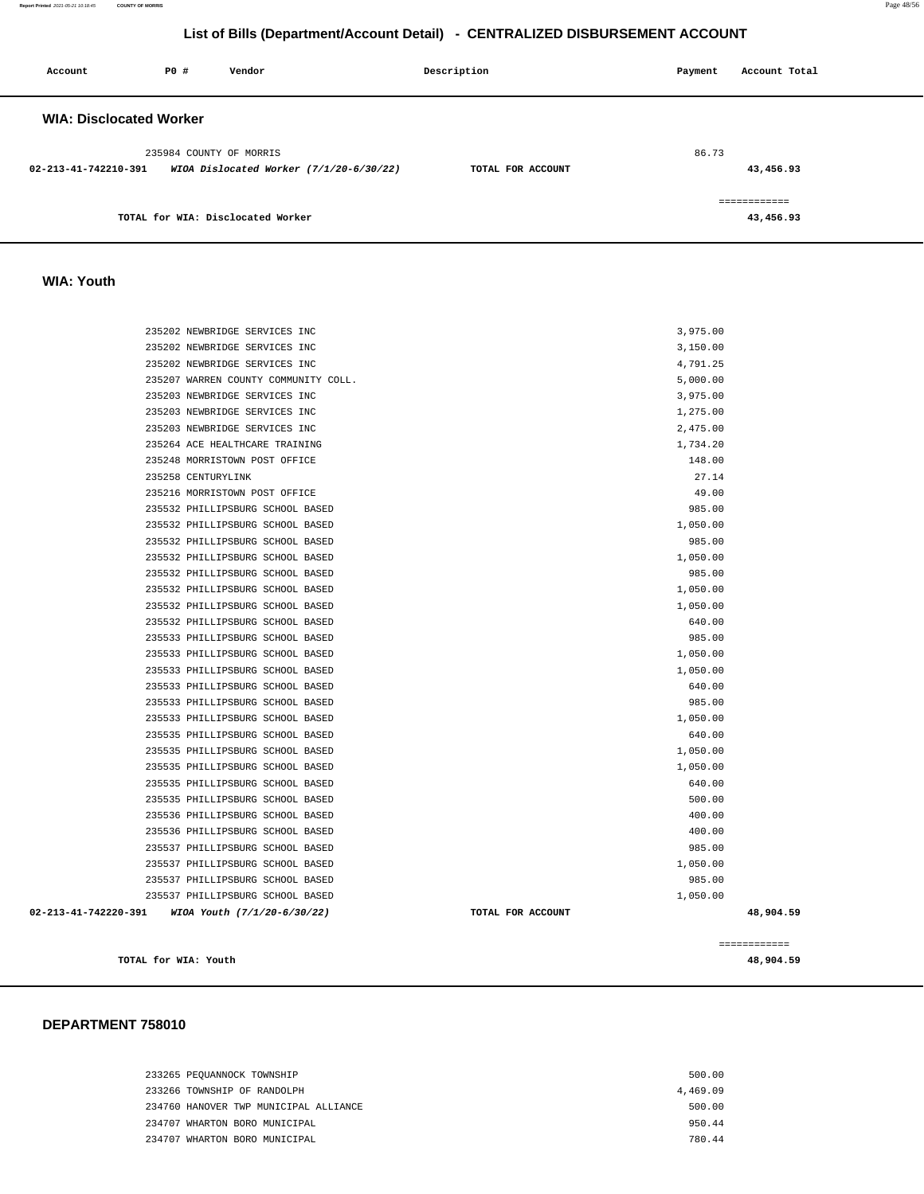**Report Printed** 2021-05-21 10:18:45 **COUNTY OF MORRIS** Page 48/56

# **List of Bills (Department/Account Detail) - CENTRALIZED DISBURSEMENT ACCOUNT**

| Account                        | PO# | Vendor                                  | Description       | Payment | Account Total |
|--------------------------------|-----|-----------------------------------------|-------------------|---------|---------------|
| <b>WIA: Disclocated Worker</b> |     |                                         |                   |         |               |
|                                |     | 235984 COUNTY OF MORRIS                 |                   | 86.73   |               |
| 02-213-41-742210-391           |     | WIOA Dislocated Worker (7/1/20-6/30/22) | TOTAL FOR ACCOUNT |         | 43,456.93     |
|                                |     |                                         |                   |         | ============  |
|                                |     | TOTAL for WIA: Disclocated Worker       |                   |         | 43,456.93     |

## **WIA: Youth**

| TOTAL for WIA: Youth                                            |                   |                 | 48,904.59 |
|-----------------------------------------------------------------|-------------------|-----------------|-----------|
|                                                                 |                   | ============    |           |
| 02-213-41-742220-391<br>WIOA Youth (7/1/20-6/30/22)             | TOTAL FOR ACCOUNT |                 | 48,904.59 |
| 235537 PHILLIPSBURG SCHOOL BASED                                |                   | 1,050.00        |           |
| 235537 PHILLIPSBURG SCHOOL BASED                                |                   | 985.00          |           |
| 235537 PHILLIPSBURG SCHOOL BASED                                |                   | 1,050.00        |           |
| 235537 PHILLIPSBURG SCHOOL BASED                                |                   | 985.00          |           |
| 235536 PHILLIPSBURG SCHOOL BASED                                |                   | 400.00          |           |
| 235536 PHILLIPSBURG SCHOOL BASED                                |                   | 400.00          |           |
| 235535 PHILLIPSBURG SCHOOL BASED                                |                   | 500.00          |           |
| 235535 PHILLIPSBURG SCHOOL BASED                                |                   | 640.00          |           |
| 235535 PHILLIPSBURG SCHOOL BASED                                |                   | 1,050.00        |           |
| 235535 PHILLIPSBURG SCHOOL BASED                                |                   | 1,050.00        |           |
| 235535 PHILLIPSBURG SCHOOL BASED                                |                   | 640.00          |           |
| 235533 PHILLIPSBURG SCHOOL BASED                                |                   | 1,050.00        |           |
| 235533 PHILLIPSBURG SCHOOL BASED                                |                   | 985.00          |           |
| 235533 PHILLIPSBURG SCHOOL BASED                                |                   | 640.00          |           |
| 235533 PHILLIPSBURG SCHOOL BASED                                |                   | 1,050.00        |           |
| 235533 PHILLIPSBURG SCHOOL BASED                                |                   | 1,050.00        |           |
| 235533 PHILLIPSBURG SCHOOL BASED                                |                   | 985.00          |           |
| 235532 PHILLIPSBURG SCHOOL BASED                                |                   | 640.00          |           |
| 235532 PHILLIPSBURG SCHOOL BASED                                |                   | 1,050.00        |           |
| 235532 PHILLIPSBURG SCHOOL BASED                                |                   | 1,050.00        |           |
| 235532 PHILLIPSBURG SCHOOL BASED                                |                   | 985.00          |           |
| 235532 PHILLIPSBURG SCHOOL BASED                                |                   | 1,050.00        |           |
| 235532 PHILLIPSBURG SCHOOL BASED                                |                   | 985.00          |           |
| 235532 PHILLIPSBURG SCHOOL BASED                                |                   | 1,050.00        |           |
| 235532 PHILLIPSBURG SCHOOL BASED                                |                   | 985.00          |           |
| 235216 MORRISTOWN POST OFFICE                                   |                   | 49.00           |           |
| 235248 MORRISTOWN POST OFFICE<br>235258 CENTURYLINK             |                   | 148.00<br>27.14 |           |
|                                                                 |                   | 1,734.20        |           |
| 235203 NEWBRIDGE SERVICES INC<br>235264 ACE HEALTHCARE TRAINING |                   | 2,475.00        |           |
| 235203 NEWBRIDGE SERVICES INC                                   |                   | 1,275.00        |           |
| 235203 NEWBRIDGE SERVICES INC                                   |                   | 3,975.00        |           |
| 235207 WARREN COUNTY COMMUNITY COLL.                            |                   | 5,000.00        |           |
| 235202 NEWBRIDGE SERVICES INC                                   |                   | 4,791.25        |           |
| 235202 NEWBRIDGE SERVICES INC                                   |                   | 3,150.00        |           |
| 235202 NEWBRIDGE SERVICES INC                                   |                   | 3,975.00        |           |
|                                                                 |                   |                 |           |

### **DEPARTMENT 758010**

| 233265 PEOUANNOCK TOWNSHIP            | 500.00   |
|---------------------------------------|----------|
| 233266 TOWNSHIP OF RANDOLPH           | 4,469.09 |
| 234760 HANOVER TWP MUNICIPAL ALLIANCE | 500.00   |
| 234707 WHARTON BORO MUNICIPAL         | 950.44   |
| 234707 WHARTON BORO MUNICIPAL         | 780 44   |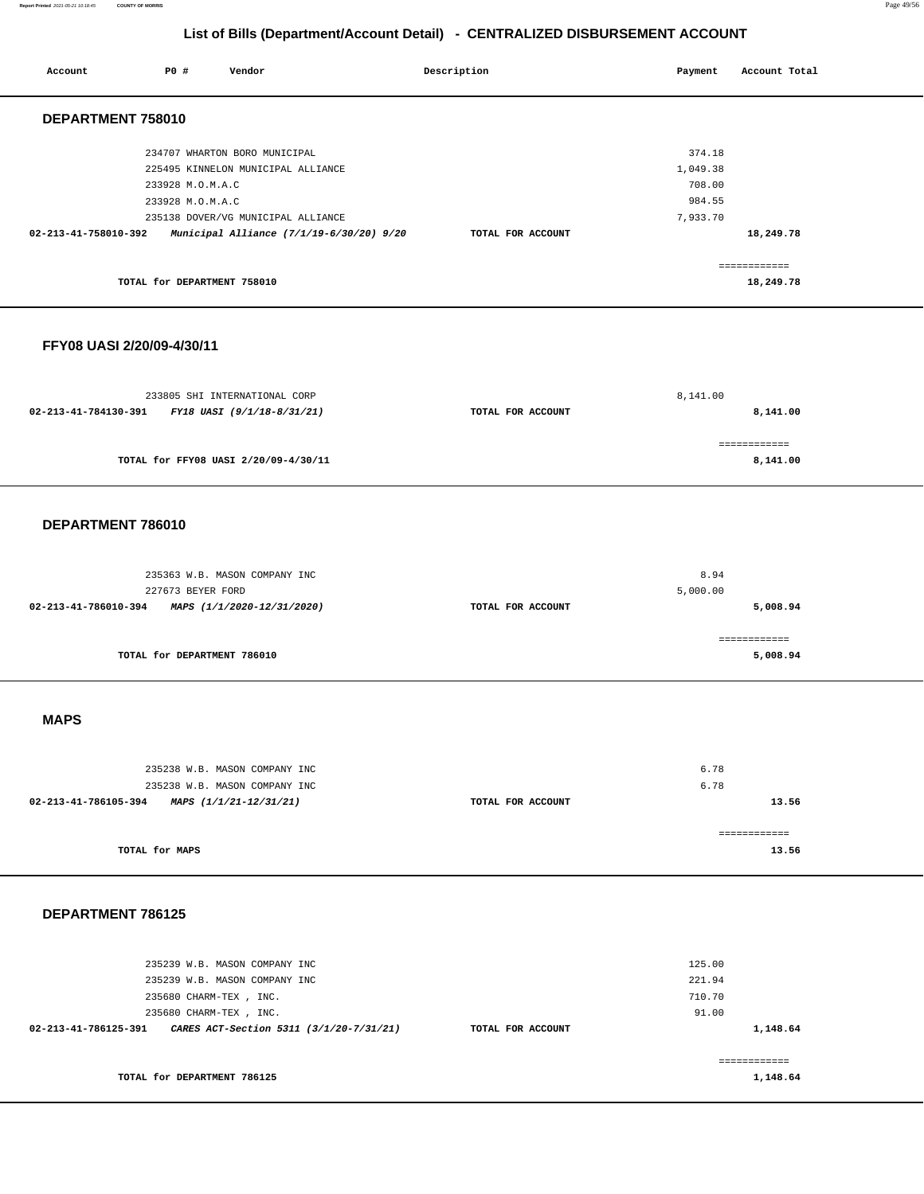### **Report Printed** 2021-05-21 10:18:45 **COUNTY OF MORRIS** Page 49/56

# **List of Bills (Department/Account Detail) - CENTRALIZED DISBURSEMENT ACCOUNT**

| Account                    | P0 #                        | Vendor                                   | Description       | Payment  |        | Account Total            |  |
|----------------------------|-----------------------------|------------------------------------------|-------------------|----------|--------|--------------------------|--|
| DEPARTMENT 758010          |                             |                                          |                   |          |        |                          |  |
|                            |                             | 234707 WHARTON BORO MUNICIPAL            |                   |          | 374.18 |                          |  |
|                            |                             | 225495 KINNELON MUNICIPAL ALLIANCE       |                   | 1,049.38 |        |                          |  |
|                            | 233928 M.O.M.A.C            |                                          |                   |          | 708.00 |                          |  |
|                            | 233928 M.O.M.A.C            |                                          |                   |          | 984.55 |                          |  |
|                            |                             | 235138 DOVER/VG MUNICIPAL ALLIANCE       |                   | 7,933.70 |        |                          |  |
| 02-213-41-758010-392       |                             | Municipal Alliance (7/1/19-6/30/20) 9/20 | TOTAL FOR ACCOUNT |          |        | 18,249.78                |  |
|                            |                             |                                          |                   |          |        | ============             |  |
|                            | TOTAL for DEPARTMENT 758010 |                                          |                   |          |        | 18,249.78                |  |
| FFY08 UASI 2/20/09-4/30/11 |                             |                                          |                   |          |        |                          |  |
|                            |                             |                                          |                   | 8,141.00 |        |                          |  |
|                            |                             | 233805 SHI INTERNATIONAL CORP            |                   |          |        |                          |  |
| 02-213-41-784130-391       |                             | FY18 UASI (9/1/18-8/31/21)               | TOTAL FOR ACCOUNT |          |        | 8,141.00                 |  |
|                            |                             | TOTAL for FFY08 UASI 2/20/09-4/30/11     |                   |          |        | 8,141.00                 |  |
|                            |                             |                                          |                   |          |        |                          |  |
| DEPARTMENT 786010          |                             |                                          |                   |          |        |                          |  |
|                            |                             |                                          |                   |          |        |                          |  |
|                            |                             | 235363 W.B. MASON COMPANY INC            |                   |          | 8.94   |                          |  |
| 02-213-41-786010-394       | 227673 BEYER FORD           | MAPS (1/1/2020-12/31/2020)               | TOTAL FOR ACCOUNT | 5,000.00 |        | 5,008.94                 |  |
|                            |                             |                                          |                   |          |        |                          |  |
|                            | TOTAL for DEPARTMENT 786010 |                                          |                   |          |        | ============<br>5,008.94 |  |
| <b>MAPS</b>                |                             |                                          |                   |          |        |                          |  |
|                            |                             |                                          |                   |          |        |                          |  |
|                            |                             | 235238 W.B. MASON COMPANY INC            |                   |          | 6.78   |                          |  |
|                            |                             | 235238 W.B. MASON COMPANY INC            |                   |          | 6.78   |                          |  |
| 02-213-41-786105-394       |                             | MAPS (1/1/21-12/31/21)                   | TOTAL FOR ACCOUNT |          |        | 13.56                    |  |
|                            |                             |                                          |                   |          |        |                          |  |
|                            | TOTAL for MAPS              |                                          |                   |          |        | ============<br>13.56    |  |
|                            |                             |                                          |                   |          |        |                          |  |
| DEPARTMENT 786125          |                             |                                          |                   |          |        |                          |  |
|                            |                             | 235239 W.B. MASON COMPANY INC            |                   |          | 125.00 |                          |  |
|                            |                             | 235239 W.B. MASON COMPANY INC            |                   |          | 221.94 |                          |  |
|                            | 235680 CHARM-TEX, INC.      |                                          |                   |          | 710.70 |                          |  |
|                            | 235680 CHARM-TEX, INC.      |                                          |                   |          | 91.00  |                          |  |
| 02-213-41-786125-391       |                             | CARES ACT-Section 5311 (3/1/20-7/31/21)  | TOTAL FOR ACCOUNT |          |        | 1,148.64                 |  |
|                            |                             |                                          |                   |          |        | ------------             |  |
|                            | TOTAL for DEPARTMENT 786125 |                                          |                   |          |        | 1,148.64                 |  |
|                            |                             |                                          |                   |          |        |                          |  |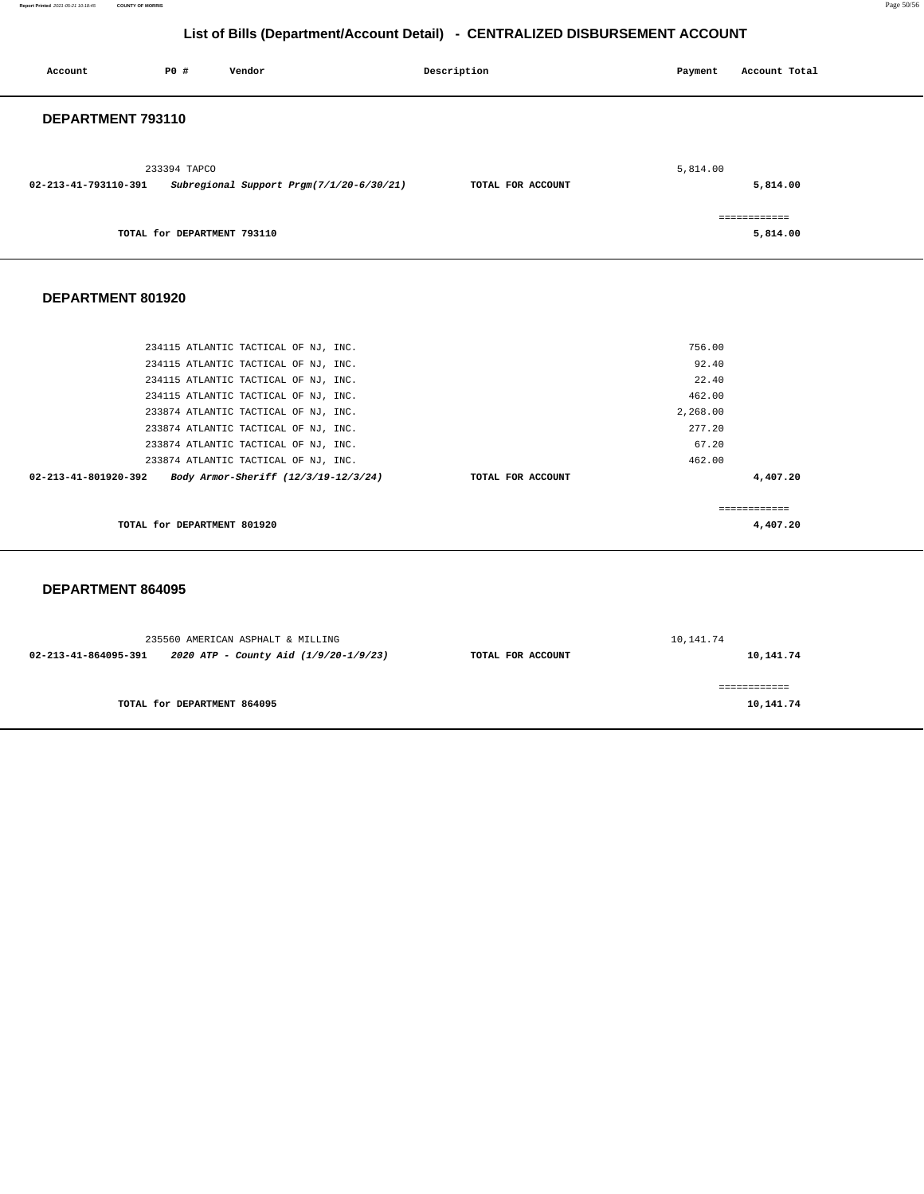**Report Printed** 2021-05-21 10:18:45 **COUNTY OF MORRIS** Page 50/56

# **List of Bills (Department/Account Detail) - CENTRALIZED DISBURSEMENT ACCOUNT**

| Account              | PO#                         | Vendor                                   | Description       | Payment  | Account Total |
|----------------------|-----------------------------|------------------------------------------|-------------------|----------|---------------|
| DEPARTMENT 793110    |                             |                                          |                   |          |               |
| 02-213-41-793110-391 | 233394 TAPCO                | Subregional Support Prgm(7/1/20-6/30/21) | TOTAL FOR ACCOUNT | 5,814.00 | 5,814.00      |
|                      |                             |                                          |                   |          | ============  |
|                      | TOTAL for DEPARTMENT 793110 |                                          |                   |          | 5,814.00      |
| DEPARTMENT 801920    |                             |                                          |                   |          |               |
|                      |                             | 234115 ATLANTIC TACTICAL OF NJ, INC.     |                   | 756.00   |               |
|                      |                             | 234115 ATLANTIC TACTICAL OF NJ, INC.     |                   | 92.40    |               |
|                      |                             | 234115 ATLANTIC TACTICAL OF NJ, INC.     |                   | 22.40    |               |

| TOTAL for DEPARTMENT 801920                                  |                   | 4,407.20 |  |
|--------------------------------------------------------------|-------------------|----------|--|
|                                                              |                   |          |  |
| Body Armor-Sheriff (12/3/19-12/3/24)<br>02-213-41-801920-392 | TOTAL FOR ACCOUNT | 4,407.20 |  |
| 233874 ATLANTIC TACTICAL OF NJ, INC.                         |                   | 462.00   |  |
| 233874 ATLANTIC TACTICAL OF NJ. INC.                         |                   | 67.20    |  |
| 233874 ATLANTIC TACTICAL OF NJ, INC.                         |                   | 277.20   |  |
| 233874 ATLANTIC TACTICAL OF NJ, INC.                         |                   | 2,268.00 |  |
| 234115 ATLANTIC TACTICAL OF NJ, INC.                         |                   | 462.00   |  |
| Z34II5 ATLANTIC TACTICAL OF NU, INC.                         |                   | 44.40    |  |

## **DEPARTMENT 864095**

|                      | 235560 AMERICAN ASPHALT & MILLING     |                   | 10,141.74 |
|----------------------|---------------------------------------|-------------------|-----------|
| 02-213-41-864095-391 | 2020 ATP - County Aid (1/9/20-1/9/23) | TOTAL FOR ACCOUNT | 10,141.74 |
|                      |                                       |                   |           |
|                      | TOTAL for DEPARTMENT 864095           |                   | 10,141.74 |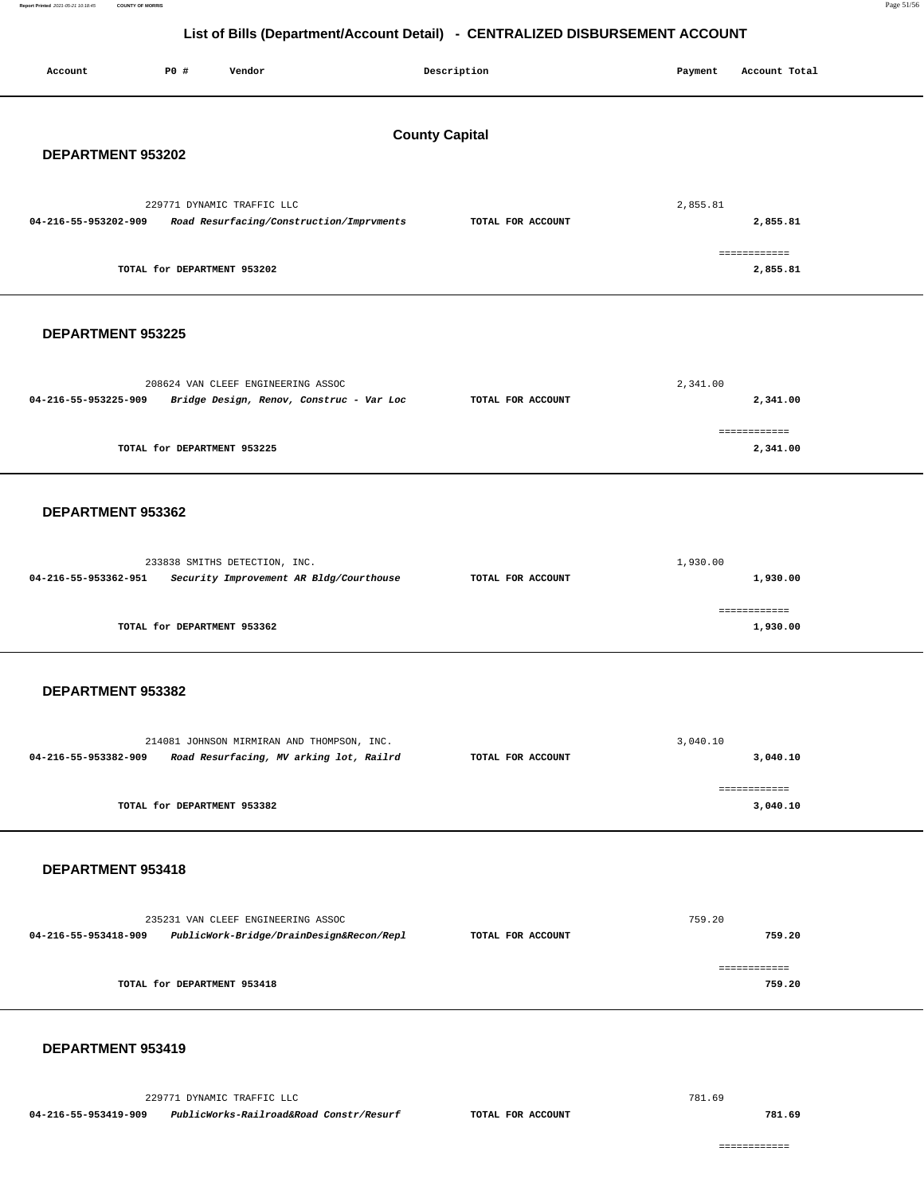**Report Printed** 2021-05-21 10:18:45 **COUNTY OF MORRIS** Page 51/56

# **List of Bills (Department/Account Detail) - CENTRALIZED DISBURSEMENT ACCOUNT**

| Account                                    | P0 #                        | Vendor                                                                                |  | Description       | Payment  | Account Total            |
|--------------------------------------------|-----------------------------|---------------------------------------------------------------------------------------|--|-------------------|----------|--------------------------|
| <b>County Capital</b><br>DEPARTMENT 953202 |                             |                                                                                       |  |                   |          |                          |
| 04-216-55-953202-909                       |                             | 229771 DYNAMIC TRAFFIC LLC<br>Road Resurfacing/Construction/Imprvments                |  | TOTAL FOR ACCOUNT | 2,855.81 | 2,855.81                 |
|                                            | TOTAL for DEPARTMENT 953202 |                                                                                       |  |                   |          | ============<br>2,855.81 |
| DEPARTMENT 953225                          |                             |                                                                                       |  |                   |          |                          |
| 04-216-55-953225-909                       |                             | 208624 VAN CLEEF ENGINEERING ASSOC<br>Bridge Design, Renov, Construc - Var Loc        |  | TOTAL FOR ACCOUNT | 2,341.00 | 2,341.00                 |
|                                            | TOTAL for DEPARTMENT 953225 |                                                                                       |  |                   |          | ============<br>2,341.00 |
| DEPARTMENT 953362                          |                             |                                                                                       |  |                   |          |                          |
| 04-216-55-953362-951                       |                             | 233838 SMITHS DETECTION, INC.<br>Security Improvement AR Bldg/Courthouse              |  | TOTAL FOR ACCOUNT | 1,930.00 | 1,930.00                 |
|                                            | TOTAL for DEPARTMENT 953362 |                                                                                       |  |                   |          | ------------<br>1,930.00 |
| DEPARTMENT 953382                          |                             |                                                                                       |  |                   |          |                          |
| 04-216-55-953382-909                       |                             | 214081 JOHNSON MIRMIRAN AND THOMPSON, INC.<br>Road Resurfacing, MV arking lot, Railrd |  | TOTAL FOR ACCOUNT | 3,040.10 | 3,040.10                 |
|                                            | TOTAL for DEPARTMENT 953382 |                                                                                       |  |                   |          | ============<br>3,040.10 |
| DEPARTMENT 953418                          |                             |                                                                                       |  |                   |          |                          |
| 04-216-55-953418-909                       |                             | 235231 VAN CLEEF ENGINEERING ASSOC<br>PublicWork-Bridge/DrainDesign&Recon/Repl        |  | TOTAL FOR ACCOUNT | 759.20   | 759.20                   |
|                                            | TOTAL for DEPARTMENT 953418 |                                                                                       |  |                   |          | ------------<br>759.20   |
| DEPARTMENT 953419                          |                             |                                                                                       |  |                   |          |                          |
|                                            |                             | 229771 DYNAMIC TRAFFIC LLC                                                            |  |                   | 781.69   |                          |

**04-216-55-953419-909 PublicWorks-Railroad&Road Constr/Resurf TOTAL FOR ACCOUNT** 

**781.69**

============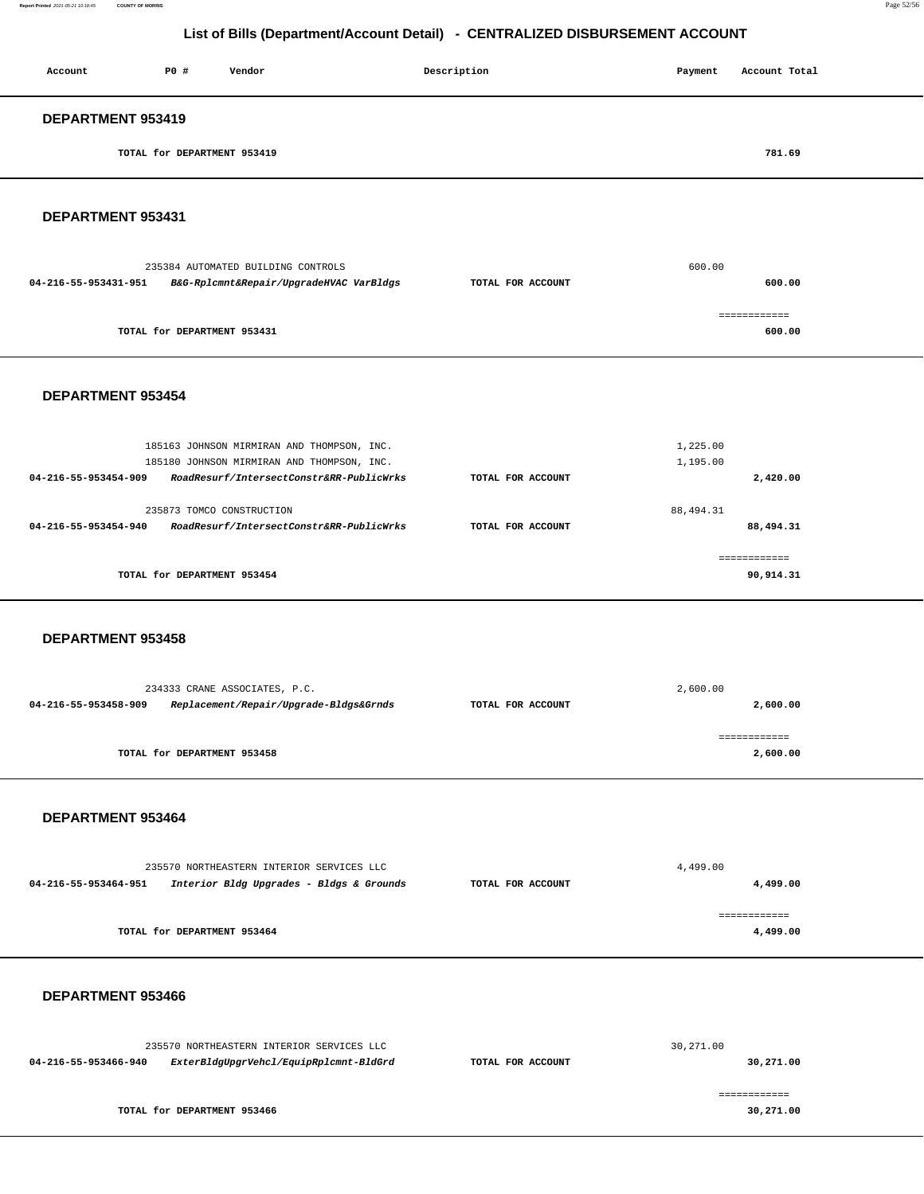**Report Printed** 2021-05-21 10:18:45 **COUNTY OF MORRIS** Page 52/56

# **List of Bills (Department/Account Detail) - CENTRALIZED DISBURSEMENT ACCOUNT**

| Account                  | P0 #                        | Vendor | Description | Payment | Account Total |  |
|--------------------------|-----------------------------|--------|-------------|---------|---------------|--|
| <b>DEPARTMENT 953419</b> |                             |        |             |         |               |  |
|                          | TOTAL for DEPARTMENT 953419 |        |             |         | 781.69        |  |

**DEPARTMENT 953431** 

| 600.00                      |
|-----------------------------|
| 600.00<br>TOTAL FOR ACCOUNT |
|                             |
| 600.00                      |
|                             |

### **DEPARTMENT 953454**

| 185163 JOHNSON MIRMIRAN AND THOMPSON, INC.<br>185180 JOHNSON MIRMIRAN AND THOMPSON, INC.      |                   | 1,225.00<br>1,195.00   |
|-----------------------------------------------------------------------------------------------|-------------------|------------------------|
| RoadResurf/IntersectConstr&RR-PublicWrks<br>04-216-55-953454-909                              | TOTAL FOR ACCOUNT | 2,420.00               |
| 235873 TOMCO CONSTRUCTION<br>RoadResurf/IntersectConstr&RR-PublicWrks<br>04-216-55-953454-940 | TOTAL FOR ACCOUNT | 88,494.31<br>88,494.31 |
|                                                                                               |                   | ============           |
| TOTAL for DEPARTMENT 953454                                                                   |                   | 90,914.31              |

### **DEPARTMENT 953458**

|                      | 234333 CRANE ASSOCIATES, P.C.          |                   | 2,600.00 |
|----------------------|----------------------------------------|-------------------|----------|
| 04-216-55-953458-909 | Replacement/Repair/Upgrade-Bldgs&Grnds | TOTAL FOR ACCOUNT | 2,600.00 |
|                      | TOTAL for DEPARTMENT 953458            |                   | 2,600.00 |

### **DEPARTMENT 953464**

| 235570 NORTHEASTERN INTERIOR SERVICES LLC |                                          |                   | 4,499.00 |
|-------------------------------------------|------------------------------------------|-------------------|----------|
| 04-216-55-953464-951                      | Interior Bldg Upgrades - Bldgs & Grounds | TOTAL FOR ACCOUNT | 4,499.00 |
|                                           | TOTAL for DEPARTMENT 953464              |                   | 4,499.00 |

## **DEPARTMENT 953466**

| 235570 NORTHEASTERN INTERIOR SERVICES LLC |                                        |                   | 30,271.00 |
|-------------------------------------------|----------------------------------------|-------------------|-----------|
| 04-216-55-953466-940                      | ExterBldgUpgrVehcl/EquipRplcmnt-BldGrd | TOTAL FOR ACCOUNT | 30,271.00 |
|                                           |                                        |                   |           |
|                                           |                                        |                   |           |
|                                           | TOTAL for DEPARTMENT 953466            |                   | 30,271.00 |
|                                           |                                        |                   |           |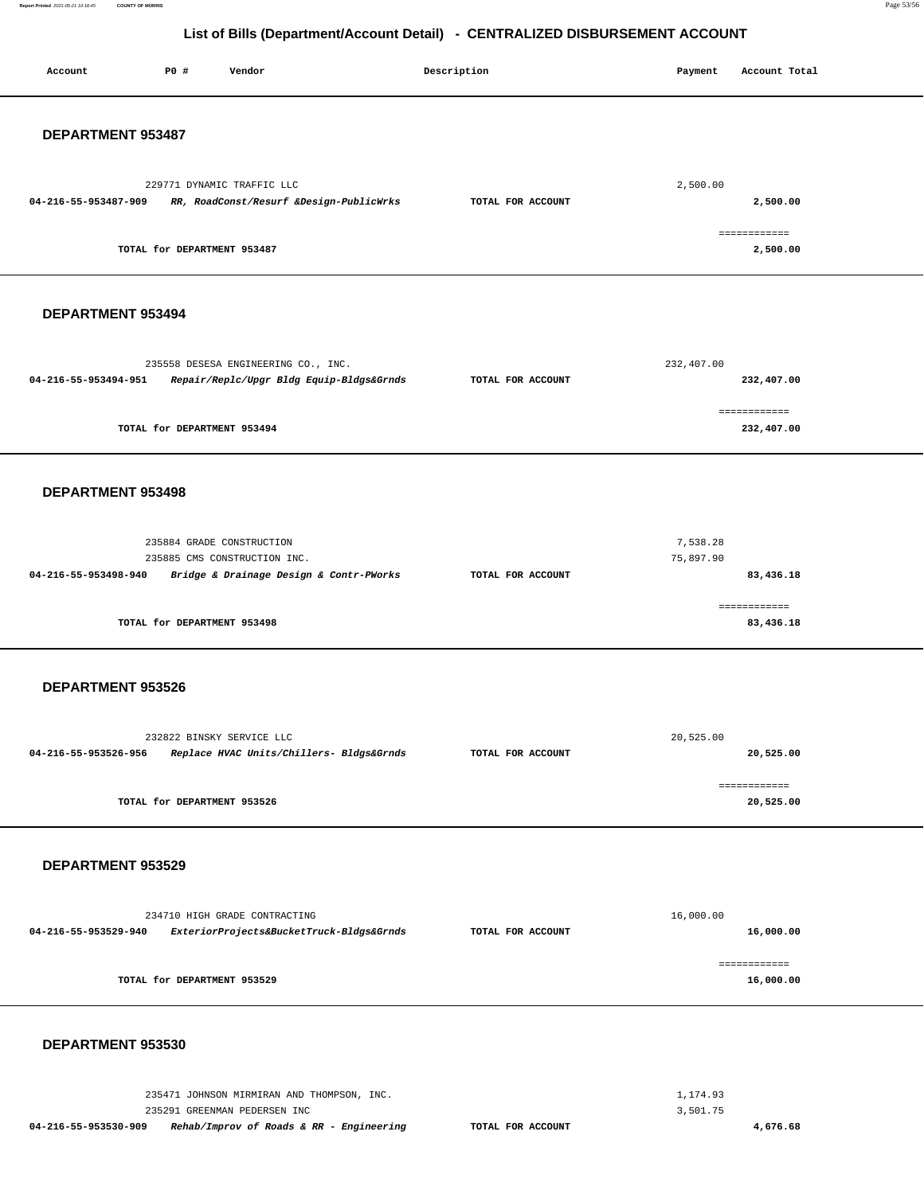**Report Printed** 2021-05-21 10:18:45 **COUNTY OF MORRIS** Page 53/56

# **List of Bills (Department/Account Detail) - CENTRALIZED DISBURSEMENT ACCOUNT**

| Account              | P0 #                        | Vendor                                                                                                                 | Description       | Payment               | Account Total              |  |
|----------------------|-----------------------------|------------------------------------------------------------------------------------------------------------------------|-------------------|-----------------------|----------------------------|--|
| DEPARTMENT 953487    |                             |                                                                                                                        |                   |                       |                            |  |
| 04-216-55-953487-909 |                             | 229771 DYNAMIC TRAFFIC LLC<br>RR, RoadConst/Resurf &Design-PublicWrks                                                  | TOTAL FOR ACCOUNT | 2,500.00              | 2,500.00                   |  |
|                      | TOTAL for DEPARTMENT 953487 |                                                                                                                        |                   |                       | ============<br>2,500.00   |  |
| DEPARTMENT 953494    |                             |                                                                                                                        |                   |                       |                            |  |
| 04-216-55-953494-951 |                             | 235558 DESESA ENGINEERING CO., INC.<br>Repair/Replc/Upgr Bldg Equip-Bldgs&Grnds                                        | TOTAL FOR ACCOUNT | 232,407.00            | 232,407.00                 |  |
|                      | TOTAL for DEPARTMENT 953494 |                                                                                                                        |                   |                       | ============<br>232,407.00 |  |
| DEPARTMENT 953498    |                             |                                                                                                                        |                   |                       |                            |  |
| 04-216-55-953498-940 | 235884 GRADE CONSTRUCTION   | 235885 CMS CONSTRUCTION INC.<br>Bridge & Drainage Design & Contr-PWorks                                                | TOTAL FOR ACCOUNT | 7,538.28<br>75,897.90 | 83,436.18                  |  |
|                      | TOTAL for DEPARTMENT 953498 |                                                                                                                        |                   |                       | ============<br>83,436.18  |  |
| DEPARTMENT 953526    |                             |                                                                                                                        |                   |                       |                            |  |
| 04-216-55-953526-956 | 232822 BINSKY SERVICE LLC   | Replace HVAC Units/Chillers- Bldgs&Grnds                                                                               | TOTAL FOR ACCOUNT | 20,525.00             | 20,525.00                  |  |
|                      | TOTAL for DEPARTMENT 953526 |                                                                                                                        |                   |                       | ============<br>20,525.00  |  |
| DEPARTMENT 953529    |                             |                                                                                                                        |                   |                       |                            |  |
| 04-216-55-953529-940 |                             | 234710 HIGH GRADE CONTRACTING<br>ExteriorProjects&BucketTruck-Bldgs&Grnds                                              | TOTAL FOR ACCOUNT | 16,000.00             | 16,000.00                  |  |
|                      | TOTAL for DEPARTMENT 953529 |                                                                                                                        |                   |                       | ============<br>16,000.00  |  |
| DEPARTMENT 953530    |                             |                                                                                                                        |                   |                       |                            |  |
| 04-216-55-953530-909 |                             | 235471 JOHNSON MIRMIRAN AND THOMPSON, INC.<br>235291 GREENMAN PEDERSEN INC<br>Rehab/Improv of Roads & RR - Engineering | TOTAL FOR ACCOUNT | 1,174.93<br>3,501.75  | 4,676.68                   |  |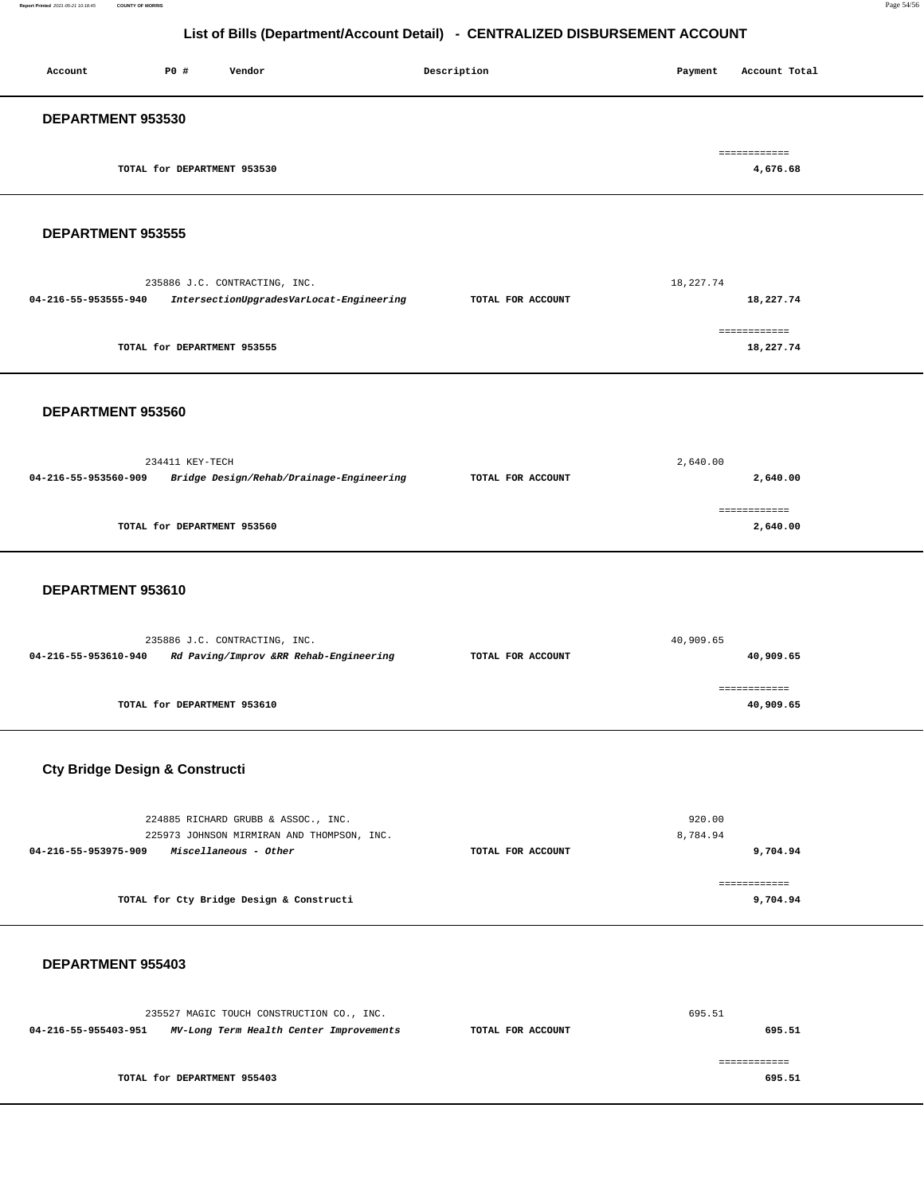**Report Printed** 2021-05-21 10:18:45 **COUNTY OF MORRIS** Page 54/56

# **List of Bills (Department/Account Detail) - CENTRALIZED DISBURSEMENT ACCOUNT**

| Account                  | P0 #                        | Vendor | Description | Account Total<br>Payment |
|--------------------------|-----------------------------|--------|-------------|--------------------------|
| <b>DEPARTMENT 953530</b> |                             |        |             |                          |
|                          | TOTAL for DEPARTMENT 953530 |        |             | ============<br>4,676.68 |
|                          |                             |        |             |                          |

### **DEPARTMENT 953555**

|                      | 235886 J.C. CONTRACTING, INC.            |                   | 18,227.74     |
|----------------------|------------------------------------------|-------------------|---------------|
| 04-216-55-953555-940 | IntersectionUpgradesVarLocat-Engineering | TOTAL FOR ACCOUNT | 18,227.74     |
|                      |                                          |                   |               |
|                      |                                          |                   | ------------- |
|                      | TOTAL for DEPARTMENT 953555              |                   | 18,227.74     |
|                      |                                          |                   |               |

### **DEPARTMENT 953560**

|                      | 234411 KEY-TECH                          | 2,640.00          |              |  |
|----------------------|------------------------------------------|-------------------|--------------|--|
| 04-216-55-953560-909 | Bridge Design/Rehab/Drainage-Engineering | TOTAL FOR ACCOUNT | 2,640.00     |  |
|                      |                                          |                   | ------------ |  |
|                      | TOTAL for DEPARTMENT 953560              |                   | 2,640.00     |  |
|                      |                                          |                   |              |  |

### **DEPARTMENT 953610**

|                      | 235886 J.C. CONTRACTING, INC.          |                   | 40,909.65 |
|----------------------|----------------------------------------|-------------------|-----------|
| 04-216-55-953610-940 | Rd Paving/Improv &RR Rehab-Engineering | TOTAL FOR ACCOUNT | 40,909.65 |
|                      |                                        |                   |           |
|                      |                                        |                   |           |
|                      | TOTAL for DEPARTMENT 953610            |                   | 40,909.65 |

# **Cty Bridge Design & Constructi**

|                   | 920.00   |
|-------------------|----------|
|                   | 8,784.94 |
| TOTAL FOR ACCOUNT | 9,704.94 |
|                   |          |
|                   |          |
|                   | 9,704.94 |
|                   |          |

### **DEPARTMENT 955403**

| 235527 MAGIC TOUCH CONSTRUCTION CO., INC.                       |                   | 695.51 |
|-----------------------------------------------------------------|-------------------|--------|
| MV-Long Term Health Center Improvements<br>04-216-55-955403-951 | TOTAL FOR ACCOUNT | 695.51 |
|                                                                 |                   |        |
|                                                                 |                   |        |
| TOTAL for DEPARTMENT 955403                                     |                   | 695.51 |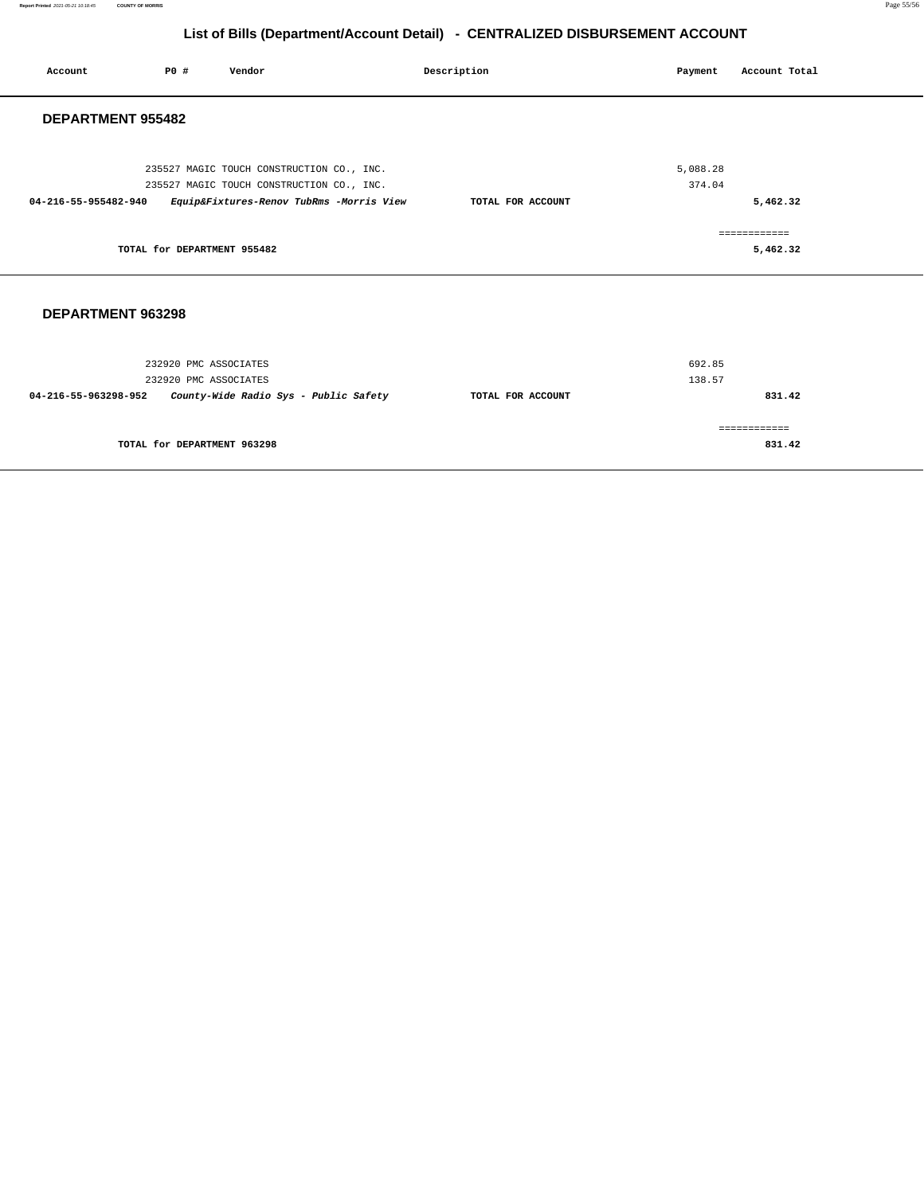### **Report Printed** 2021-05-21 10:18:45 **COUNTY OF MORRIS** Page 55/56

# **List of Bills (Department/Account Detail) - CENTRALIZED DISBURSEMENT ACCOUNT**

| Account              | P0 #                        | Vendor                                    | Description       | Payment  | Account Total |
|----------------------|-----------------------------|-------------------------------------------|-------------------|----------|---------------|
| DEPARTMENT 955482    |                             |                                           |                   |          |               |
|                      |                             | 235527 MAGIC TOUCH CONSTRUCTION CO., INC. |                   | 5,088.28 |               |
|                      |                             | 235527 MAGIC TOUCH CONSTRUCTION CO., INC. |                   | 374.04   |               |
| 04-216-55-955482-940 |                             | Equip&Fixtures-Renov TubRms -Morris View  | TOTAL FOR ACCOUNT |          | 5,462.32      |
|                      |                             |                                           |                   |          | ============  |
|                      | TOTAL for DEPARTMENT 955482 |                                           |                   |          | 5,462.32      |
|                      |                             |                                           |                   |          |               |
| DEPARTMENT 963298    |                             |                                           |                   |          |               |

| 232920 PMC ASSOCIATES<br>County-Wide Radio Sys - Public Safety<br>04-216-55-963298-952 | TOTAL FOR ACCOUNT | 138.57<br>831.42 |
|----------------------------------------------------------------------------------------|-------------------|------------------|
| TOTAL for DEPARTMENT 963298                                                            |                   | 831.42           |